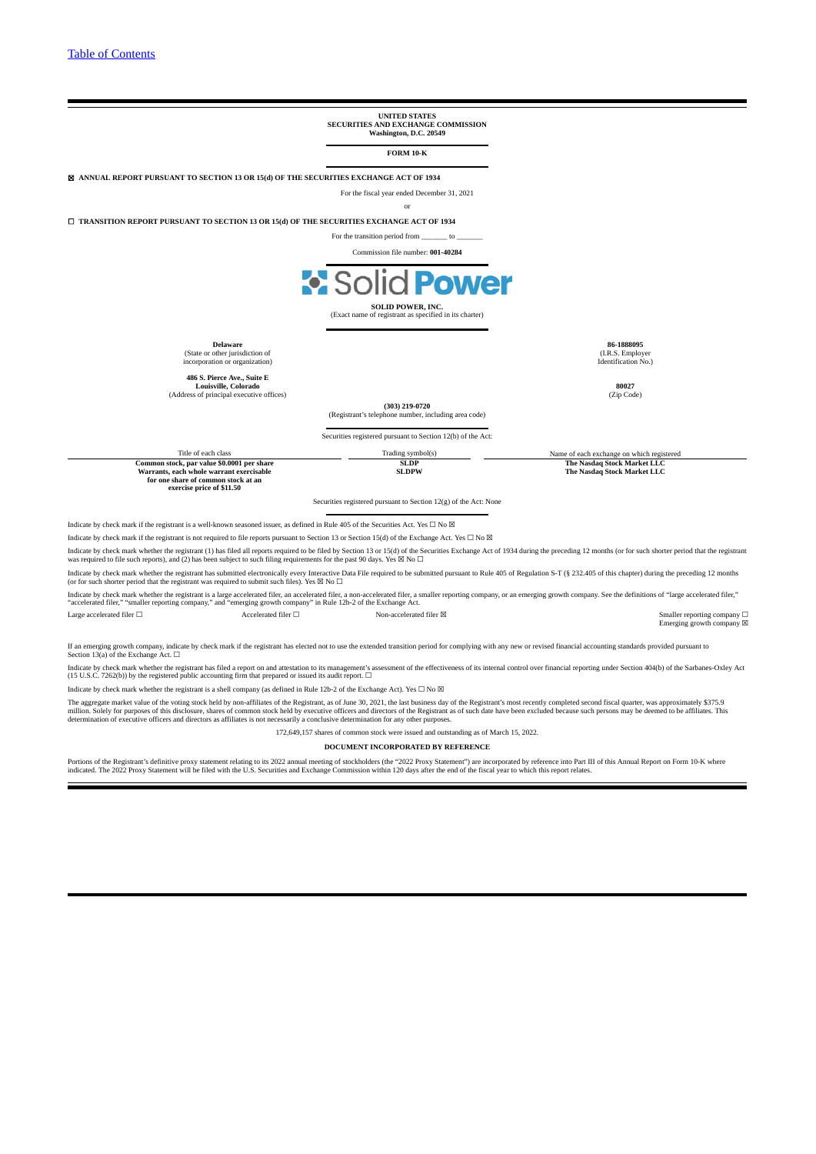

The aggregate market value of the voting stock held by non-affiliates of the Registrant, as of June 30, 2021, the last business day of the Registrant's most recently completed second fiscal quarter, was approximately \$375.

172,649,157 shares of common stock were issued and outstanding as of March 15, 2022.

#### **DOCUMENT INCORPORATED BY REFERENCE**

Portions of the Registrant's definitive proxy statement relating to its 2022 annual meeting of stockholders (the "2022 Proxy Statement") are incorporated by reference into Part III of this Annual Report on Form 10-K where<br>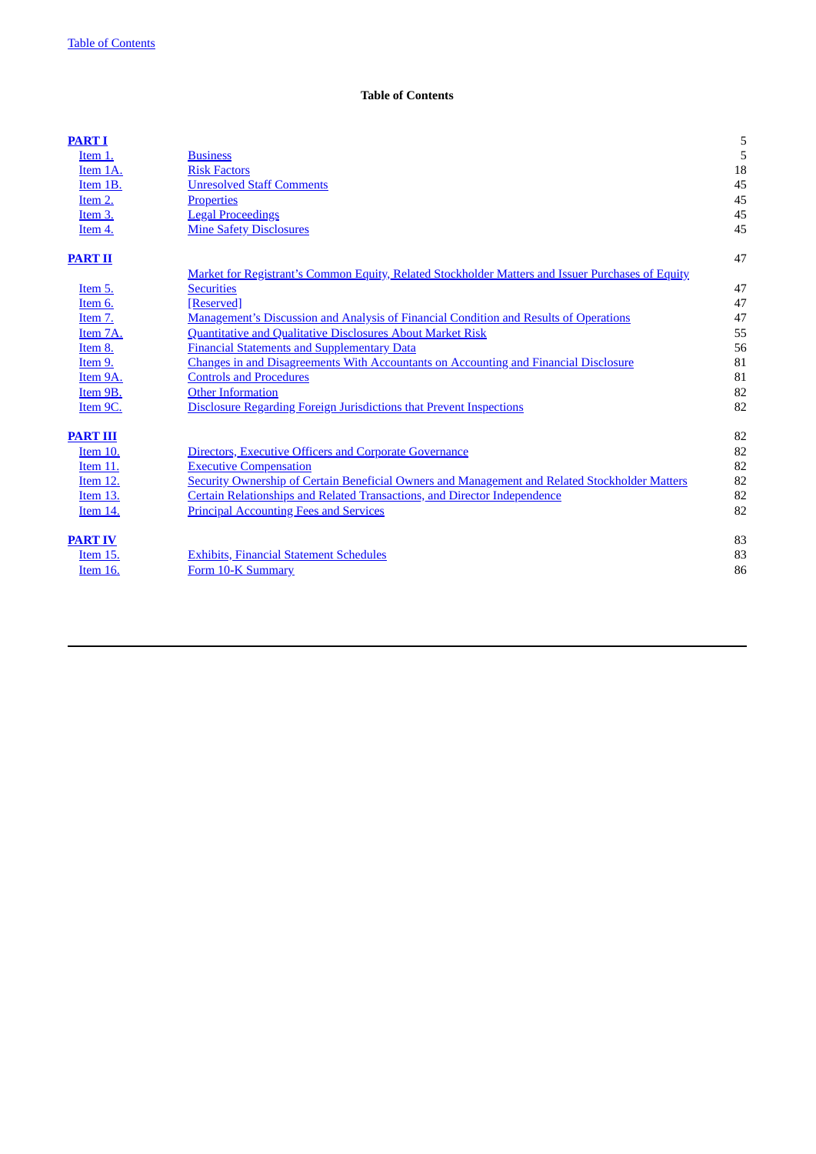# **Table of Contents**

<span id="page-1-0"></span>

| <b>PART I</b>   |                                                                                                   | 5  |
|-----------------|---------------------------------------------------------------------------------------------------|----|
| Item 1.         | <b>Business</b>                                                                                   | 5  |
| Item 1A.        | <b>Risk Factors</b>                                                                               | 18 |
| Item 1B.        | <b>Unresolved Staff Comments</b>                                                                  | 45 |
| Item 2.         | <b>Properties</b>                                                                                 | 45 |
| Item 3.         | <b>Legal Proceedings</b>                                                                          | 45 |
| Item 4.         | <b>Mine Safety Disclosures</b>                                                                    | 45 |
| <b>PART II</b>  |                                                                                                   | 47 |
|                 | Market for Registrant's Common Equity, Related Stockholder Matters and Issuer Purchases of Equity |    |
| Item 5.         | <b>Securities</b>                                                                                 | 47 |
| Item 6.         | [Reserved]                                                                                        | 47 |
| Item 7.         | Management's Discussion and Analysis of Financial Condition and Results of Operations             | 47 |
| Item 7A.        | <b>Quantitative and Qualitative Disclosures About Market Risk</b>                                 | 55 |
| Item 8.         | <b>Financial Statements and Supplementary Data</b>                                                | 56 |
| Item 9.         | Changes in and Disagreements With Accountants on Accounting and Financial Disclosure              | 81 |
| Item 9A.        | <b>Controls and Procedures</b>                                                                    | 81 |
| Item 9B.        | <b>Other Information</b>                                                                          | 82 |
| Item 9C.        | <b>Disclosure Regarding Foreign Jurisdictions that Prevent Inspections</b>                        | 82 |
| <b>PART III</b> |                                                                                                   | 82 |
| Item 10.        | <b>Directors, Executive Officers and Corporate Governance</b>                                     | 82 |
| Item 11.        | <b>Executive Compensation</b>                                                                     | 82 |
| Item 12.        | Security Ownership of Certain Beneficial Owners and Management and Related Stockholder Matters    | 82 |
| Item 13.        | Certain Relationships and Related Transactions, and Director Independence                         | 82 |
| Item 14.        | <b>Principal Accounting Fees and Services</b>                                                     | 82 |
| <b>PART IV</b>  |                                                                                                   | 83 |
| Item 15.        | <b>Exhibits, Financial Statement Schedules</b>                                                    | 83 |
| Item 16.        | Form 10-K Summary                                                                                 | 86 |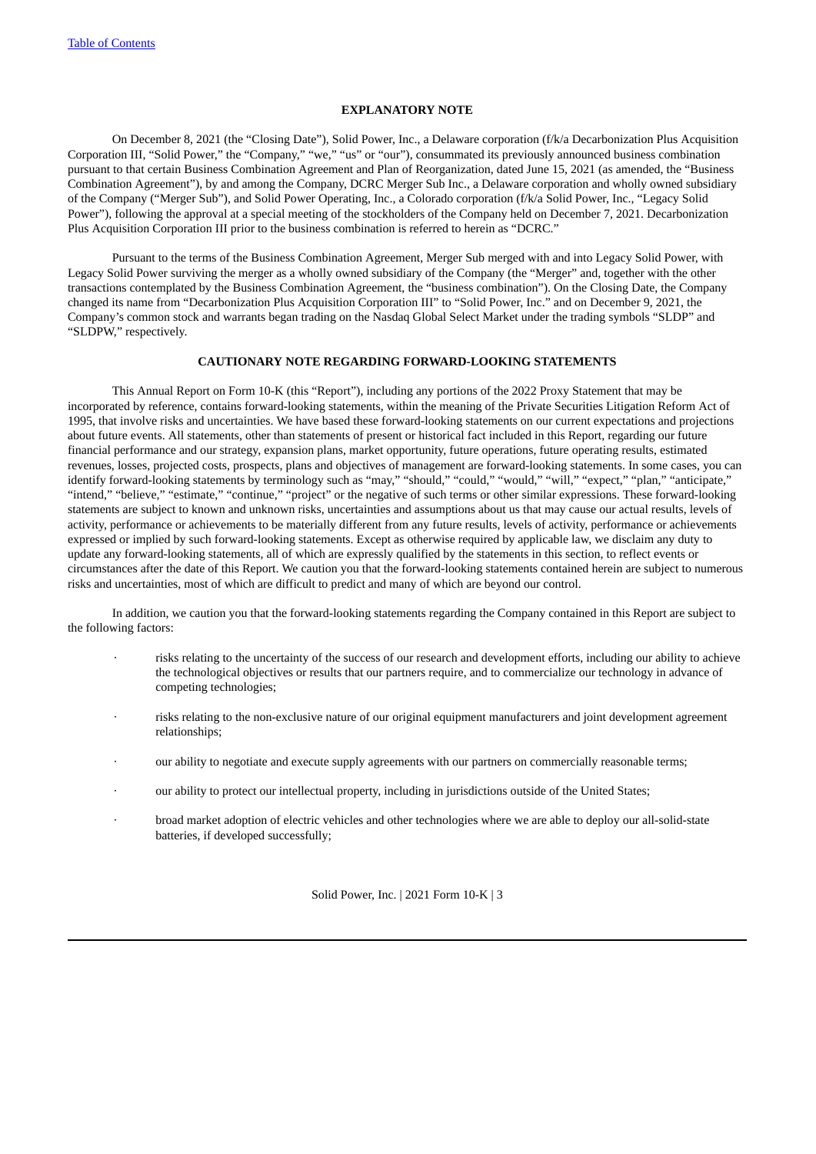#### **EXPLANATORY NOTE**

On December 8, 2021 (the "Closing Date"), Solid Power, Inc., a Delaware corporation (f/k/a Decarbonization Plus Acquisition Corporation III, "Solid Power," the "Company," "we," "us" or "our"), consummated its previously announced business combination pursuant to that certain Business Combination Agreement and Plan of Reorganization, dated June 15, 2021 (as amended, the "Business Combination Agreement"), by and among the Company, DCRC Merger Sub Inc., a Delaware corporation and wholly owned subsidiary of the Company ("Merger Sub"), and Solid Power Operating, Inc., a Colorado corporation (f/k/a Solid Power, Inc., "Legacy Solid Power"), following the approval at a special meeting of the stockholders of the Company held on December 7, 2021. Decarbonization Plus Acquisition Corporation III prior to the business combination is referred to herein as "DCRC."

Pursuant to the terms of the Business Combination Agreement, Merger Sub merged with and into Legacy Solid Power, with Legacy Solid Power surviving the merger as a wholly owned subsidiary of the Company (the "Merger" and, together with the other transactions contemplated by the Business Combination Agreement, the "business combination"). On the Closing Date, the Company changed its name from "Decarbonization Plus Acquisition Corporation III" to "Solid Power, Inc." and on December 9, 2021, the Company's common stock and warrants began trading on the Nasdaq Global Select Market under the trading symbols "SLDP" and "SLDPW," respectively.

#### **CAUTIONARY NOTE REGARDING FORWARD-LOOKING STATEMENTS**

This Annual Report on Form 10-K (this "Report"), including any portions of the 2022 Proxy Statement that may be incorporated by reference, contains forward-looking statements, within the meaning of the Private Securities Litigation Reform Act of 1995, that involve risks and uncertainties. We have based these forward-looking statements on our current expectations and projections about future events. All statements, other than statements of present or historical fact included in this Report, regarding our future financial performance and our strategy, expansion plans, market opportunity, future operations, future operating results, estimated revenues, losses, projected costs, prospects, plans and objectives of management are forward-looking statements. In some cases, you can identify forward-looking statements by terminology such as "may," "should," "could," "would," "will," "expect," "plan," "anticipate," "intend," "believe," "estimate," "continue," "project" or the negative of such terms or other similar expressions. These forward-looking statements are subject to known and unknown risks, uncertainties and assumptions about us that may cause our actual results, levels of activity, performance or achievements to be materially different from any future results, levels of activity, performance or achievements expressed or implied by such forward-looking statements. Except as otherwise required by applicable law, we disclaim any duty to update any forward-looking statements, all of which are expressly qualified by the statements in this section, to reflect events or circumstances after the date of this Report. We caution you that the forward-looking statements contained herein are subject to numerous risks and uncertainties, most of which are difficult to predict and many of which are beyond our control.

In addition, we caution you that the forward-looking statements regarding the Company contained in this Report are subject to the following factors:

- · risks relating to the uncertainty of the success of our research and development efforts, including our ability to achieve the technological objectives or results that our partners require, and to commercialize our technology in advance of competing technologies;
- · risks relating to the non-exclusive nature of our original equipment manufacturers and joint development agreement relationships;
- · our ability to negotiate and execute supply agreements with our partners on commercially reasonable terms;
- · our ability to protect our intellectual property, including in jurisdictions outside of the United States;
- · broad market adoption of electric vehicles and other technologies where we are able to deploy our all-solid-state batteries, if developed successfully;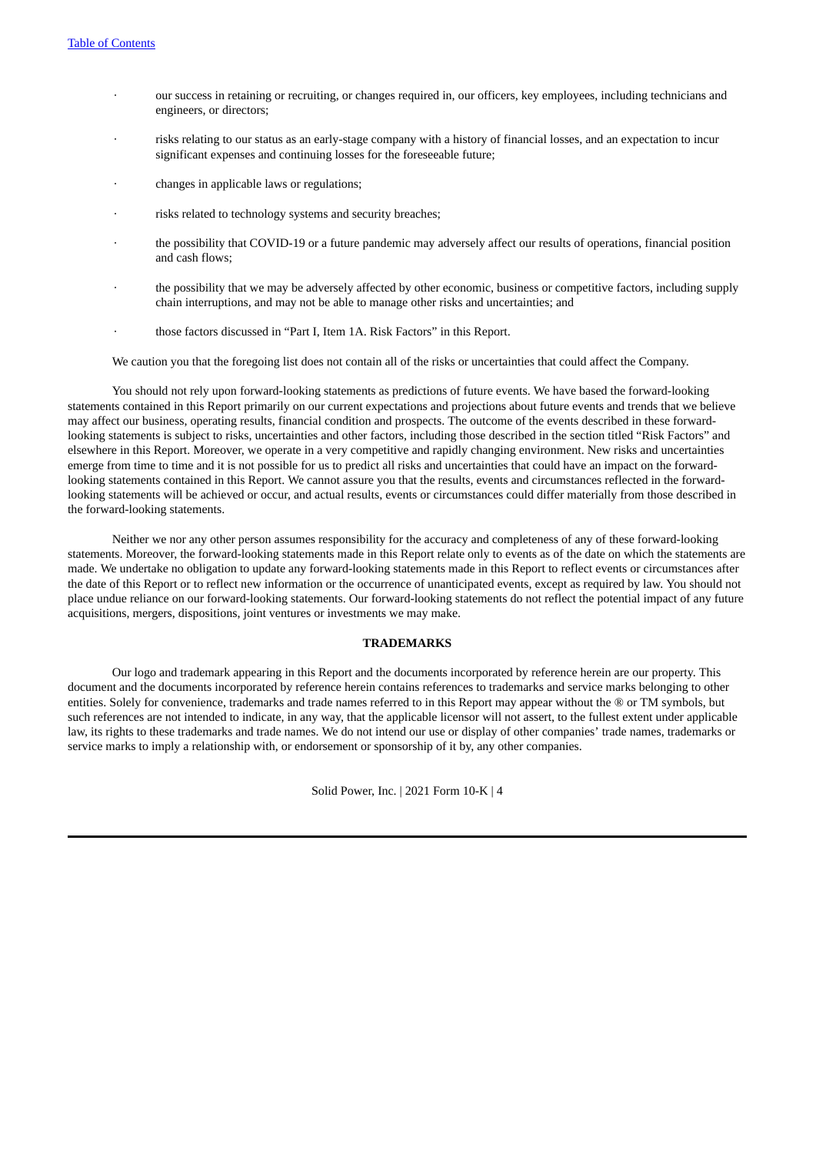- · our success in retaining or recruiting, or changes required in, our officers, key employees, including technicians and engineers, or directors;
- · risks relating to our status as an early-stage company with a history of financial losses, and an expectation to incur significant expenses and continuing losses for the foreseeable future;
- · changes in applicable laws or regulations;
- risks related to technology systems and security breaches;
- the possibility that COVID-19 or a future pandemic may adversely affect our results of operations, financial position and cash flows;
- the possibility that we may be adversely affected by other economic, business or competitive factors, including supply chain interruptions, and may not be able to manage other risks and uncertainties; and
- those factors discussed in "Part I, Item 1A. Risk Factors" in this Report.

We caution you that the foregoing list does not contain all of the risks or uncertainties that could affect the Company.

You should not rely upon forward-looking statements as predictions of future events. We have based the forward-looking statements contained in this Report primarily on our current expectations and projections about future events and trends that we believe may affect our business, operating results, financial condition and prospects. The outcome of the events described in these forwardlooking statements is subject to risks, uncertainties and other factors, including those described in the section titled "Risk Factors" and elsewhere in this Report. Moreover, we operate in a very competitive and rapidly changing environment. New risks and uncertainties emerge from time to time and it is not possible for us to predict all risks and uncertainties that could have an impact on the forwardlooking statements contained in this Report. We cannot assure you that the results, events and circumstances reflected in the forwardlooking statements will be achieved or occur, and actual results, events or circumstances could differ materially from those described in the forward-looking statements.

Neither we nor any other person assumes responsibility for the accuracy and completeness of any of these forward-looking statements. Moreover, the forward-looking statements made in this Report relate only to events as of the date on which the statements are made. We undertake no obligation to update any forward-looking statements made in this Report to reflect events or circumstances after the date of this Report or to reflect new information or the occurrence of unanticipated events, except as required by law. You should not place undue reliance on our forward-looking statements. Our forward-looking statements do not reflect the potential impact of any future acquisitions, mergers, dispositions, joint ventures or investments we may make.

### **TRADEMARKS**

Our logo and trademark appearing in this Report and the documents incorporated by reference herein are our property. This document and the documents incorporated by reference herein contains references to trademarks and service marks belonging to other entities. Solely for convenience, trademarks and trade names referred to in this Report may appear without the ® or TM symbols, but such references are not intended to indicate, in any way, that the applicable licensor will not assert, to the fullest extent under applicable law, its rights to these trademarks and trade names. We do not intend our use or display of other companies' trade names, trademarks or service marks to imply a relationship with, or endorsement or sponsorship of it by, any other companies.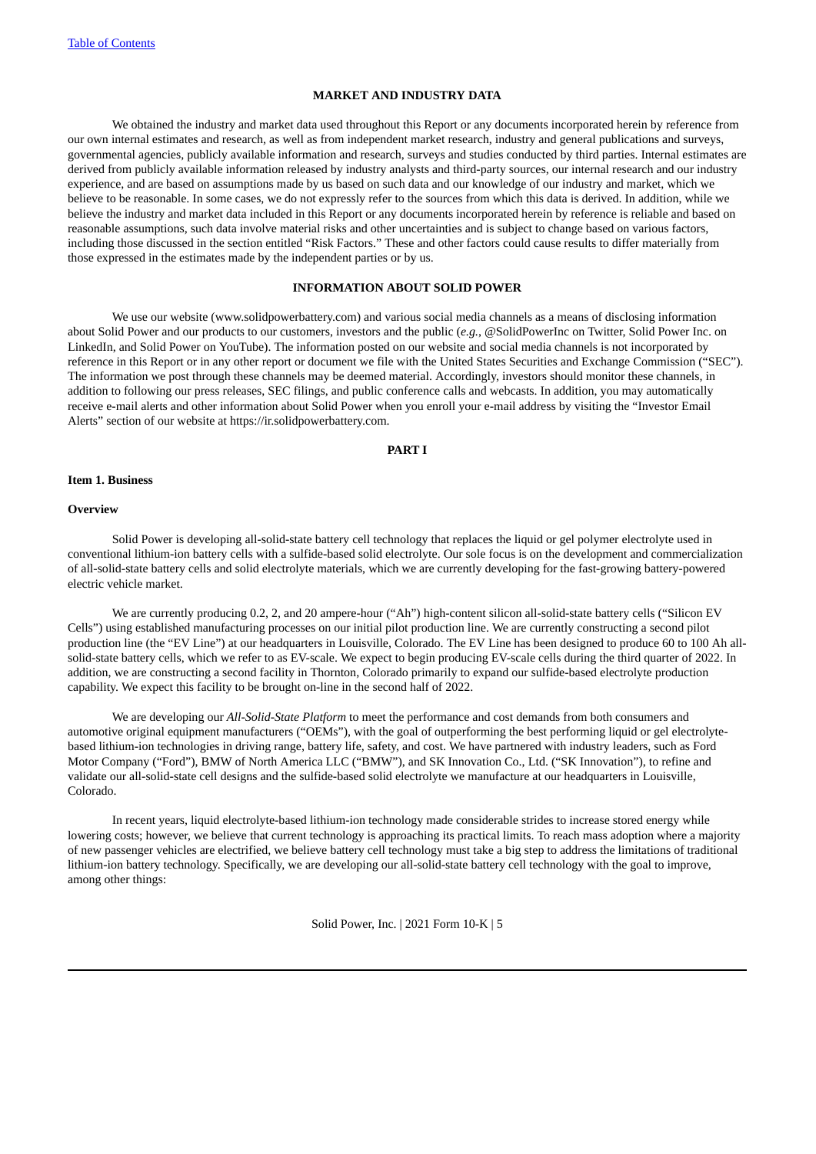### **MARKET AND INDUSTRY DATA**

We obtained the industry and market data used throughout this Report or any documents incorporated herein by reference from our own internal estimates and research, as well as from independent market research, industry and general publications and surveys, governmental agencies, publicly available information and research, surveys and studies conducted by third parties. Internal estimates are derived from publicly available information released by industry analysts and third-party sources, our internal research and our industry experience, and are based on assumptions made by us based on such data and our knowledge of our industry and market, which we believe to be reasonable. In some cases, we do not expressly refer to the sources from which this data is derived. In addition, while we believe the industry and market data included in this Report or any documents incorporated herein by reference is reliable and based on reasonable assumptions, such data involve material risks and other uncertainties and is subject to change based on various factors, including those discussed in the section entitled "Risk Factors." These and other factors could cause results to differ materially from those expressed in the estimates made by the independent parties or by us.

#### **INFORMATION ABOUT SOLID POWER**

We use our website (www.solidpowerbattery.com) and various social media channels as a means of disclosing information about Solid Power and our products to our customers, investors and the public (*e.g.*, @SolidPowerInc on Twitter, Solid Power Inc. on LinkedIn, and Solid Power on YouTube). The information posted on our website and social media channels is not incorporated by reference in this Report or in any other report or document we file with the United States Securities and Exchange Commission ("SEC"). The information we post through these channels may be deemed material. Accordingly, investors should monitor these channels, in addition to following our press releases, SEC filings, and public conference calls and webcasts. In addition, you may automatically receive e-mail alerts and other information about Solid Power when you enroll your e-mail address by visiting the "Investor Email Alerts" section of our website at https://ir.solidpowerbattery.com.

## **PART I**

#### <span id="page-4-1"></span><span id="page-4-0"></span>**Item 1. Business**

#### **Overview**

Solid Power is developing all-solid-state battery cell technology that replaces the liquid or gel polymer electrolyte used in conventional lithium-ion battery cells with a sulfide-based solid electrolyte. Our sole focus is on the development and commercialization of all-solid-state battery cells and solid electrolyte materials, which we are currently developing for the fast-growing battery-powered electric vehicle market.

We are currently producing 0.2, 2, and 20 ampere-hour ("Ah") high-content silicon all-solid-state battery cells ("Silicon EV Cells") using established manufacturing processes on our initial pilot production line. We are currently constructing a second pilot production line (the "EV Line") at our headquarters in Louisville, Colorado. The EV Line has been designed to produce 60 to 100 Ah allsolid-state battery cells, which we refer to as EV-scale. We expect to begin producing EV-scale cells during the third quarter of 2022. In addition, we are constructing a second facility in Thornton, Colorado primarily to expand our sulfide-based electrolyte production capability. We expect this facility to be brought on-line in the second half of 2022.

We are developing our *All-Solid-State Platform* to meet the performance and cost demands from both consumers and automotive original equipment manufacturers ("OEMs"), with the goal of outperforming the best performing liquid or gel electrolytebased lithium-ion technologies in driving range, battery life, safety, and cost. We have partnered with industry leaders, such as Ford Motor Company ("Ford"), BMW of North America LLC ("BMW"), and SK Innovation Co., Ltd. ("SK Innovation"), to refine and validate our all-solid-state cell designs and the sulfide-based solid electrolyte we manufacture at our headquarters in Louisville, Colorado.

In recent years, liquid electrolyte-based lithium-ion technology made considerable strides to increase stored energy while lowering costs; however, we believe that current technology is approaching its practical limits. To reach mass adoption where a majority of new passenger vehicles are electrified, we believe battery cell technology must take a big step to address the limitations of traditional lithium-ion battery technology. Specifically, we are developing our all-solid-state battery cell technology with the goal to improve, among other things: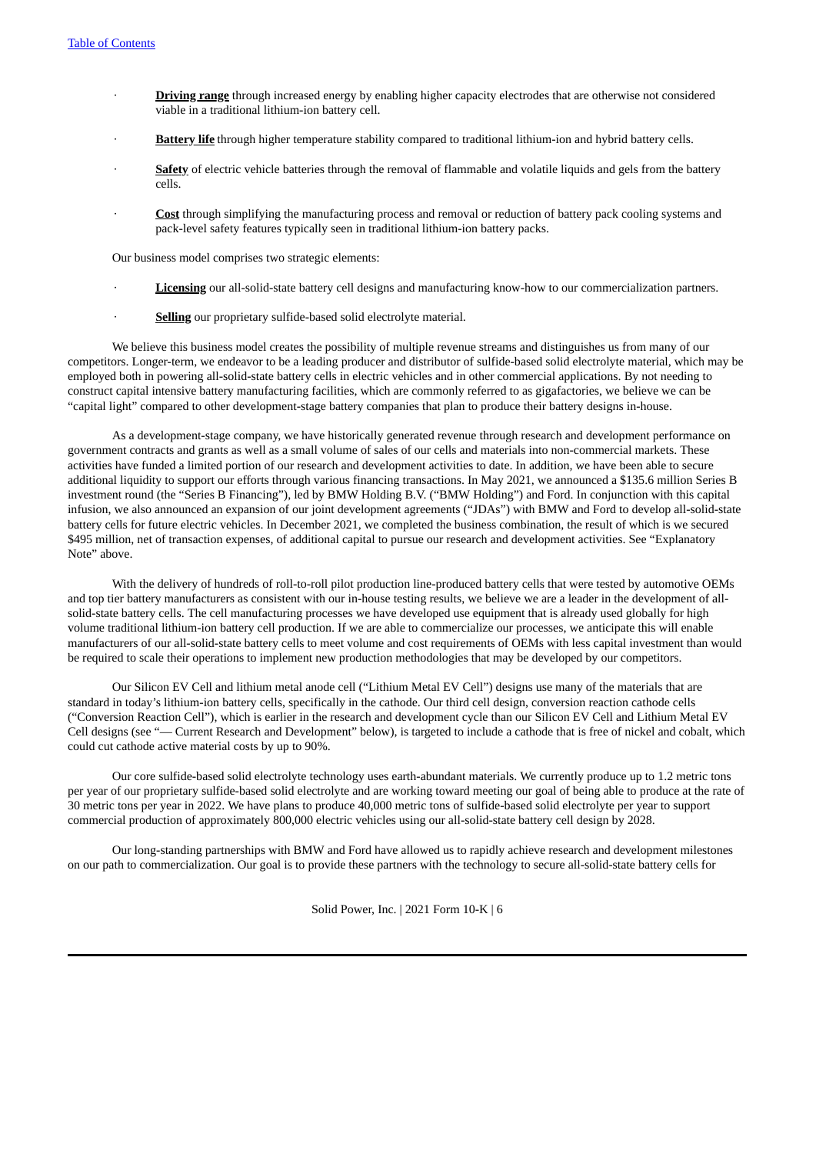- · **Driving range** through increased energy by enabling higher capacity electrodes that are otherwise not considered viable in a traditional lithium-ion battery cell.
- · **Battery life** through higher temperature stability compared to traditional lithium-ion and hybrid battery cells.
- **Safety** of electric vehicle batteries through the removal of flammable and volatile liquids and gels from the battery cells.
- · **Cost** through simplifying the manufacturing process and removal or reduction of battery pack cooling systems and pack-level safety features typically seen in traditional lithium-ion battery packs.

Our business model comprises two strategic elements:

- · **Licensing** our all-solid-state battery cell designs and manufacturing know-how to our commercialization partners.
- **Selling** our proprietary sulfide-based solid electrolyte material.

We believe this business model creates the possibility of multiple revenue streams and distinguishes us from many of our competitors. Longer-term, we endeavor to be a leading producer and distributor of sulfide-based solid electrolyte material, which may be employed both in powering all-solid-state battery cells in electric vehicles and in other commercial applications. By not needing to construct capital intensive battery manufacturing facilities, which are commonly referred to as gigafactories, we believe we can be "capital light" compared to other development-stage battery companies that plan to produce their battery designs in-house.

As a development-stage company, we have historically generated revenue through research and development performance on government contracts and grants as well as a small volume of sales of our cells and materials into non-commercial markets. These activities have funded a limited portion of our research and development activities to date. In addition, we have been able to secure additional liquidity to support our efforts through various financing transactions. In May 2021, we announced a \$135.6 million Series B investment round (the "Series B Financing"), led by BMW Holding B.V. ("BMW Holding") and Ford. In conjunction with this capital infusion, we also announced an expansion of our joint development agreements ("JDAs") with BMW and Ford to develop all-solid-state battery cells for future electric vehicles. In December 2021, we completed the business combination, the result of which is we secured \$495 million, net of transaction expenses, of additional capital to pursue our research and development activities. See "Explanatory Note" above.

With the delivery of hundreds of roll-to-roll pilot production line-produced battery cells that were tested by automotive OEMs and top tier battery manufacturers as consistent with our in-house testing results, we believe we are a leader in the development of allsolid-state battery cells. The cell manufacturing processes we have developed use equipment that is already used globally for high volume traditional lithium-ion battery cell production. If we are able to commercialize our processes, we anticipate this will enable manufacturers of our all-solid-state battery cells to meet volume and cost requirements of OEMs with less capital investment than would be required to scale their operations to implement new production methodologies that may be developed by our competitors.

Our Silicon EV Cell and lithium metal anode cell ("Lithium Metal EV Cell") designs use many of the materials that are standard in today's lithium-ion battery cells, specifically in the cathode. Our third cell design, conversion reaction cathode cells ("Conversion Reaction Cell"), which is earlier in the research and development cycle than our Silicon EV Cell and Lithium Metal EV Cell designs (see "— Current Research and Development" below), is targeted to include a cathode that is free of nickel and cobalt, which could cut cathode active material costs by up to 90%.

Our core sulfide-based solid electrolyte technology uses earth-abundant materials. We currently produce up to 1.2 metric tons per year of our proprietary sulfide-based solid electrolyte and are working toward meeting our goal of being able to produce at the rate of 30 metric tons per year in 2022. We have plans to produce 40,000 metric tons of sulfide-based solid electrolyte per year to support commercial production of approximately 800,000 electric vehicles using our all-solid-state battery cell design by 2028.

Our long-standing partnerships with BMW and Ford have allowed us to rapidly achieve research and development milestones on our path to commercialization. Our goal is to provide these partners with the technology to secure all-solid-state battery cells for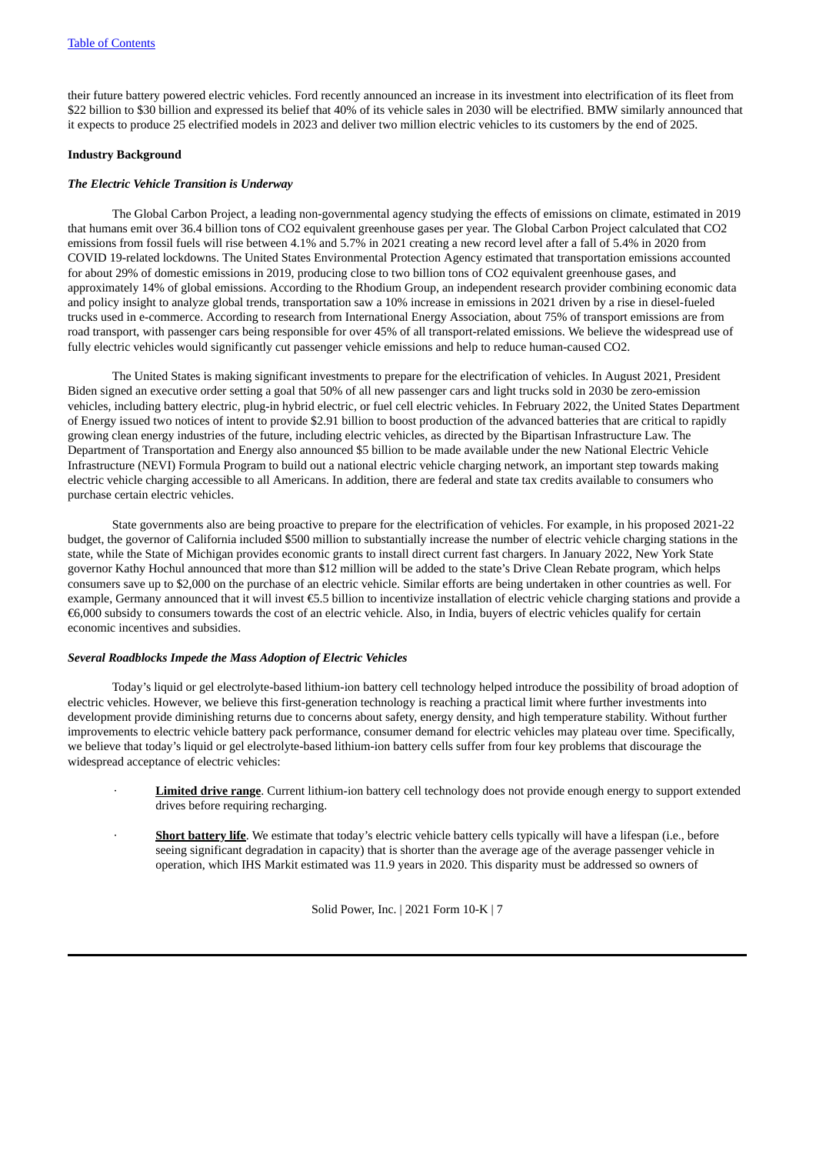their future battery powered electric vehicles. Ford recently announced an increase in its investment into electrification of its fleet from \$22 billion to \$30 billion and expressed its belief that 40% of its vehicle sales in 2030 will be electrified. BMW similarly announced that it expects to produce 25 electrified models in 2023 and deliver two million electric vehicles to its customers by the end of 2025.

#### **Industry Background**

#### *The Electric Vehicle Transition is Underway*

The Global Carbon Project, a leading non-governmental agency studying the effects of emissions on climate, estimated in 2019 that humans emit over 36.4 billion tons of CO2 equivalent greenhouse gases per year. The Global Carbon Project calculated that CO2 emissions from fossil fuels will rise between 4.1% and 5.7% in 2021 creating a new record level after a fall of 5.4% in 2020 from COVID 19-related lockdowns. The United States Environmental Protection Agency estimated that transportation emissions accounted for about 29% of domestic emissions in 2019, producing close to two billion tons of CO2 equivalent greenhouse gases, and approximately 14% of global emissions. According to the Rhodium Group, an independent research provider combining economic data and policy insight to analyze global trends, transportation saw a 10% increase in emissions in 2021 driven by a rise in diesel-fueled trucks used in e-commerce. According to research from International Energy Association, about 75% of transport emissions are from road transport, with passenger cars being responsible for over 45% of all transport-related emissions. We believe the widespread use of fully electric vehicles would significantly cut passenger vehicle emissions and help to reduce human-caused CO2.

The United States is making significant investments to prepare for the electrification of vehicles. In August 2021, President Biden signed an executive order setting a goal that 50% of all new passenger cars and light trucks sold in 2030 be zero-emission vehicles, including battery electric, plug-in hybrid electric, or fuel cell electric vehicles. In February 2022, the United States Department of Energy issued two notices of intent to provide \$2.91 billion to boost production of the advanced batteries that are critical to rapidly growing clean energy industries of the future, including electric vehicles, as directed by the Bipartisan Infrastructure Law. The Department of Transportation and Energy also announced \$5 billion to be made available under the new National Electric Vehicle Infrastructure (NEVI) Formula Program to build out a national electric vehicle charging network, an important step towards making electric vehicle charging accessible to all Americans. In addition, there are federal and state tax credits available to consumers who purchase certain electric vehicles.

State governments also are being proactive to prepare for the electrification of vehicles. For example, in his proposed 2021-22 budget, the governor of California included \$500 million to substantially increase the number of electric vehicle charging stations in the state, while the State of Michigan provides economic grants to install direct current fast chargers. In January 2022, New York State governor Kathy Hochul announced that more than \$12 million will be added to the state's Drive Clean Rebate program, which helps consumers save up to \$2,000 on the purchase of an electric vehicle. Similar efforts are being undertaken in other countries as well. For example, Germany announced that it will invest €5.5 billion to incentivize installation of electric vehicle charging stations and provide a €6,000 subsidy to consumers towards the cost of an electric vehicle. Also, in India, buyers of electric vehicles qualify for certain economic incentives and subsidies.

#### *Several Roadblocks Impede the Mass Adoption of Electric Vehicles*

Today's liquid or gel electrolyte-based lithium-ion battery cell technology helped introduce the possibility of broad adoption of electric vehicles. However, we believe this first-generation technology is reaching a practical limit where further investments into development provide diminishing returns due to concerns about safety, energy density, and high temperature stability. Without further improvements to electric vehicle battery pack performance, consumer demand for electric vehicles may plateau over time. Specifically, we believe that today's liquid or gel electrolyte-based lithium-ion battery cells suffer from four key problems that discourage the widespread acceptance of electric vehicles:

- **Limited drive range**. Current lithium-ion battery cell technology does not provide enough energy to support extended drives before requiring recharging.
- · **Short battery life**. We estimate that today's electric vehicle battery cells typically will have a lifespan (i.e., before seeing significant degradation in capacity) that is shorter than the average age of the average passenger vehicle in operation, which IHS Markit estimated was 11.9 years in 2020. This disparity must be addressed so owners of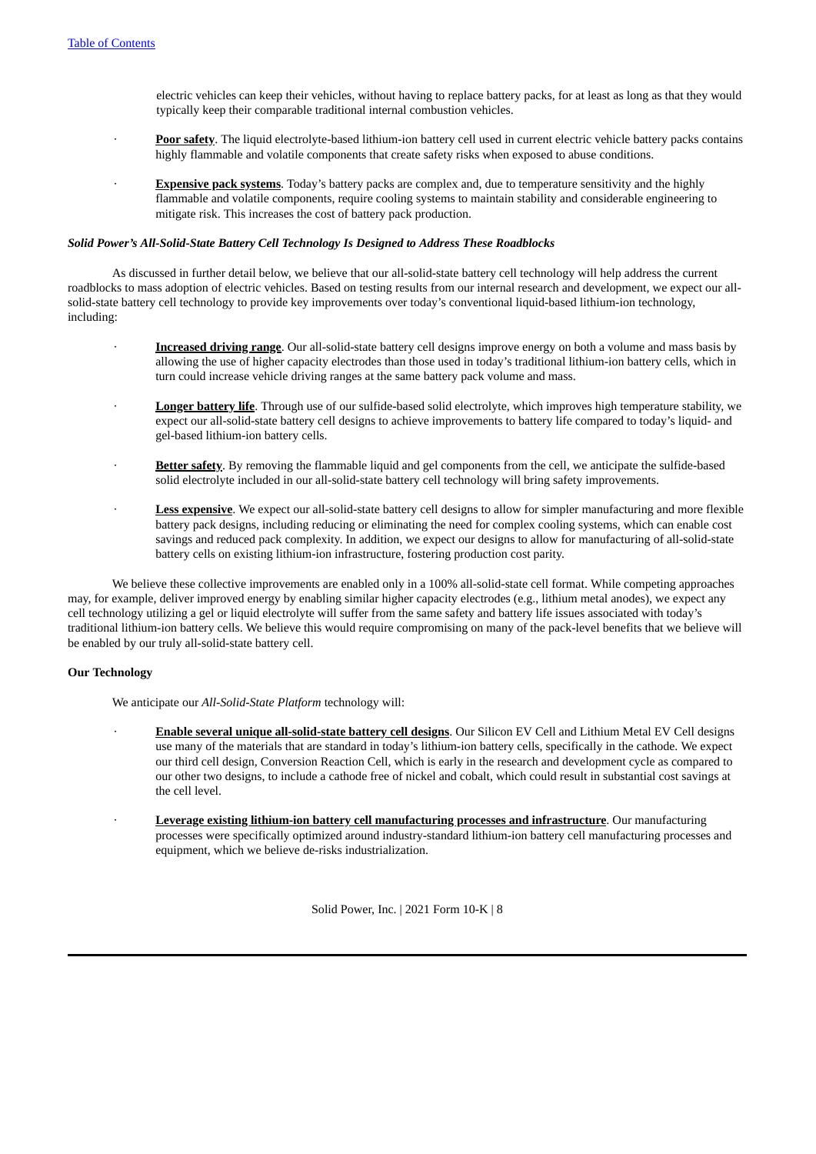electric vehicles can keep their vehicles, without having to replace battery packs, for at least as long as that they would typically keep their comparable traditional internal combustion vehicles.

- · **Poor safety**. The liquid electrolyte-based lithium-ion battery cell used in current electric vehicle battery packs contains highly flammable and volatile components that create safety risks when exposed to abuse conditions.
- **Expensive pack systems**. Today's battery packs are complex and, due to temperature sensitivity and the highly flammable and volatile components, require cooling systems to maintain stability and considerable engineering to mitigate risk. This increases the cost of battery pack production.

### *Solid Power's All-Solid-State Battery Cell Technology Is Designed to Address These Roadblocks*

As discussed in further detail below, we believe that our all-solid-state battery cell technology will help address the current roadblocks to mass adoption of electric vehicles. Based on testing results from our internal research and development, we expect our allsolid-state battery cell technology to provide key improvements over today's conventional liquid-based lithium-ion technology, including:

- · **Increased driving range**. Our all-solid-state battery cell designs improve energy on both a volume and mass basis by allowing the use of higher capacity electrodes than those used in today's traditional lithium-ion battery cells, which in turn could increase vehicle driving ranges at the same battery pack volume and mass.
- · **Longer battery life**. Through use of our sulfide-based solid electrolyte, which improves high temperature stability, we expect our all-solid-state battery cell designs to achieve improvements to battery life compared to today's liquid- and gel-based lithium-ion battery cells.
- · **Better safety**. By removing the flammable liquid and gel components from the cell, we anticipate the sulfide-based solid electrolyte included in our all-solid-state battery cell technology will bring safety improvements.
- Less expensive. We expect our all-solid-state battery cell designs to allow for simpler manufacturing and more flexible battery pack designs, including reducing or eliminating the need for complex cooling systems, which can enable cost savings and reduced pack complexity. In addition, we expect our designs to allow for manufacturing of all-solid-state battery cells on existing lithium-ion infrastructure, fostering production cost parity.

We believe these collective improvements are enabled only in a 100% all-solid-state cell format. While competing approaches may, for example, deliver improved energy by enabling similar higher capacity electrodes (e.g., lithium metal anodes), we expect any cell technology utilizing a gel or liquid electrolyte will suffer from the same safety and battery life issues associated with today's traditional lithium-ion battery cells. We believe this would require compromising on many of the pack-level benefits that we believe will be enabled by our truly all-solid-state battery cell.

#### **Our Technology**

We anticipate our *All-Solid-State Platform* technology will:

- · **Enable several unique all-solid-state battery cell designs**. Our Silicon EV Cell and Lithium Metal EV Cell designs use many of the materials that are standard in today's lithium-ion battery cells, specifically in the cathode. We expect our third cell design, Conversion Reaction Cell, which is early in the research and development cycle as compared to our other two designs, to include a cathode free of nickel and cobalt, which could result in substantial cost savings at the cell level.
- · **Leverage existing lithium-ion battery cell manufacturing processes and infrastructure**. Our manufacturing processes were specifically optimized around industry-standard lithium-ion battery cell manufacturing processes and equipment, which we believe de-risks industrialization.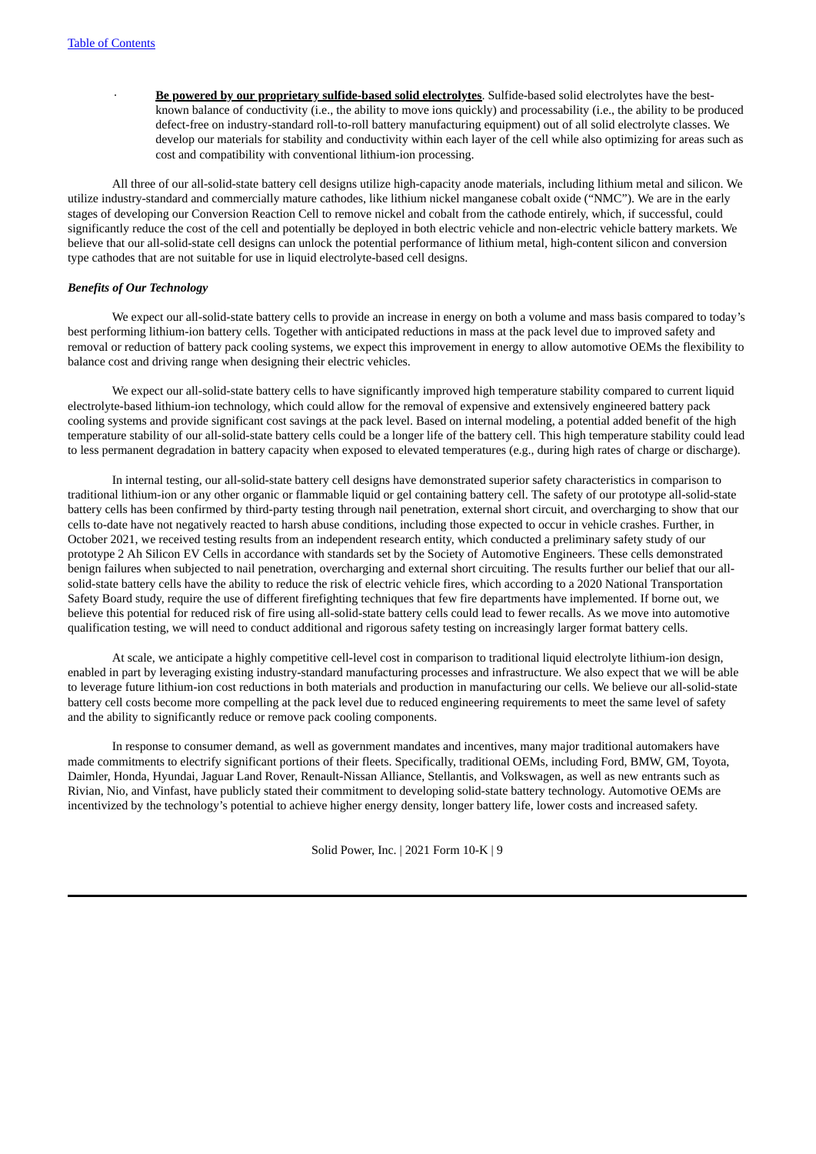· **Be powered by our proprietary sulfide-based solid electrolytes**. Sulfide-based solid electrolytes have the bestknown balance of conductivity (i.e., the ability to move ions quickly) and processability (i.e., the ability to be produced defect-free on industry-standard roll-to-roll battery manufacturing equipment) out of all solid electrolyte classes. We develop our materials for stability and conductivity within each layer of the cell while also optimizing for areas such as cost and compatibility with conventional lithium-ion processing.

All three of our all-solid-state battery cell designs utilize high-capacity anode materials, including lithium metal and silicon. We utilize industry-standard and commercially mature cathodes, like lithium nickel manganese cobalt oxide ("NMC"). We are in the early stages of developing our Conversion Reaction Cell to remove nickel and cobalt from the cathode entirely, which, if successful, could significantly reduce the cost of the cell and potentially be deployed in both electric vehicle and non-electric vehicle battery markets. We believe that our all-solid-state cell designs can unlock the potential performance of lithium metal, high-content silicon and conversion type cathodes that are not suitable for use in liquid electrolyte-based cell designs.

#### *Benefits of Our Technology*

We expect our all-solid-state battery cells to provide an increase in energy on both a volume and mass basis compared to today's best performing lithium-ion battery cells. Together with anticipated reductions in mass at the pack level due to improved safety and removal or reduction of battery pack cooling systems, we expect this improvement in energy to allow automotive OEMs the flexibility to balance cost and driving range when designing their electric vehicles.

We expect our all-solid-state battery cells to have significantly improved high temperature stability compared to current liquid electrolyte-based lithium-ion technology, which could allow for the removal of expensive and extensively engineered battery pack cooling systems and provide significant cost savings at the pack level. Based on internal modeling, a potential added benefit of the high temperature stability of our all-solid-state battery cells could be a longer life of the battery cell. This high temperature stability could lead to less permanent degradation in battery capacity when exposed to elevated temperatures (e.g., during high rates of charge or discharge).

In internal testing, our all-solid-state battery cell designs have demonstrated superior safety characteristics in comparison to traditional lithium-ion or any other organic or flammable liquid or gel containing battery cell. The safety of our prototype all-solid-state battery cells has been confirmed by third-party testing through nail penetration, external short circuit, and overcharging to show that our cells to-date have not negatively reacted to harsh abuse conditions, including those expected to occur in vehicle crashes. Further, in October 2021, we received testing results from an independent research entity, which conducted a preliminary safety study of our prototype 2 Ah Silicon EV Cells in accordance with standards set by the Society of Automotive Engineers. These cells demonstrated benign failures when subjected to nail penetration, overcharging and external short circuiting. The results further our belief that our allsolid-state battery cells have the ability to reduce the risk of electric vehicle fires, which according to a 2020 National Transportation Safety Board study, require the use of different firefighting techniques that few fire departments have implemented. If borne out, we believe this potential for reduced risk of fire using all-solid-state battery cells could lead to fewer recalls. As we move into automotive qualification testing, we will need to conduct additional and rigorous safety testing on increasingly larger format battery cells.

At scale, we anticipate a highly competitive cell-level cost in comparison to traditional liquid electrolyte lithium-ion design, enabled in part by leveraging existing industry-standard manufacturing processes and infrastructure. We also expect that we will be able to leverage future lithium-ion cost reductions in both materials and production in manufacturing our cells. We believe our all-solid-state battery cell costs become more compelling at the pack level due to reduced engineering requirements to meet the same level of safety and the ability to significantly reduce or remove pack cooling components.

In response to consumer demand, as well as government mandates and incentives, many major traditional automakers have made commitments to electrify significant portions of their fleets. Specifically, traditional OEMs, including Ford, BMW, GM, Toyota, Daimler, Honda, Hyundai, Jaguar Land Rover, Renault-Nissan Alliance, Stellantis, and Volkswagen, as well as new entrants such as Rivian, Nio, and Vinfast, have publicly stated their commitment to developing solid-state battery technology. Automotive OEMs are incentivized by the technology's potential to achieve higher energy density, longer battery life, lower costs and increased safety.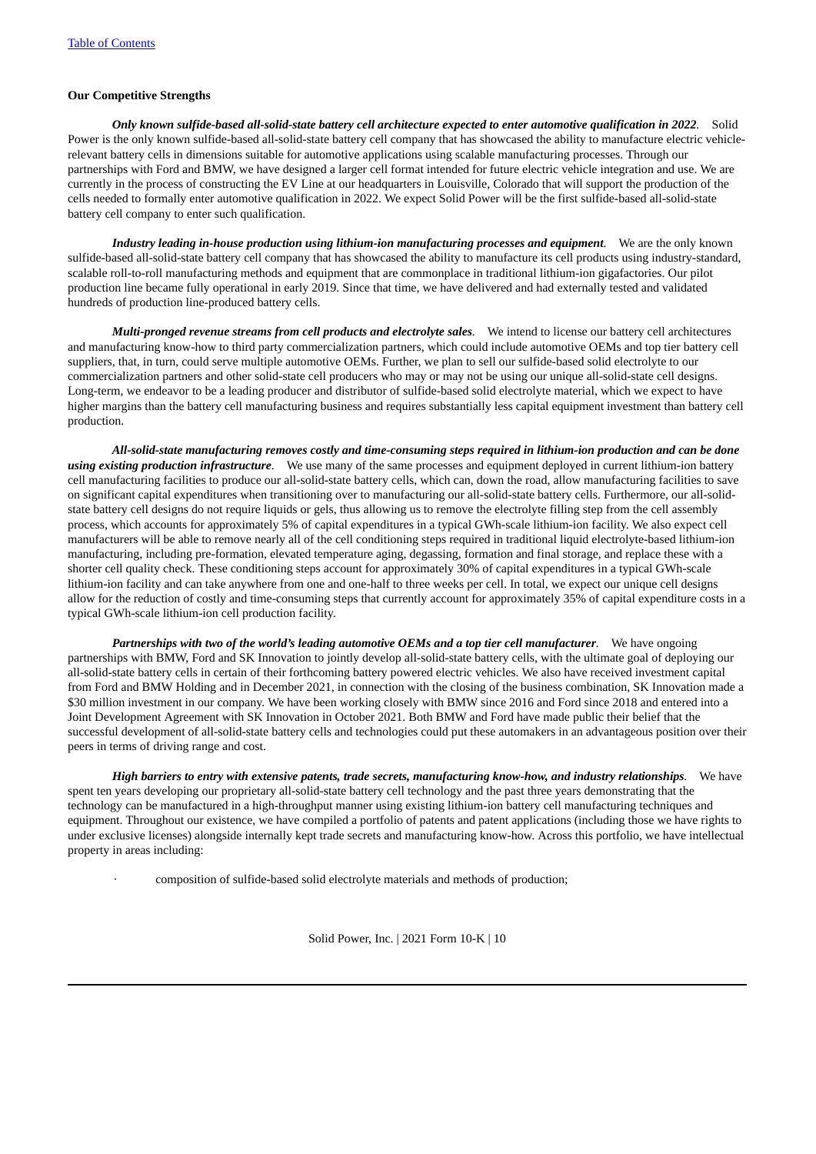### **Our Competitive Strengths**

Only known sulfide-based all-solid-state battery cell architecture expected to enter automotive qualification in 2022. Solid Power is the only known sulfide-based all-solid-state battery cell company that has showcased the ability to manufacture electric vehiclerelevant battery cells in dimensions suitable for automotive applications using scalable manufacturing processes. Through our partnerships with Ford and BMW, we have designed a larger cell format intended for future electric vehicle integration and use. We are currently in the process of constructing the EV Line at our headquarters in Louisville, Colorado that will support the production of the cells needed to formally enter automotive qualification in 2022. We expect Solid Power will be the first sulfide-based all-solid-state battery cell company to enter such qualification.

*Industry leading in-house production using lithium-ion manufacturing processes and equipment.* We are the only known sulfide-based all-solid-state battery cell company that has showcased the ability to manufacture its cell products using industry-standard, scalable roll-to-roll manufacturing methods and equipment that are commonplace in traditional lithium-ion gigafactories. Our pilot production line became fully operational in early 2019. Since that time, we have delivered and had externally tested and validated hundreds of production line-produced battery cells.

*Multi-pronged revenue streams from cell products and electrolyte sales.* We intend to license our battery cell architectures and manufacturing know-how to third party commercialization partners, which could include automotive OEMs and top tier battery cell suppliers, that, in turn, could serve multiple automotive OEMs. Further, we plan to sell our sulfide-based solid electrolyte to our commercialization partners and other solid-state cell producers who may or may not be using our unique all-solid-state cell designs. Long-term, we endeavor to be a leading producer and distributor of sulfide-based solid electrolyte material, which we expect to have higher margins than the battery cell manufacturing business and requires substantially less capital equipment investment than battery cell production.

All-solid-state manufacturina removes costly and time-consumina steps reauired in lithium-ion production and can be done *using existing production infrastructure.* We use many of the same processes and equipment deployed in current lithium-ion battery cell manufacturing facilities to produce our all-solid-state battery cells, which can, down the road, allow manufacturing facilities to save on significant capital expenditures when transitioning over to manufacturing our all-solid-state battery cells. Furthermore, our all-solidstate battery cell designs do not require liquids or gels, thus allowing us to remove the electrolyte filling step from the cell assembly process, which accounts for approximately 5% of capital expenditures in a typical GWh-scale lithium-ion facility. We also expect cell manufacturers will be able to remove nearly all of the cell conditioning steps required in traditional liquid electrolyte-based lithium-ion manufacturing, including pre-formation, elevated temperature aging, degassing, formation and final storage, and replace these with a shorter cell quality check. These conditioning steps account for approximately 30% of capital expenditures in a typical GWh-scale lithium-ion facility and can take anywhere from one and one-half to three weeks per cell. In total, we expect our unique cell designs allow for the reduction of costly and time-consuming steps that currently account for approximately 35% of capital expenditure costs in a typical GWh-scale lithium-ion cell production facility.

*Partnerships with two of the world's leading automotive OEMs and a top tier cell manufacturer.* We have ongoing partnerships with BMW, Ford and SK Innovation to jointly develop all-solid-state battery cells, with the ultimate goal of deploying our all-solid-state battery cells in certain of their forthcoming battery powered electric vehicles. We also have received investment capital from Ford and BMW Holding and in December 2021, in connection with the closing of the business combination, SK Innovation made a \$30 million investment in our company. We have been working closely with BMW since 2016 and Ford since 2018 and entered into a Joint Development Agreement with SK Innovation in October 2021. Both BMW and Ford have made public their belief that the successful development of all-solid-state battery cells and technologies could put these automakers in an advantageous position over their peers in terms of driving range and cost.

High barriers to entry with extensive patents, trade secrets, manufacturing know-how, and industry relationships. We have spent ten years developing our proprietary all-solid-state battery cell technology and the past three years demonstrating that the technology can be manufactured in a high-throughput manner using existing lithium-ion battery cell manufacturing techniques and equipment. Throughout our existence, we have compiled a portfolio of patents and patent applications (including those we have rights to under exclusive licenses) alongside internally kept trade secrets and manufacturing know-how. Across this portfolio, we have intellectual property in areas including:

· composition of sulfide-based solid electrolyte materials and methods of production;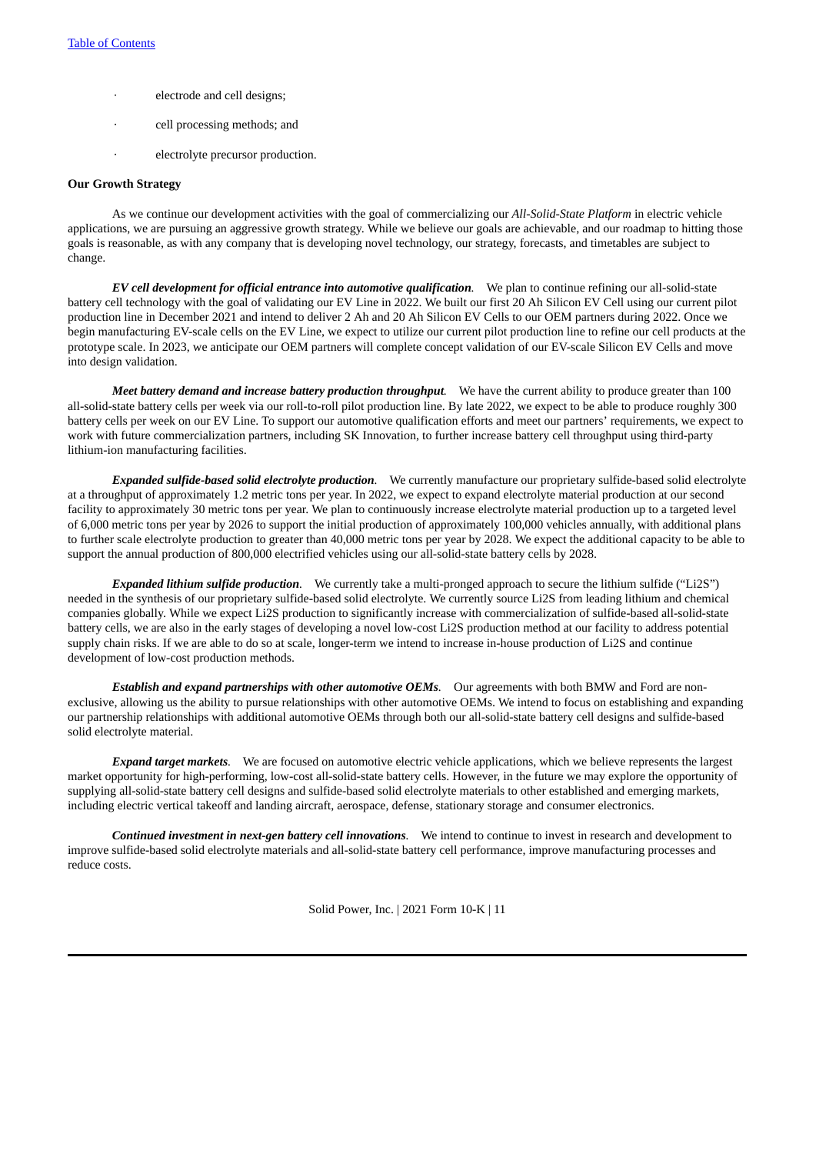- electrode and cell designs;
- cell processing methods; and
- electrolyte precursor production.

#### **Our Growth Strategy**

As we continue our development activities with the goal of commercializing our *All-Solid-State Platform* in electric vehicle applications, we are pursuing an aggressive growth strategy. While we believe our goals are achievable, and our roadmap to hitting those goals is reasonable, as with any company that is developing novel technology, our strategy, forecasts, and timetables are subject to change.

*EV cell development for official entrance into automotive qualification.* We plan to continue refining our all-solid-state battery cell technology with the goal of validating our EV Line in 2022. We built our first 20 Ah Silicon EV Cell using our current pilot production line in December 2021 and intend to deliver 2 Ah and 20 Ah Silicon EV Cells to our OEM partners during 2022. Once we begin manufacturing EV-scale cells on the EV Line, we expect to utilize our current pilot production line to refine our cell products at the prototype scale. In 2023, we anticipate our OEM partners will complete concept validation of our EV-scale Silicon EV Cells and move into design validation.

*Meet battery demand and increase battery production throughput.* We have the current ability to produce greater than 100 all-solid-state battery cells per week via our roll-to-roll pilot production line. By late 2022, we expect to be able to produce roughly 300 battery cells per week on our EV Line. To support our automotive qualification efforts and meet our partners' requirements, we expect to work with future commercialization partners, including SK Innovation, to further increase battery cell throughput using third-party lithium-ion manufacturing facilities.

*Expanded sulfide-based solid electrolyte production.* We currently manufacture our proprietary sulfide-based solid electrolyte at a throughput of approximately 1.2 metric tons per year. In 2022, we expect to expand electrolyte material production at our second facility to approximately 30 metric tons per year. We plan to continuously increase electrolyte material production up to a targeted level of 6,000 metric tons per year by 2026 to support the initial production of approximately 100,000 vehicles annually, with additional plans to further scale electrolyte production to greater than 40,000 metric tons per year by 2028. We expect the additional capacity to be able to support the annual production of 800,000 electrified vehicles using our all-solid-state battery cells by 2028.

*Expanded lithium sulfide production.* We currently take a multi-pronged approach to secure the lithium sulfide ("Li2S") needed in the synthesis of our proprietary sulfide-based solid electrolyte. We currently source Li2S from leading lithium and chemical companies globally. While we expect Li2S production to significantly increase with commercialization of sulfide-based all-solid-state battery cells, we are also in the early stages of developing a novel low-cost Li2S production method at our facility to address potential supply chain risks. If we are able to do so at scale, longer-term we intend to increase in-house production of Li2S and continue development of low-cost production methods.

*Establish and expand partnerships with other automotive OEMs.* Our agreements with both BMW and Ford are nonexclusive, allowing us the ability to pursue relationships with other automotive OEMs. We intend to focus on establishing and expanding our partnership relationships with additional automotive OEMs through both our all-solid-state battery cell designs and sulfide-based solid electrolyte material.

*Expand target markets.* We are focused on automotive electric vehicle applications, which we believe represents the largest market opportunity for high-performing, low-cost all-solid-state battery cells. However, in the future we may explore the opportunity of supplying all-solid-state battery cell designs and sulfide-based solid electrolyte materials to other established and emerging markets, including electric vertical takeoff and landing aircraft, aerospace, defense, stationary storage and consumer electronics.

*Continued investment in next-gen battery cell innovations.* We intend to continue to invest in research and development to improve sulfide-based solid electrolyte materials and all-solid-state battery cell performance, improve manufacturing processes and reduce costs.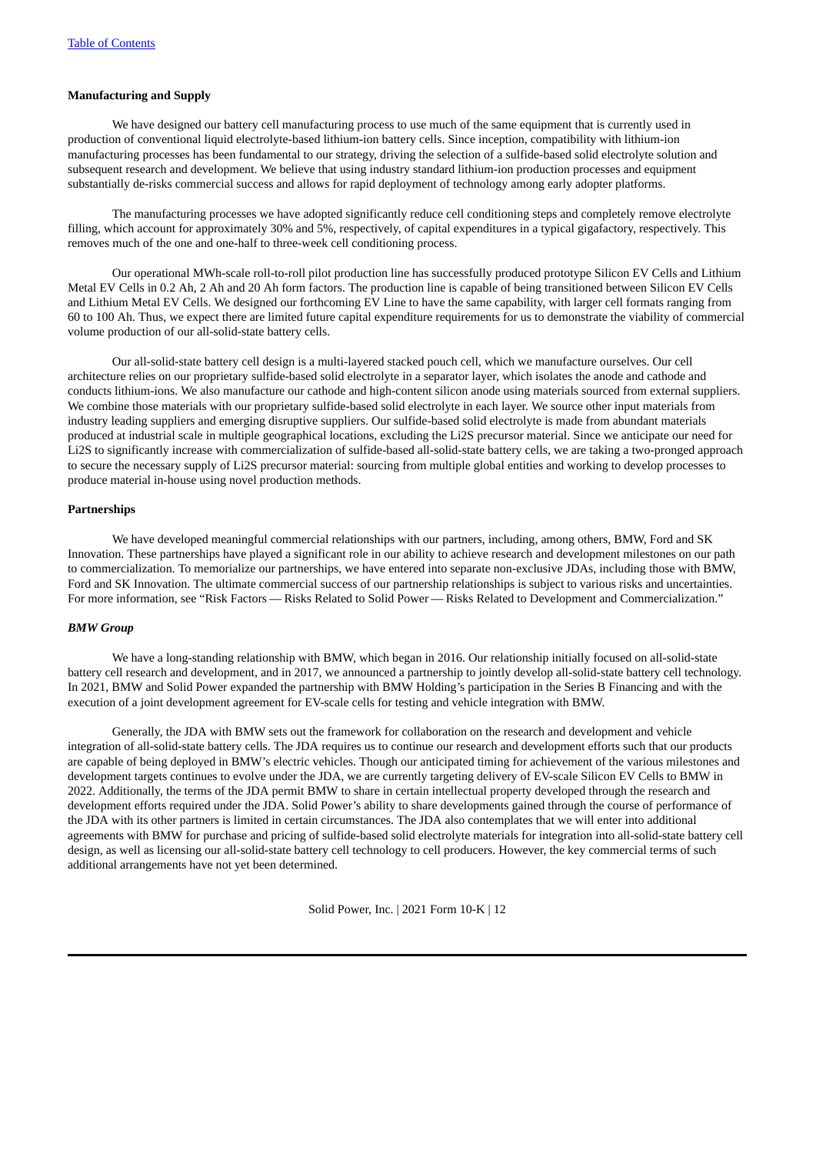## **Manufacturing and Supply**

We have designed our battery cell manufacturing process to use much of the same equipment that is currently used in production of conventional liquid electrolyte-based lithium-ion battery cells. Since inception, compatibility with lithium-ion manufacturing processes has been fundamental to our strategy, driving the selection of a sulfide-based solid electrolyte solution and subsequent research and development. We believe that using industry standard lithium-ion production processes and equipment substantially de-risks commercial success and allows for rapid deployment of technology among early adopter platforms.

The manufacturing processes we have adopted significantly reduce cell conditioning steps and completely remove electrolyte filling, which account for approximately 30% and 5%, respectively, of capital expenditures in a typical gigafactory, respectively. This removes much of the one and one-half to three-week cell conditioning process.

Our operational MWh-scale roll-to-roll pilot production line has successfully produced prototype Silicon EV Cells and Lithium Metal EV Cells in 0.2 Ah, 2 Ah and 20 Ah form factors. The production line is capable of being transitioned between Silicon EV Cells and Lithium Metal EV Cells. We designed our forthcoming EV Line to have the same capability, with larger cell formats ranging from 60 to 100 Ah. Thus, we expect there are limited future capital expenditure requirements for us to demonstrate the viability of commercial volume production of our all-solid-state battery cells.

Our all-solid-state battery cell design is a multi-layered stacked pouch cell, which we manufacture ourselves. Our cell architecture relies on our proprietary sulfide-based solid electrolyte in a separator layer, which isolates the anode and cathode and conducts lithium-ions. We also manufacture our cathode and high-content silicon anode using materials sourced from external suppliers. We combine those materials with our proprietary sulfide-based solid electrolyte in each layer. We source other input materials from industry leading suppliers and emerging disruptive suppliers. Our sulfide-based solid electrolyte is made from abundant materials produced at industrial scale in multiple geographical locations, excluding the Li2S precursor material. Since we anticipate our need for Li2S to significantly increase with commercialization of sulfide-based all-solid-state battery cells, we are taking a two-pronged approach to secure the necessary supply of Li2S precursor material: sourcing from multiple global entities and working to develop processes to produce material in-house using novel production methods.

#### **Partnerships**

We have developed meaningful commercial relationships with our partners, including, among others, BMW, Ford and SK Innovation. These partnerships have played a significant role in our ability to achieve research and development milestones on our path to commercialization. To memorialize our partnerships, we have entered into separate non-exclusive JDAs, including those with BMW, Ford and SK Innovation. The ultimate commercial success of our partnership relationships is subject to various risks and uncertainties. For more information, see "Risk Factors — Risks Related to Solid Power — Risks Related to Development and Commercialization."

## *BMW Group*

We have a long-standing relationship with BMW, which began in 2016. Our relationship initially focused on all-solid-state battery cell research and development, and in 2017, we announced a partnership to jointly develop all-solid-state battery cell technology. In 2021, BMW and Solid Power expanded the partnership with BMW Holding's participation in the Series B Financing and with the execution of a joint development agreement for EV-scale cells for testing and vehicle integration with BMW.

Generally, the JDA with BMW sets out the framework for collaboration on the research and development and vehicle integration of all-solid-state battery cells. The JDA requires us to continue our research and development efforts such that our products are capable of being deployed in BMW's electric vehicles. Though our anticipated timing for achievement of the various milestones and development targets continues to evolve under the JDA, we are currently targeting delivery of EV-scale Silicon EV Cells to BMW in 2022. Additionally, the terms of the JDA permit BMW to share in certain intellectual property developed through the research and development efforts required under the JDA. Solid Power's ability to share developments gained through the course of performance of the JDA with its other partners is limited in certain circumstances. The JDA also contemplates that we will enter into additional agreements with BMW for purchase and pricing of sulfide-based solid electrolyte materials for integration into all-solid-state battery cell design, as well as licensing our all-solid-state battery cell technology to cell producers. However, the key commercial terms of such additional arrangements have not yet been determined.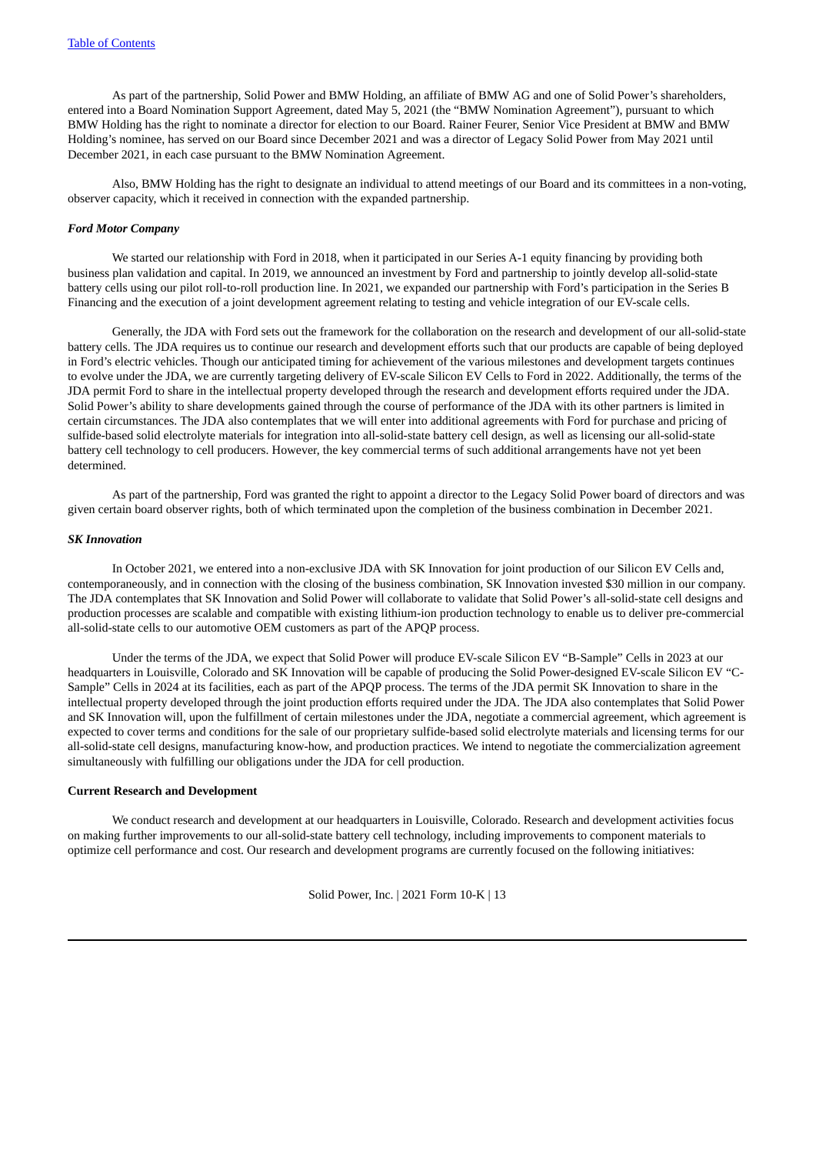As part of the partnership, Solid Power and BMW Holding, an affiliate of BMW AG and one of Solid Power's shareholders, entered into a Board Nomination Support Agreement, dated May 5, 2021 (the "BMW Nomination Agreement"), pursuant to which BMW Holding has the right to nominate a director for election to our Board. Rainer Feurer, Senior Vice President at BMW and BMW Holding's nominee, has served on our Board since December 2021 and was a director of Legacy Solid Power from May 2021 until December 2021, in each case pursuant to the BMW Nomination Agreement.

Also, BMW Holding has the right to designate an individual to attend meetings of our Board and its committees in a non-voting, observer capacity, which it received in connection with the expanded partnership.

#### *Ford Motor Company*

We started our relationship with Ford in 2018, when it participated in our Series A-1 equity financing by providing both business plan validation and capital. In 2019, we announced an investment by Ford and partnership to jointly develop all-solid-state battery cells using our pilot roll-to-roll production line. In 2021, we expanded our partnership with Ford's participation in the Series B Financing and the execution of a joint development agreement relating to testing and vehicle integration of our EV-scale cells.

Generally, the JDA with Ford sets out the framework for the collaboration on the research and development of our all-solid-state battery cells. The JDA requires us to continue our research and development efforts such that our products are capable of being deployed in Ford's electric vehicles. Though our anticipated timing for achievement of the various milestones and development targets continues to evolve under the JDA, we are currently targeting delivery of EV-scale Silicon EV Cells to Ford in 2022. Additionally, the terms of the JDA permit Ford to share in the intellectual property developed through the research and development efforts required under the JDA. Solid Power's ability to share developments gained through the course of performance of the JDA with its other partners is limited in certain circumstances. The JDA also contemplates that we will enter into additional agreements with Ford for purchase and pricing of sulfide-based solid electrolyte materials for integration into all-solid-state battery cell design, as well as licensing our all-solid-state battery cell technology to cell producers. However, the key commercial terms of such additional arrangements have not yet been determined.

As part of the partnership, Ford was granted the right to appoint a director to the Legacy Solid Power board of directors and was given certain board observer rights, both of which terminated upon the completion of the business combination in December 2021.

#### *SK Innovation*

In October 2021, we entered into a non-exclusive JDA with SK Innovation for joint production of our Silicon EV Cells and, contemporaneously, and in connection with the closing of the business combination, SK Innovation invested \$30 million in our company. The JDA contemplates that SK Innovation and Solid Power will collaborate to validate that Solid Power's all-solid-state cell designs and production processes are scalable and compatible with existing lithium-ion production technology to enable us to deliver pre-commercial all-solid-state cells to our automotive OEM customers as part of the APQP process.

Under the terms of the JDA, we expect that Solid Power will produce EV-scale Silicon EV "B-Sample" Cells in 2023 at our headquarters in Louisville, Colorado and SK Innovation will be capable of producing the Solid Power-designed EV-scale Silicon EV "C-Sample" Cells in 2024 at its facilities, each as part of the APQP process. The terms of the JDA permit SK Innovation to share in the intellectual property developed through the joint production efforts required under the JDA. The JDA also contemplates that Solid Power and SK Innovation will, upon the fulfillment of certain milestones under the JDA, negotiate a commercial agreement, which agreement is expected to cover terms and conditions for the sale of our proprietary sulfide-based solid electrolyte materials and licensing terms for our all-solid-state cell designs, manufacturing know-how, and production practices. We intend to negotiate the commercialization agreement simultaneously with fulfilling our obligations under the JDA for cell production.

#### **Current Research and Development**

We conduct research and development at our headquarters in Louisville, Colorado. Research and development activities focus on making further improvements to our all-solid-state battery cell technology, including improvements to component materials to optimize cell performance and cost. Our research and development programs are currently focused on the following initiatives: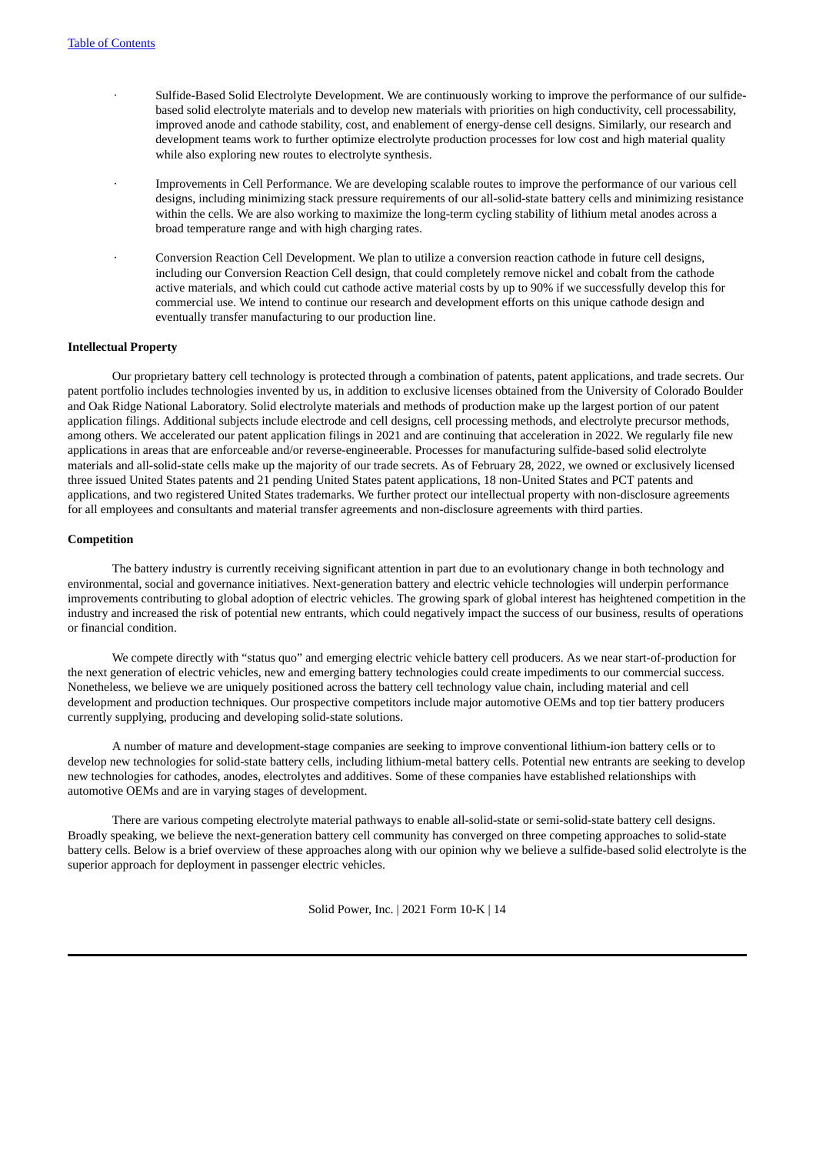- Sulfide-Based Solid Electrolyte Development. We are continuously working to improve the performance of our sulfidebased solid electrolyte materials and to develop new materials with priorities on high conductivity, cell processability, improved anode and cathode stability, cost, and enablement of energy-dense cell designs. Similarly, our research and development teams work to further optimize electrolyte production processes for low cost and high material quality while also exploring new routes to electrolyte synthesis.
- Improvements in Cell Performance. We are developing scalable routes to improve the performance of our various cell designs, including minimizing stack pressure requirements of our all-solid-state battery cells and minimizing resistance within the cells. We are also working to maximize the long-term cycling stability of lithium metal anodes across a broad temperature range and with high charging rates.
- · Conversion Reaction Cell Development. We plan to utilize a conversion reaction cathode in future cell designs, including our Conversion Reaction Cell design, that could completely remove nickel and cobalt from the cathode active materials, and which could cut cathode active material costs by up to 90% if we successfully develop this for commercial use. We intend to continue our research and development efforts on this unique cathode design and eventually transfer manufacturing to our production line.

#### **Intellectual Property**

Our proprietary battery cell technology is protected through a combination of patents, patent applications, and trade secrets. Our patent portfolio includes technologies invented by us, in addition to exclusive licenses obtained from the University of Colorado Boulder and Oak Ridge National Laboratory. Solid electrolyte materials and methods of production make up the largest portion of our patent application filings. Additional subjects include electrode and cell designs, cell processing methods, and electrolyte precursor methods, among others. We accelerated our patent application filings in 2021 and are continuing that acceleration in 2022. We regularly file new applications in areas that are enforceable and/or reverse-engineerable. Processes for manufacturing sulfide-based solid electrolyte materials and all-solid-state cells make up the majority of our trade secrets. As of February 28, 2022, we owned or exclusively licensed three issued United States patents and 21 pending United States patent applications, 18 non-United States and PCT patents and applications, and two registered United States trademarks. We further protect our intellectual property with non-disclosure agreements for all employees and consultants and material transfer agreements and non-disclosure agreements with third parties.

#### **Competition**

The battery industry is currently receiving significant attention in part due to an evolutionary change in both technology and environmental, social and governance initiatives. Next-generation battery and electric vehicle technologies will underpin performance improvements contributing to global adoption of electric vehicles. The growing spark of global interest has heightened competition in the industry and increased the risk of potential new entrants, which could negatively impact the success of our business, results of operations or financial condition.

We compete directly with "status quo" and emerging electric vehicle battery cell producers. As we near start-of-production for the next generation of electric vehicles, new and emerging battery technologies could create impediments to our commercial success. Nonetheless, we believe we are uniquely positioned across the battery cell technology value chain, including material and cell development and production techniques. Our prospective competitors include major automotive OEMs and top tier battery producers currently supplying, producing and developing solid-state solutions.

A number of mature and development-stage companies are seeking to improve conventional lithium-ion battery cells or to develop new technologies for solid-state battery cells, including lithium-metal battery cells. Potential new entrants are seeking to develop new technologies for cathodes, anodes, electrolytes and additives. Some of these companies have established relationships with automotive OEMs and are in varying stages of development.

There are various competing electrolyte material pathways to enable all-solid-state or semi-solid-state battery cell designs. Broadly speaking, we believe the next-generation battery cell community has converged on three competing approaches to solid-state battery cells. Below is a brief overview of these approaches along with our opinion why we believe a sulfide-based solid electrolyte is the superior approach for deployment in passenger electric vehicles.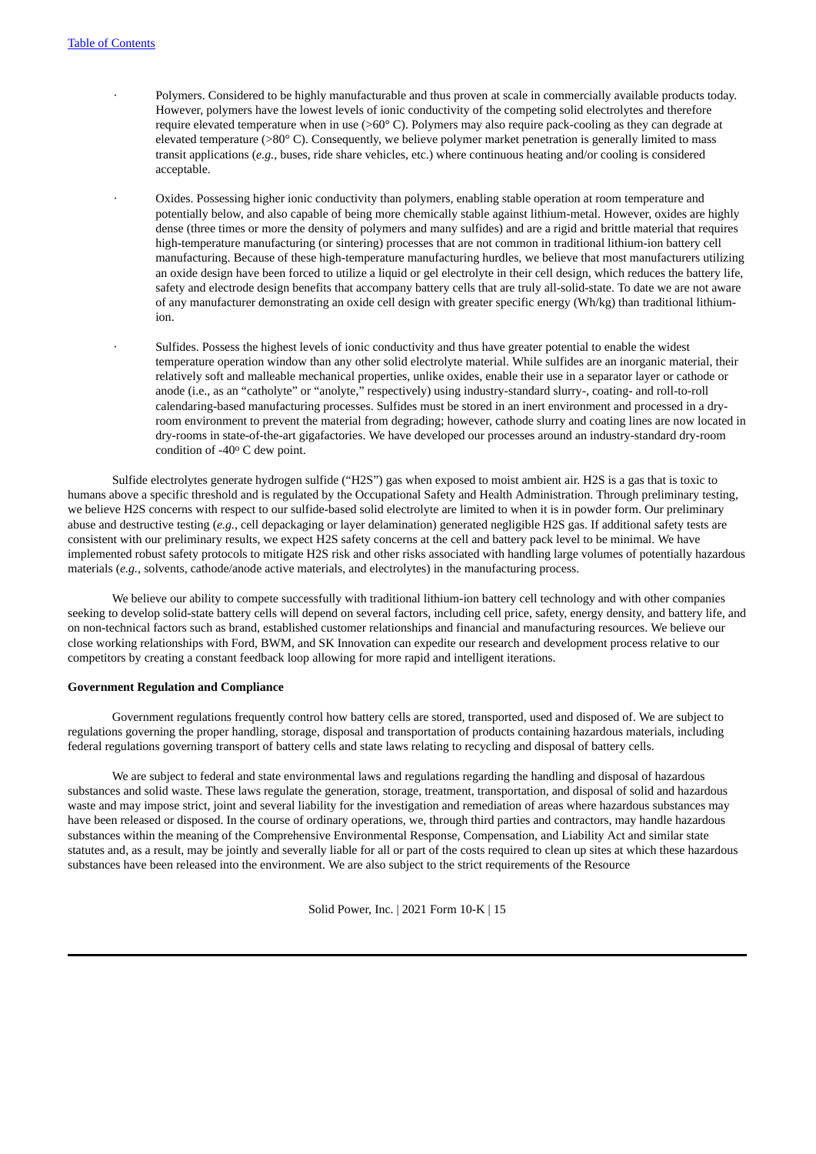- Polymers. Considered to be highly manufacturable and thus proven at scale in commercially available products today. However, polymers have the lowest levels of ionic conductivity of the competing solid electrolytes and therefore require elevated temperature when in use (>60° C). Polymers may also require pack-cooling as they can degrade at elevated temperature (>80° C). Consequently, we believe polymer market penetration is generally limited to mass transit applications (*e.g.*, buses, ride share vehicles, etc.) where continuous heating and/or cooling is considered acceptable.
- · Oxides. Possessing higher ionic conductivity than polymers, enabling stable operation at room temperature and potentially below, and also capable of being more chemically stable against lithium-metal. However, oxides are highly dense (three times or more the density of polymers and many sulfides) and are a rigid and brittle material that requires high-temperature manufacturing (or sintering) processes that are not common in traditional lithium-ion battery cell manufacturing. Because of these high-temperature manufacturing hurdles, we believe that most manufacturers utilizing an oxide design have been forced to utilize a liquid or gel electrolyte in their cell design, which reduces the battery life, safety and electrode design benefits that accompany battery cells that are truly all-solid-state. To date we are not aware of any manufacturer demonstrating an oxide cell design with greater specific energy (Wh/kg) than traditional lithiumion.
- Sulfides. Possess the highest levels of ionic conductivity and thus have greater potential to enable the widest temperature operation window than any other solid electrolyte material. While sulfides are an inorganic material, their relatively soft and malleable mechanical properties, unlike oxides, enable their use in a separator layer or cathode or anode (i.e., as an "catholyte" or "anolyte," respectively) using industry-standard slurry-, coating- and roll-to-roll calendaring-based manufacturing processes. Sulfides must be stored in an inert environment and processed in a dryroom environment to prevent the material from degrading; however, cathode slurry and coating lines are now located in dry-rooms in state-of-the-art gigafactories. We have developed our processes around an industry-standard dry-room condition of -40° C dew point.

Sulfide electrolytes generate hydrogen sulfide ("H2S") gas when exposed to moist ambient air. H2S is a gas that is toxic to humans above a specific threshold and is regulated by the Occupational Safety and Health Administration. Through preliminary testing, we believe H2S concerns with respect to our sulfide-based solid electrolyte are limited to when it is in powder form. Our preliminary abuse and destructive testing (*e.g.*, cell depackaging or layer delamination) generated negligible H2S gas. If additional safety tests are consistent with our preliminary results, we expect H2S safety concerns at the cell and battery pack level to be minimal. We have implemented robust safety protocols to mitigate H2S risk and other risks associated with handling large volumes of potentially hazardous materials (*e.g.*, solvents, cathode/anode active materials, and electrolytes) in the manufacturing process.

We believe our ability to compete successfully with traditional lithium-ion battery cell technology and with other companies seeking to develop solid-state battery cells will depend on several factors, including cell price, safety, energy density, and battery life, and on non-technical factors such as brand, established customer relationships and financial and manufacturing resources. We believe our close working relationships with Ford, BWM, and SK Innovation can expedite our research and development process relative to our competitors by creating a constant feedback loop allowing for more rapid and intelligent iterations.

#### **Government Regulation and Compliance**

Government regulations frequently control how battery cells are stored, transported, used and disposed of. We are subject to regulations governing the proper handling, storage, disposal and transportation of products containing hazardous materials, including federal regulations governing transport of battery cells and state laws relating to recycling and disposal of battery cells.

We are subject to federal and state environmental laws and regulations regarding the handling and disposal of hazardous substances and solid waste. These laws regulate the generation, storage, treatment, transportation, and disposal of solid and hazardous waste and may impose strict, joint and several liability for the investigation and remediation of areas where hazardous substances may have been released or disposed. In the course of ordinary operations, we, through third parties and contractors, may handle hazardous substances within the meaning of the Comprehensive Environmental Response, Compensation, and Liability Act and similar state statutes and, as a result, may be jointly and severally liable for all or part of the costs required to clean up sites at which these hazardous substances have been released into the environment. We are also subject to the strict requirements of the Resource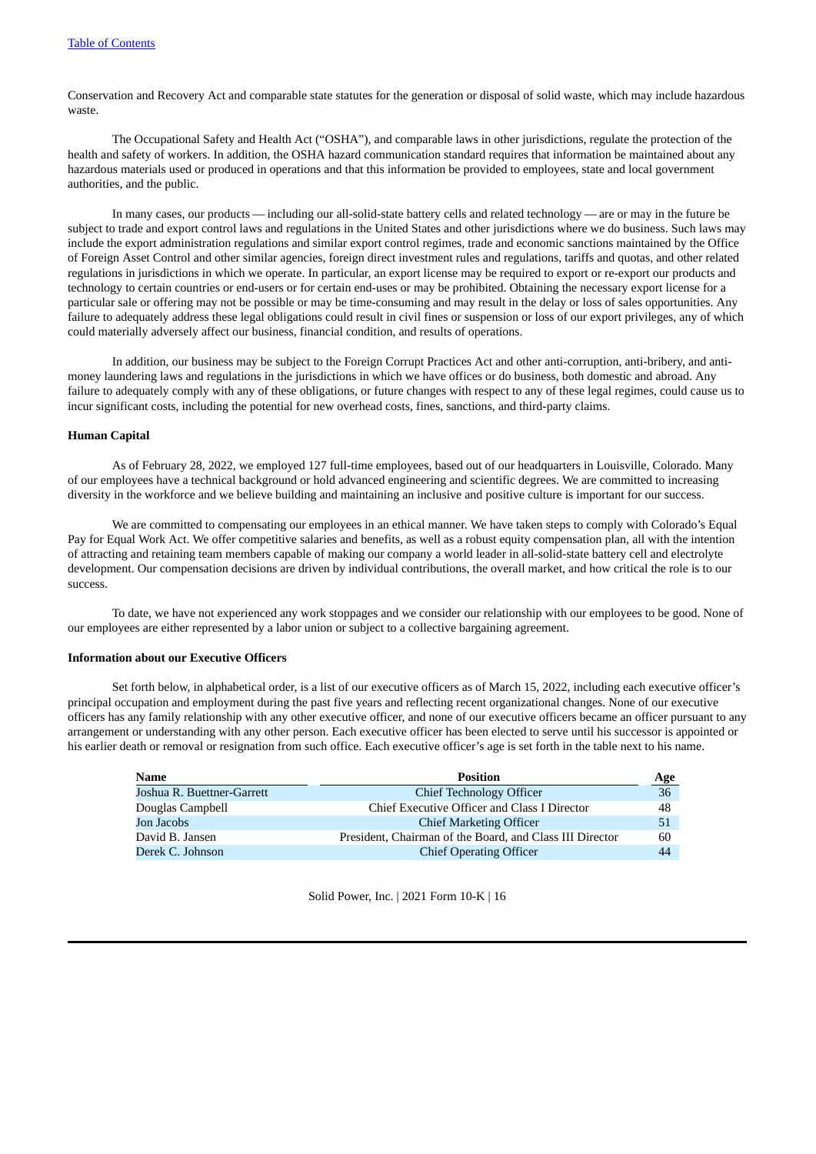Conservation and Recovery Act and comparable state statutes for the generation or disposal of solid waste, which may include hazardous waste.

The Occupational Safety and Health Act ("OSHA"), and comparable laws in other jurisdictions, regulate the protection of the health and safety of workers. In addition, the OSHA hazard communication standard requires that information be maintained about any hazardous materials used or produced in operations and that this information be provided to employees, state and local government authorities, and the public.

In many cases, our products — including our all-solid-state battery cells and related technology — are or may in the future be subject to trade and export control laws and regulations in the United States and other jurisdictions where we do business. Such laws may include the export administration regulations and similar export control regimes, trade and economic sanctions maintained by the Office of Foreign Asset Control and other similar agencies, foreign direct investment rules and regulations, tariffs and quotas, and other related regulations in jurisdictions in which we operate. In particular, an export license may be required to export or re-export our products and technology to certain countries or end-users or for certain end-uses or may be prohibited. Obtaining the necessary export license for a particular sale or offering may not be possible or may be time-consuming and may result in the delay or loss of sales opportunities. Any failure to adequately address these legal obligations could result in civil fines or suspension or loss of our export privileges, any of which could materially adversely affect our business, financial condition, and results of operations.

In addition, our business may be subject to the Foreign Corrupt Practices Act and other anti-corruption, anti-bribery, and antimoney laundering laws and regulations in the jurisdictions in which we have offices or do business, both domestic and abroad. Any failure to adequately comply with any of these obligations, or future changes with respect to any of these legal regimes, could cause us to incur significant costs, including the potential for new overhead costs, fines, sanctions, and third-party claims.

## **Human Capital**

As of February 28, 2022, we employed 127 full-time employees, based out of our headquarters in Louisville, Colorado. Many of our employees have a technical background or hold advanced engineering and scientific degrees. We are committed to increasing diversity in the workforce and we believe building and maintaining an inclusive and positive culture is important for our success.

We are committed to compensating our employees in an ethical manner. We have taken steps to comply with Colorado's Equal Pay for Equal Work Act. We offer competitive salaries and benefits, as well as a robust equity compensation plan, all with the intention of attracting and retaining team members capable of making our company a world leader in all-solid-state battery cell and electrolyte development. Our compensation decisions are driven by individual contributions, the overall market, and how critical the role is to our success.

To date, we have not experienced any work stoppages and we consider our relationship with our employees to be good. None of our employees are either represented by a labor union or subject to a collective bargaining agreement.

### **Information about our Executive Officers**

Set forth below, in alphabetical order, is a list of our executive officers as of March 15, 2022, including each executive officer's principal occupation and employment during the past five years and reflecting recent organizational changes. None of our executive officers has any family relationship with any other executive officer, and none of our executive officers became an officer pursuant to any arrangement or understanding with any other person. Each executive officer has been elected to serve until his successor is appointed or his earlier death or removal or resignation from such office. Each executive officer's age is set forth in the table next to his name.

| Name                       | <b>Position</b>                                          | Age |
|----------------------------|----------------------------------------------------------|-----|
| Joshua R. Buettner-Garrett | Chief Technology Officer                                 | 36  |
| Douglas Campbell           | Chief Executive Officer and Class I Director             | 48  |
| Jon Jacobs                 | <b>Chief Marketing Officer</b>                           | 51  |
| David B. Jansen            | President, Chairman of the Board, and Class III Director | 60  |
| Derek C. Johnson           | <b>Chief Operating Officer</b>                           | 44  |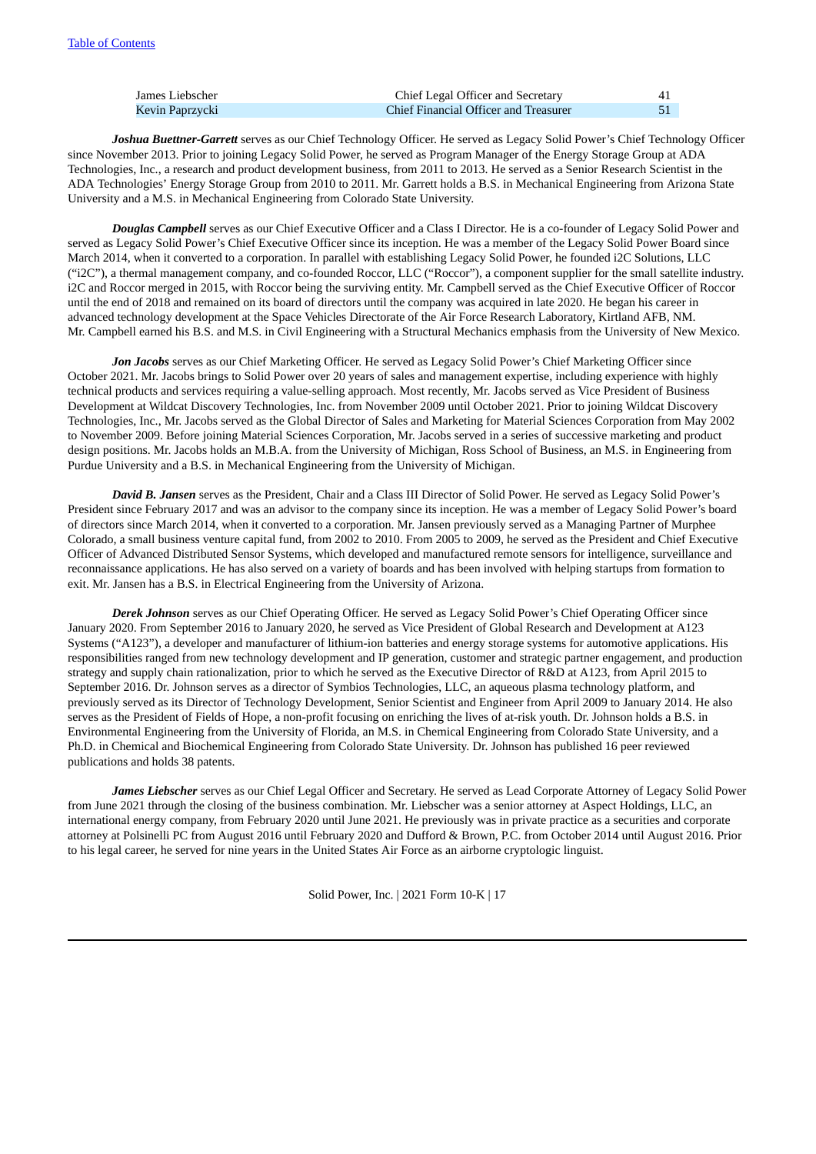| James Liebscher | Chief Legal Officer and Secretary     |  |
|-----------------|---------------------------------------|--|
| Kevin Paprzycki | Chief Financial Officer and Treasurer |  |

*Joshua Buettner-Garrett* serves as our Chief Technology Officer. He served as Legacy Solid Power's Chief Technology Officer since November 2013. Prior to joining Legacy Solid Power, he served as Program Manager of the Energy Storage Group at ADA Technologies, Inc., a research and product development business, from 2011 to 2013. He served as a Senior Research Scientist in the ADA Technologies' Energy Storage Group from 2010 to 2011. Mr. Garrett holds a B.S. in Mechanical Engineering from Arizona State University and a M.S. in Mechanical Engineering from Colorado State University.

*Douglas Campbell* serves as our Chief Executive Officer and a Class I Director. He is a co-founder of Legacy Solid Power and served as Legacy Solid Power's Chief Executive Officer since its inception. He was a member of the Legacy Solid Power Board since March 2014, when it converted to a corporation. In parallel with establishing Legacy Solid Power, he founded i2C Solutions, LLC ("i2C"), a thermal management company, and co-founded Roccor, LLC ("Roccor"), a component supplier for the small satellite industry. i2C and Roccor merged in 2015, with Roccor being the surviving entity. Mr. Campbell served as the Chief Executive Officer of Roccor until the end of 2018 and remained on its board of directors until the company was acquired in late 2020. He began his career in advanced technology development at the Space Vehicles Directorate of the Air Force Research Laboratory, Kirtland AFB, NM. Mr. Campbell earned his B.S. and M.S. in Civil Engineering with a Structural Mechanics emphasis from the University of New Mexico.

*Jon Jacobs* serves as our Chief Marketing Officer. He served as Legacy Solid Power's Chief Marketing Officer since October 2021. Mr. Jacobs brings to Solid Power over 20 years of sales and management expertise, including experience with highly technical products and services requiring a value-selling approach. Most recently, Mr. Jacobs served as Vice President of Business Development at Wildcat Discovery Technologies, Inc. from November 2009 until October 2021. Prior to joining Wildcat Discovery Technologies, Inc., Mr. Jacobs served as the Global Director of Sales and Marketing for Material Sciences Corporation from May 2002 to November 2009. Before joining Material Sciences Corporation, Mr. Jacobs served in a series of successive marketing and product design positions. Mr. Jacobs holds an M.B.A. from the University of Michigan, Ross School of Business, an M.S. in Engineering from Purdue University and a B.S. in Mechanical Engineering from the University of Michigan.

*David B. Jansen* serves as the President, Chair and a Class III Director of Solid Power. He served as Legacy Solid Power's President since February 2017 and was an advisor to the company since its inception. He was a member of Legacy Solid Power's board of directors since March 2014, when it converted to a corporation. Mr. Jansen previously served as a Managing Partner of Murphee Colorado, a small business venture capital fund, from 2002 to 2010. From 2005 to 2009, he served as the President and Chief Executive Officer of Advanced Distributed Sensor Systems, which developed and manufactured remote sensors for intelligence, surveillance and reconnaissance applications. He has also served on a variety of boards and has been involved with helping startups from formation to exit. Mr. Jansen has a B.S. in Electrical Engineering from the University of Arizona.

*Derek Johnson* serves as our Chief Operating Officer. He served as Legacy Solid Power's Chief Operating Officer since January 2020. From September 2016 to January 2020, he served as Vice President of Global Research and Development at A123 Systems ("A123"), a developer and manufacturer of lithium-ion batteries and energy storage systems for automotive applications. His responsibilities ranged from new technology development and IP generation, customer and strategic partner engagement, and production strategy and supply chain rationalization, prior to which he served as the Executive Director of R&D at A123, from April 2015 to September 2016. Dr. Johnson serves as a director of Symbios Technologies, LLC, an aqueous plasma technology platform, and previously served as its Director of Technology Development, Senior Scientist and Engineer from April 2009 to January 2014. He also serves as the President of Fields of Hope, a non-profit focusing on enriching the lives of at-risk youth. Dr. Johnson holds a B.S. in Environmental Engineering from the University of Florida, an M.S. in Chemical Engineering from Colorado State University, and a Ph.D. in Chemical and Biochemical Engineering from Colorado State University. Dr. Johnson has published 16 peer reviewed publications and holds 38 patents.

*James Liebscher* serves as our Chief Legal Officer and Secretary. He served as Lead Corporate Attorney of Legacy Solid Power from June 2021 through the closing of the business combination. Mr. Liebscher was a senior attorney at Aspect Holdings, LLC, an international energy company, from February 2020 until June 2021. He previously was in private practice as a securities and corporate attorney at Polsinelli PC from August 2016 until February 2020 and Dufford & Brown, P.C. from October 2014 until August 2016. Prior to his legal career, he served for nine years in the United States Air Force as an airborne cryptologic linguist.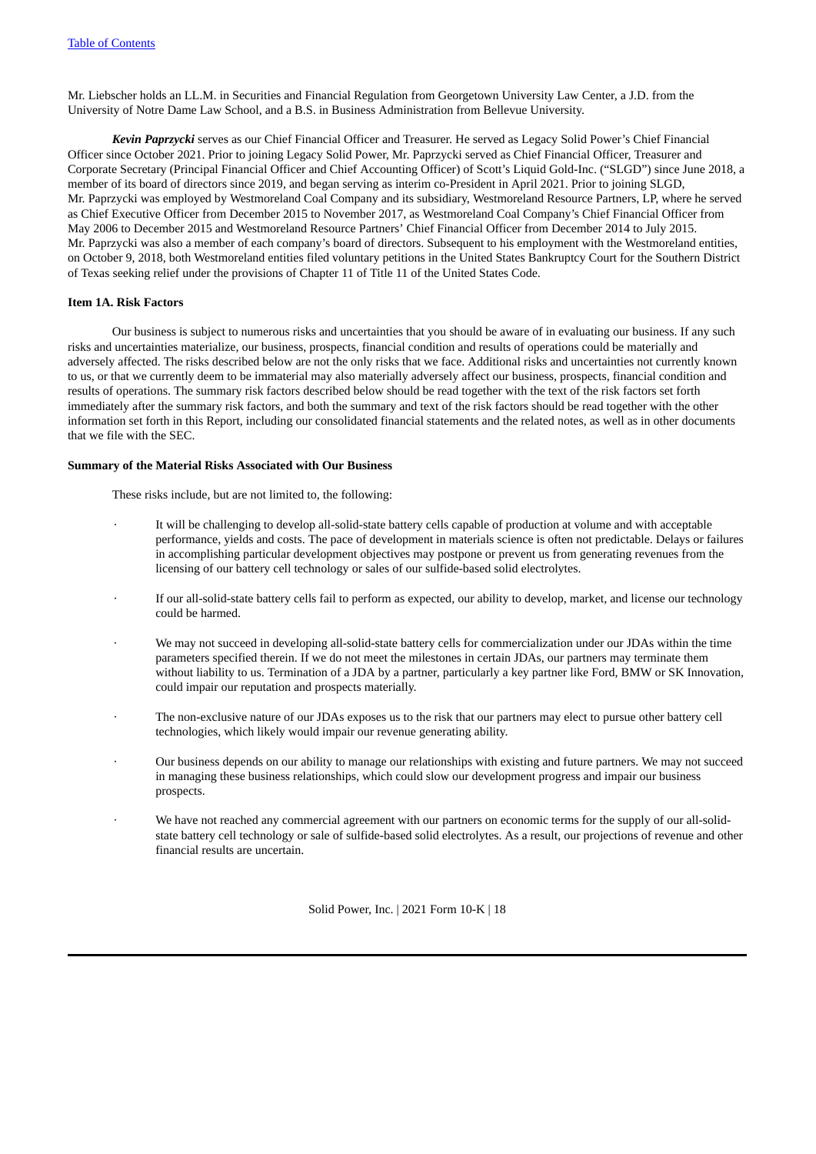Mr. Liebscher holds an LL.M. in Securities and Financial Regulation from Georgetown University Law Center, a J.D. from the University of Notre Dame Law School, and a B.S. in Business Administration from Bellevue University.

*Kevin Paprzycki* serves as our Chief Financial Officer and Treasurer. He served as Legacy Solid Power's Chief Financial Officer since October 2021. Prior to joining Legacy Solid Power, Mr. Paprzycki served as Chief Financial Officer, Treasurer and Corporate Secretary (Principal Financial Officer and Chief Accounting Officer) of Scott's Liquid Gold-Inc. ("SLGD") since June 2018, a member of its board of directors since 2019, and began serving as interim co-President in April 2021. Prior to joining SLGD, Mr. Paprzycki was employed by Westmoreland Coal Company and its subsidiary, Westmoreland Resource Partners, LP, where he served as Chief Executive Officer from December 2015 to November 2017, as Westmoreland Coal Company's Chief Financial Officer from May 2006 to December 2015 and Westmoreland Resource Partners' Chief Financial Officer from December 2014 to July 2015. Mr. Paprzycki was also a member of each company's board of directors. Subsequent to his employment with the Westmoreland entities, on October 9, 2018, both Westmoreland entities filed voluntary petitions in the United States Bankruptcy Court for the Southern District of Texas seeking relief under the provisions of Chapter 11 of Title 11 of the United States Code.

## <span id="page-17-0"></span>**Item 1A. Risk Factors**

Our business is subject to numerous risks and uncertainties that you should be aware of in evaluating our business. If any such risks and uncertainties materialize, our business, prospects, financial condition and results of operations could be materially and adversely affected. The risks described below are not the only risks that we face. Additional risks and uncertainties not currently known to us, or that we currently deem to be immaterial may also materially adversely affect our business, prospects, financial condition and results of operations. The summary risk factors described below should be read together with the text of the risk factors set forth immediately after the summary risk factors, and both the summary and text of the risk factors should be read together with the other information set forth in this Report, including our consolidated financial statements and the related notes, as well as in other documents that we file with the SEC.

### **Summary of the Material Risks Associated with Our Business**

These risks include, but are not limited to, the following:

- It will be challenging to develop all-solid-state battery cells capable of production at volume and with acceptable performance, yields and costs. The pace of development in materials science is often not predictable. Delays or failures in accomplishing particular development objectives may postpone or prevent us from generating revenues from the licensing of our battery cell technology or sales of our sulfide-based solid electrolytes.
- If our all-solid-state battery cells fail to perform as expected, our ability to develop, market, and license our technology could be harmed.
- · We may not succeed in developing all-solid-state battery cells for commercialization under our JDAs within the time parameters specified therein. If we do not meet the milestones in certain JDAs, our partners may terminate them without liability to us. Termination of a JDA by a partner, particularly a key partner like Ford, BMW or SK Innovation, could impair our reputation and prospects materially.
- The non-exclusive nature of our JDAs exposes us to the risk that our partners may elect to pursue other battery cell technologies, which likely would impair our revenue generating ability.
- · Our business depends on our ability to manage our relationships with existing and future partners. We may not succeed in managing these business relationships, which could slow our development progress and impair our business prospects.
- We have not reached any commercial agreement with our partners on economic terms for the supply of our all-solidstate battery cell technology or sale of sulfide-based solid electrolytes. As a result, our projections of revenue and other financial results are uncertain.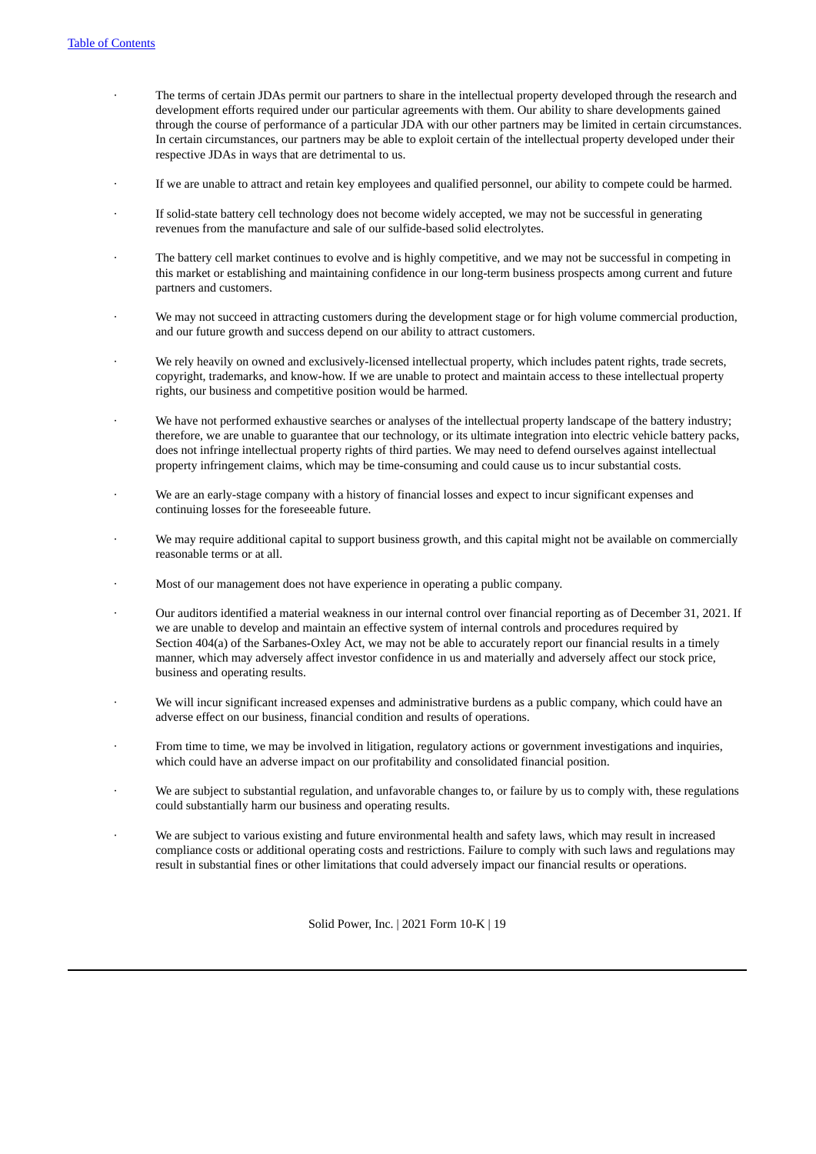- The terms of certain JDAs permit our partners to share in the intellectual property developed through the research and development efforts required under our particular agreements with them. Our ability to share developments gained through the course of performance of a particular JDA with our other partners may be limited in certain circumstances. In certain circumstances, our partners may be able to exploit certain of the intellectual property developed under their respective JDAs in ways that are detrimental to us.
- If we are unable to attract and retain key employees and qualified personnel, our ability to compete could be harmed.
- If solid-state battery cell technology does not become widely accepted, we may not be successful in generating revenues from the manufacture and sale of our sulfide-based solid electrolytes.
- The battery cell market continues to evolve and is highly competitive, and we may not be successful in competing in this market or establishing and maintaining confidence in our long-term business prospects among current and future partners and customers.
- We may not succeed in attracting customers during the development stage or for high volume commercial production, and our future growth and success depend on our ability to attract customers.
- We rely heavily on owned and exclusively-licensed intellectual property, which includes patent rights, trade secrets, copyright, trademarks, and know-how. If we are unable to protect and maintain access to these intellectual property rights, our business and competitive position would be harmed.
- We have not performed exhaustive searches or analyses of the intellectual property landscape of the battery industry; therefore, we are unable to guarantee that our technology, or its ultimate integration into electric vehicle battery packs, does not infringe intellectual property rights of third parties. We may need to defend ourselves against intellectual property infringement claims, which may be time-consuming and could cause us to incur substantial costs.
- · We are an early-stage company with a history of financial losses and expect to incur significant expenses and continuing losses for the foreseeable future.
- We may require additional capital to support business growth, and this capital might not be available on commercially reasonable terms or at all.
- Most of our management does not have experience in operating a public company.
- · Our auditors identified a material weakness in our internal control over financial reporting as of December 31, 2021. If we are unable to develop and maintain an effective system of internal controls and procedures required by Section 404(a) of the Sarbanes-Oxley Act, we may not be able to accurately report our financial results in a timely manner, which may adversely affect investor confidence in us and materially and adversely affect our stock price, business and operating results.
- We will incur significant increased expenses and administrative burdens as a public company, which could have an adverse effect on our business, financial condition and results of operations.
- From time to time, we may be involved in litigation, regulatory actions or government investigations and inquiries, which could have an adverse impact on our profitability and consolidated financial position.
- We are subject to substantial regulation, and unfavorable changes to, or failure by us to comply with, these regulations could substantially harm our business and operating results.
- · We are subject to various existing and future environmental health and safety laws, which may result in increased compliance costs or additional operating costs and restrictions. Failure to comply with such laws and regulations may result in substantial fines or other limitations that could adversely impact our financial results or operations.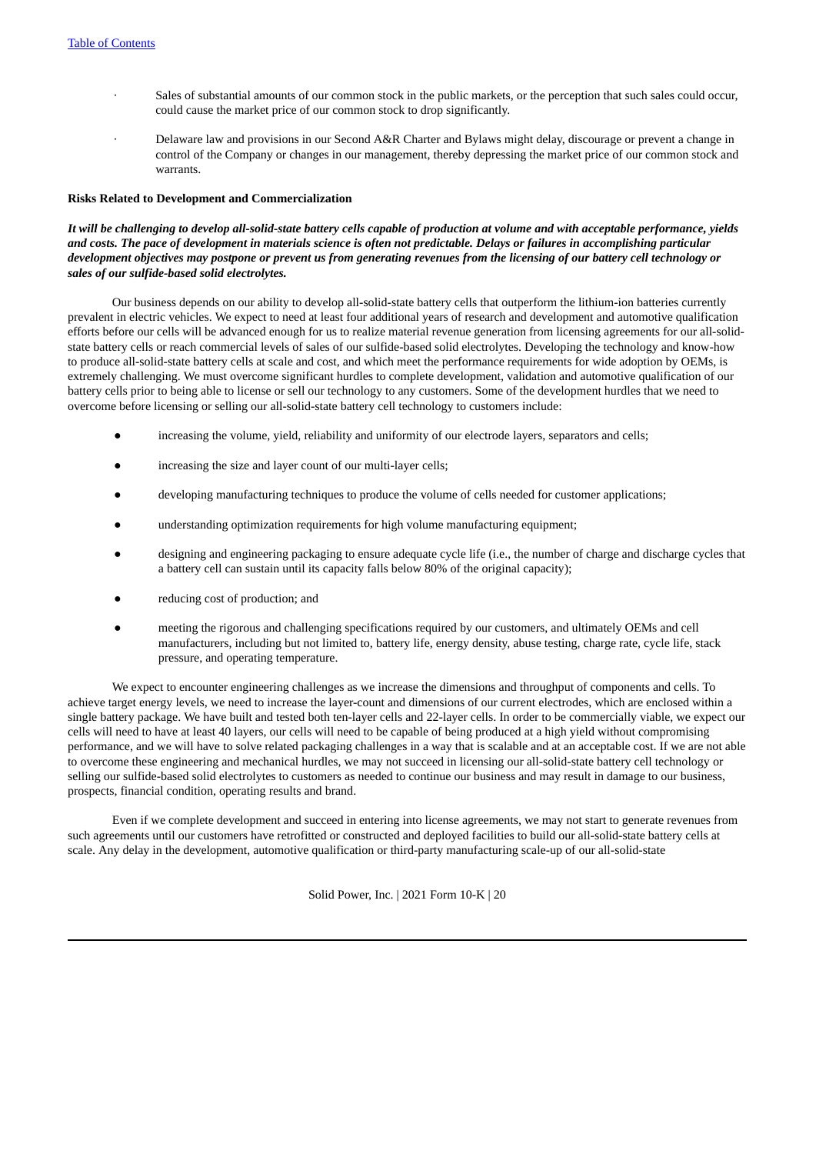- Sales of substantial amounts of our common stock in the public markets, or the perception that such sales could occur, could cause the market price of our common stock to drop significantly.
- · Delaware law and provisions in our Second A&R Charter and Bylaws might delay, discourage or prevent a change in control of the Company or changes in our management, thereby depressing the market price of our common stock and warrants.

#### **Risks Related to Development and Commercialization**

## It will be challenging to develop all-solid-state battery cells capable of production at volume and with acceptable performance, yields and costs. The pace of development in materials science is often not predictable. Delays or failures in accomplishing particular development objectives may postpone or prevent us from generating revenues from the licensing of our battery cell technology or *sales of our sulfide-based solid electrolytes.*

Our business depends on our ability to develop all-solid-state battery cells that outperform the lithium-ion batteries currently prevalent in electric vehicles. We expect to need at least four additional years of research and development and automotive qualification efforts before our cells will be advanced enough for us to realize material revenue generation from licensing agreements for our all-solidstate battery cells or reach commercial levels of sales of our sulfide-based solid electrolytes. Developing the technology and know-how to produce all-solid-state battery cells at scale and cost, and which meet the performance requirements for wide adoption by OEMs, is extremely challenging. We must overcome significant hurdles to complete development, validation and automotive qualification of our battery cells prior to being able to license or sell our technology to any customers. Some of the development hurdles that we need to overcome before licensing or selling our all-solid-state battery cell technology to customers include:

- increasing the volume, yield, reliability and uniformity of our electrode layers, separators and cells;
- increasing the size and layer count of our multi-layer cells;
- developing manufacturing techniques to produce the volume of cells needed for customer applications;
- understanding optimization requirements for high volume manufacturing equipment;
- designing and engineering packaging to ensure adequate cycle life (i.e., the number of charge and discharge cycles that a battery cell can sustain until its capacity falls below 80% of the original capacity);
- reducing cost of production; and
- meeting the rigorous and challenging specifications required by our customers, and ultimately OEMs and cell manufacturers, including but not limited to, battery life, energy density, abuse testing, charge rate, cycle life, stack pressure, and operating temperature.

We expect to encounter engineering challenges as we increase the dimensions and throughput of components and cells. To achieve target energy levels, we need to increase the layer-count and dimensions of our current electrodes, which are enclosed within a single battery package. We have built and tested both ten-layer cells and 22-layer cells. In order to be commercially viable, we expect our cells will need to have at least 40 layers, our cells will need to be capable of being produced at a high yield without compromising performance, and we will have to solve related packaging challenges in a way that is scalable and at an acceptable cost. If we are not able to overcome these engineering and mechanical hurdles, we may not succeed in licensing our all-solid-state battery cell technology or selling our sulfide-based solid electrolytes to customers as needed to continue our business and may result in damage to our business, prospects, financial condition, operating results and brand.

Even if we complete development and succeed in entering into license agreements, we may not start to generate revenues from such agreements until our customers have retrofitted or constructed and deployed facilities to build our all-solid-state battery cells at scale. Any delay in the development, automotive qualification or third-party manufacturing scale-up of our all-solid-state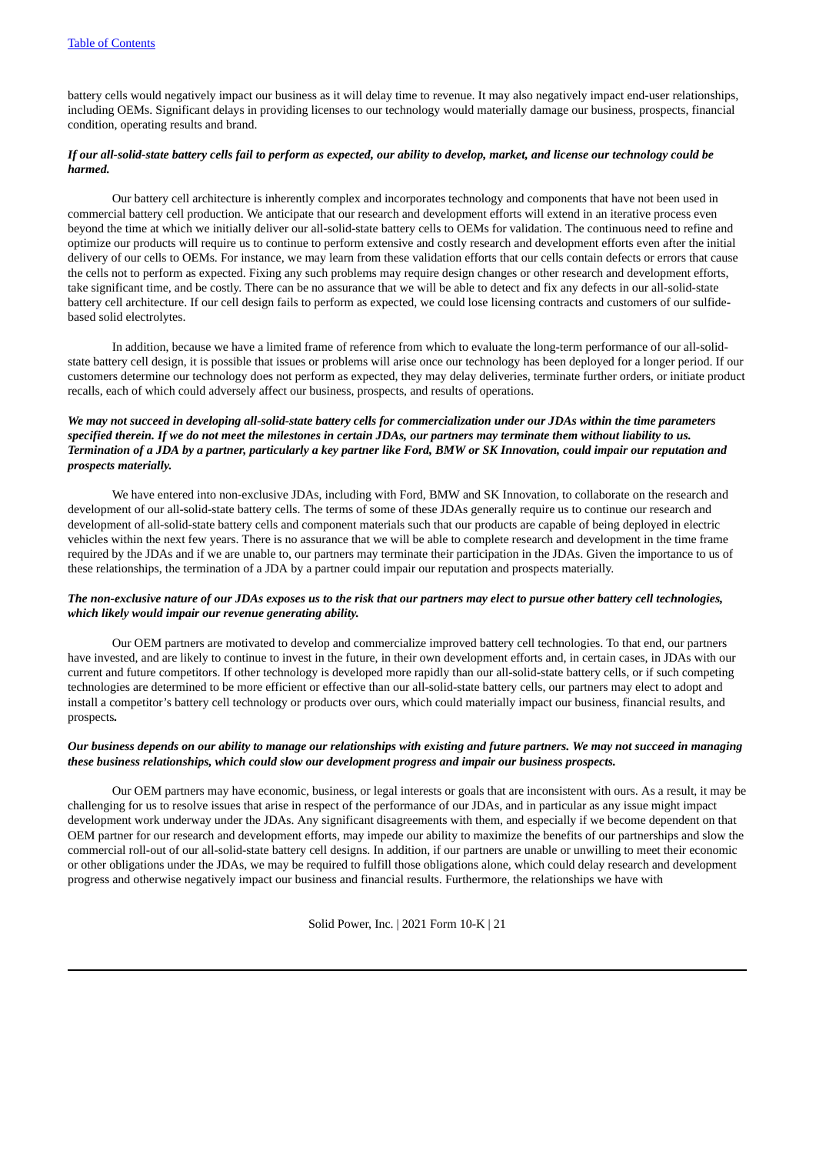battery cells would negatively impact our business as it will delay time to revenue. It may also negatively impact end-user relationships, including OEMs. Significant delays in providing licenses to our technology would materially damage our business, prospects, financial condition, operating results and brand.

## If our all-solid-state battery cells fail to perform as expected, our ability to develop, market, and license our technology could be *harmed.*

Our battery cell architecture is inherently complex and incorporates technology and components that have not been used in commercial battery cell production. We anticipate that our research and development efforts will extend in an iterative process even beyond the time at which we initially deliver our all-solid-state battery cells to OEMs for validation. The continuous need to refine and optimize our products will require us to continue to perform extensive and costly research and development efforts even after the initial delivery of our cells to OEMs. For instance, we may learn from these validation efforts that our cells contain defects or errors that cause the cells not to perform as expected. Fixing any such problems may require design changes or other research and development efforts, take significant time, and be costly. There can be no assurance that we will be able to detect and fix any defects in our all-solid-state battery cell architecture. If our cell design fails to perform as expected, we could lose licensing contracts and customers of our sulfidebased solid electrolytes.

In addition, because we have a limited frame of reference from which to evaluate the long-term performance of our all-solidstate battery cell design, it is possible that issues or problems will arise once our technology has been deployed for a longer period. If our customers determine our technology does not perform as expected, they may delay deliveries, terminate further orders, or initiate product recalls, each of which could adversely affect our business, prospects, and results of operations.

## We may not succeed in developing all-solid-state battery cells for commercialization under our JDAs within the time parameters specified therein. If we do not meet the milestones in certain JDAs, our partners may terminate them without liability to us. Termination of a JDA by a partner, particularly a key partner like Ford, BMW or SK Innovation, could impair our reputation and *prospects materially.*

We have entered into non-exclusive JDAs, including with Ford, BMW and SK Innovation, to collaborate on the research and development of our all-solid-state battery cells. The terms of some of these JDAs generally require us to continue our research and development of all-solid-state battery cells and component materials such that our products are capable of being deployed in electric vehicles within the next few years. There is no assurance that we will be able to complete research and development in the time frame required by the JDAs and if we are unable to, our partners may terminate their participation in the JDAs. Given the importance to us of these relationships, the termination of a JDA by a partner could impair our reputation and prospects materially.

## The non-exclusive nature of our JDAs exposes us to the risk that our partners may elect to pursue other battery cell technologies, *which likely would impair our revenue generating ability.*

Our OEM partners are motivated to develop and commercialize improved battery cell technologies. To that end, our partners have invested, and are likely to continue to invest in the future, in their own development efforts and, in certain cases, in JDAs with our current and future competitors. If other technology is developed more rapidly than our all-solid-state battery cells, or if such competing technologies are determined to be more efficient or effective than our all-solid-state battery cells, our partners may elect to adopt and install a competitor's battery cell technology or products over ours, which could materially impact our business, financial results, and prospects*.*

## Our business depends on our ability to manage our relationships with existing and future partners. We may not succeed in managing *these business relationships, which could slow our development progress and impair our business prospects.*

Our OEM partners may have economic, business, or legal interests or goals that are inconsistent with ours. As a result, it may be challenging for us to resolve issues that arise in respect of the performance of our JDAs, and in particular as any issue might impact development work underway under the JDAs. Any significant disagreements with them, and especially if we become dependent on that OEM partner for our research and development efforts, may impede our ability to maximize the benefits of our partnerships and slow the commercial roll-out of our all-solid-state battery cell designs. In addition, if our partners are unable or unwilling to meet their economic or other obligations under the JDAs, we may be required to fulfill those obligations alone, which could delay research and development progress and otherwise negatively impact our business and financial results. Furthermore, the relationships we have with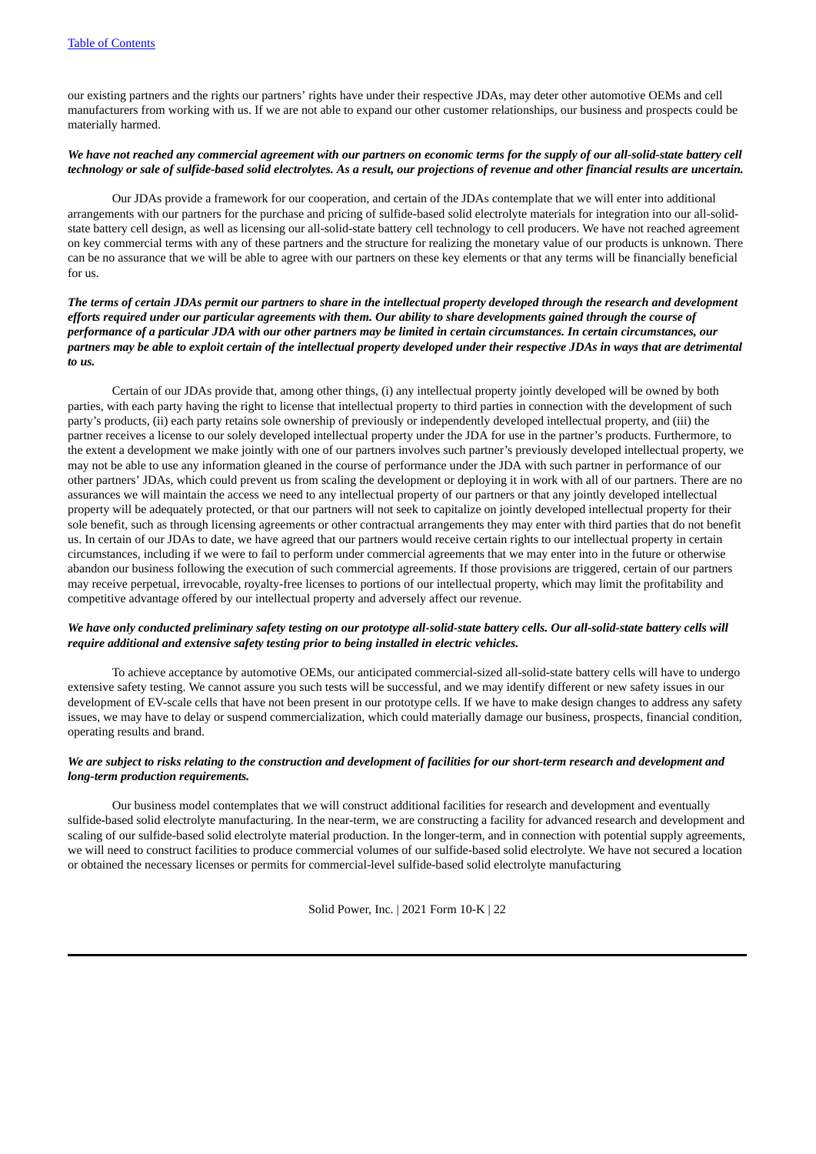our existing partners and the rights our partners' rights have under their respective JDAs, may deter other automotive OEMs and cell manufacturers from working with us. If we are not able to expand our other customer relationships, our business and prospects could be materially harmed.

### We have not reached any commercial agreement with our partners on economic terms for the supply of our all-solid-state battery cell technology or sale of sulfide-based solid electrolytes. As a result, our projections of revenue and other financial results are uncertain.

Our JDAs provide a framework for our cooperation, and certain of the JDAs contemplate that we will enter into additional arrangements with our partners for the purchase and pricing of sulfide-based solid electrolyte materials for integration into our all-solidstate battery cell design, as well as licensing our all-solid-state battery cell technology to cell producers. We have not reached agreement on key commercial terms with any of these partners and the structure for realizing the monetary value of our products is unknown. There can be no assurance that we will be able to agree with our partners on these key elements or that any terms will be financially beneficial for us.

## The terms of certain JDAs permit our partners to share in the intellectual property developed through the research and development efforts required under our particular agreements with them. Our ability to share developments gained through the course of performance of a particular JDA with our other partners may be limited in certain circumstances. In certain circumstances, our partners may be able to exploit certain of the intellectual property developed under their respective JDAs in ways that are detrimental *to us.*

Certain of our JDAs provide that, among other things, (i) any intellectual property jointly developed will be owned by both parties, with each party having the right to license that intellectual property to third parties in connection with the development of such party's products, (ii) each party retains sole ownership of previously or independently developed intellectual property, and (iii) the partner receives a license to our solely developed intellectual property under the JDA for use in the partner's products. Furthermore, to the extent a development we make jointly with one of our partners involves such partner's previously developed intellectual property, we may not be able to use any information gleaned in the course of performance under the JDA with such partner in performance of our other partners' JDAs, which could prevent us from scaling the development or deploying it in work with all of our partners. There are no assurances we will maintain the access we need to any intellectual property of our partners or that any jointly developed intellectual property will be adequately protected, or that our partners will not seek to capitalize on jointly developed intellectual property for their sole benefit, such as through licensing agreements or other contractual arrangements they may enter with third parties that do not benefit us. In certain of our JDAs to date, we have agreed that our partners would receive certain rights to our intellectual property in certain circumstances, including if we were to fail to perform under commercial agreements that we may enter into in the future or otherwise abandon our business following the execution of such commercial agreements. If those provisions are triggered, certain of our partners may receive perpetual, irrevocable, royalty-free licenses to portions of our intellectual property, which may limit the profitability and competitive advantage offered by our intellectual property and adversely affect our revenue.

## We have only conducted preliminary safety testing on our prototype all-solid-state battery cells. Our all-solid-state battery cells will *require additional and extensive safety testing prior to being installed in electric vehicles.*

To achieve acceptance by automotive OEMs, our anticipated commercial-sized all-solid-state battery cells will have to undergo extensive safety testing. We cannot assure you such tests will be successful, and we may identify different or new safety issues in our development of EV-scale cells that have not been present in our prototype cells. If we have to make design changes to address any safety issues, we may have to delay or suspend commercialization, which could materially damage our business, prospects, financial condition, operating results and brand.

## We are subject to risks relating to the construction and development of facilities for our short-term research and development and *long-term production requirements.*

Our business model contemplates that we will construct additional facilities for research and development and eventually sulfide-based solid electrolyte manufacturing. In the near-term, we are constructing a facility for advanced research and development and scaling of our sulfide-based solid electrolyte material production. In the longer-term, and in connection with potential supply agreements, we will need to construct facilities to produce commercial volumes of our sulfide-based solid electrolyte. We have not secured a location or obtained the necessary licenses or permits for commercial-level sulfide-based solid electrolyte manufacturing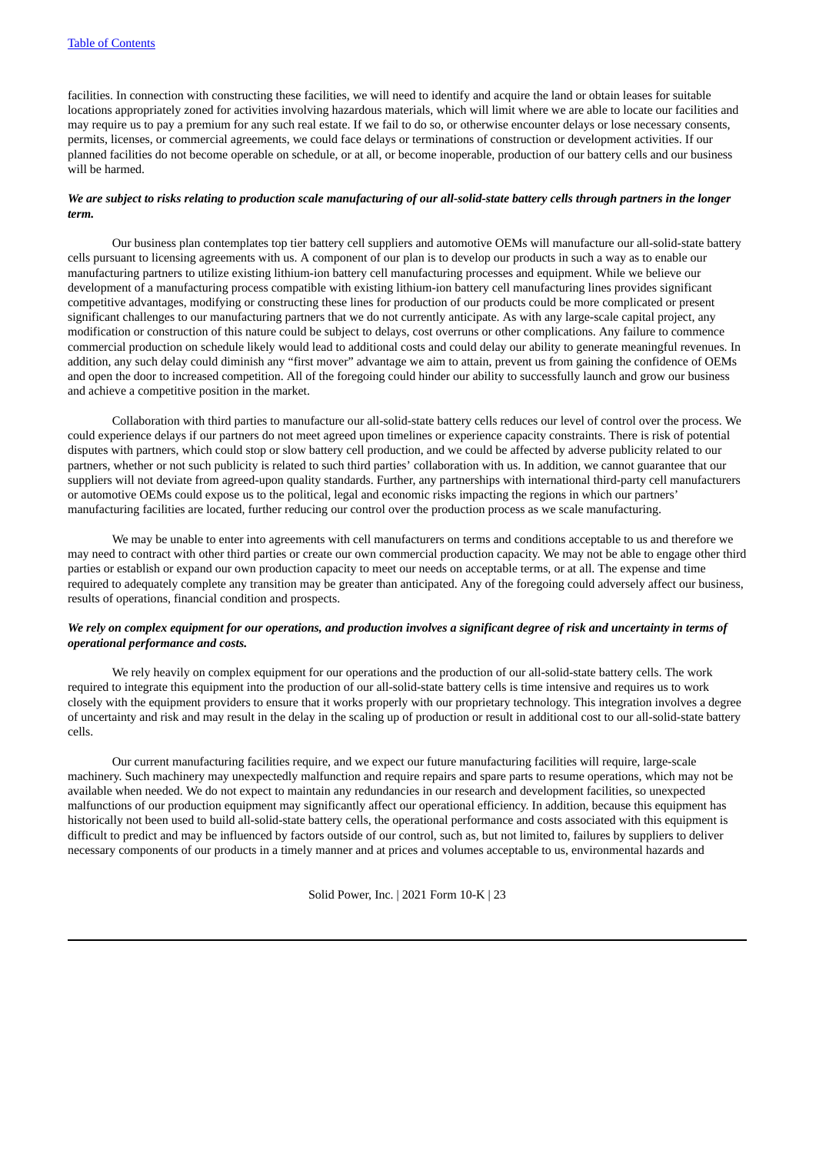facilities. In connection with constructing these facilities, we will need to identify and acquire the land or obtain leases for suitable locations appropriately zoned for activities involving hazardous materials, which will limit where we are able to locate our facilities and may require us to pay a premium for any such real estate. If we fail to do so, or otherwise encounter delays or lose necessary consents, permits, licenses, or commercial agreements, we could face delays or terminations of construction or development activities. If our planned facilities do not become operable on schedule, or at all, or become inoperable, production of our battery cells and our business will be harmed.

#### We are subject to risks relating to production scale manufacturing of our all-solid-state battery cells through partners in the longer *term.*

Our business plan contemplates top tier battery cell suppliers and automotive OEMs will manufacture our all-solid-state battery cells pursuant to licensing agreements with us. A component of our plan is to develop our products in such a way as to enable our manufacturing partners to utilize existing lithium-ion battery cell manufacturing processes and equipment. While we believe our development of a manufacturing process compatible with existing lithium-ion battery cell manufacturing lines provides significant competitive advantages, modifying or constructing these lines for production of our products could be more complicated or present significant challenges to our manufacturing partners that we do not currently anticipate. As with any large-scale capital project, any modification or construction of this nature could be subject to delays, cost overruns or other complications. Any failure to commence commercial production on schedule likely would lead to additional costs and could delay our ability to generate meaningful revenues. In addition, any such delay could diminish any "first mover" advantage we aim to attain, prevent us from gaining the confidence of OEMs and open the door to increased competition. All of the foregoing could hinder our ability to successfully launch and grow our business and achieve a competitive position in the market.

Collaboration with third parties to manufacture our all-solid-state battery cells reduces our level of control over the process. We could experience delays if our partners do not meet agreed upon timelines or experience capacity constraints. There is risk of potential disputes with partners, which could stop or slow battery cell production, and we could be affected by adverse publicity related to our partners, whether or not such publicity is related to such third parties' collaboration with us. In addition, we cannot guarantee that our suppliers will not deviate from agreed-upon quality standards. Further, any partnerships with international third-party cell manufacturers or automotive OEMs could expose us to the political, legal and economic risks impacting the regions in which our partners' manufacturing facilities are located, further reducing our control over the production process as we scale manufacturing.

We may be unable to enter into agreements with cell manufacturers on terms and conditions acceptable to us and therefore we may need to contract with other third parties or create our own commercial production capacity. We may not be able to engage other third parties or establish or expand our own production capacity to meet our needs on acceptable terms, or at all. The expense and time required to adequately complete any transition may be greater than anticipated. Any of the foregoing could adversely affect our business, results of operations, financial condition and prospects.

## We rely on complex equipment for our operations, and production involves a significant degree of risk and uncertainty in terms of *operational performance and costs.*

We rely heavily on complex equipment for our operations and the production of our all-solid-state battery cells. The work required to integrate this equipment into the production of our all-solid-state battery cells is time intensive and requires us to work closely with the equipment providers to ensure that it works properly with our proprietary technology. This integration involves a degree of uncertainty and risk and may result in the delay in the scaling up of production or result in additional cost to our all-solid-state battery cells.

Our current manufacturing facilities require, and we expect our future manufacturing facilities will require, large-scale machinery. Such machinery may unexpectedly malfunction and require repairs and spare parts to resume operations, which may not be available when needed. We do not expect to maintain any redundancies in our research and development facilities, so unexpected malfunctions of our production equipment may significantly affect our operational efficiency. In addition, because this equipment has historically not been used to build all-solid-state battery cells, the operational performance and costs associated with this equipment is difficult to predict and may be influenced by factors outside of our control, such as, but not limited to, failures by suppliers to deliver necessary components of our products in a timely manner and at prices and volumes acceptable to us, environmental hazards and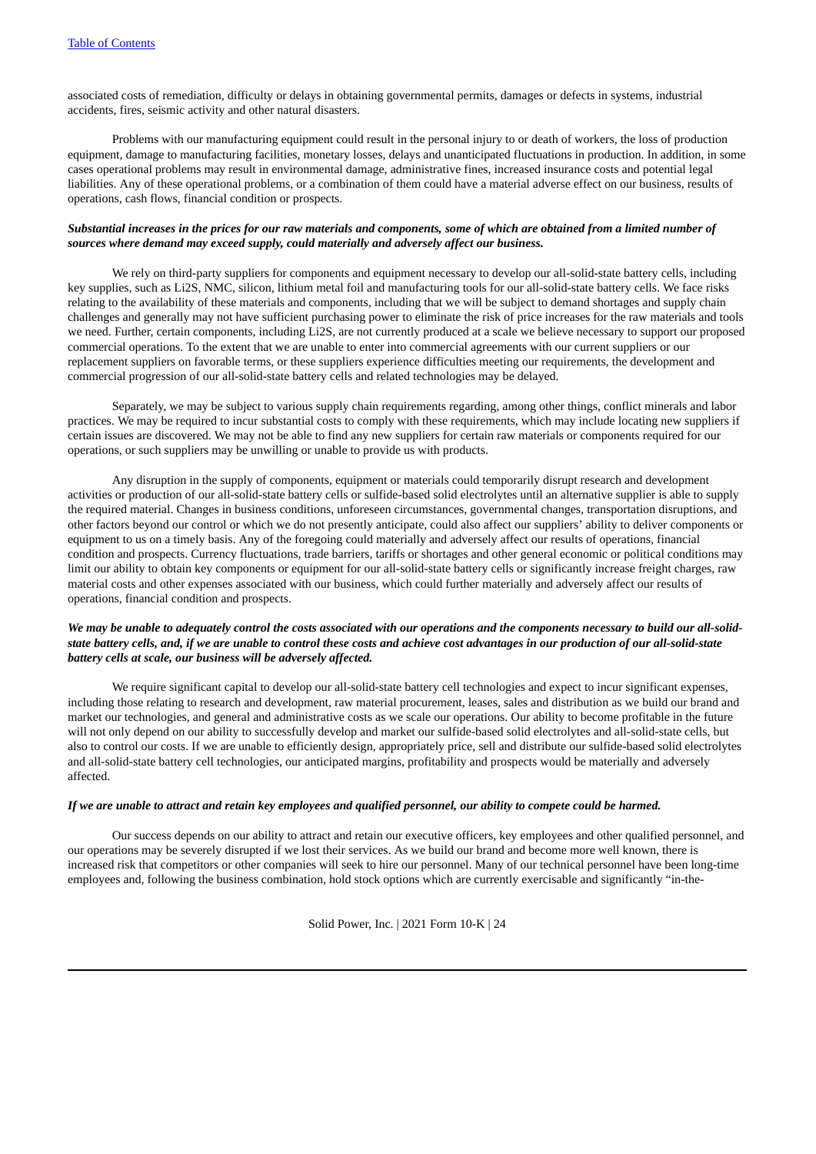associated costs of remediation, difficulty or delays in obtaining governmental permits, damages or defects in systems, industrial accidents, fires, seismic activity and other natural disasters.

Problems with our manufacturing equipment could result in the personal injury to or death of workers, the loss of production equipment, damage to manufacturing facilities, monetary losses, delays and unanticipated fluctuations in production. In addition, in some cases operational problems may result in environmental damage, administrative fines, increased insurance costs and potential legal liabilities. Any of these operational problems, or a combination of them could have a material adverse effect on our business, results of operations, cash flows, financial condition or prospects.

## Substantial increases in the prices for our raw materials and components, some of which are obtained from a limited number of *sources where demand may exceed supply, could materially and adversely affect our business.*

We rely on third-party suppliers for components and equipment necessary to develop our all-solid-state battery cells, including key supplies, such as Li2S, NMC, silicon, lithium metal foil and manufacturing tools for our all-solid-state battery cells. We face risks relating to the availability of these materials and components, including that we will be subject to demand shortages and supply chain challenges and generally may not have sufficient purchasing power to eliminate the risk of price increases for the raw materials and tools we need. Further, certain components, including Li2S, are not currently produced at a scale we believe necessary to support our proposed commercial operations. To the extent that we are unable to enter into commercial agreements with our current suppliers or our replacement suppliers on favorable terms, or these suppliers experience difficulties meeting our requirements, the development and commercial progression of our all-solid-state battery cells and related technologies may be delayed.

Separately, we may be subject to various supply chain requirements regarding, among other things, conflict minerals and labor practices. We may be required to incur substantial costs to comply with these requirements, which may include locating new suppliers if certain issues are discovered. We may not be able to find any new suppliers for certain raw materials or components required for our operations, or such suppliers may be unwilling or unable to provide us with products.

Any disruption in the supply of components, equipment or materials could temporarily disrupt research and development activities or production of our all-solid-state battery cells or sulfide-based solid electrolytes until an alternative supplier is able to supply the required material. Changes in business conditions, unforeseen circumstances, governmental changes, transportation disruptions, and other factors beyond our control or which we do not presently anticipate, could also affect our suppliers' ability to deliver components or equipment to us on a timely basis. Any of the foregoing could materially and adversely affect our results of operations, financial condition and prospects. Currency fluctuations, trade barriers, tariffs or shortages and other general economic or political conditions may limit our ability to obtain key components or equipment for our all-solid-state battery cells or significantly increase freight charges, raw material costs and other expenses associated with our business, which could further materially and adversely affect our results of operations, financial condition and prospects.

## We may be unable to adeauately control the costs associated with our operations and the components necessary to build our all-solidstate battery cells, and, if we are unable to control these costs and achieve cost advantages in our production of our all-solid-state *battery cells at scale, our business will be adversely affected.*

We require significant capital to develop our all-solid-state battery cell technologies and expect to incur significant expenses, including those relating to research and development, raw material procurement, leases, sales and distribution as we build our brand and market our technologies, and general and administrative costs as we scale our operations. Our ability to become profitable in the future will not only depend on our ability to successfully develop and market our sulfide-based solid electrolytes and all-solid-state cells, but also to control our costs. If we are unable to efficiently design, appropriately price, sell and distribute our sulfide-based solid electrolytes and all-solid-state battery cell technologies, our anticipated margins, profitability and prospects would be materially and adversely affected.

## If we are unable to attract and retain key employees and qualified personnel, our ability to compete could be harmed.

Our success depends on our ability to attract and retain our executive officers, key employees and other qualified personnel, and our operations may be severely disrupted if we lost their services. As we build our brand and become more well known, there is increased risk that competitors or other companies will seek to hire our personnel. Many of our technical personnel have been long-time employees and, following the business combination, hold stock options which are currently exercisable and significantly "in-the-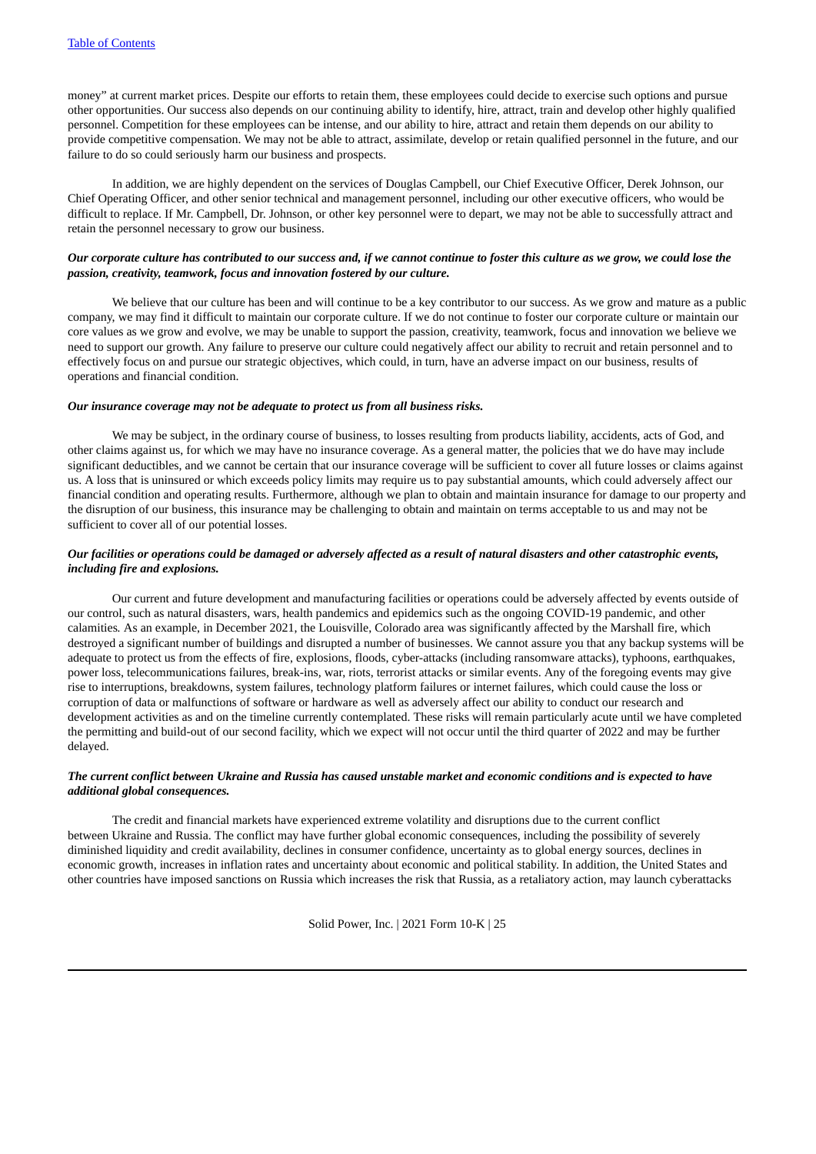money" at current market prices. Despite our efforts to retain them, these employees could decide to exercise such options and pursue other opportunities. Our success also depends on our continuing ability to identify, hire, attract, train and develop other highly qualified personnel. Competition for these employees can be intense, and our ability to hire, attract and retain them depends on our ability to provide competitive compensation. We may not be able to attract, assimilate, develop or retain qualified personnel in the future, and our failure to do so could seriously harm our business and prospects.

In addition, we are highly dependent on the services of Douglas Campbell, our Chief Executive Officer, Derek Johnson, our Chief Operating Officer, and other senior technical and management personnel, including our other executive officers, who would be difficult to replace. If Mr. Campbell, Dr. Johnson, or other key personnel were to depart, we may not be able to successfully attract and retain the personnel necessary to grow our business.

## Our corporate culture has contributed to our success and, if we cannot continue to foster this culture as we grow, we could lose the *passion, creativity, teamwork, focus and innovation fostered by our culture.*

We believe that our culture has been and will continue to be a key contributor to our success. As we grow and mature as a public company, we may find it difficult to maintain our corporate culture. If we do not continue to foster our corporate culture or maintain our core values as we grow and evolve, we may be unable to support the passion, creativity, teamwork, focus and innovation we believe we need to support our growth. Any failure to preserve our culture could negatively affect our ability to recruit and retain personnel and to effectively focus on and pursue our strategic objectives, which could, in turn, have an adverse impact on our business, results of operations and financial condition.

#### *Our insurance coverage may not be adequate to protect us from all business risks.*

We may be subject, in the ordinary course of business, to losses resulting from products liability, accidents, acts of God, and other claims against us, for which we may have no insurance coverage. As a general matter, the policies that we do have may include significant deductibles, and we cannot be certain that our insurance coverage will be sufficient to cover all future losses or claims against us. A loss that is uninsured or which exceeds policy limits may require us to pay substantial amounts, which could adversely affect our financial condition and operating results. Furthermore, although we plan to obtain and maintain insurance for damage to our property and the disruption of our business, this insurance may be challenging to obtain and maintain on terms acceptable to us and may not be sufficient to cover all of our potential losses.

## Our facilities or operations could be damaged or adversely affected as a result of natural disasters and other catastrophic events, *including fire and explosions.*

Our current and future development and manufacturing facilities or operations could be adversely affected by events outside of our control, such as natural disasters, wars, health pandemics and epidemics such as the ongoing COVID-19 pandemic, and other calamities*.* As an example, in December 2021, the Louisville, Colorado area was significantly affected by the Marshall fire, which destroyed a significant number of buildings and disrupted a number of businesses. We cannot assure you that any backup systems will be adequate to protect us from the effects of fire, explosions, floods, cyber-attacks (including ransomware attacks), typhoons, earthquakes, power loss, telecommunications failures, break-ins, war, riots, terrorist attacks or similar events. Any of the foregoing events may give rise to interruptions, breakdowns, system failures, technology platform failures or internet failures, which could cause the loss or corruption of data or malfunctions of software or hardware as well as adversely affect our ability to conduct our research and development activities as and on the timeline currently contemplated. These risks will remain particularly acute until we have completed the permitting and build-out of our second facility, which we expect will not occur until the third quarter of 2022 and may be further delayed.

## The current conflict between Ukraine and Russia has caused unstable market and economic conditions and is expected to have *additional global consequences.*

The credit and financial markets have experienced extreme volatility and disruptions due to the current conflict between Ukraine and Russia. The conflict may have further global economic consequences, including the possibility of severely diminished liquidity and credit availability, declines in consumer confidence, uncertainty as to global energy sources, declines in economic growth, increases in inflation rates and uncertainty about economic and political stability. In addition, the United States and other countries have imposed sanctions on Russia which increases the risk that Russia, as a retaliatory action, may launch cyberattacks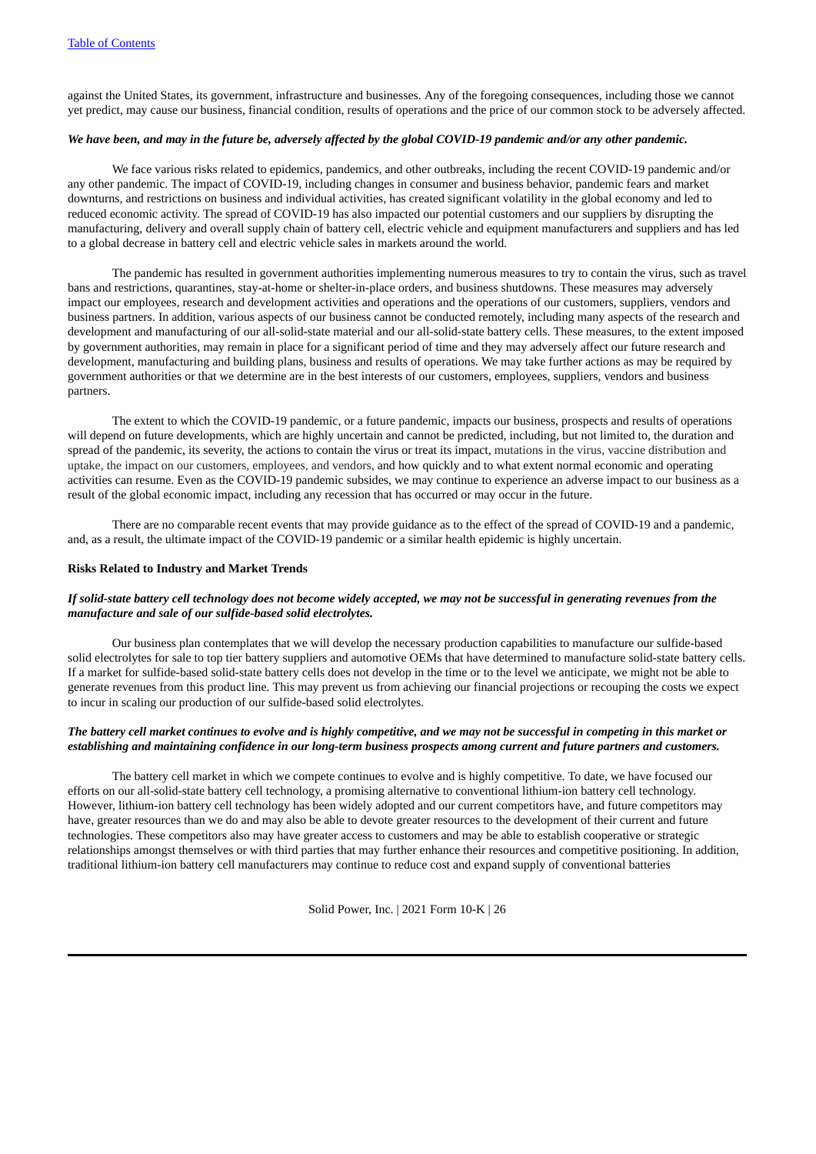against the United States, its government, infrastructure and businesses. Any of the foregoing consequences, including those we cannot yet predict, may cause our business, financial condition, results of operations and the price of our common stock to be adversely affected.

## We have been, and may in the future be, adversely affected by the global COVID-19 pandemic and/or any other pandemic.

We face various risks related to epidemics, pandemics, and other outbreaks, including the recent COVID-19 pandemic and/or any other pandemic. The impact of COVID-19, including changes in consumer and business behavior, pandemic fears and market downturns, and restrictions on business and individual activities, has created significant volatility in the global economy and led to reduced economic activity. The spread of COVID-19 has also impacted our potential customers and our suppliers by disrupting the manufacturing, delivery and overall supply chain of battery cell, electric vehicle and equipment manufacturers and suppliers and has led to a global decrease in battery cell and electric vehicle sales in markets around the world.

The pandemic has resulted in government authorities implementing numerous measures to try to contain the virus, such as travel bans and restrictions, quarantines, stay-at-home or shelter-in-place orders, and business shutdowns. These measures may adversely impact our employees, research and development activities and operations and the operations of our customers, suppliers, vendors and business partners. In addition, various aspects of our business cannot be conducted remotely, including many aspects of the research and development and manufacturing of our all-solid-state material and our all-solid-state battery cells. These measures, to the extent imposed by government authorities, may remain in place for a significant period of time and they may adversely affect our future research and development, manufacturing and building plans, business and results of operations. We may take further actions as may be required by government authorities or that we determine are in the best interests of our customers, employees, suppliers, vendors and business partners.

The extent to which the COVID-19 pandemic, or a future pandemic, impacts our business, prospects and results of operations will depend on future developments, which are highly uncertain and cannot be predicted, including, but not limited to, the duration and spread of the pandemic, its severity, the actions to contain the virus or treat its impact, mutations in the virus, vaccine distribution and uptake, the impact on our customers, employees, and vendors, and how quickly and to what extent normal economic and operating activities can resume. Even as the COVID-19 pandemic subsides, we may continue to experience an adverse impact to our business as a result of the global economic impact, including any recession that has occurred or may occur in the future.

There are no comparable recent events that may provide guidance as to the effect of the spread of COVID-19 and a pandemic, and, as a result, the ultimate impact of the COVID-19 pandemic or a similar health epidemic is highly uncertain.

### **Risks Related to Industry and Market Trends**

## If solid-state battery cell technology does not become widely accepted, we may not be successful in generating revenues from the *manufacture and sale of our sulfide-based solid electrolytes.*

Our business plan contemplates that we will develop the necessary production capabilities to manufacture our sulfide-based solid electrolytes for sale to top tier battery suppliers and automotive OEMs that have determined to manufacture solid-state battery cells. If a market for sulfide-based solid-state battery cells does not develop in the time or to the level we anticipate, we might not be able to generate revenues from this product line. This may prevent us from achieving our financial projections or recouping the costs we expect to incur in scaling our production of our sulfide-based solid electrolytes.

## The battery cell market continues to evolve and is highly competitive, and we may not be successful in competing in this market or establishing and maintaining confidence in our long-term business prospects among current and future partners and customers.

The battery cell market in which we compete continues to evolve and is highly competitive. To date, we have focused our efforts on our all-solid-state battery cell technology, a promising alternative to conventional lithium-ion battery cell technology. However, lithium-ion battery cell technology has been widely adopted and our current competitors have, and future competitors may have, greater resources than we do and may also be able to devote greater resources to the development of their current and future technologies. These competitors also may have greater access to customers and may be able to establish cooperative or strategic relationships amongst themselves or with third parties that may further enhance their resources and competitive positioning. In addition, traditional lithium-ion battery cell manufacturers may continue to reduce cost and expand supply of conventional batteries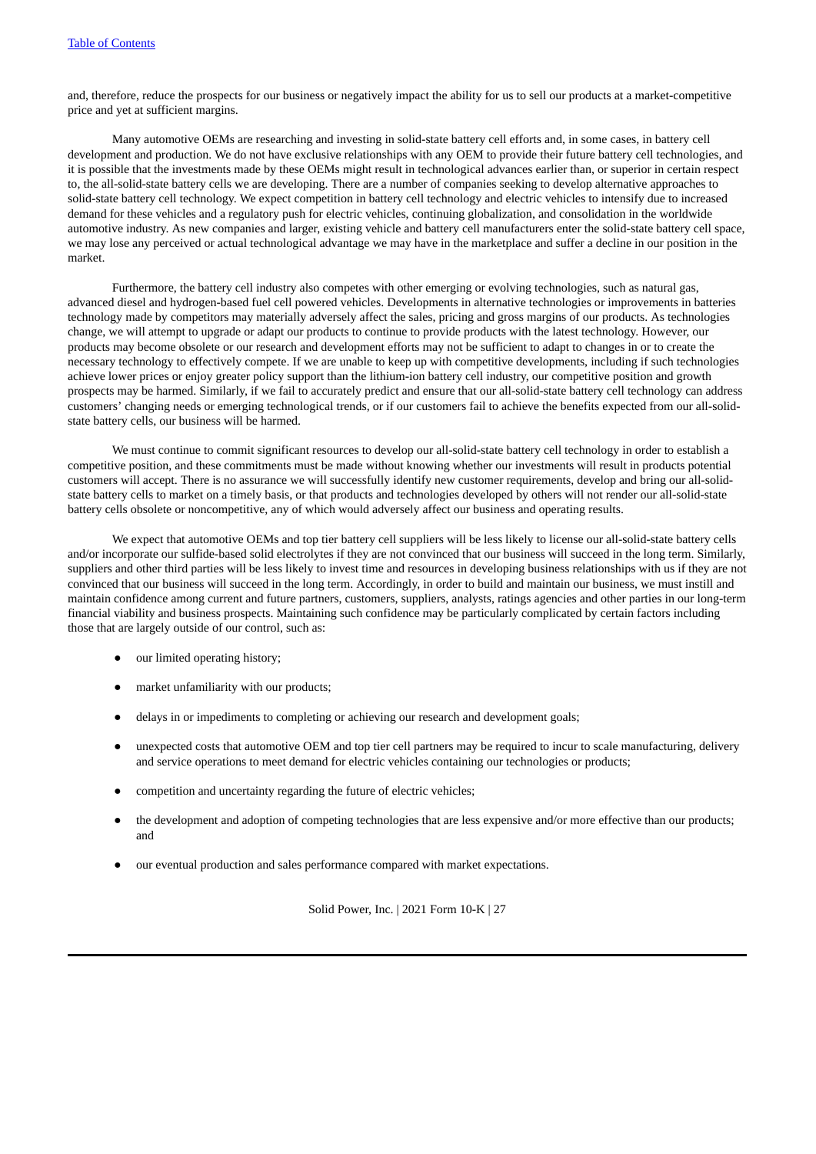and, therefore, reduce the prospects for our business or negatively impact the ability for us to sell our products at a market-competitive price and yet at sufficient margins.

Many automotive OEMs are researching and investing in solid-state battery cell efforts and, in some cases, in battery cell development and production. We do not have exclusive relationships with any OEM to provide their future battery cell technologies, and it is possible that the investments made by these OEMs might result in technological advances earlier than, or superior in certain respect to, the all-solid-state battery cells we are developing. There are a number of companies seeking to develop alternative approaches to solid-state battery cell technology. We expect competition in battery cell technology and electric vehicles to intensify due to increased demand for these vehicles and a regulatory push for electric vehicles, continuing globalization, and consolidation in the worldwide automotive industry. As new companies and larger, existing vehicle and battery cell manufacturers enter the solid-state battery cell space, we may lose any perceived or actual technological advantage we may have in the marketplace and suffer a decline in our position in the market.

Furthermore, the battery cell industry also competes with other emerging or evolving technologies, such as natural gas, advanced diesel and hydrogen-based fuel cell powered vehicles. Developments in alternative technologies or improvements in batteries technology made by competitors may materially adversely affect the sales, pricing and gross margins of our products. As technologies change, we will attempt to upgrade or adapt our products to continue to provide products with the latest technology. However, our products may become obsolete or our research and development efforts may not be sufficient to adapt to changes in or to create the necessary technology to effectively compete. If we are unable to keep up with competitive developments, including if such technologies achieve lower prices or enjoy greater policy support than the lithium-ion battery cell industry, our competitive position and growth prospects may be harmed. Similarly, if we fail to accurately predict and ensure that our all-solid-state battery cell technology can address customers' changing needs or emerging technological trends, or if our customers fail to achieve the benefits expected from our all-solidstate battery cells, our business will be harmed.

We must continue to commit significant resources to develop our all-solid-state battery cell technology in order to establish a competitive position, and these commitments must be made without knowing whether our investments will result in products potential customers will accept. There is no assurance we will successfully identify new customer requirements, develop and bring our all-solidstate battery cells to market on a timely basis, or that products and technologies developed by others will not render our all-solid-state battery cells obsolete or noncompetitive, any of which would adversely affect our business and operating results.

We expect that automotive OEMs and top tier battery cell suppliers will be less likely to license our all-solid-state battery cells and/or incorporate our sulfide-based solid electrolytes if they are not convinced that our business will succeed in the long term. Similarly, suppliers and other third parties will be less likely to invest time and resources in developing business relationships with us if they are not convinced that our business will succeed in the long term. Accordingly, in order to build and maintain our business, we must instill and maintain confidence among current and future partners, customers, suppliers, analysts, ratings agencies and other parties in our long-term financial viability and business prospects. Maintaining such confidence may be particularly complicated by certain factors including those that are largely outside of our control, such as:

- our limited operating history;
- market unfamiliarity with our products;
- delays in or impediments to completing or achieving our research and development goals;
- unexpected costs that automotive OEM and top tier cell partners may be required to incur to scale manufacturing, delivery and service operations to meet demand for electric vehicles containing our technologies or products;
- competition and uncertainty regarding the future of electric vehicles;
- the development and adoption of competing technologies that are less expensive and/or more effective than our products; and
- our eventual production and sales performance compared with market expectations.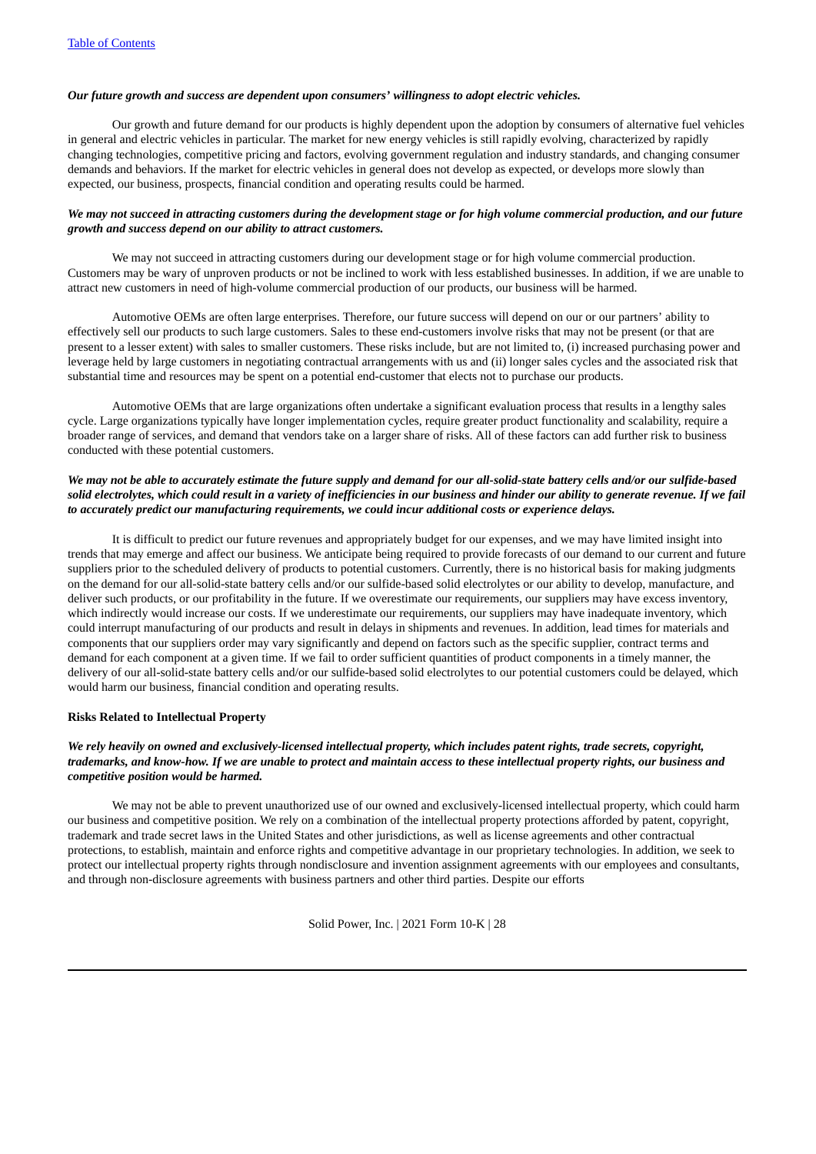### *Our future growth and success are dependent upon consumers' willingness to adopt electric vehicles.*

Our growth and future demand for our products is highly dependent upon the adoption by consumers of alternative fuel vehicles in general and electric vehicles in particular. The market for new energy vehicles is still rapidly evolving, characterized by rapidly changing technologies, competitive pricing and factors, evolving government regulation and industry standards, and changing consumer demands and behaviors. If the market for electric vehicles in general does not develop as expected, or develops more slowly than expected, our business, prospects, financial condition and operating results could be harmed.

### We may not succeed in attracting customers during the development stage or for high volume commercial production, and our future *growth and success depend on our ability to attract customers.*

We may not succeed in attracting customers during our development stage or for high volume commercial production. Customers may be wary of unproven products or not be inclined to work with less established businesses. In addition, if we are unable to attract new customers in need of high-volume commercial production of our products, our business will be harmed.

Automotive OEMs are often large enterprises. Therefore, our future success will depend on our or our partners' ability to effectively sell our products to such large customers. Sales to these end-customers involve risks that may not be present (or that are present to a lesser extent) with sales to smaller customers. These risks include, but are not limited to, (i) increased purchasing power and leverage held by large customers in negotiating contractual arrangements with us and (ii) longer sales cycles and the associated risk that substantial time and resources may be spent on a potential end-customer that elects not to purchase our products.

Automotive OEMs that are large organizations often undertake a significant evaluation process that results in a lengthy sales cycle. Large organizations typically have longer implementation cycles, require greater product functionality and scalability, require a broader range of services, and demand that vendors take on a larger share of risks. All of these factors can add further risk to business conducted with these potential customers.

## We may not be able to accurately estimate the future supply and demand for our all-solid-state battery cells and/or our sulfide-based solid electrolytes, which could result in a variety of inefficiencies in our business and hinder our ability to generate revenue. If we fail *to accurately predict our manufacturing requirements, we could incur additional costs or experience delays.*

It is difficult to predict our future revenues and appropriately budget for our expenses, and we may have limited insight into trends that may emerge and affect our business. We anticipate being required to provide forecasts of our demand to our current and future suppliers prior to the scheduled delivery of products to potential customers. Currently, there is no historical basis for making judgments on the demand for our all-solid-state battery cells and/or our sulfide-based solid electrolytes or our ability to develop, manufacture, and deliver such products, or our profitability in the future. If we overestimate our requirements, our suppliers may have excess inventory, which indirectly would increase our costs. If we underestimate our requirements, our suppliers may have inadequate inventory, which could interrupt manufacturing of our products and result in delays in shipments and revenues. In addition, lead times for materials and components that our suppliers order may vary significantly and depend on factors such as the specific supplier, contract terms and demand for each component at a given time. If we fail to order sufficient quantities of product components in a timely manner, the delivery of our all-solid-state battery cells and/or our sulfide-based solid electrolytes to our potential customers could be delayed, which would harm our business, financial condition and operating results.

# **Risks Related to Intellectual Property**

### We rely heavily on owned and exclusively-licensed intellectual property, which includes patent rights, trade secrets, copyright, trademarks, and know-how. If we are unable to protect and maintain access to these intellectual property rights, our business and *competitive position would be harmed.*

We may not be able to prevent unauthorized use of our owned and exclusively-licensed intellectual property, which could harm our business and competitive position. We rely on a combination of the intellectual property protections afforded by patent, copyright, trademark and trade secret laws in the United States and other jurisdictions, as well as license agreements and other contractual protections, to establish, maintain and enforce rights and competitive advantage in our proprietary technologies. In addition, we seek to protect our intellectual property rights through nondisclosure and invention assignment agreements with our employees and consultants, and through non-disclosure agreements with business partners and other third parties. Despite our efforts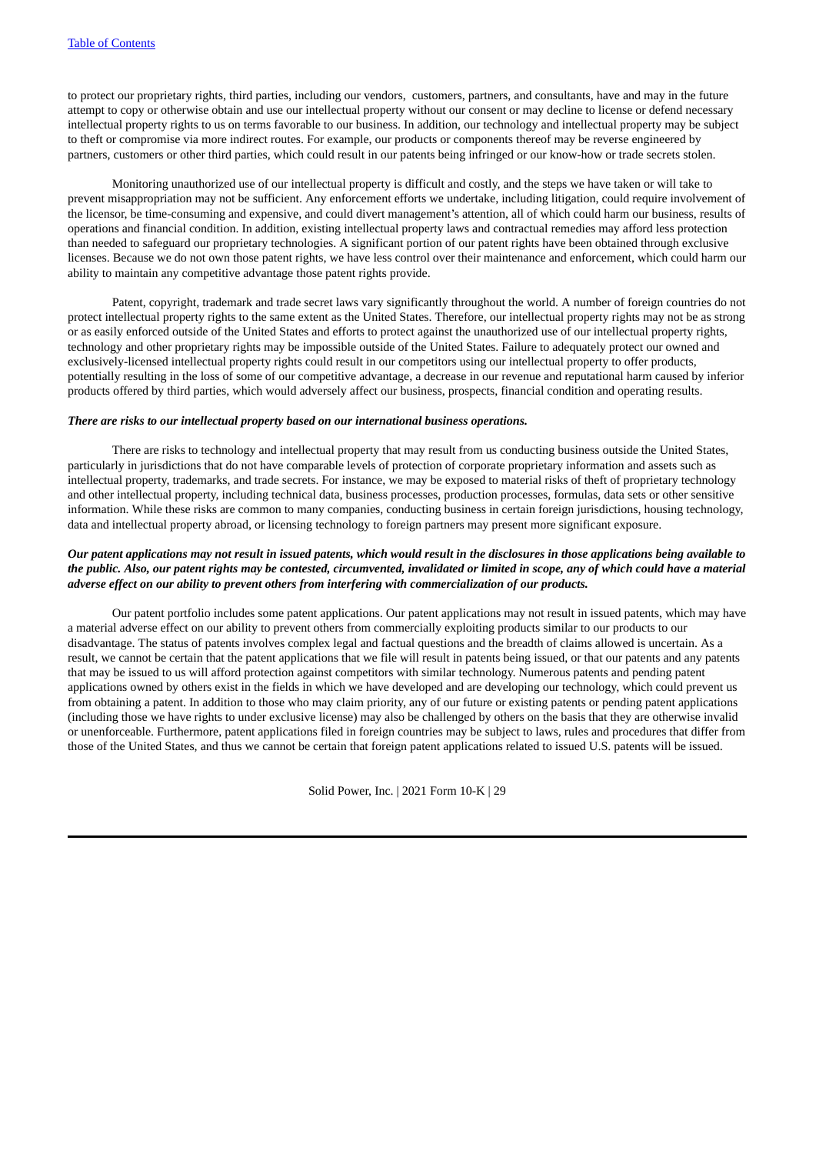to protect our proprietary rights, third parties, including our vendors, customers, partners, and consultants, have and may in the future attempt to copy or otherwise obtain and use our intellectual property without our consent or may decline to license or defend necessary intellectual property rights to us on terms favorable to our business. In addition, our technology and intellectual property may be subject to theft or compromise via more indirect routes. For example, our products or components thereof may be reverse engineered by partners, customers or other third parties, which could result in our patents being infringed or our know-how or trade secrets stolen.

Monitoring unauthorized use of our intellectual property is difficult and costly, and the steps we have taken or will take to prevent misappropriation may not be sufficient. Any enforcement efforts we undertake, including litigation, could require involvement of the licensor, be time-consuming and expensive, and could divert management's attention, all of which could harm our business, results of operations and financial condition. In addition, existing intellectual property laws and contractual remedies may afford less protection than needed to safeguard our proprietary technologies. A significant portion of our patent rights have been obtained through exclusive licenses. Because we do not own those patent rights, we have less control over their maintenance and enforcement, which could harm our ability to maintain any competitive advantage those patent rights provide.

Patent, copyright, trademark and trade secret laws vary significantly throughout the world. A number of foreign countries do not protect intellectual property rights to the same extent as the United States. Therefore, our intellectual property rights may not be as strong or as easily enforced outside of the United States and efforts to protect against the unauthorized use of our intellectual property rights, technology and other proprietary rights may be impossible outside of the United States. Failure to adequately protect our owned and exclusively-licensed intellectual property rights could result in our competitors using our intellectual property to offer products, potentially resulting in the loss of some of our competitive advantage, a decrease in our revenue and reputational harm caused by inferior products offered by third parties, which would adversely affect our business, prospects, financial condition and operating results.

#### *There are risks to our intellectual property based on our international business operations.*

There are risks to technology and intellectual property that may result from us conducting business outside the United States, particularly in jurisdictions that do not have comparable levels of protection of corporate proprietary information and assets such as intellectual property, trademarks, and trade secrets. For instance, we may be exposed to material risks of theft of proprietary technology and other intellectual property, including technical data, business processes, production processes, formulas, data sets or other sensitive information. While these risks are common to many companies, conducting business in certain foreign jurisdictions, housing technology, data and intellectual property abroad, or licensing technology to foreign partners may present more significant exposure.

## Our patent applications may not result in issued patents, which would result in the disclosures in those applications being available to the public. Also, our patent rights may be contested, circumvented, invalidated or limited in scope, any of which could have a material *adverse effect on our ability to prevent others from interfering with commercialization of our products.*

Our patent portfolio includes some patent applications. Our patent applications may not result in issued patents, which may have a material adverse effect on our ability to prevent others from commercially exploiting products similar to our products to our disadvantage. The status of patents involves complex legal and factual questions and the breadth of claims allowed is uncertain. As a result, we cannot be certain that the patent applications that we file will result in patents being issued, or that our patents and any patents that may be issued to us will afford protection against competitors with similar technology. Numerous patents and pending patent applications owned by others exist in the fields in which we have developed and are developing our technology, which could prevent us from obtaining a patent. In addition to those who may claim priority, any of our future or existing patents or pending patent applications (including those we have rights to under exclusive license) may also be challenged by others on the basis that they are otherwise invalid or unenforceable. Furthermore, patent applications filed in foreign countries may be subject to laws, rules and procedures that differ from those of the United States, and thus we cannot be certain that foreign patent applications related to issued U.S. patents will be issued.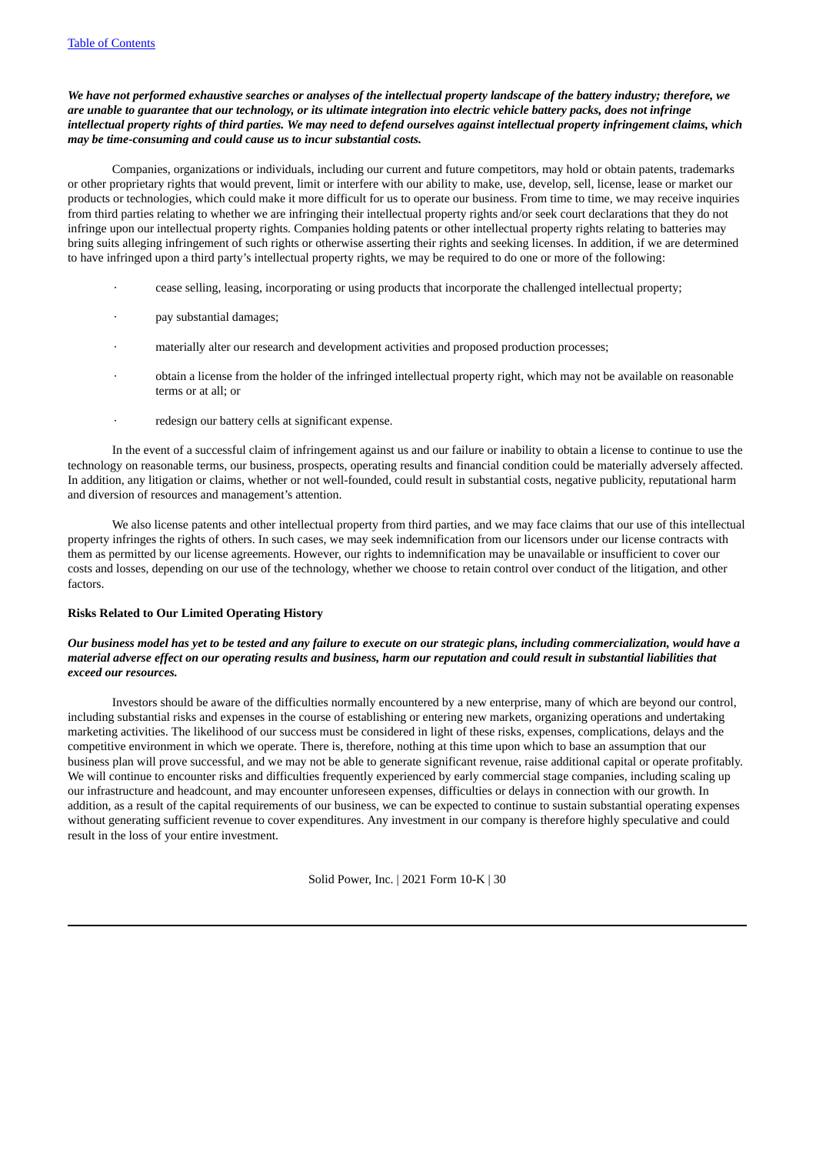## We have not performed exhaustive searches or analyses of the intellectual property landscape of the battery industry; therefore, we are unable to guarantee that our technology, or its ultimate integration into electric vehicle battery packs, does not infringe intellectual property rights of third parties. We may need to defend ourselves against intellectual property infringement claims, which *may be time-consuming and could cause us to incur substantial costs.*

Companies, organizations or individuals, including our current and future competitors, may hold or obtain patents, trademarks or other proprietary rights that would prevent, limit or interfere with our ability to make, use, develop, sell, license, lease or market our products or technologies, which could make it more difficult for us to operate our business. From time to time, we may receive inquiries from third parties relating to whether we are infringing their intellectual property rights and/or seek court declarations that they do not infringe upon our intellectual property rights. Companies holding patents or other intellectual property rights relating to batteries may bring suits alleging infringement of such rights or otherwise asserting their rights and seeking licenses. In addition, if we are determined to have infringed upon a third party's intellectual property rights, we may be required to do one or more of the following:

- · cease selling, leasing, incorporating or using products that incorporate the challenged intellectual property;
- pay substantial damages;
- materially alter our research and development activities and proposed production processes;
- · obtain a license from the holder of the infringed intellectual property right, which may not be available on reasonable terms or at all; or
- redesign our battery cells at significant expense.

In the event of a successful claim of infringement against us and our failure or inability to obtain a license to continue to use the technology on reasonable terms, our business, prospects, operating results and financial condition could be materially adversely affected. In addition, any litigation or claims, whether or not well-founded, could result in substantial costs, negative publicity, reputational harm and diversion of resources and management's attention.

We also license patents and other intellectual property from third parties, and we may face claims that our use of this intellectual property infringes the rights of others. In such cases, we may seek indemnification from our licensors under our license contracts with them as permitted by our license agreements. However, our rights to indemnification may be unavailable or insufficient to cover our costs and losses, depending on our use of the technology, whether we choose to retain control over conduct of the litigation, and other factors.

### **Risks Related to Our Limited Operating History**

### Our business model has yet to be tested and any failure to execute on our strategic plans, including commercialization, would have a material adverse effect on our operating results and business, harm our reputation and could result in substantial liabilities that *exceed our resources.*

Investors should be aware of the difficulties normally encountered by a new enterprise, many of which are beyond our control, including substantial risks and expenses in the course of establishing or entering new markets, organizing operations and undertaking marketing activities. The likelihood of our success must be considered in light of these risks, expenses, complications, delays and the competitive environment in which we operate. There is, therefore, nothing at this time upon which to base an assumption that our business plan will prove successful, and we may not be able to generate significant revenue, raise additional capital or operate profitably. We will continue to encounter risks and difficulties frequently experienced by early commercial stage companies, including scaling up our infrastructure and headcount, and may encounter unforeseen expenses, difficulties or delays in connection with our growth. In addition, as a result of the capital requirements of our business, we can be expected to continue to sustain substantial operating expenses without generating sufficient revenue to cover expenditures. Any investment in our company is therefore highly speculative and could result in the loss of your entire investment.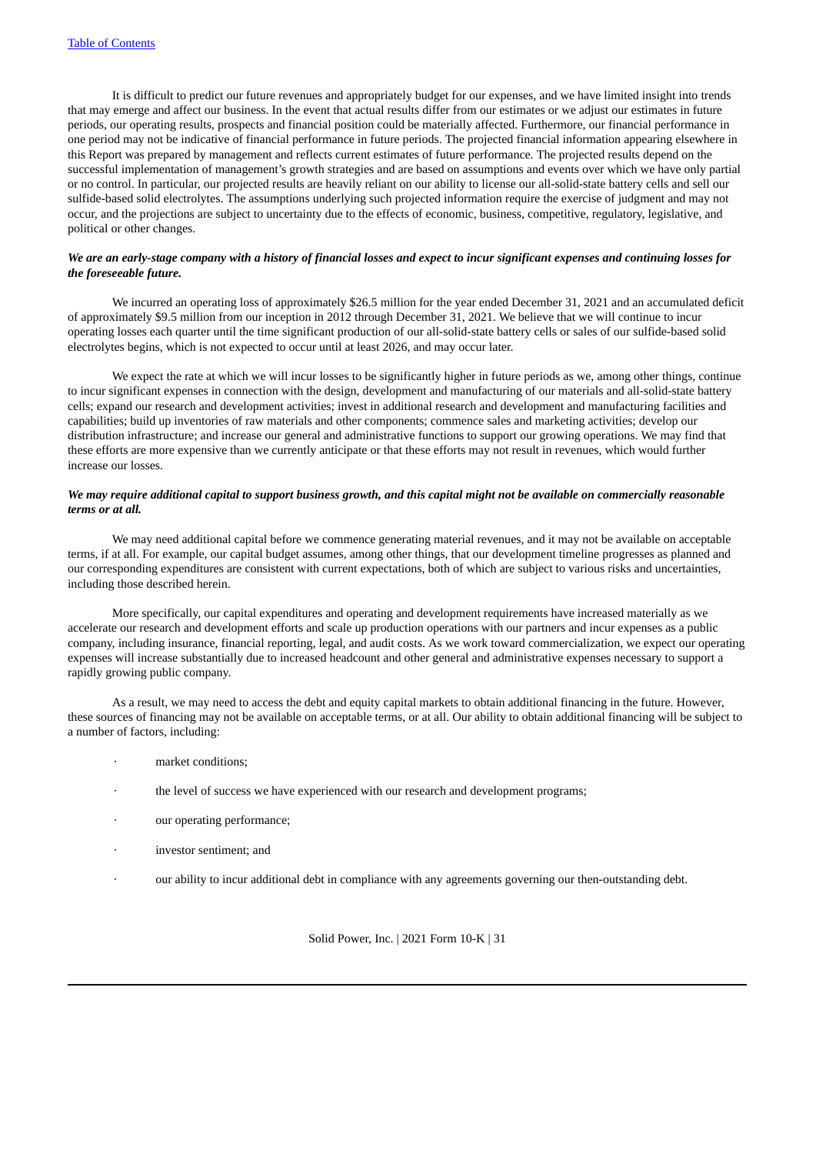It is difficult to predict our future revenues and appropriately budget for our expenses, and we have limited insight into trends that may emerge and affect our business. In the event that actual results differ from our estimates or we adjust our estimates in future periods, our operating results, prospects and financial position could be materially affected. Furthermore, our financial performance in one period may not be indicative of financial performance in future periods. The projected financial information appearing elsewhere in this Report was prepared by management and reflects current estimates of future performance. The projected results depend on the successful implementation of management's growth strategies and are based on assumptions and events over which we have only partial or no control. In particular, our projected results are heavily reliant on our ability to license our all-solid-state battery cells and sell our sulfide-based solid electrolytes. The assumptions underlying such projected information require the exercise of judgment and may not occur, and the projections are subject to uncertainty due to the effects of economic, business, competitive, regulatory, legislative, and political or other changes.

## We are an early-stage company with a history of financial losses and expect to incur significant expenses and continuing losses for *the foreseeable future.*

We incurred an operating loss of approximately \$26.5 million for the year ended December 31, 2021 and an accumulated deficit of approximately \$9.5 million from our inception in 2012 through December 31, 2021. We believe that we will continue to incur operating losses each quarter until the time significant production of our all-solid-state battery cells or sales of our sulfide-based solid electrolytes begins, which is not expected to occur until at least 2026, and may occur later.

We expect the rate at which we will incur losses to be significantly higher in future periods as we, among other things, continue to incur significant expenses in connection with the design, development and manufacturing of our materials and all-solid-state battery cells; expand our research and development activities; invest in additional research and development and manufacturing facilities and capabilities; build up inventories of raw materials and other components; commence sales and marketing activities; develop our distribution infrastructure; and increase our general and administrative functions to support our growing operations. We may find that these efforts are more expensive than we currently anticipate or that these efforts may not result in revenues, which would further increase our losses.

#### We may require additional capital to support business growth, and this capital might not be available on commercially reasonable *terms or at all.*

We may need additional capital before we commence generating material revenues, and it may not be available on acceptable terms, if at all. For example, our capital budget assumes, among other things, that our development timeline progresses as planned and our corresponding expenditures are consistent with current expectations, both of which are subject to various risks and uncertainties, including those described herein.

More specifically, our capital expenditures and operating and development requirements have increased materially as we accelerate our research and development efforts and scale up production operations with our partners and incur expenses as a public company, including insurance, financial reporting, legal, and audit costs. As we work toward commercialization, we expect our operating expenses will increase substantially due to increased headcount and other general and administrative expenses necessary to support a rapidly growing public company.

As a result, we may need to access the debt and equity capital markets to obtain additional financing in the future. However, these sources of financing may not be available on acceptable terms, or at all. Our ability to obtain additional financing will be subject to a number of factors, including:

- market conditions;
- the level of success we have experienced with our research and development programs;
- our operating performance;
- investor sentiment: and
- · our ability to incur additional debt in compliance with any agreements governing our then-outstanding debt.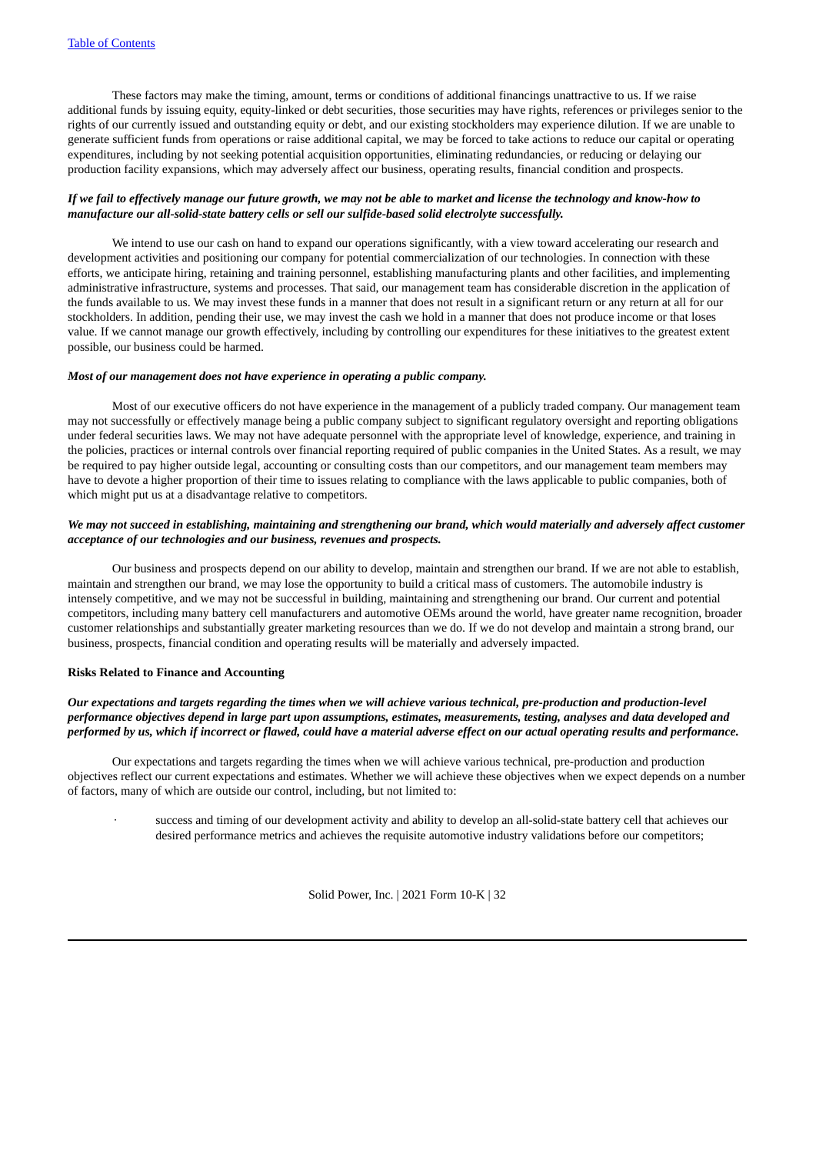These factors may make the timing, amount, terms or conditions of additional financings unattractive to us. If we raise additional funds by issuing equity, equity-linked or debt securities, those securities may have rights, references or privileges senior to the rights of our currently issued and outstanding equity or debt, and our existing stockholders may experience dilution. If we are unable to generate sufficient funds from operations or raise additional capital, we may be forced to take actions to reduce our capital or operating expenditures, including by not seeking potential acquisition opportunities, eliminating redundancies, or reducing or delaying our production facility expansions, which may adversely affect our business, operating results, financial condition and prospects.

### If we fail to effectively manage our future growth, we may not be able to market and license the technology and know-how to *manufacture our all-solid-state battery cells or sell our sulfide-based solid electrolyte successfully.*

We intend to use our cash on hand to expand our operations significantly, with a view toward accelerating our research and development activities and positioning our company for potential commercialization of our technologies. In connection with these efforts, we anticipate hiring, retaining and training personnel, establishing manufacturing plants and other facilities, and implementing administrative infrastructure, systems and processes. That said, our management team has considerable discretion in the application of the funds available to us. We may invest these funds in a manner that does not result in a significant return or any return at all for our stockholders. In addition, pending their use, we may invest the cash we hold in a manner that does not produce income or that loses value. If we cannot manage our growth effectively, including by controlling our expenditures for these initiatives to the greatest extent possible, our business could be harmed.

#### *Most of our management does not have experience in operating a public company.*

Most of our executive officers do not have experience in the management of a publicly traded company. Our management team may not successfully or effectively manage being a public company subject to significant regulatory oversight and reporting obligations under federal securities laws. We may not have adequate personnel with the appropriate level of knowledge, experience, and training in the policies, practices or internal controls over financial reporting required of public companies in the United States. As a result, we may be required to pay higher outside legal, accounting or consulting costs than our competitors, and our management team members may have to devote a higher proportion of their time to issues relating to compliance with the laws applicable to public companies, both of which might put us at a disadvantage relative to competitors.

## We may not succeed in establishing, maintaining and strengthening our brand, which would materially and adversely affect customer *acceptance of our technologies and our business, revenues and prospects.*

Our business and prospects depend on our ability to develop, maintain and strengthen our brand. If we are not able to establish, maintain and strengthen our brand, we may lose the opportunity to build a critical mass of customers. The automobile industry is intensely competitive, and we may not be successful in building, maintaining and strengthening our brand. Our current and potential competitors, including many battery cell manufacturers and automotive OEMs around the world, have greater name recognition, broader customer relationships and substantially greater marketing resources than we do. If we do not develop and maintain a strong brand, our business, prospects, financial condition and operating results will be materially and adversely impacted.

#### **Risks Related to Finance and Accounting**

## Our expectations and targets regarding the times when we will achieve various technical, pre-production and production-level performance objectives depend in large part upon assumptions, estimates, measurements, testing, analyses and data developed and performed by us, which if incorrect or flawed, could have a material adverse effect on our actual operating results and performance.

Our expectations and targets regarding the times when we will achieve various technical, pre-production and production objectives reflect our current expectations and estimates. Whether we will achieve these objectives when we expect depends on a number of factors, many of which are outside our control, including, but not limited to:

success and timing of our development activity and ability to develop an all-solid-state battery cell that achieves our desired performance metrics and achieves the requisite automotive industry validations before our competitors;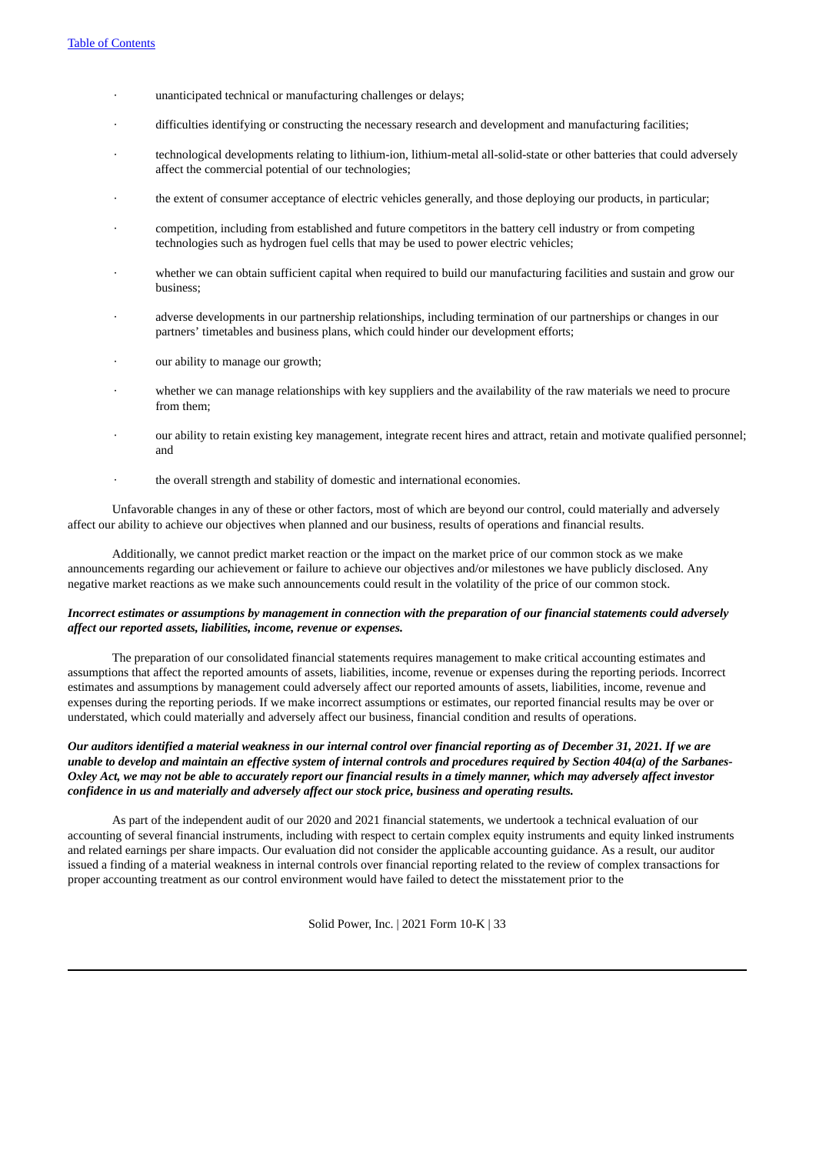- unanticipated technical or manufacturing challenges or delays;
- difficulties identifying or constructing the necessary research and development and manufacturing facilities;
- · technological developments relating to lithium-ion, lithium-metal all-solid-state or other batteries that could adversely affect the commercial potential of our technologies;
- the extent of consumer acceptance of electric vehicles generally, and those deploying our products, in particular;
- · competition, including from established and future competitors in the battery cell industry or from competing technologies such as hydrogen fuel cells that may be used to power electric vehicles;
- whether we can obtain sufficient capital when required to build our manufacturing facilities and sustain and grow our business;
- · adverse developments in our partnership relationships, including termination of our partnerships or changes in our partners' timetables and business plans, which could hinder our development efforts;
- our ability to manage our growth;
- whether we can manage relationships with key suppliers and the availability of the raw materials we need to procure from them;
- · our ability to retain existing key management, integrate recent hires and attract, retain and motivate qualified personnel; and
- the overall strength and stability of domestic and international economies.

Unfavorable changes in any of these or other factors, most of which are beyond our control, could materially and adversely affect our ability to achieve our objectives when planned and our business, results of operations and financial results.

Additionally, we cannot predict market reaction or the impact on the market price of our common stock as we make announcements regarding our achievement or failure to achieve our objectives and/or milestones we have publicly disclosed. Any negative market reactions as we make such announcements could result in the volatility of the price of our common stock.

### Incorrect estimates or assumptions by management in connection with the preparation of our financial statements could adversely *affect our reported assets, liabilities, income, revenue or expenses.*

The preparation of our consolidated financial statements requires management to make critical accounting estimates and assumptions that affect the reported amounts of assets, liabilities, income, revenue or expenses during the reporting periods. Incorrect estimates and assumptions by management could adversely affect our reported amounts of assets, liabilities, income, revenue and expenses during the reporting periods. If we make incorrect assumptions or estimates, our reported financial results may be over or understated, which could materially and adversely affect our business, financial condition and results of operations.

## Our auditors identified a material weakness in our internal control over financial reporting as of December 31, 2021. If we are unable to develop and maintain an effective system of internal controls and procedures required by Section 404(a) of the Sarbanes-Oxley Act, we may not be able to accurately report our financial results in a timely manner, which may adversely affect investor *confidence in us and materially and adversely affect our stock price, business and operating results.*

As part of the independent audit of our 2020 and 2021 financial statements, we undertook a technical evaluation of our accounting of several financial instruments, including with respect to certain complex equity instruments and equity linked instruments and related earnings per share impacts. Our evaluation did not consider the applicable accounting guidance. As a result, our auditor issued a finding of a material weakness in internal controls over financial reporting related to the review of complex transactions for proper accounting treatment as our control environment would have failed to detect the misstatement prior to the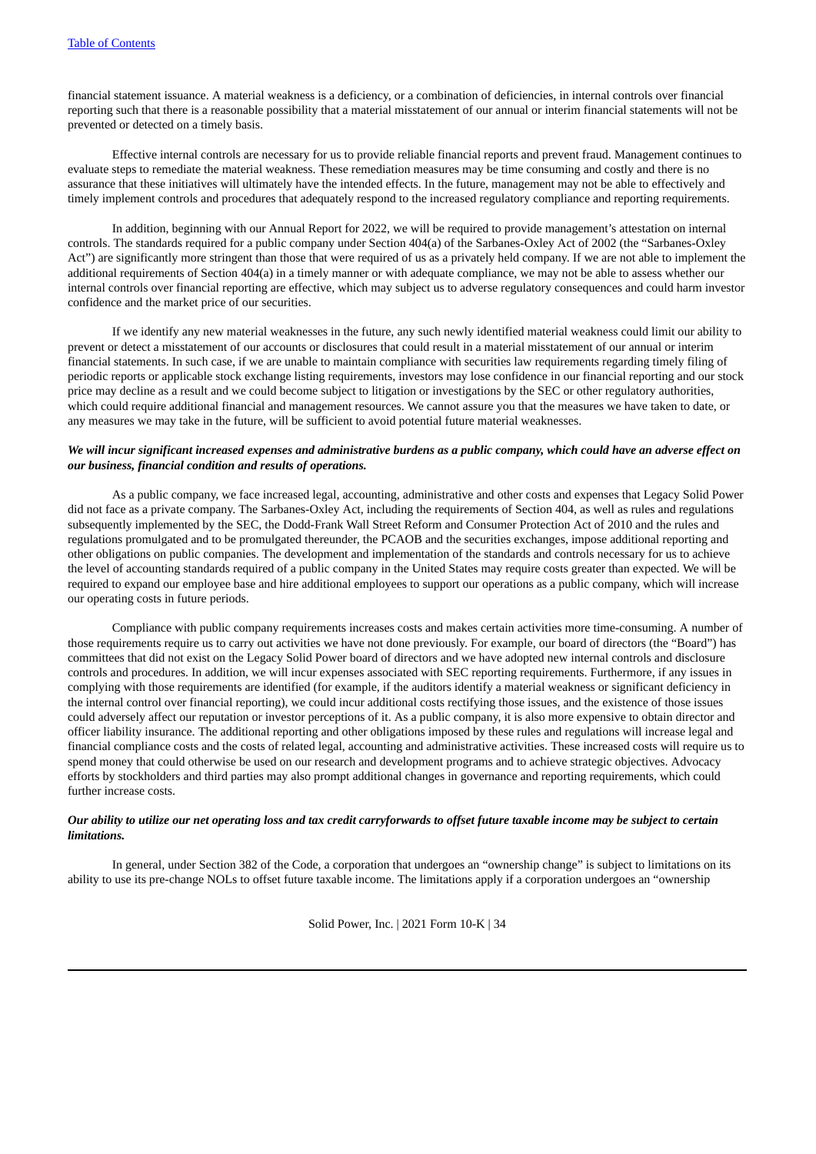financial statement issuance. A material weakness is a deficiency, or a combination of deficiencies, in internal controls over financial reporting such that there is a reasonable possibility that a material misstatement of our annual or interim financial statements will not be prevented or detected on a timely basis.

Effective internal controls are necessary for us to provide reliable financial reports and prevent fraud. Management continues to evaluate steps to remediate the material weakness. These remediation measures may be time consuming and costly and there is no assurance that these initiatives will ultimately have the intended effects. In the future, management may not be able to effectively and timely implement controls and procedures that adequately respond to the increased regulatory compliance and reporting requirements.

In addition, beginning with our Annual Report for 2022, we will be required to provide management's attestation on internal controls. The standards required for a public company under Section 404(a) of the Sarbanes-Oxley Act of 2002 (the "Sarbanes-Oxley Act") are significantly more stringent than those that were required of us as a privately held company. If we are not able to implement the additional requirements of Section 404(a) in a timely manner or with adequate compliance, we may not be able to assess whether our internal controls over financial reporting are effective, which may subject us to adverse regulatory consequences and could harm investor confidence and the market price of our securities.

If we identify any new material weaknesses in the future, any such newly identified material weakness could limit our ability to prevent or detect a misstatement of our accounts or disclosures that could result in a material misstatement of our annual or interim financial statements. In such case, if we are unable to maintain compliance with securities law requirements regarding timely filing of periodic reports or applicable stock exchange listing requirements, investors may lose confidence in our financial reporting and our stock price may decline as a result and we could become subject to litigation or investigations by the SEC or other regulatory authorities, which could require additional financial and management resources. We cannot assure you that the measures we have taken to date, or any measures we may take in the future, will be sufficient to avoid potential future material weaknesses.

## We will incur significant increased expenses and administrative burdens as a public company, which could have an adverse effect on *our business, financial condition and results of operations.*

As a public company, we face increased legal, accounting, administrative and other costs and expenses that Legacy Solid Power did not face as a private company. The Sarbanes-Oxley Act, including the requirements of Section 404, as well as rules and regulations subsequently implemented by the SEC, the Dodd-Frank Wall Street Reform and Consumer Protection Act of 2010 and the rules and regulations promulgated and to be promulgated thereunder, the PCAOB and the securities exchanges, impose additional reporting and other obligations on public companies. The development and implementation of the standards and controls necessary for us to achieve the level of accounting standards required of a public company in the United States may require costs greater than expected. We will be required to expand our employee base and hire additional employees to support our operations as a public company, which will increase our operating costs in future periods.

Compliance with public company requirements increases costs and makes certain activities more time-consuming. A number of those requirements require us to carry out activities we have not done previously. For example, our board of directors (the "Board") has committees that did not exist on the Legacy Solid Power board of directors and we have adopted new internal controls and disclosure controls and procedures. In addition, we will incur expenses associated with SEC reporting requirements. Furthermore, if any issues in complying with those requirements are identified (for example, if the auditors identify a material weakness or significant deficiency in the internal control over financial reporting), we could incur additional costs rectifying those issues, and the existence of those issues could adversely affect our reputation or investor perceptions of it. As a public company, it is also more expensive to obtain director and officer liability insurance. The additional reporting and other obligations imposed by these rules and regulations will increase legal and financial compliance costs and the costs of related legal, accounting and administrative activities. These increased costs will require us to spend money that could otherwise be used on our research and development programs and to achieve strategic objectives. Advocacy efforts by stockholders and third parties may also prompt additional changes in governance and reporting requirements, which could further increase costs.

### Our ability to utilize our net operating loss and tax credit carryforwards to offset future taxable income may be subject to certain *limitations.*

In general, under Section 382 of the Code, a corporation that undergoes an "ownership change" is subject to limitations on its ability to use its pre-change NOLs to offset future taxable income. The limitations apply if a corporation undergoes an "ownership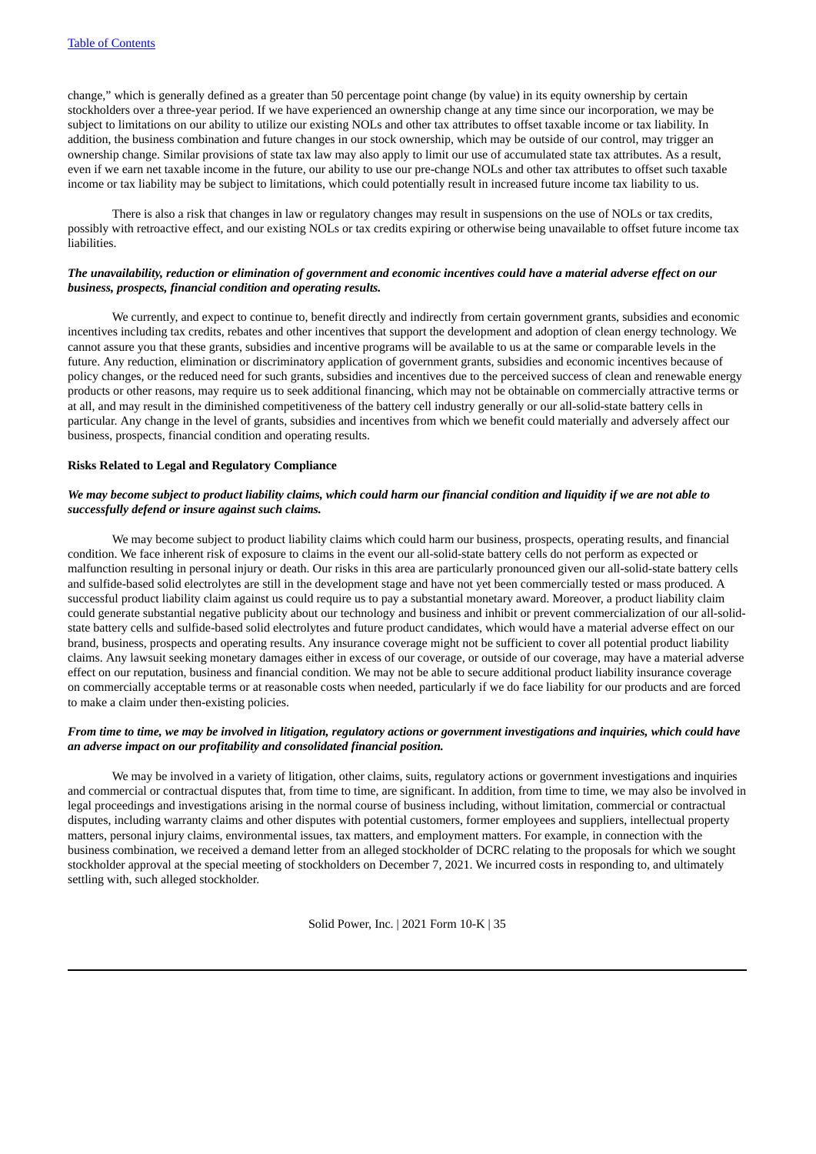change," which is generally defined as a greater than 50 percentage point change (by value) in its equity ownership by certain stockholders over a three-year period. If we have experienced an ownership change at any time since our incorporation, we may be subject to limitations on our ability to utilize our existing NOLs and other tax attributes to offset taxable income or tax liability. In addition, the business combination and future changes in our stock ownership, which may be outside of our control, may trigger an ownership change. Similar provisions of state tax law may also apply to limit our use of accumulated state tax attributes. As a result, even if we earn net taxable income in the future, our ability to use our pre-change NOLs and other tax attributes to offset such taxable income or tax liability may be subject to limitations, which could potentially result in increased future income tax liability to us.

There is also a risk that changes in law or regulatory changes may result in suspensions on the use of NOLs or tax credits, possibly with retroactive effect, and our existing NOLs or tax credits expiring or otherwise being unavailable to offset future income tax liabilities.

### The unavailability, reduction or elimination of government and economic incentives could have a material adverse effect on our *business, prospects, financial condition and operating results.*

We currently, and expect to continue to, benefit directly and indirectly from certain government grants, subsidies and economic incentives including tax credits, rebates and other incentives that support the development and adoption of clean energy technology. We cannot assure you that these grants, subsidies and incentive programs will be available to us at the same or comparable levels in the future. Any reduction, elimination or discriminatory application of government grants, subsidies and economic incentives because of policy changes, or the reduced need for such grants, subsidies and incentives due to the perceived success of clean and renewable energy products or other reasons, may require us to seek additional financing, which may not be obtainable on commercially attractive terms or at all, and may result in the diminished competitiveness of the battery cell industry generally or our all-solid-state battery cells in particular. Any change in the level of grants, subsidies and incentives from which we benefit could materially and adversely affect our business, prospects, financial condition and operating results.

#### **Risks Related to Legal and Regulatory Compliance**

### We may become subject to product liability claims, which could harm our financial condition and liquidity if we are not able to *successfully defend or insure against such claims.*

We may become subject to product liability claims which could harm our business, prospects, operating results, and financial condition. We face inherent risk of exposure to claims in the event our all-solid-state battery cells do not perform as expected or malfunction resulting in personal injury or death. Our risks in this area are particularly pronounced given our all-solid-state battery cells and sulfide-based solid electrolytes are still in the development stage and have not yet been commercially tested or mass produced. A successful product liability claim against us could require us to pay a substantial monetary award. Moreover, a product liability claim could generate substantial negative publicity about our technology and business and inhibit or prevent commercialization of our all-solidstate battery cells and sulfide-based solid electrolytes and future product candidates, which would have a material adverse effect on our brand, business, prospects and operating results. Any insurance coverage might not be sufficient to cover all potential product liability claims. Any lawsuit seeking monetary damages either in excess of our coverage, or outside of our coverage, may have a material adverse effect on our reputation, business and financial condition. We may not be able to secure additional product liability insurance coverage on commercially acceptable terms or at reasonable costs when needed, particularly if we do face liability for our products and are forced to make a claim under then-existing policies.

## From time to time, we may be involved in litigation, regulatory actions or government investigations and inquiries, which could have *an adverse impact on our profitability and consolidated financial position.*

We may be involved in a variety of litigation, other claims, suits, regulatory actions or government investigations and inquiries and commercial or contractual disputes that, from time to time, are significant. In addition, from time to time, we may also be involved in legal proceedings and investigations arising in the normal course of business including, without limitation, commercial or contractual disputes, including warranty claims and other disputes with potential customers, former employees and suppliers, intellectual property matters, personal injury claims, environmental issues, tax matters, and employment matters. For example, in connection with the business combination, we received a demand letter from an alleged stockholder of DCRC relating to the proposals for which we sought stockholder approval at the special meeting of stockholders on December 7, 2021. We incurred costs in responding to, and ultimately settling with, such alleged stockholder.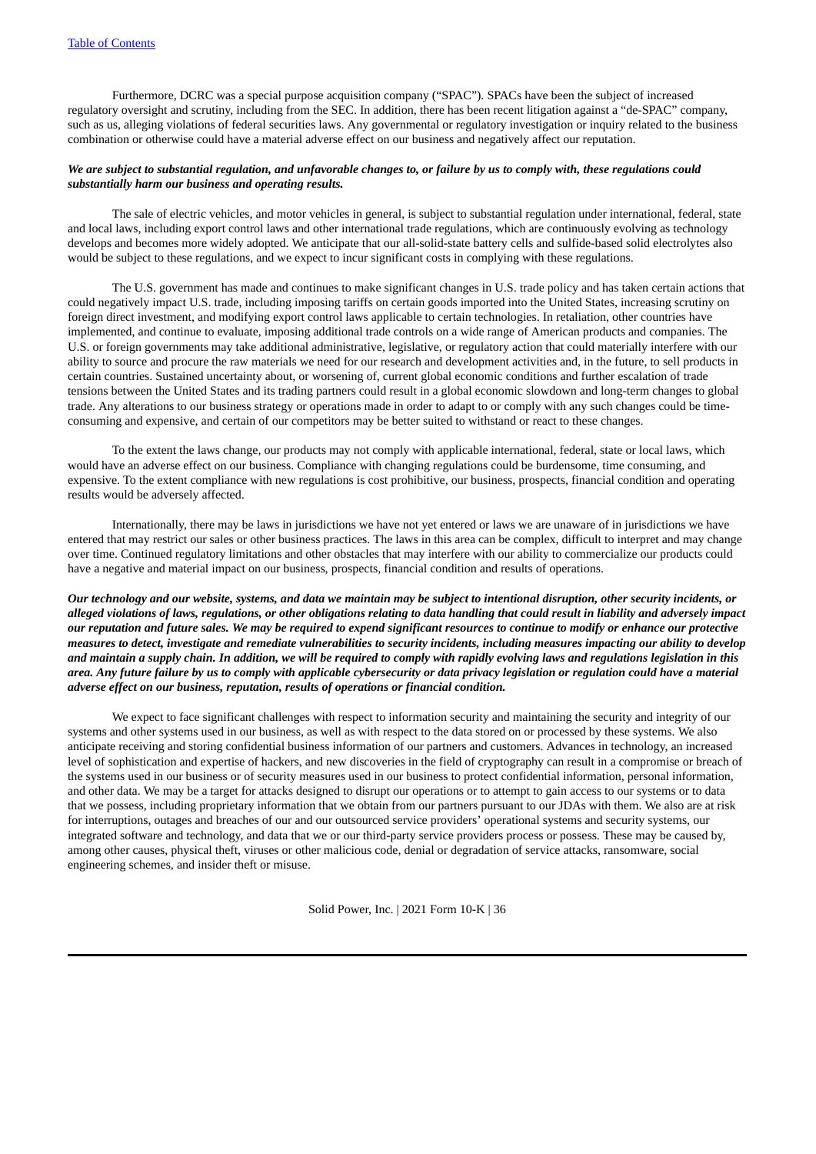Furthermore, DCRC was a special purpose acquisition company ("SPAC"). SPACs have been the subject of increased regulatory oversight and scrutiny, including from the SEC. In addition, there has been recent litigation against a "de-SPAC" company, such as us, alleging violations of federal securities laws. Any governmental or regulatory investigation or inquiry related to the business combination or otherwise could have a material adverse effect on our business and negatively affect our reputation.

### We are subject to substantial regulation, and unfavorable changes to, or failure by us to comply with, these regulations could *substantially harm our business and operating results.*

The sale of electric vehicles, and motor vehicles in general, is subject to substantial regulation under international, federal, state and local laws, including export control laws and other international trade regulations, which are continuously evolving as technology develops and becomes more widely adopted. We anticipate that our all-solid-state battery cells and sulfide-based solid electrolytes also would be subject to these regulations, and we expect to incur significant costs in complying with these regulations.

The U.S. government has made and continues to make significant changes in U.S. trade policy and has taken certain actions that could negatively impact U.S. trade, including imposing tariffs on certain goods imported into the United States, increasing scrutiny on foreign direct investment, and modifying export control laws applicable to certain technologies. In retaliation, other countries have implemented, and continue to evaluate, imposing additional trade controls on a wide range of American products and companies. The U.S. or foreign governments may take additional administrative, legislative, or regulatory action that could materially interfere with our ability to source and procure the raw materials we need for our research and development activities and, in the future, to sell products in certain countries. Sustained uncertainty about, or worsening of, current global economic conditions and further escalation of trade tensions between the United States and its trading partners could result in a global economic slowdown and long-term changes to global trade. Any alterations to our business strategy or operations made in order to adapt to or comply with any such changes could be timeconsuming and expensive, and certain of our competitors may be better suited to withstand or react to these changes.

To the extent the laws change, our products may not comply with applicable international, federal, state or local laws, which would have an adverse effect on our business. Compliance with changing regulations could be burdensome, time consuming, and expensive. To the extent compliance with new regulations is cost prohibitive, our business, prospects, financial condition and operating results would be adversely affected.

Internationally, there may be laws in jurisdictions we have not yet entered or laws we are unaware of in jurisdictions we have entered that may restrict our sales or other business practices. The laws in this area can be complex, difficult to interpret and may change over time. Continued regulatory limitations and other obstacles that may interfere with our ability to commercialize our products could have a negative and material impact on our business, prospects, financial condition and results of operations.

Our technology and our website, systems, and data we maintain may be subject to intentional disruption, other security incidents, or alleged violations of laws, regulations, or other obligations relating to data handling that could result in liability and adversely impact our reputation and future sales. We may be required to expend significant resources to continue to modify or enhance our protective measures to detect, investigate and remediate vulnerabilities to security incidents, including measures impacting our ability to develop and maintain a supply chain. In addition, we will be required to comply with rapidly evolving laws and requlations legislation in this area. Any future failure by us to comply with applicable cybersecurity or data privacy legislation or regulation could have a material *adverse effect on our business, reputation, results of operations or financial condition.*

We expect to face significant challenges with respect to information security and maintaining the security and integrity of our systems and other systems used in our business, as well as with respect to the data stored on or processed by these systems. We also anticipate receiving and storing confidential business information of our partners and customers. Advances in technology, an increased level of sophistication and expertise of hackers, and new discoveries in the field of cryptography can result in a compromise or breach of the systems used in our business or of security measures used in our business to protect confidential information, personal information, and other data. We may be a target for attacks designed to disrupt our operations or to attempt to gain access to our systems or to data that we possess, including proprietary information that we obtain from our partners pursuant to our JDAs with them. We also are at risk for interruptions, outages and breaches of our and our outsourced service providers' operational systems and security systems, our integrated software and technology, and data that we or our third-party service providers process or possess. These may be caused by, among other causes, physical theft, viruses or other malicious code, denial or degradation of service attacks, ransomware, social engineering schemes, and insider theft or misuse.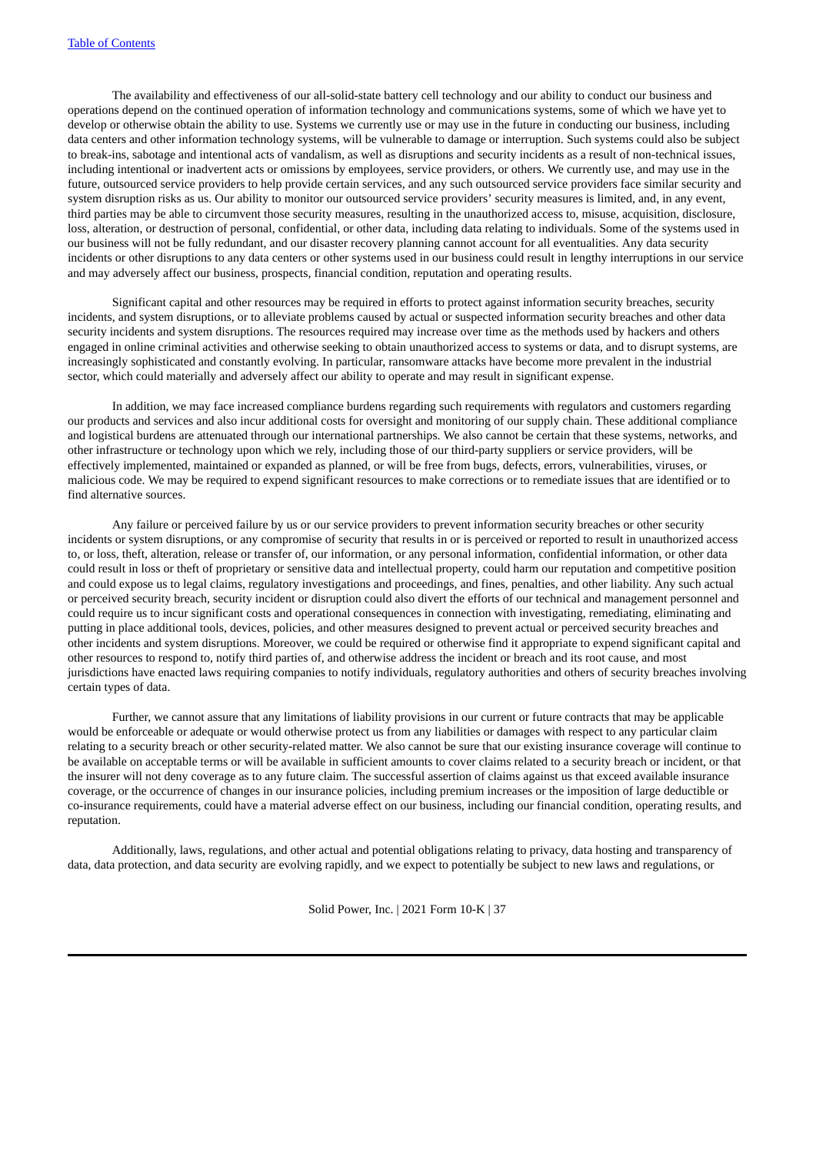The availability and effectiveness of our all-solid-state battery cell technology and our ability to conduct our business and operations depend on the continued operation of information technology and communications systems, some of which we have yet to develop or otherwise obtain the ability to use. Systems we currently use or may use in the future in conducting our business, including data centers and other information technology systems, will be vulnerable to damage or interruption. Such systems could also be subject to break-ins, sabotage and intentional acts of vandalism, as well as disruptions and security incidents as a result of non-technical issues, including intentional or inadvertent acts or omissions by employees, service providers, or others. We currently use, and may use in the future, outsourced service providers to help provide certain services, and any such outsourced service providers face similar security and system disruption risks as us. Our ability to monitor our outsourced service providers' security measures is limited, and, in any event, third parties may be able to circumvent those security measures, resulting in the unauthorized access to, misuse, acquisition, disclosure, loss, alteration, or destruction of personal, confidential, or other data, including data relating to individuals. Some of the systems used in our business will not be fully redundant, and our disaster recovery planning cannot account for all eventualities. Any data security incidents or other disruptions to any data centers or other systems used in our business could result in lengthy interruptions in our service and may adversely affect our business, prospects, financial condition, reputation and operating results.

Significant capital and other resources may be required in efforts to protect against information security breaches, security incidents, and system disruptions, or to alleviate problems caused by actual or suspected information security breaches and other data security incidents and system disruptions. The resources required may increase over time as the methods used by hackers and others engaged in online criminal activities and otherwise seeking to obtain unauthorized access to systems or data, and to disrupt systems, are increasingly sophisticated and constantly evolving. In particular, ransomware attacks have become more prevalent in the industrial sector, which could materially and adversely affect our ability to operate and may result in significant expense.

In addition, we may face increased compliance burdens regarding such requirements with regulators and customers regarding our products and services and also incur additional costs for oversight and monitoring of our supply chain. These additional compliance and logistical burdens are attenuated through our international partnerships. We also cannot be certain that these systems, networks, and other infrastructure or technology upon which we rely, including those of our third-party suppliers or service providers, will be effectively implemented, maintained or expanded as planned, or will be free from bugs, defects, errors, vulnerabilities, viruses, or malicious code. We may be required to expend significant resources to make corrections or to remediate issues that are identified or to find alternative sources.

Any failure or perceived failure by us or our service providers to prevent information security breaches or other security incidents or system disruptions, or any compromise of security that results in or is perceived or reported to result in unauthorized access to, or loss, theft, alteration, release or transfer of, our information, or any personal information, confidential information, or other data could result in loss or theft of proprietary or sensitive data and intellectual property, could harm our reputation and competitive position and could expose us to legal claims, regulatory investigations and proceedings, and fines, penalties, and other liability. Any such actual or perceived security breach, security incident or disruption could also divert the efforts of our technical and management personnel and could require us to incur significant costs and operational consequences in connection with investigating, remediating, eliminating and putting in place additional tools, devices, policies, and other measures designed to prevent actual or perceived security breaches and other incidents and system disruptions. Moreover, we could be required or otherwise find it appropriate to expend significant capital and other resources to respond to, notify third parties of, and otherwise address the incident or breach and its root cause, and most jurisdictions have enacted laws requiring companies to notify individuals, regulatory authorities and others of security breaches involving certain types of data.

Further, we cannot assure that any limitations of liability provisions in our current or future contracts that may be applicable would be enforceable or adequate or would otherwise protect us from any liabilities or damages with respect to any particular claim relating to a security breach or other security-related matter. We also cannot be sure that our existing insurance coverage will continue to be available on acceptable terms or will be available in sufficient amounts to cover claims related to a security breach or incident, or that the insurer will not deny coverage as to any future claim. The successful assertion of claims against us that exceed available insurance coverage, or the occurrence of changes in our insurance policies, including premium increases or the imposition of large deductible or co-insurance requirements, could have a material adverse effect on our business, including our financial condition, operating results, and reputation.

Additionally, laws, regulations, and other actual and potential obligations relating to privacy, data hosting and transparency of data, data protection, and data security are evolving rapidly, and we expect to potentially be subject to new laws and regulations, or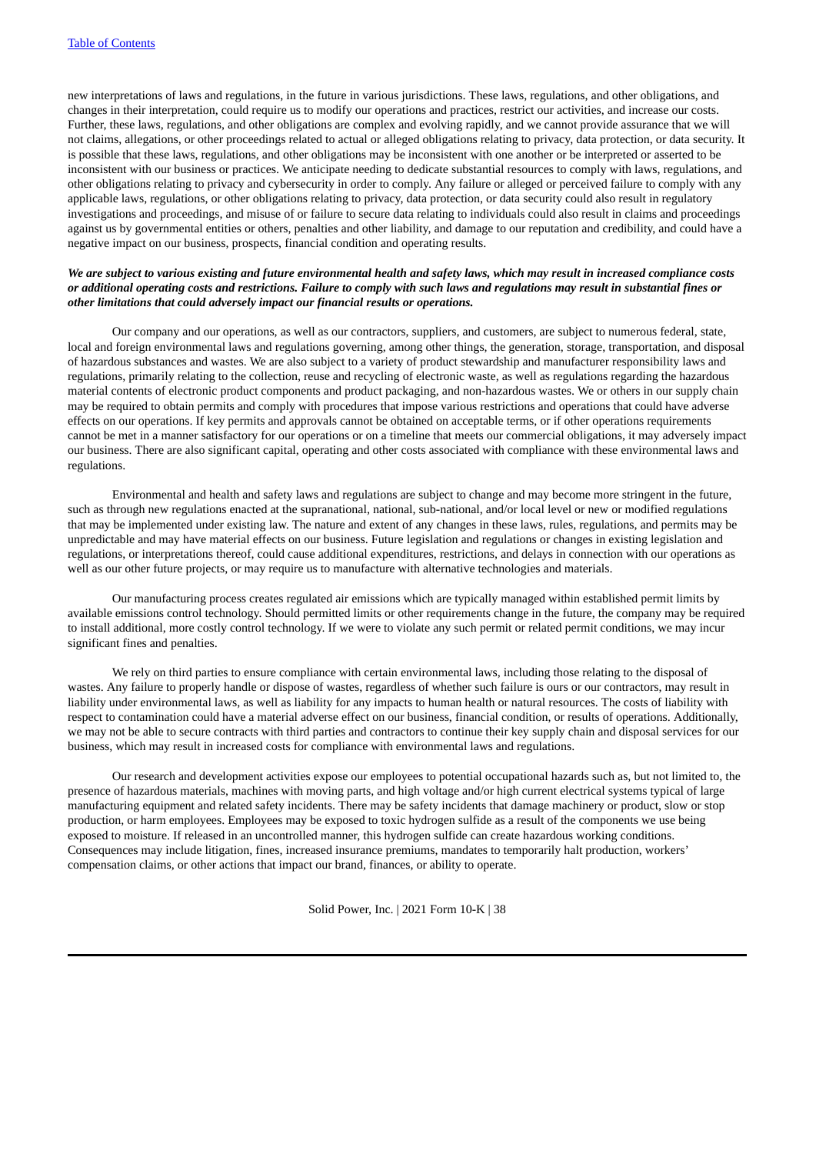new interpretations of laws and regulations, in the future in various jurisdictions. These laws, regulations, and other obligations, and changes in their interpretation, could require us to modify our operations and practices, restrict our activities, and increase our costs. Further, these laws, regulations, and other obligations are complex and evolving rapidly, and we cannot provide assurance that we will not claims, allegations, or other proceedings related to actual or alleged obligations relating to privacy, data protection, or data security. It is possible that these laws, regulations, and other obligations may be inconsistent with one another or be interpreted or asserted to be inconsistent with our business or practices. We anticipate needing to dedicate substantial resources to comply with laws, regulations, and other obligations relating to privacy and cybersecurity in order to comply. Any failure or alleged or perceived failure to comply with any applicable laws, regulations, or other obligations relating to privacy, data protection, or data security could also result in regulatory investigations and proceedings, and misuse of or failure to secure data relating to individuals could also result in claims and proceedings against us by governmental entities or others, penalties and other liability, and damage to our reputation and credibility, and could have a negative impact on our business, prospects, financial condition and operating results.

# We are subject to various existing and future environmental health and safety laws, which may result in increased compliance costs or additional operating costs and restrictions. Failure to comply with such laws and regulations may result in substantial fines or *other limitations that could adversely impact our financial results or operations.*

Our company and our operations, as well as our contractors, suppliers, and customers, are subject to numerous federal, state, local and foreign environmental laws and regulations governing, among other things, the generation, storage, transportation, and disposal of hazardous substances and wastes. We are also subject to a variety of product stewardship and manufacturer responsibility laws and regulations, primarily relating to the collection, reuse and recycling of electronic waste, as well as regulations regarding the hazardous material contents of electronic product components and product packaging, and non-hazardous wastes. We or others in our supply chain may be required to obtain permits and comply with procedures that impose various restrictions and operations that could have adverse effects on our operations. If key permits and approvals cannot be obtained on acceptable terms, or if other operations requirements cannot be met in a manner satisfactory for our operations or on a timeline that meets our commercial obligations, it may adversely impact our business. There are also significant capital, operating and other costs associated with compliance with these environmental laws and regulations.

Environmental and health and safety laws and regulations are subject to change and may become more stringent in the future, such as through new regulations enacted at the supranational, national, sub-national, and/or local level or new or modified regulations that may be implemented under existing law. The nature and extent of any changes in these laws, rules, regulations, and permits may be unpredictable and may have material effects on our business. Future legislation and regulations or changes in existing legislation and regulations, or interpretations thereof, could cause additional expenditures, restrictions, and delays in connection with our operations as well as our other future projects, or may require us to manufacture with alternative technologies and materials.

Our manufacturing process creates regulated air emissions which are typically managed within established permit limits by available emissions control technology. Should permitted limits or other requirements change in the future, the company may be required to install additional, more costly control technology. If we were to violate any such permit or related permit conditions, we may incur significant fines and penalties.

We rely on third parties to ensure compliance with certain environmental laws, including those relating to the disposal of wastes. Any failure to properly handle or dispose of wastes, regardless of whether such failure is ours or our contractors, may result in liability under environmental laws, as well as liability for any impacts to human health or natural resources. The costs of liability with respect to contamination could have a material adverse effect on our business, financial condition, or results of operations. Additionally, we may not be able to secure contracts with third parties and contractors to continue their key supply chain and disposal services for our business, which may result in increased costs for compliance with environmental laws and regulations.

Our research and development activities expose our employees to potential occupational hazards such as, but not limited to, the presence of hazardous materials, machines with moving parts, and high voltage and/or high current electrical systems typical of large manufacturing equipment and related safety incidents. There may be safety incidents that damage machinery or product, slow or stop production, or harm employees. Employees may be exposed to toxic hydrogen sulfide as a result of the components we use being exposed to moisture. If released in an uncontrolled manner, this hydrogen sulfide can create hazardous working conditions. Consequences may include litigation, fines, increased insurance premiums, mandates to temporarily halt production, workers' compensation claims, or other actions that impact our brand, finances, or ability to operate.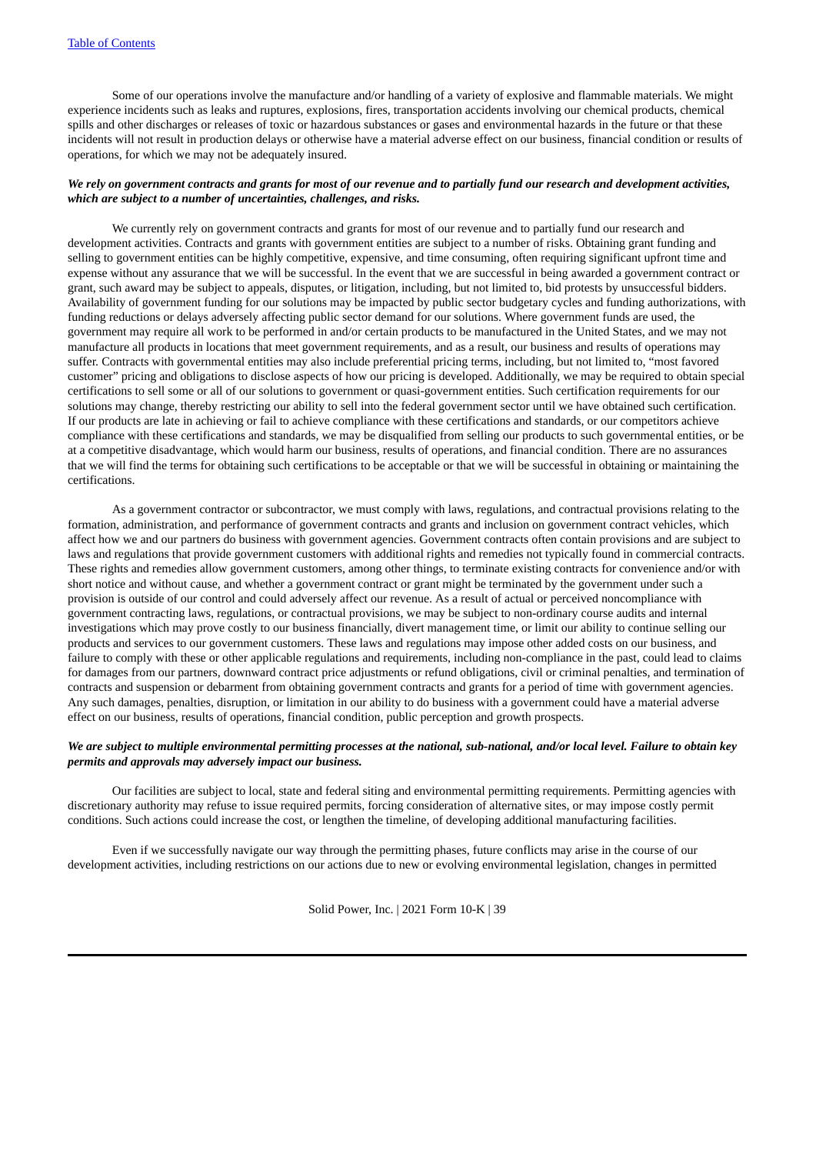Some of our operations involve the manufacture and/or handling of a variety of explosive and flammable materials. We might experience incidents such as leaks and ruptures, explosions, fires, transportation accidents involving our chemical products, chemical spills and other discharges or releases of toxic or hazardous substances or gases and environmental hazards in the future or that these incidents will not result in production delays or otherwise have a material adverse effect on our business, financial condition or results of operations, for which we may not be adequately insured.

# We rely on government contracts and grants for most of our revenue and to partially fund our research and development activities, *which are subject to a number of uncertainties, challenges, and risks.*

We currently rely on government contracts and grants for most of our revenue and to partially fund our research and development activities. Contracts and grants with government entities are subject to a number of risks. Obtaining grant funding and selling to government entities can be highly competitive, expensive, and time consuming, often requiring significant upfront time and expense without any assurance that we will be successful. In the event that we are successful in being awarded a government contract or grant, such award may be subject to appeals, disputes, or litigation, including, but not limited to, bid protests by unsuccessful bidders. Availability of government funding for our solutions may be impacted by public sector budgetary cycles and funding authorizations, with funding reductions or delays adversely affecting public sector demand for our solutions. Where government funds are used, the government may require all work to be performed in and/or certain products to be manufactured in the United States, and we may not manufacture all products in locations that meet government requirements, and as a result, our business and results of operations may suffer. Contracts with governmental entities may also include preferential pricing terms, including, but not limited to, "most favored customer" pricing and obligations to disclose aspects of how our pricing is developed. Additionally, we may be required to obtain special certifications to sell some or all of our solutions to government or quasi-government entities. Such certification requirements for our solutions may change, thereby restricting our ability to sell into the federal government sector until we have obtained such certification. If our products are late in achieving or fail to achieve compliance with these certifications and standards, or our competitors achieve compliance with these certifications and standards, we may be disqualified from selling our products to such governmental entities, or be at a competitive disadvantage, which would harm our business, results of operations, and financial condition. There are no assurances that we will find the terms for obtaining such certifications to be acceptable or that we will be successful in obtaining or maintaining the certifications.

As a government contractor or subcontractor, we must comply with laws, regulations, and contractual provisions relating to the formation, administration, and performance of government contracts and grants and inclusion on government contract vehicles, which affect how we and our partners do business with government agencies. Government contracts often contain provisions and are subject to laws and regulations that provide government customers with additional rights and remedies not typically found in commercial contracts. These rights and remedies allow government customers, among other things, to terminate existing contracts for convenience and/or with short notice and without cause, and whether a government contract or grant might be terminated by the government under such a provision is outside of our control and could adversely affect our revenue. As a result of actual or perceived noncompliance with government contracting laws, regulations, or contractual provisions, we may be subject to non-ordinary course audits and internal investigations which may prove costly to our business financially, divert management time, or limit our ability to continue selling our products and services to our government customers. These laws and regulations may impose other added costs on our business, and failure to comply with these or other applicable regulations and requirements, including non-compliance in the past, could lead to claims for damages from our partners, downward contract price adjustments or refund obligations, civil or criminal penalties, and termination of contracts and suspension or debarment from obtaining government contracts and grants for a period of time with government agencies. Any such damages, penalties, disruption, or limitation in our ability to do business with a government could have a material adverse effect on our business, results of operations, financial condition, public perception and growth prospects.

# We are subject to multiple environmental permitting processes at the national, sub-national, and/or local level. Failure to obtain key *permits and approvals may adversely impact our business.*

Our facilities are subject to local, state and federal siting and environmental permitting requirements. Permitting agencies with discretionary authority may refuse to issue required permits, forcing consideration of alternative sites, or may impose costly permit conditions. Such actions could increase the cost, or lengthen the timeline, of developing additional manufacturing facilities.

Even if we successfully navigate our way through the permitting phases, future conflicts may arise in the course of our development activities, including restrictions on our actions due to new or evolving environmental legislation, changes in permitted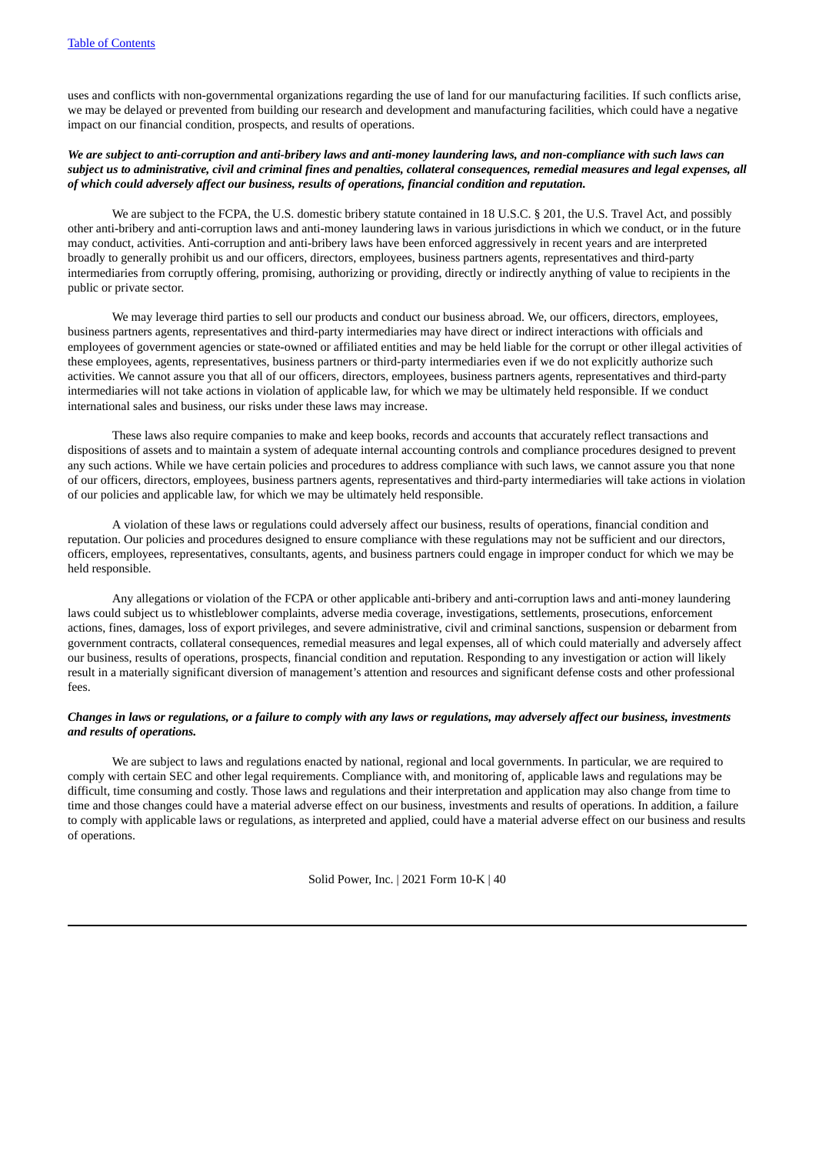uses and conflicts with non-governmental organizations regarding the use of land for our manufacturing facilities. If such conflicts arise, we may be delayed or prevented from building our research and development and manufacturing facilities, which could have a negative impact on our financial condition, prospects, and results of operations.

# We are subject to anti-corruption and anti-bribery laws and anti-money laundering laws, and non-compliance with such laws can subject us to administrative, civil and criminal fines and penalties, collateral consequences, remedial measures and legal expenses, all *of which could adversely affect our business, results of operations, financial condition and reputation.*

We are subject to the FCPA, the U.S. domestic bribery statute contained in 18 U.S.C. § 201, the U.S. Travel Act, and possibly other anti-bribery and anti-corruption laws and anti-money laundering laws in various jurisdictions in which we conduct, or in the future may conduct, activities. Anti-corruption and anti-bribery laws have been enforced aggressively in recent years and are interpreted broadly to generally prohibit us and our officers, directors, employees, business partners agents, representatives and third-party intermediaries from corruptly offering, promising, authorizing or providing, directly or indirectly anything of value to recipients in the public or private sector.

We may leverage third parties to sell our products and conduct our business abroad. We, our officers, directors, employees, business partners agents, representatives and third-party intermediaries may have direct or indirect interactions with officials and employees of government agencies or state-owned or affiliated entities and may be held liable for the corrupt or other illegal activities of these employees, agents, representatives, business partners or third-party intermediaries even if we do not explicitly authorize such activities. We cannot assure you that all of our officers, directors, employees, business partners agents, representatives and third-party intermediaries will not take actions in violation of applicable law, for which we may be ultimately held responsible. If we conduct international sales and business, our risks under these laws may increase.

These laws also require companies to make and keep books, records and accounts that accurately reflect transactions and dispositions of assets and to maintain a system of adequate internal accounting controls and compliance procedures designed to prevent any such actions. While we have certain policies and procedures to address compliance with such laws, we cannot assure you that none of our officers, directors, employees, business partners agents, representatives and third-party intermediaries will take actions in violation of our policies and applicable law, for which we may be ultimately held responsible.

A violation of these laws or regulations could adversely affect our business, results of operations, financial condition and reputation. Our policies and procedures designed to ensure compliance with these regulations may not be sufficient and our directors, officers, employees, representatives, consultants, agents, and business partners could engage in improper conduct for which we may be held responsible.

Any allegations or violation of the FCPA or other applicable anti-bribery and anti-corruption laws and anti-money laundering laws could subject us to whistleblower complaints, adverse media coverage, investigations, settlements, prosecutions, enforcement actions, fines, damages, loss of export privileges, and severe administrative, civil and criminal sanctions, suspension or debarment from government contracts, collateral consequences, remedial measures and legal expenses, all of which could materially and adversely affect our business, results of operations, prospects, financial condition and reputation. Responding to any investigation or action will likely result in a materially significant diversion of management's attention and resources and significant defense costs and other professional fees.

# Changes in laws or regulations, or a failure to comply with any laws or regulations, may adversely affect our business, investments *and results of operations.*

We are subject to laws and regulations enacted by national, regional and local governments. In particular, we are required to comply with certain SEC and other legal requirements. Compliance with, and monitoring of, applicable laws and regulations may be difficult, time consuming and costly. Those laws and regulations and their interpretation and application may also change from time to time and those changes could have a material adverse effect on our business, investments and results of operations. In addition, a failure to comply with applicable laws or regulations, as interpreted and applied, could have a material adverse effect on our business and results of operations.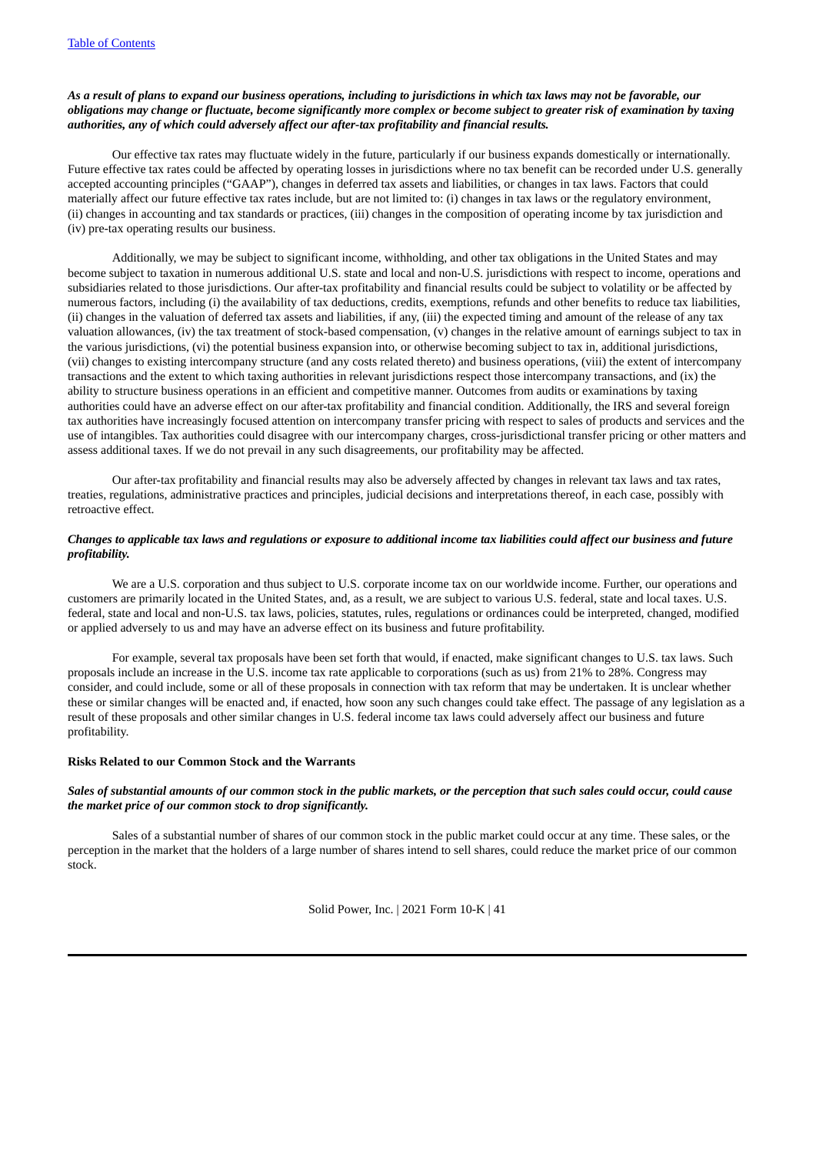# As a result of plans to expand our business operations, including to jurisdictions in which tax laws may not be favorable, our obligations may change or fluctuate, become significantly more complex or become subject to greater risk of examination by taxing *authorities, any of which could adversely affect our after-tax profitability and financial results.*

Our effective tax rates may fluctuate widely in the future, particularly if our business expands domestically or internationally. Future effective tax rates could be affected by operating losses in jurisdictions where no tax benefit can be recorded under U.S. generally accepted accounting principles ("GAAP"), changes in deferred tax assets and liabilities, or changes in tax laws. Factors that could materially affect our future effective tax rates include, but are not limited to: (i) changes in tax laws or the regulatory environment, (ii) changes in accounting and tax standards or practices, (iii) changes in the composition of operating income by tax jurisdiction and (iv) pre-tax operating results our business.

Additionally, we may be subject to significant income, withholding, and other tax obligations in the United States and may become subject to taxation in numerous additional U.S. state and local and non-U.S. jurisdictions with respect to income, operations and subsidiaries related to those jurisdictions. Our after-tax profitability and financial results could be subject to volatility or be affected by numerous factors, including (i) the availability of tax deductions, credits, exemptions, refunds and other benefits to reduce tax liabilities, (ii) changes in the valuation of deferred tax assets and liabilities, if any, (iii) the expected timing and amount of the release of any tax valuation allowances, (iv) the tax treatment of stock-based compensation, (v) changes in the relative amount of earnings subject to tax in the various jurisdictions, (vi) the potential business expansion into, or otherwise becoming subject to tax in, additional jurisdictions, (vii) changes to existing intercompany structure (and any costs related thereto) and business operations, (viii) the extent of intercompany transactions and the extent to which taxing authorities in relevant jurisdictions respect those intercompany transactions, and (ix) the ability to structure business operations in an efficient and competitive manner. Outcomes from audits or examinations by taxing authorities could have an adverse effect on our after-tax profitability and financial condition. Additionally, the IRS and several foreign tax authorities have increasingly focused attention on intercompany transfer pricing with respect to sales of products and services and the use of intangibles. Tax authorities could disagree with our intercompany charges, cross-jurisdictional transfer pricing or other matters and assess additional taxes. If we do not prevail in any such disagreements, our profitability may be affected.

Our after-tax profitability and financial results may also be adversely affected by changes in relevant tax laws and tax rates, treaties, regulations, administrative practices and principles, judicial decisions and interpretations thereof, in each case, possibly with retroactive effect.

# Changes to applicable tax laws and regulations or exposure to additional income tax liabilities could affect our business and future *profitability.*

We are a U.S. corporation and thus subject to U.S. corporate income tax on our worldwide income. Further, our operations and customers are primarily located in the United States, and, as a result, we are subject to various U.S. federal, state and local taxes. U.S. federal, state and local and non-U.S. tax laws, policies, statutes, rules, regulations or ordinances could be interpreted, changed, modified or applied adversely to us and may have an adverse effect on its business and future profitability.

For example, several tax proposals have been set forth that would, if enacted, make significant changes to U.S. tax laws. Such proposals include an increase in the U.S. income tax rate applicable to corporations (such as us) from 21% to 28%. Congress may consider, and could include, some or all of these proposals in connection with tax reform that may be undertaken. It is unclear whether these or similar changes will be enacted and, if enacted, how soon any such changes could take effect. The passage of any legislation as a result of these proposals and other similar changes in U.S. federal income tax laws could adversely affect our business and future profitability.

# **Risks Related to our Common Stock and the Warrants**

# Sales of substantial amounts of our common stock in the public markets, or the perception that such sales could occur, could cause *the market price of our common stock to drop significantly.*

Sales of a substantial number of shares of our common stock in the public market could occur at any time. These sales, or the perception in the market that the holders of a large number of shares intend to sell shares, could reduce the market price of our common stock.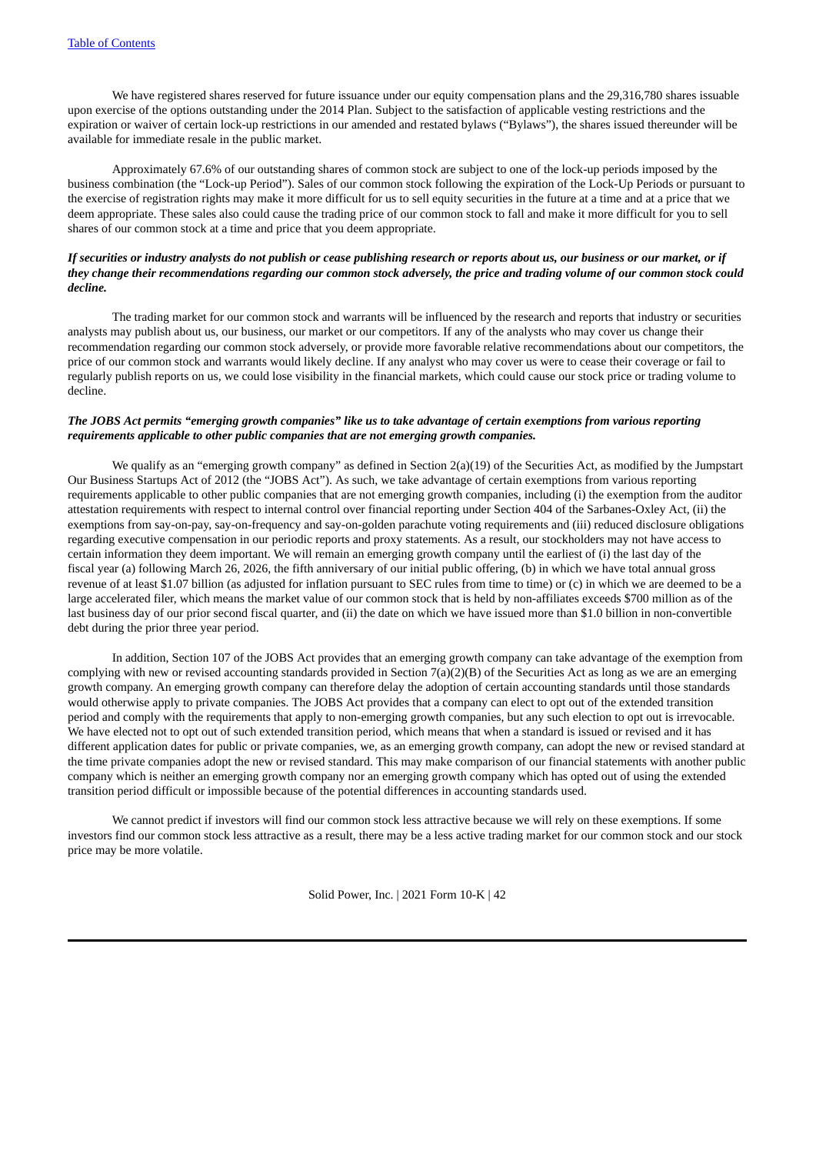We have registered shares reserved for future issuance under our equity compensation plans and the 29,316,780 shares issuable upon exercise of the options outstanding under the 2014 Plan. Subject to the satisfaction of applicable vesting restrictions and the expiration or waiver of certain lock-up restrictions in our amended and restated bylaws ("Bylaws"), the shares issued thereunder will be available for immediate resale in the public market.

Approximately 67.6% of our outstanding shares of common stock are subject to one of the lock-up periods imposed by the business combination (the "Lock-up Period"). Sales of our common stock following the expiration of the Lock-Up Periods or pursuant to the exercise of registration rights may make it more difficult for us to sell equity securities in the future at a time and at a price that we deem appropriate. These sales also could cause the trading price of our common stock to fall and make it more difficult for you to sell shares of our common stock at a time and price that you deem appropriate.

# If securities or industry analysts do not publish or cease publishing research or reports about us, our business or our market, or if they change their recommendations regarding our common stock adversely, the price and trading volume of our common stock could *decline.*

The trading market for our common stock and warrants will be influenced by the research and reports that industry or securities analysts may publish about us, our business, our market or our competitors. If any of the analysts who may cover us change their recommendation regarding our common stock adversely, or provide more favorable relative recommendations about our competitors, the price of our common stock and warrants would likely decline. If any analyst who may cover us were to cease their coverage or fail to regularly publish reports on us, we could lose visibility in the financial markets, which could cause our stock price or trading volume to decline.

## The JOBS Act permits "emerging growth companies" like us to take advantage of certain exemptions from various reporting *requirements applicable to other public companies that are not emerging growth companies.*

We qualify as an "emerging growth company" as defined in Section 2(a)(19) of the Securities Act, as modified by the Jumpstart Our Business Startups Act of 2012 (the "JOBS Act"). As such, we take advantage of certain exemptions from various reporting requirements applicable to other public companies that are not emerging growth companies, including (i) the exemption from the auditor attestation requirements with respect to internal control over financial reporting under Section 404 of the Sarbanes-Oxley Act, (ii) the exemptions from say-on-pay, say-on-frequency and say-on-golden parachute voting requirements and (iii) reduced disclosure obligations regarding executive compensation in our periodic reports and proxy statements. As a result, our stockholders may not have access to certain information they deem important. We will remain an emerging growth company until the earliest of (i) the last day of the fiscal year (a) following March 26, 2026, the fifth anniversary of our initial public offering, (b) in which we have total annual gross revenue of at least \$1.07 billion (as adjusted for inflation pursuant to SEC rules from time to time) or (c) in which we are deemed to be a large accelerated filer, which means the market value of our common stock that is held by non-affiliates exceeds \$700 million as of the last business day of our prior second fiscal quarter, and (ii) the date on which we have issued more than \$1.0 billion in non-convertible debt during the prior three year period.

In addition, Section 107 of the JOBS Act provides that an emerging growth company can take advantage of the exemption from complying with new or revised accounting standards provided in Section 7(a)(2)(B) of the Securities Act as long as we are an emerging growth company. An emerging growth company can therefore delay the adoption of certain accounting standards until those standards would otherwise apply to private companies. The JOBS Act provides that a company can elect to opt out of the extended transition period and comply with the requirements that apply to non-emerging growth companies, but any such election to opt out is irrevocable. We have elected not to opt out of such extended transition period, which means that when a standard is issued or revised and it has different application dates for public or private companies, we, as an emerging growth company, can adopt the new or revised standard at the time private companies adopt the new or revised standard. This may make comparison of our financial statements with another public company which is neither an emerging growth company nor an emerging growth company which has opted out of using the extended transition period difficult or impossible because of the potential differences in accounting standards used.

We cannot predict if investors will find our common stock less attractive because we will rely on these exemptions. If some investors find our common stock less attractive as a result, there may be a less active trading market for our common stock and our stock price may be more volatile.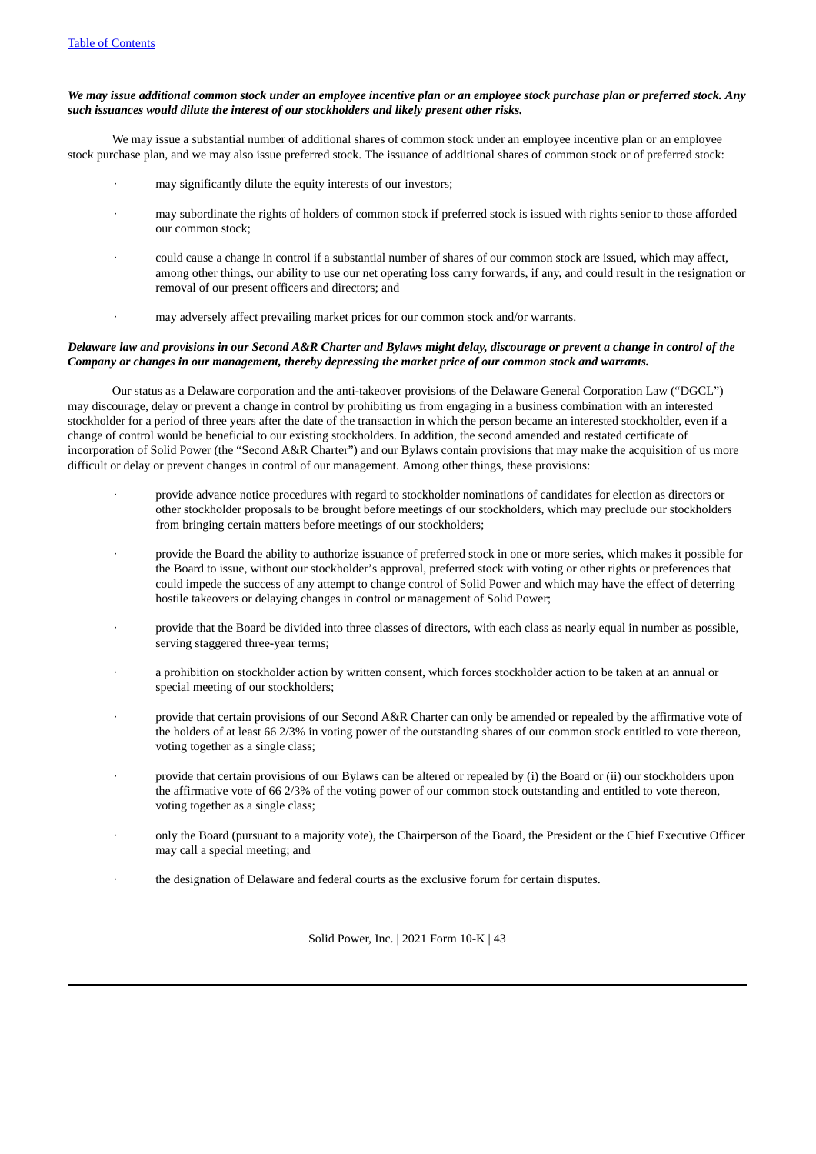# We may issue additional common stock under an employee incentive plan or an employee stock purchase plan or preferred stock. Any *such issuances would dilute the interest of our stockholders and likely present other risks.*

We may issue a substantial number of additional shares of common stock under an employee incentive plan or an employee stock purchase plan, and we may also issue preferred stock. The issuance of additional shares of common stock or of preferred stock:

- may significantly dilute the equity interests of our investors;
- may subordinate the rights of holders of common stock if preferred stock is issued with rights senior to those afforded our common stock;
- · could cause a change in control if a substantial number of shares of our common stock are issued, which may affect, among other things, our ability to use our net operating loss carry forwards, if any, and could result in the resignation or removal of our present officers and directors; and
- · may adversely affect prevailing market prices for our common stock and/or warrants.

# Delaware law and provisions in our Second A&R Charter and Bylaws might delay, discourage or prevent a change in control of the Company or changes in our management, thereby depressing the market price of our common stock and warrants.

Our status as a Delaware corporation and the anti-takeover provisions of the Delaware General Corporation Law ("DGCL") may discourage, delay or prevent a change in control by prohibiting us from engaging in a business combination with an interested stockholder for a period of three years after the date of the transaction in which the person became an interested stockholder, even if a change of control would be beneficial to our existing stockholders. In addition, the second amended and restated certificate of incorporation of Solid Power (the "Second A&R Charter") and our Bylaws contain provisions that may make the acquisition of us more difficult or delay or prevent changes in control of our management. Among other things, these provisions:

- provide advance notice procedures with regard to stockholder nominations of candidates for election as directors or other stockholder proposals to be brought before meetings of our stockholders, which may preclude our stockholders from bringing certain matters before meetings of our stockholders;
- · provide the Board the ability to authorize issuance of preferred stock in one or more series, which makes it possible for the Board to issue, without our stockholder's approval, preferred stock with voting or other rights or preferences that could impede the success of any attempt to change control of Solid Power and which may have the effect of deterring hostile takeovers or delaying changes in control or management of Solid Power;
- · provide that the Board be divided into three classes of directors, with each class as nearly equal in number as possible, serving staggered three-year terms;
- · a prohibition on stockholder action by written consent, which forces stockholder action to be taken at an annual or special meeting of our stockholders;
- provide that certain provisions of our Second A&R Charter can only be amended or repealed by the affirmative vote of the holders of at least 66 2/3% in voting power of the outstanding shares of our common stock entitled to vote thereon, voting together as a single class;
- provide that certain provisions of our Bylaws can be altered or repealed by (i) the Board or (ii) our stockholders upon the affirmative vote of 66 2/3% of the voting power of our common stock outstanding and entitled to vote thereon, voting together as a single class;
- · only the Board (pursuant to a majority vote), the Chairperson of the Board, the President or the Chief Executive Officer may call a special meeting; and
- · the designation of Delaware and federal courts as the exclusive forum for certain disputes.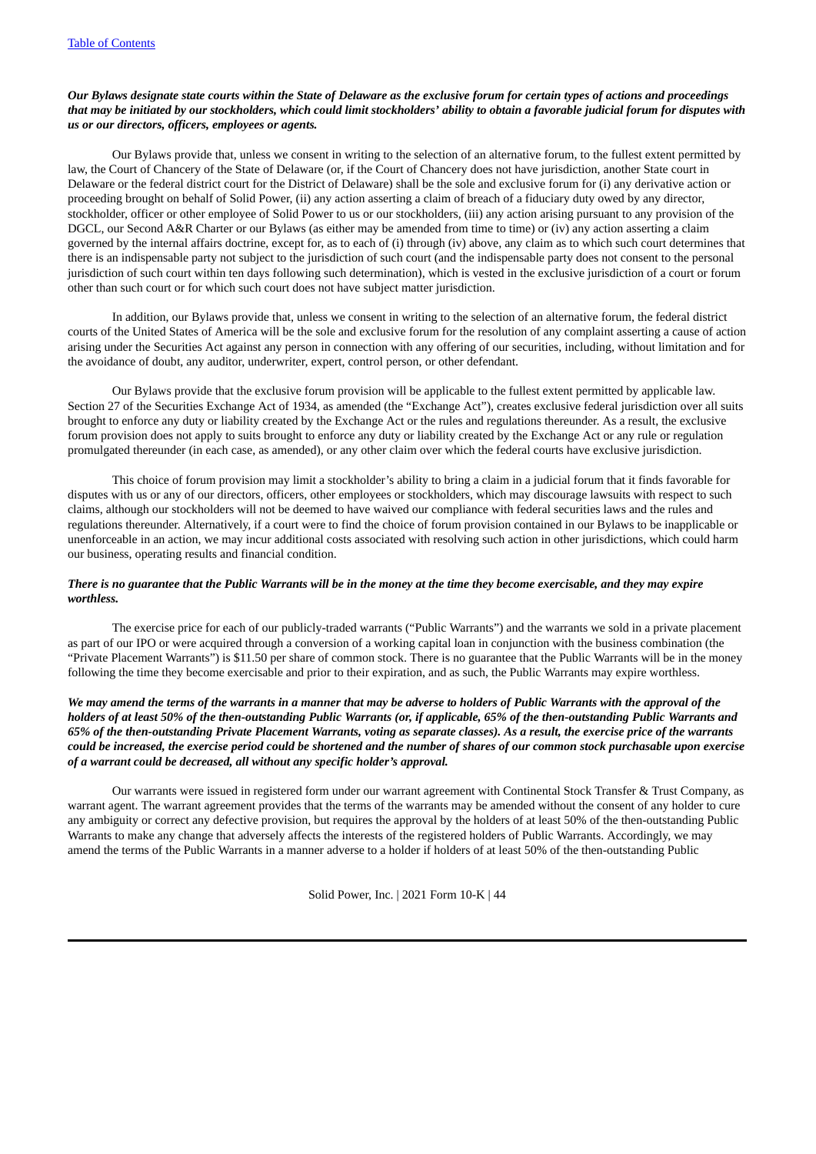# Our Bylaws designate state courts within the State of Delaware as the exclusive forum for certain types of actions and proceedings that may be initiated by our stockholders, which could limit stockholders' ability to obtain a favorable judicial forum for disputes with *us or our directors, officers, employees or agents.*

Our Bylaws provide that, unless we consent in writing to the selection of an alternative forum, to the fullest extent permitted by law, the Court of Chancery of the State of Delaware (or, if the Court of Chancery does not have jurisdiction, another State court in Delaware or the federal district court for the District of Delaware) shall be the sole and exclusive forum for (i) any derivative action or proceeding brought on behalf of Solid Power, (ii) any action asserting a claim of breach of a fiduciary duty owed by any director, stockholder, officer or other employee of Solid Power to us or our stockholders, (iii) any action arising pursuant to any provision of the DGCL, our Second A&R Charter or our Bylaws (as either may be amended from time to time) or (iv) any action asserting a claim governed by the internal affairs doctrine, except for, as to each of (i) through (iv) above, any claim as to which such court determines that there is an indispensable party not subject to the jurisdiction of such court (and the indispensable party does not consent to the personal jurisdiction of such court within ten days following such determination), which is vested in the exclusive jurisdiction of a court or forum other than such court or for which such court does not have subject matter jurisdiction.

In addition, our Bylaws provide that, unless we consent in writing to the selection of an alternative forum, the federal district courts of the United States of America will be the sole and exclusive forum for the resolution of any complaint asserting a cause of action arising under the Securities Act against any person in connection with any offering of our securities, including, without limitation and for the avoidance of doubt, any auditor, underwriter, expert, control person, or other defendant.

Our Bylaws provide that the exclusive forum provision will be applicable to the fullest extent permitted by applicable law. Section 27 of the Securities Exchange Act of 1934, as amended (the "Exchange Act"), creates exclusive federal jurisdiction over all suits brought to enforce any duty or liability created by the Exchange Act or the rules and regulations thereunder. As a result, the exclusive forum provision does not apply to suits brought to enforce any duty or liability created by the Exchange Act or any rule or regulation promulgated thereunder (in each case, as amended), or any other claim over which the federal courts have exclusive jurisdiction.

This choice of forum provision may limit a stockholder's ability to bring a claim in a judicial forum that it finds favorable for disputes with us or any of our directors, officers, other employees or stockholders, which may discourage lawsuits with respect to such claims, although our stockholders will not be deemed to have waived our compliance with federal securities laws and the rules and regulations thereunder. Alternatively, if a court were to find the choice of forum provision contained in our Bylaws to be inapplicable or unenforceable in an action, we may incur additional costs associated with resolving such action in other jurisdictions, which could harm our business, operating results and financial condition.

## There is no guarantee that the Public Warrants will be in the money at the time they become exercisable, and they may expire *worthless.*

The exercise price for each of our publicly-traded warrants ("Public Warrants") and the warrants we sold in a private placement as part of our IPO or were acquired through a conversion of a working capital loan in conjunction with the business combination (the "Private Placement Warrants") is \$11.50 per share of common stock. There is no guarantee that the Public Warrants will be in the money following the time they become exercisable and prior to their expiration, and as such, the Public Warrants may expire worthless.

# We may amend the terms of the warrants in a manner that may be adverse to holders of Public Warrants with the approval of the holders of at least 50% of the then-outstanding Public Warrants (or, if applicable, 65% of the then-outstanding Public Warrants and 65% of the then-outstanding Private Placement Warrants, voting as separate classes). As a result, the exercise price of the warrants could be increased, the exercise period could be shortened and the number of shares of our common stock purchasable upon exercise *of a warrant could be decreased, all without any specific holder's approval.*

Our warrants were issued in registered form under our warrant agreement with Continental Stock Transfer & Trust Company, as warrant agent. The warrant agreement provides that the terms of the warrants may be amended without the consent of any holder to cure any ambiguity or correct any defective provision, but requires the approval by the holders of at least 50% of the then-outstanding Public Warrants to make any change that adversely affects the interests of the registered holders of Public Warrants. Accordingly, we may amend the terms of the Public Warrants in a manner adverse to a holder if holders of at least 50% of the then-outstanding Public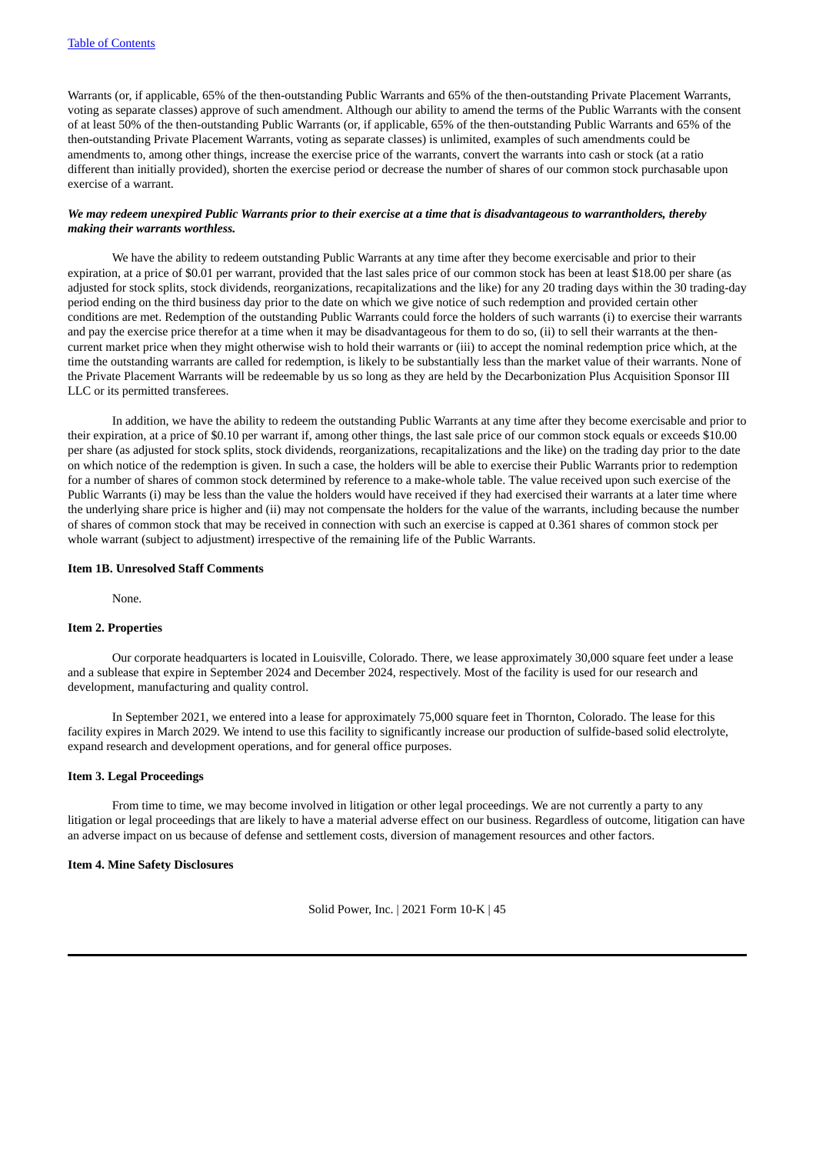Warrants (or, if applicable, 65% of the then-outstanding Public Warrants and 65% of the then-outstanding Private Placement Warrants, voting as separate classes) approve of such amendment. Although our ability to amend the terms of the Public Warrants with the consent of at least 50% of the then-outstanding Public Warrants (or, if applicable, 65% of the then-outstanding Public Warrants and 65% of the then-outstanding Private Placement Warrants, voting as separate classes) is unlimited, examples of such amendments could be amendments to, among other things, increase the exercise price of the warrants, convert the warrants into cash or stock (at a ratio different than initially provided), shorten the exercise period or decrease the number of shares of our common stock purchasable upon exercise of a warrant.

# We may redeem unexpired Public Warrants prior to their exercise at a time that is disadvantageous to warrantholders, thereby *making their warrants worthless.*

We have the ability to redeem outstanding Public Warrants at any time after they become exercisable and prior to their expiration, at a price of \$0.01 per warrant, provided that the last sales price of our common stock has been at least \$18.00 per share (as adjusted for stock splits, stock dividends, reorganizations, recapitalizations and the like) for any 20 trading days within the 30 trading-day period ending on the third business day prior to the date on which we give notice of such redemption and provided certain other conditions are met. Redemption of the outstanding Public Warrants could force the holders of such warrants (i) to exercise their warrants and pay the exercise price therefor at a time when it may be disadvantageous for them to do so, (ii) to sell their warrants at the thencurrent market price when they might otherwise wish to hold their warrants or (iii) to accept the nominal redemption price which, at the time the outstanding warrants are called for redemption, is likely to be substantially less than the market value of their warrants. None of the Private Placement Warrants will be redeemable by us so long as they are held by the Decarbonization Plus Acquisition Sponsor III LLC or its permitted transferees.

In addition, we have the ability to redeem the outstanding Public Warrants at any time after they become exercisable and prior to their expiration, at a price of \$0.10 per warrant if, among other things, the last sale price of our common stock equals or exceeds \$10.00 per share (as adjusted for stock splits, stock dividends, reorganizations, recapitalizations and the like) on the trading day prior to the date on which notice of the redemption is given. In such a case, the holders will be able to exercise their Public Warrants prior to redemption for a number of shares of common stock determined by reference to a make-whole table. The value received upon such exercise of the Public Warrants (i) may be less than the value the holders would have received if they had exercised their warrants at a later time where the underlying share price is higher and (ii) may not compensate the holders for the value of the warrants, including because the number of shares of common stock that may be received in connection with such an exercise is capped at 0.361 shares of common stock per whole warrant (subject to adjustment) irrespective of the remaining life of the Public Warrants.

#### **Item 1B. Unresolved Staff Comments**

None.

# **Item 2. Properties**

Our corporate headquarters is located in Louisville, Colorado. There, we lease approximately 30,000 square feet under a lease and a sublease that expire in September 2024 and December 2024, respectively. Most of the facility is used for our research and development, manufacturing and quality control.

In September 2021, we entered into a lease for approximately 75,000 square feet in Thornton, Colorado. The lease for this facility expires in March 2029. We intend to use this facility to significantly increase our production of sulfide-based solid electrolyte, expand research and development operations, and for general office purposes.

#### **Item 3. Legal Proceedings**

From time to time, we may become involved in litigation or other legal proceedings. We are not currently a party to any litigation or legal proceedings that are likely to have a material adverse effect on our business. Regardless of outcome, litigation can have an adverse impact on us because of defense and settlement costs, diversion of management resources and other factors.

# **Item 4. Mine Safety Disclosures**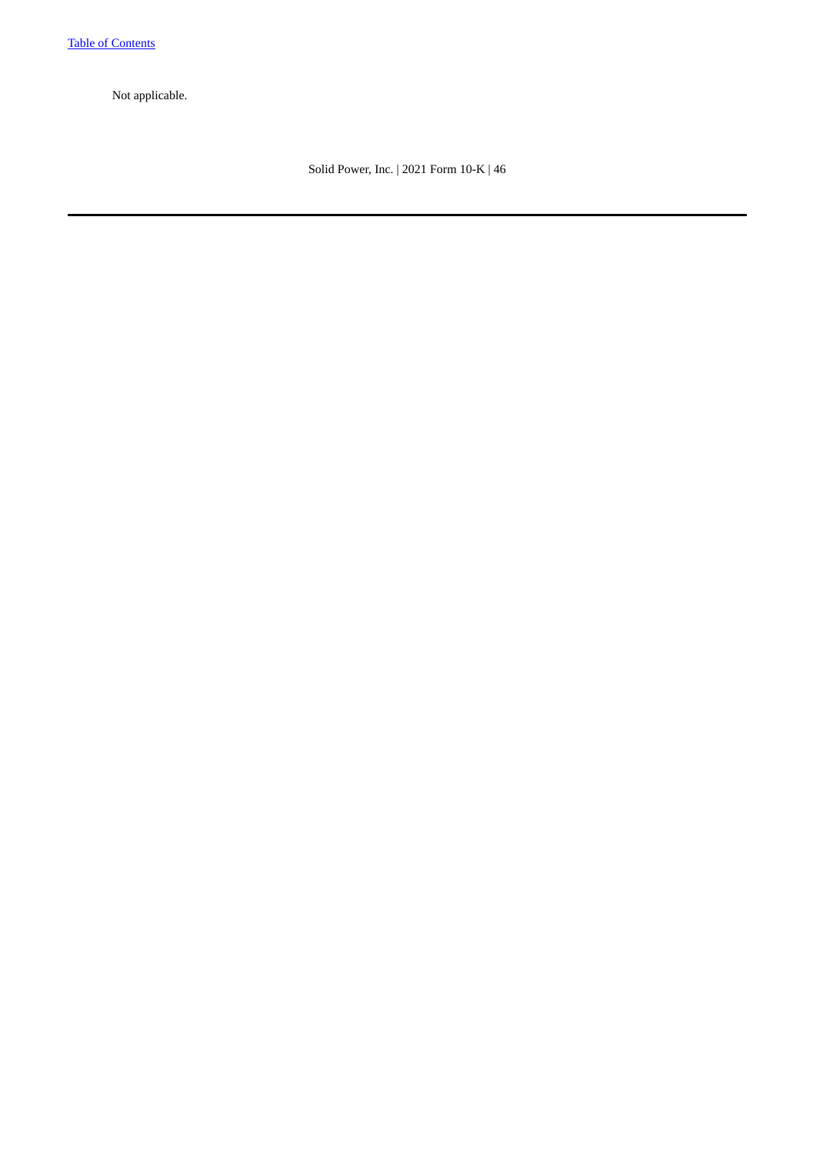Not applicable.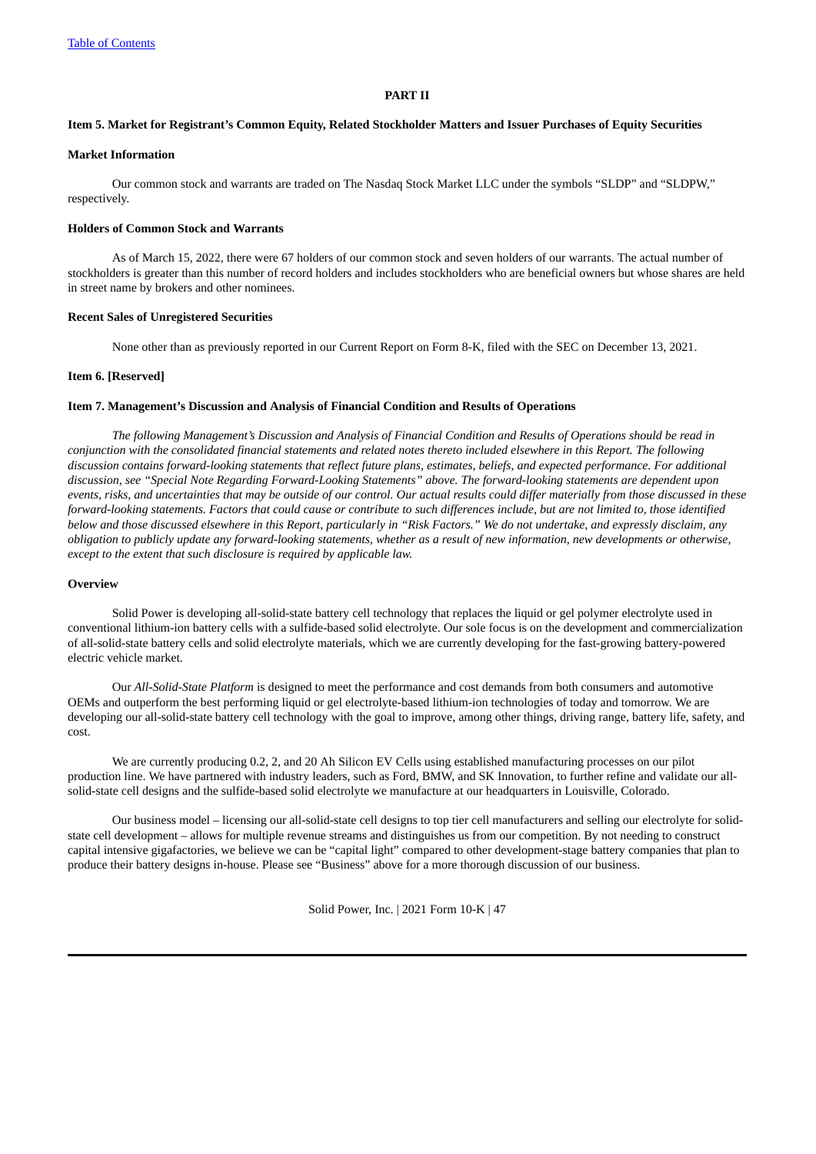## **PART II**

## Item 5. Market for Registrant's Common Equity, Related Stockholder Matters and Issuer Purchases of Equity Securities

#### **Market Information**

Our common stock and warrants are traded on The Nasdaq Stock Market LLC under the symbols "SLDP" and "SLDPW," respectively.

# **Holders of Common Stock and Warrants**

As of March 15, 2022, there were 67 holders of our common stock and seven holders of our warrants. The actual number of stockholders is greater than this number of record holders and includes stockholders who are beneficial owners but whose shares are held in street name by brokers and other nominees.

#### **Recent Sales of Unregistered Securities**

None other than as previously reported in our Current Report on Form 8-K, filed with the SEC on December 13, 2021.

#### **Item 6. [Reserved]**

#### **Item 7. Management's Discussion and Analysis of Financial Condition and Results of Operations**

The following Management's Discussion and Analysis of Financial Condition and Results of Operations should be read in conjunction with the consolidated financial statements and related notes thereto included elsewhere in this Report. The following discussion contains forward-looking statements that reflect future plans, estimates, beliefs, and expected performance. For additional *discussion, see "Special Note Regarding Forward-Looking Statements" above. The forward-looking statements are dependent upon* events, risks, and uncertainties that may be outside of our control. Our actual results could differ materially from those discussed in these forward-looking statements. Factors that could cause or contribute to such differences include, but are not limited to, those identified below and those discussed elsewhere in this Report, particularly in "Risk Factors." We do not undertake, and expressly disclaim, any obligation to publicly update any forward-looking statements, whether as a result of new information, new developments or otherwise, *except to the extent that such disclosure is required by applicable law.*

#### **Overview**

Solid Power is developing all-solid-state battery cell technology that replaces the liquid or gel polymer electrolyte used in conventional lithium-ion battery cells with a sulfide-based solid electrolyte. Our sole focus is on the development and commercialization of all-solid-state battery cells and solid electrolyte materials, which we are currently developing for the fast-growing battery-powered electric vehicle market.

Our *All-Solid-State Platform* is designed to meet the performance and cost demands from both consumers and automotive OEMs and outperform the best performing liquid or gel electrolyte-based lithium-ion technologies of today and tomorrow. We are developing our all-solid-state battery cell technology with the goal to improve, among other things, driving range, battery life, safety, and cost.

We are currently producing 0.2, 2, and 20 Ah Silicon EV Cells using established manufacturing processes on our pilot production line. We have partnered with industry leaders, such as Ford, BMW, and SK Innovation, to further refine and validate our allsolid-state cell designs and the sulfide-based solid electrolyte we manufacture at our headquarters in Louisville, Colorado.

Our business model – licensing our all-solid-state cell designs to top tier cell manufacturers and selling our electrolyte for solidstate cell development – allows for multiple revenue streams and distinguishes us from our competition. By not needing to construct capital intensive gigafactories, we believe we can be "capital light" compared to other development-stage battery companies that plan to produce their battery designs in-house. Please see "Business" above for a more thorough discussion of our business.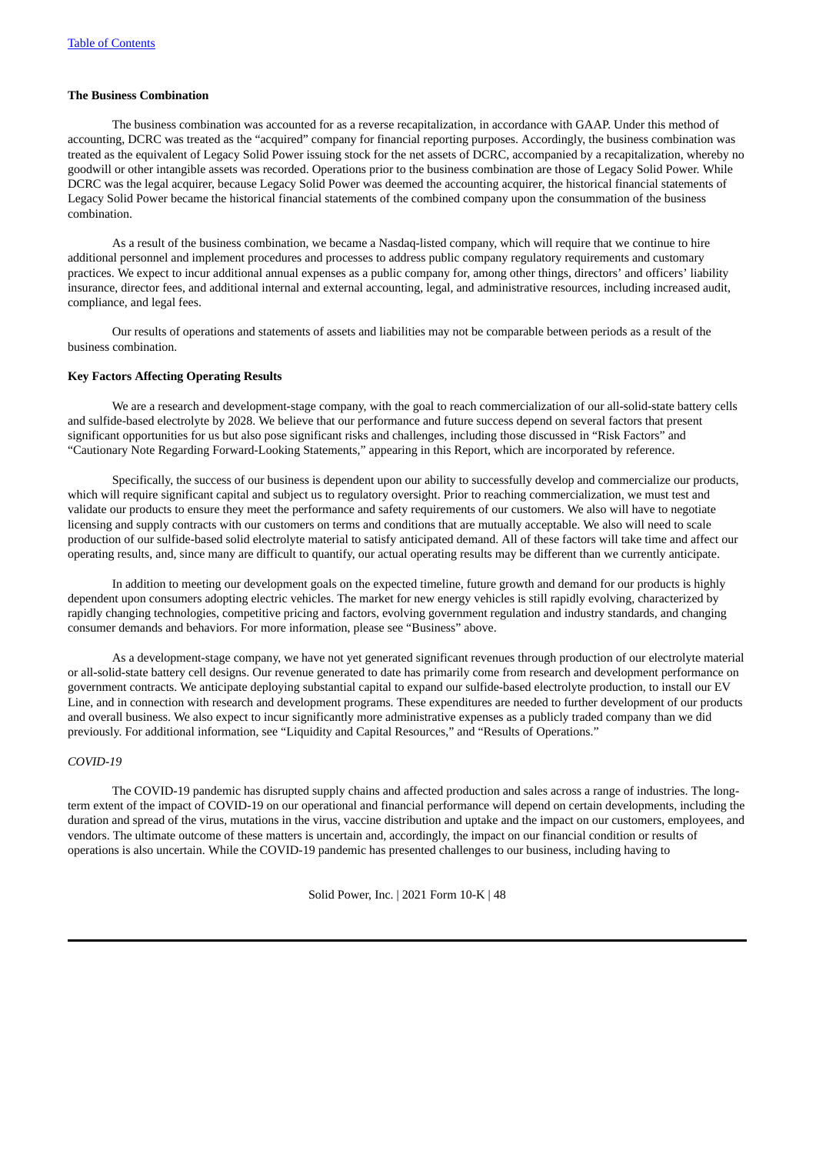# **The Business Combination**

The business combination was accounted for as a reverse recapitalization, in accordance with GAAP. Under this method of accounting, DCRC was treated as the "acquired" company for financial reporting purposes. Accordingly, the business combination was treated as the equivalent of Legacy Solid Power issuing stock for the net assets of DCRC, accompanied by a recapitalization, whereby no goodwill or other intangible assets was recorded. Operations prior to the business combination are those of Legacy Solid Power. While DCRC was the legal acquirer, because Legacy Solid Power was deemed the accounting acquirer, the historical financial statements of Legacy Solid Power became the historical financial statements of the combined company upon the consummation of the business combination.

As a result of the business combination, we became a Nasdaq-listed company, which will require that we continue to hire additional personnel and implement procedures and processes to address public company regulatory requirements and customary practices. We expect to incur additional annual expenses as a public company for, among other things, directors' and officers' liability insurance, director fees, and additional internal and external accounting, legal, and administrative resources, including increased audit, compliance, and legal fees.

Our results of operations and statements of assets and liabilities may not be comparable between periods as a result of the business combination.

#### **Key Factors Affecting Operating Results**

We are a research and development-stage company, with the goal to reach commercialization of our all-solid-state battery cells and sulfide-based electrolyte by 2028. We believe that our performance and future success depend on several factors that present significant opportunities for us but also pose significant risks and challenges, including those discussed in "Risk Factors" and "Cautionary Note Regarding Forward-Looking Statements," appearing in this Report, which are incorporated by reference.

Specifically, the success of our business is dependent upon our ability to successfully develop and commercialize our products, which will require significant capital and subject us to regulatory oversight. Prior to reaching commercialization, we must test and validate our products to ensure they meet the performance and safety requirements of our customers. We also will have to negotiate licensing and supply contracts with our customers on terms and conditions that are mutually acceptable. We also will need to scale production of our sulfide-based solid electrolyte material to satisfy anticipated demand. All of these factors will take time and affect our operating results, and, since many are difficult to quantify, our actual operating results may be different than we currently anticipate.

In addition to meeting our development goals on the expected timeline, future growth and demand for our products is highly dependent upon consumers adopting electric vehicles. The market for new energy vehicles is still rapidly evolving, characterized by rapidly changing technologies, competitive pricing and factors, evolving government regulation and industry standards, and changing consumer demands and behaviors. For more information, please see "Business" above.

As a development-stage company, we have not yet generated significant revenues through production of our electrolyte material or all-solid-state battery cell designs. Our revenue generated to date has primarily come from research and development performance on government contracts. We anticipate deploying substantial capital to expand our sulfide-based electrolyte production, to install our EV Line, and in connection with research and development programs. These expenditures are needed to further development of our products and overall business. We also expect to incur significantly more administrative expenses as a publicly traded company than we did previously. For additional information, see "Liquidity and Capital Resources," and "Results of Operations."

# *COVID-19*

The COVID-19 pandemic has disrupted supply chains and affected production and sales across a range of industries. The longterm extent of the impact of COVID-19 on our operational and financial performance will depend on certain developments, including the duration and spread of the virus, mutations in the virus, vaccine distribution and uptake and the impact on our customers, employees, and vendors. The ultimate outcome of these matters is uncertain and, accordingly, the impact on our financial condition or results of operations is also uncertain. While the COVID-19 pandemic has presented challenges to our business, including having to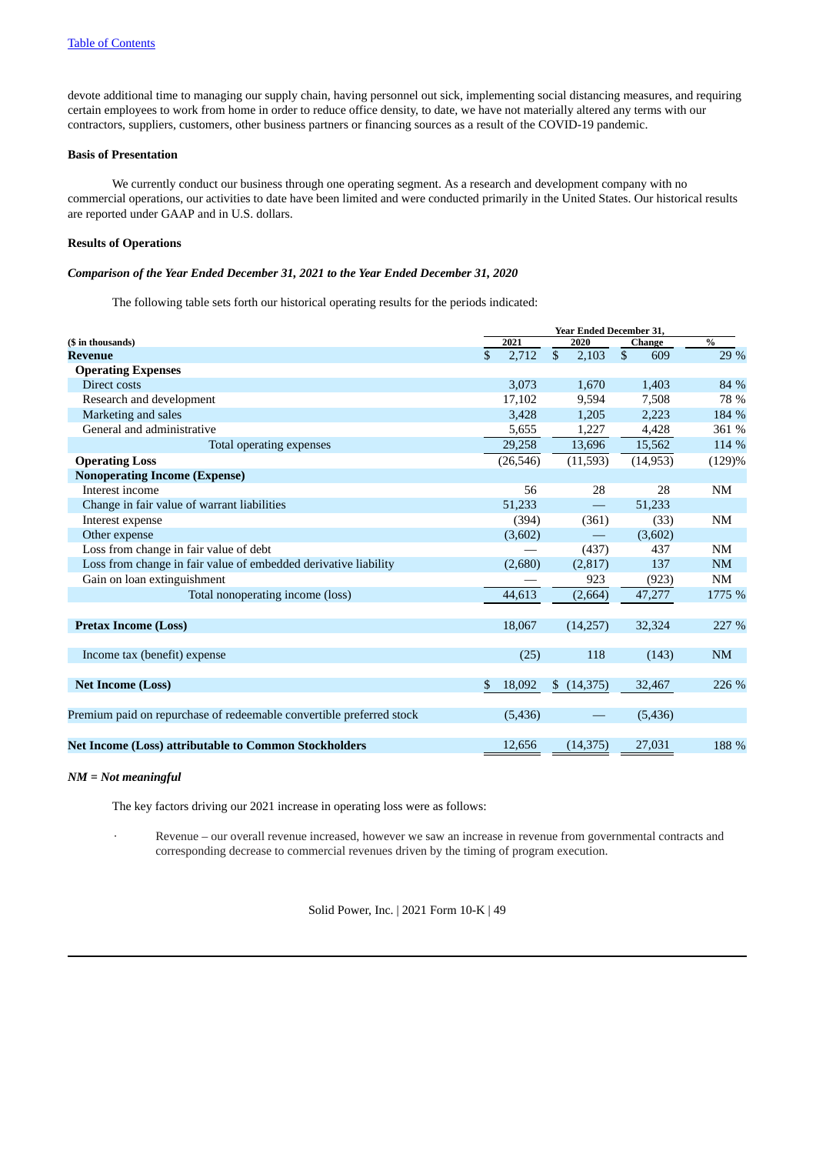devote additional time to managing our supply chain, having personnel out sick, implementing social distancing measures, and requiring certain employees to work from home in order to reduce office density, to date, we have not materially altered any terms with our contractors, suppliers, customers, other business partners or financing sources as a result of the COVID-19 pandemic.

# **Basis of Presentation**

We currently conduct our business through one operating segment. As a research and development company with no commercial operations, our activities to date have been limited and were conducted primarily in the United States. Our historical results are reported under GAAP and in U.S. dollars.

# **Results of Operations**

## *Comparison of the Year Ended December 31, 2021 to the Year Ended December 31, 2020*

The following table sets forth our historical operating results for the periods indicated:

| <b>Year Ended December 31,</b> |          |                    |           |                        |              |                                                                                                                       |
|--------------------------------|----------|--------------------|-----------|------------------------|--------------|-----------------------------------------------------------------------------------------------------------------------|
|                                | 2021     |                    | 2020      |                        |              | $\frac{0}{6}$                                                                                                         |
|                                |          |                    | 2,103     |                        | 609          | 29 %                                                                                                                  |
|                                |          |                    |           |                        |              |                                                                                                                       |
|                                | 3,073    |                    | 1,670     |                        | 1,403        | 84 %                                                                                                                  |
|                                | 17,102   |                    | 9,594     |                        | 7,508        | 78 %                                                                                                                  |
|                                | 3,428    |                    | 1,205     |                        |              | 184 %                                                                                                                 |
|                                | 5,655    |                    | 1,227     |                        | 4,428        | 361 %                                                                                                                 |
|                                | 29,258   |                    | 13,696    |                        |              | 114 %                                                                                                                 |
|                                |          |                    | (11, 593) |                        |              | (129)%                                                                                                                |
|                                |          |                    |           |                        |              |                                                                                                                       |
|                                | 56       |                    | 28        |                        | 28           | NM                                                                                                                    |
|                                | 51,233   |                    |           |                        |              |                                                                                                                       |
|                                | (394)    |                    | (361)     |                        | (33)         | <b>NM</b>                                                                                                             |
|                                | (3,602)  |                    |           |                        |              |                                                                                                                       |
|                                |          |                    | (437)     |                        | 437          | <b>NM</b>                                                                                                             |
|                                | (2,680)  |                    | (2,817)   |                        | 137          | <b>NM</b>                                                                                                             |
|                                |          |                    | 923       |                        | (923)        | NM                                                                                                                    |
|                                | 44,613   |                    | (2,664)   |                        |              | 1775 %                                                                                                                |
|                                |          |                    |           |                        |              |                                                                                                                       |
|                                | 18,067   |                    |           |                        |              | 227 %                                                                                                                 |
|                                |          |                    |           |                        |              |                                                                                                                       |
|                                | (25)     |                    | 118       |                        | (143)        | <b>NM</b>                                                                                                             |
|                                |          |                    |           |                        |              |                                                                                                                       |
| \$                             | 18,092   |                    |           |                        |              | 226 %                                                                                                                 |
|                                |          |                    |           |                        |              |                                                                                                                       |
|                                | (5, 436) |                    |           |                        |              |                                                                                                                       |
|                                |          |                    |           |                        |              |                                                                                                                       |
|                                | 12,656   |                    | (14, 375) |                        |              | 188 %                                                                                                                 |
|                                | \$       | 2,712<br>(26, 546) | \$        | (14,257)<br>\$(14,375) | $\mathbb{S}$ | <b>Change</b><br>2,223<br>15,562<br>(14, 953)<br>51,233<br>(3,602)<br>47,277<br>32,324<br>32,467<br>(5,436)<br>27,031 |

## *NM = Not meaningful*

The key factors driving our 2021 increase in operating loss were as follows:

Revenue – our overall revenue increased, however we saw an increase in revenue from governmental contracts and corresponding decrease to commercial revenues driven by the timing of program execution.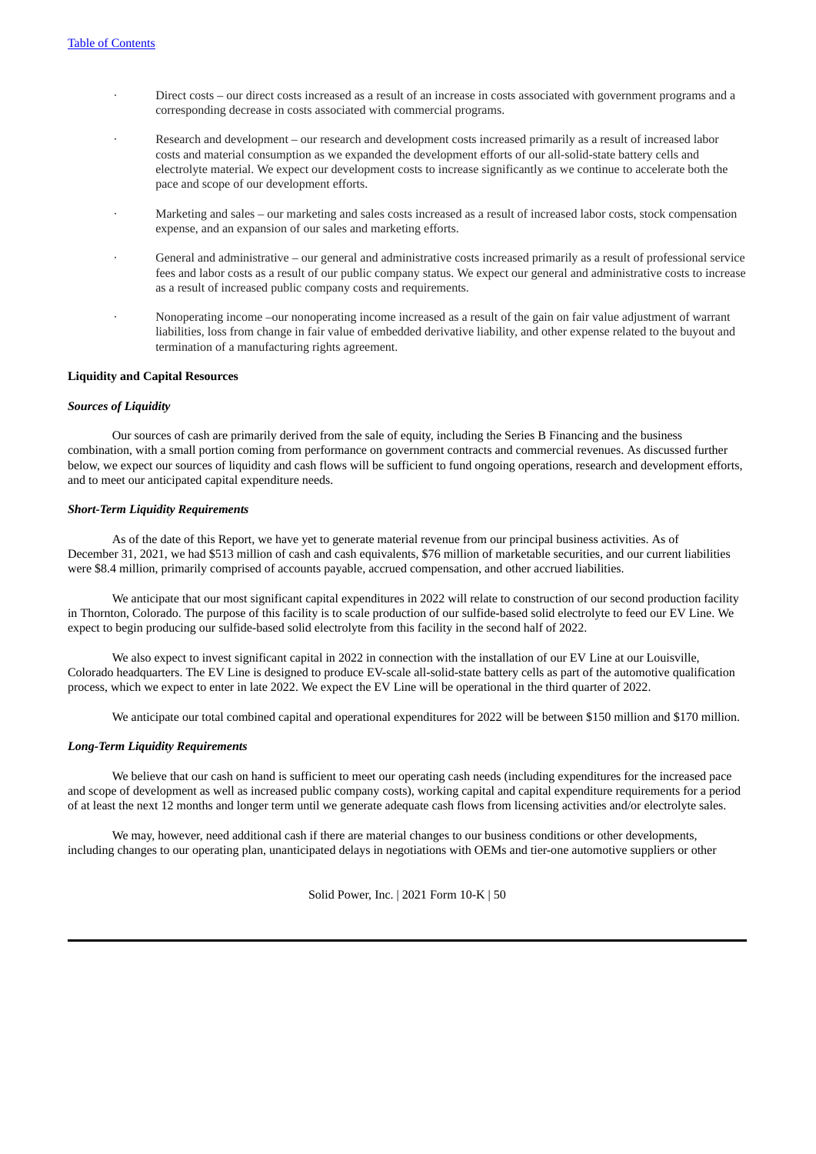- · Direct costs our direct costs increased as a result of an increase in costs associated with government programs and a corresponding decrease in costs associated with commercial programs.
- · Research and development our research and development costs increased primarily as a result of increased labor costs and material consumption as we expanded the development efforts of our all-solid-state battery cells and electrolyte material. We expect our development costs to increase significantly as we continue to accelerate both the pace and scope of our development efforts.
- · Marketing and sales our marketing and sales costs increased as a result of increased labor costs, stock compensation expense, and an expansion of our sales and marketing efforts.
- General and administrative our general and administrative costs increased primarily as a result of professional service fees and labor costs as a result of our public company status. We expect our general and administrative costs to increase as a result of increased public company costs and requirements.
- · Nonoperating income –our nonoperating income increased as a result of the gain on fair value adjustment of warrant liabilities, loss from change in fair value of embedded derivative liability, and other expense related to the buyout and termination of a manufacturing rights agreement.

#### **Liquidity and Capital Resources**

#### *Sources of Liquidity*

Our sources of cash are primarily derived from the sale of equity, including the Series B Financing and the business combination, with a small portion coming from performance on government contracts and commercial revenues. As discussed further below, we expect our sources of liquidity and cash flows will be sufficient to fund ongoing operations, research and development efforts, and to meet our anticipated capital expenditure needs.

#### *Short-Term Liquidity Requirements*

As of the date of this Report, we have yet to generate material revenue from our principal business activities. As of December 31, 2021, we had \$513 million of cash and cash equivalents, \$76 million of marketable securities, and our current liabilities were \$8.4 million, primarily comprised of accounts payable, accrued compensation, and other accrued liabilities.

We anticipate that our most significant capital expenditures in 2022 will relate to construction of our second production facility in Thornton, Colorado. The purpose of this facility is to scale production of our sulfide-based solid electrolyte to feed our EV Line. We expect to begin producing our sulfide-based solid electrolyte from this facility in the second half of 2022.

We also expect to invest significant capital in 2022 in connection with the installation of our EV Line at our Louisville, Colorado headquarters. The EV Line is designed to produce EV-scale all-solid-state battery cells as part of the automotive qualification process, which we expect to enter in late 2022. We expect the EV Line will be operational in the third quarter of 2022.

We anticipate our total combined capital and operational expenditures for 2022 will be between \$150 million and \$170 million.

# *Long-Term Liquidity Requirements*

We believe that our cash on hand is sufficient to meet our operating cash needs (including expenditures for the increased pace and scope of development as well as increased public company costs), working capital and capital expenditure requirements for a period of at least the next 12 months and longer term until we generate adequate cash flows from licensing activities and/or electrolyte sales.

We may, however, need additional cash if there are material changes to our business conditions or other developments, including changes to our operating plan, unanticipated delays in negotiations with OEMs and tier-one automotive suppliers or other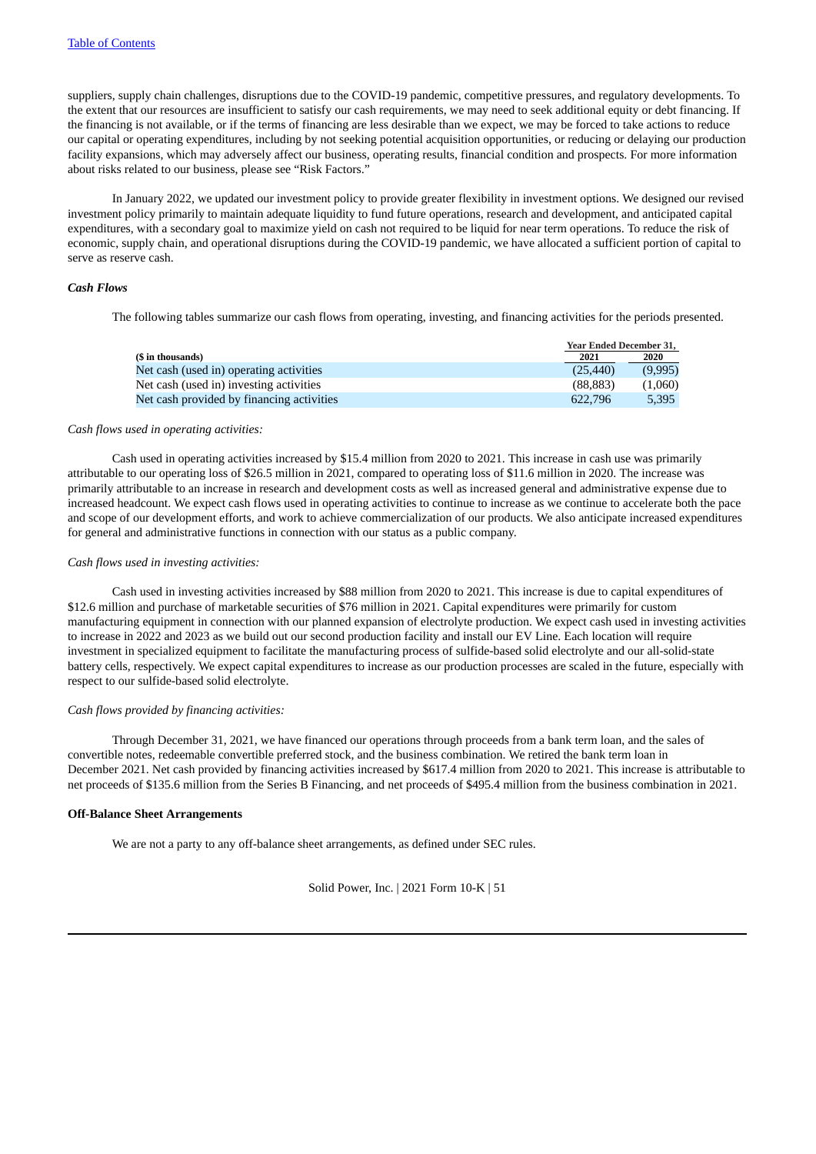suppliers, supply chain challenges, disruptions due to the COVID-19 pandemic, competitive pressures, and regulatory developments. To the extent that our resources are insufficient to satisfy our cash requirements, we may need to seek additional equity or debt financing. If the financing is not available, or if the terms of financing are less desirable than we expect, we may be forced to take actions to reduce our capital or operating expenditures, including by not seeking potential acquisition opportunities, or reducing or delaying our production facility expansions, which may adversely affect our business, operating results, financial condition and prospects. For more information about risks related to our business, please see "Risk Factors."

In January 2022, we updated our investment policy to provide greater flexibility in investment options. We designed our revised investment policy primarily to maintain adequate liquidity to fund future operations, research and development, and anticipated capital expenditures, with a secondary goal to maximize yield on cash not required to be liquid for near term operations. To reduce the risk of economic, supply chain, and operational disruptions during the COVID-19 pandemic, we have allocated a sufficient portion of capital to serve as reserve cash.

# *Cash Flows*

The following tables summarize our cash flows from operating, investing, and financing activities for the periods presented.

|                                           | <b>Year Ended December 31,</b> |         |
|-------------------------------------------|--------------------------------|---------|
| (\$ in thousands)                         | 2021                           | 2020    |
| Net cash (used in) operating activities   | (25, 440)                      | (9,995) |
| Net cash (used in) investing activities   | (88.883)                       | (1,060) |
| Net cash provided by financing activities | 622.796                        | 5.395   |

## *Cash flows used in operating activities:*

Cash used in operating activities increased by \$15.4 million from 2020 to 2021. This increase in cash use was primarily attributable to our operating loss of \$26.5 million in 2021, compared to operating loss of \$11.6 million in 2020. The increase was primarily attributable to an increase in research and development costs as well as increased general and administrative expense due to increased headcount. We expect cash flows used in operating activities to continue to increase as we continue to accelerate both the pace and scope of our development efforts, and work to achieve commercialization of our products. We also anticipate increased expenditures for general and administrative functions in connection with our status as a public company.

# *Cash flows used in investing activities:*

Cash used in investing activities increased by \$88 million from 2020 to 2021. This increase is due to capital expenditures of \$12.6 million and purchase of marketable securities of \$76 million in 2021. Capital expenditures were primarily for custom manufacturing equipment in connection with our planned expansion of electrolyte production. We expect cash used in investing activities to increase in 2022 and 2023 as we build out our second production facility and install our EV Line. Each location will require investment in specialized equipment to facilitate the manufacturing process of sulfide-based solid electrolyte and our all-solid-state battery cells, respectively. We expect capital expenditures to increase as our production processes are scaled in the future, especially with respect to our sulfide-based solid electrolyte.

## *Cash flows provided by financing activities:*

Through December 31, 2021, we have financed our operations through proceeds from a bank term loan, and the sales of convertible notes, redeemable convertible preferred stock, and the business combination. We retired the bank term loan in December 2021. Net cash provided by financing activities increased by \$617.4 million from 2020 to 2021. This increase is attributable to net proceeds of \$135.6 million from the Series B Financing, and net proceeds of \$495.4 million from the business combination in 2021.

## **Off-Balance Sheet Arrangements**

We are not a party to any off-balance sheet arrangements, as defined under SEC rules.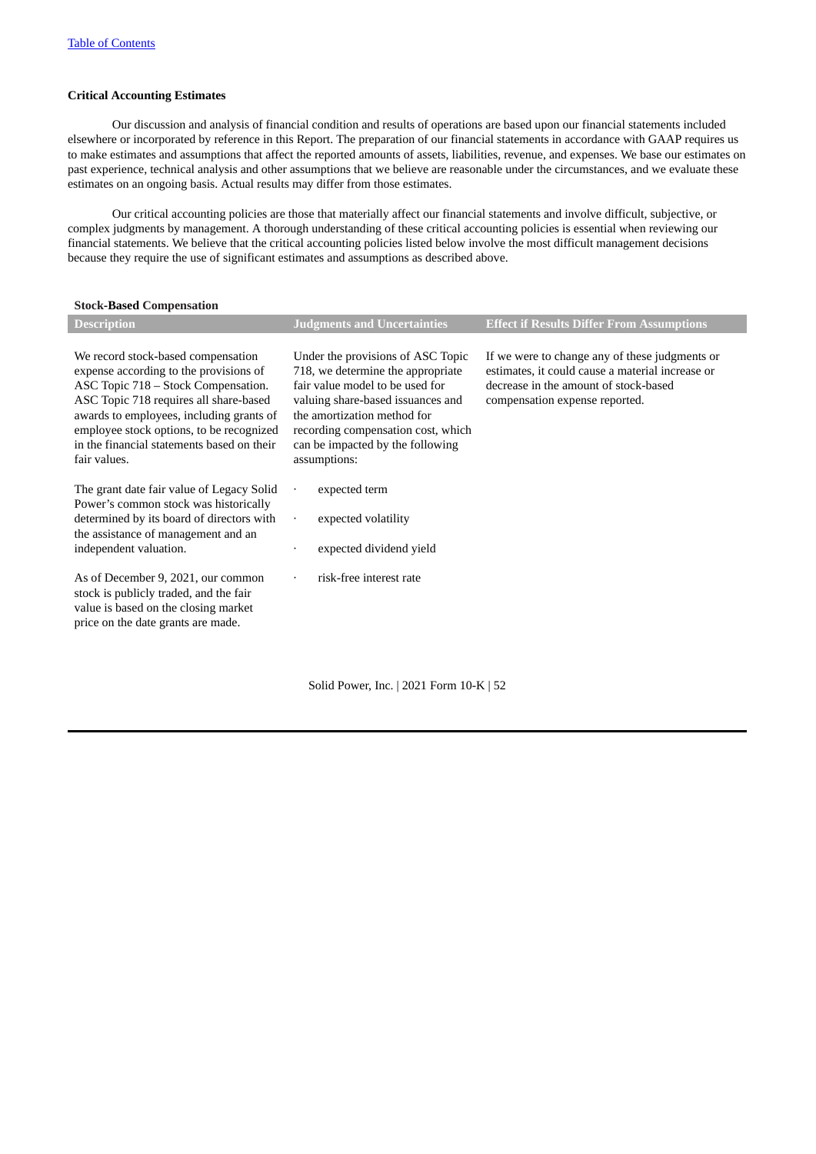# **Critical Accounting Estimates**

Our discussion and analysis of financial condition and results of operations are based upon our financial statements included elsewhere or incorporated by reference in this Report. The preparation of our financial statements in accordance with GAAP requires us to make estimates and assumptions that affect the reported amounts of assets, liabilities, revenue, and expenses. We base our estimates on past experience, technical analysis and other assumptions that we believe are reasonable under the circumstances, and we evaluate these estimates on an ongoing basis. Actual results may differ from those estimates.

Our critical accounting policies are those that materially affect our financial statements and involve difficult, subjective, or complex judgments by management. A thorough understanding of these critical accounting policies is essential when reviewing our financial statements. We believe that the critical accounting policies listed below involve the most difficult management decisions because they require the use of significant estimates and assumptions as described above.

# **Stock-Based Compensation**

| <b>Description</b>                                                                                                                                                                                                                                                                                                  | <b>Judgments and Uncertainties</b>                                                                                                                                                                                                                                      | <b>Effect if Results Differ From Assumptions</b>                                                                                                                              |
|---------------------------------------------------------------------------------------------------------------------------------------------------------------------------------------------------------------------------------------------------------------------------------------------------------------------|-------------------------------------------------------------------------------------------------------------------------------------------------------------------------------------------------------------------------------------------------------------------------|-------------------------------------------------------------------------------------------------------------------------------------------------------------------------------|
| We record stock-based compensation<br>expense according to the provisions of<br>ASC Topic 718 – Stock Compensation.<br>ASC Topic 718 requires all share-based<br>awards to employees, including grants of<br>employee stock options, to be recognized<br>in the financial statements based on their<br>fair values. | Under the provisions of ASC Topic<br>718, we determine the appropriate<br>fair value model to be used for<br>valuing share-based issuances and<br>the amortization method for<br>recording compensation cost, which<br>can be impacted by the following<br>assumptions: | If we were to change any of these judgments or<br>estimates, it could cause a material increase or<br>decrease in the amount of stock-based<br>compensation expense reported. |
| The grant date fair value of Legacy Solid<br>Power's common stock was historically<br>determined by its board of directors with<br>the assistance of management and an<br>independent valuation.                                                                                                                    | expected term<br>expected volatility<br>$\bullet$<br>expected dividend yield                                                                                                                                                                                            |                                                                                                                                                                               |
| As of December 9, 2021, our common<br>stock is publicly traded, and the fair<br>value is based on the closing market<br>price on the date grants are made.                                                                                                                                                          | risk-free interest rate<br>$\bullet$                                                                                                                                                                                                                                    |                                                                                                                                                                               |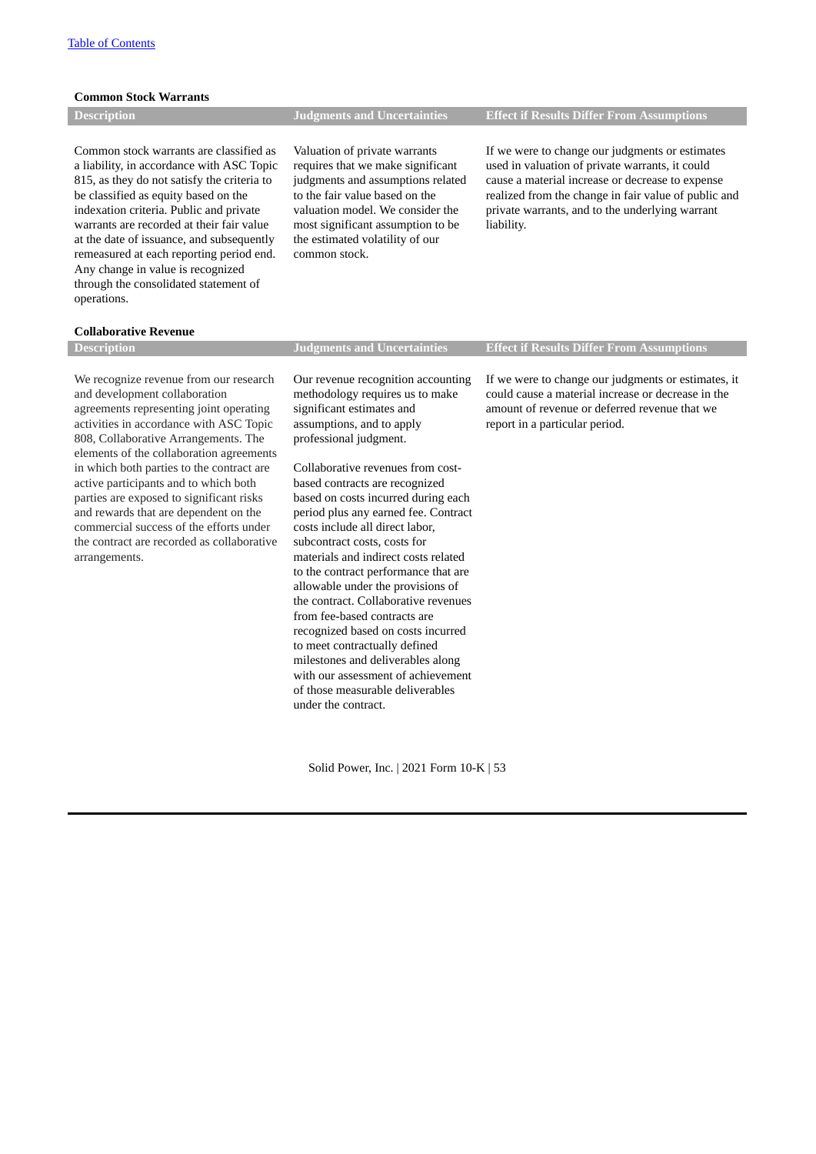# Table of [Contents](#page-1-0)

# **Common Stock Warrants**

| <b>Description</b>                          | Judgments and Uncertainties       | $^{\prime}$ Effect if Results Differ From Assumptions. |
|---------------------------------------------|-----------------------------------|--------------------------------------------------------|
|                                             |                                   |                                                        |
| Common stock warrants are classified as     | Valuation of private warrants     | If we were to change our judgments or estima           |
| a liability, in accordance with ASC Topic   | requires that we make significant | used in valuation of private warrants, it could        |
| $01E$ acthor do not catiofy the oritoria to | botalor and accumptions related   | cause a material increase or degreese to evolve        |

815, as they do not satisfy the criteria to be classified as equity based on the indexation criteria. Public and private warrants are recorded at their fair value at the date of issuance, and subsequently remeasured at each reporting period end. Any change in value is recognized through the consolidated statement of operations.

judgments and assumptions related to the fair value based on the valuation model. We consider the most significant assumption to be the estimated volatility of our common stock.

If we were to change our judgments or estimates used in valuation of private warrants, it could cause a material increase or decrease to expense realized from the change in fair value of public and private warrants, and to the underlying warrant liability.

# **Collaborative Revenue**

| <b>Description</b>                                                                                                                                                                                                                                                                | <b>Judgments and Uncertainties</b>                                                                                                                                                                                                                                                                                                                                                                                                                                                                                             | <b>Effect if Results Differ From Assumptions</b>                                                                                                                                             |
|-----------------------------------------------------------------------------------------------------------------------------------------------------------------------------------------------------------------------------------------------------------------------------------|--------------------------------------------------------------------------------------------------------------------------------------------------------------------------------------------------------------------------------------------------------------------------------------------------------------------------------------------------------------------------------------------------------------------------------------------------------------------------------------------------------------------------------|----------------------------------------------------------------------------------------------------------------------------------------------------------------------------------------------|
|                                                                                                                                                                                                                                                                                   |                                                                                                                                                                                                                                                                                                                                                                                                                                                                                                                                |                                                                                                                                                                                              |
| We recognize revenue from our research<br>and development collaboration<br>agreements representing joint operating<br>activities in accordance with ASC Topic<br>808, Collaborative Arrangements. The<br>elements of the collaboration agreements                                 | Our revenue recognition accounting<br>methodology requires us to make<br>significant estimates and<br>assumptions, and to apply<br>professional judgment.                                                                                                                                                                                                                                                                                                                                                                      | If we were to change our judgments or estimates, it<br>could cause a material increase or decrease in the<br>amount of revenue or deferred revenue that we<br>report in a particular period. |
| in which both parties to the contract are<br>active participants and to which both<br>parties are exposed to significant risks<br>and rewards that are dependent on the<br>commercial success of the efforts under<br>the contract are recorded as collaborative<br>arrangements. | Collaborative revenues from cost-<br>based contracts are recognized<br>based on costs incurred during each<br>period plus any earned fee. Contract<br>costs include all direct labor,<br>subcontract costs, costs for<br>materials and indirect costs related<br>to the contract performance that are<br>allowable under the provisions of<br>the contract. Collaborative revenues<br>from fee-based contracts are<br>recognized based on costs incurred<br>to meet contractually defined<br>milestones and deliverables along |                                                                                                                                                                                              |

with our assessment of achievement of those measurable deliverables

under the contract.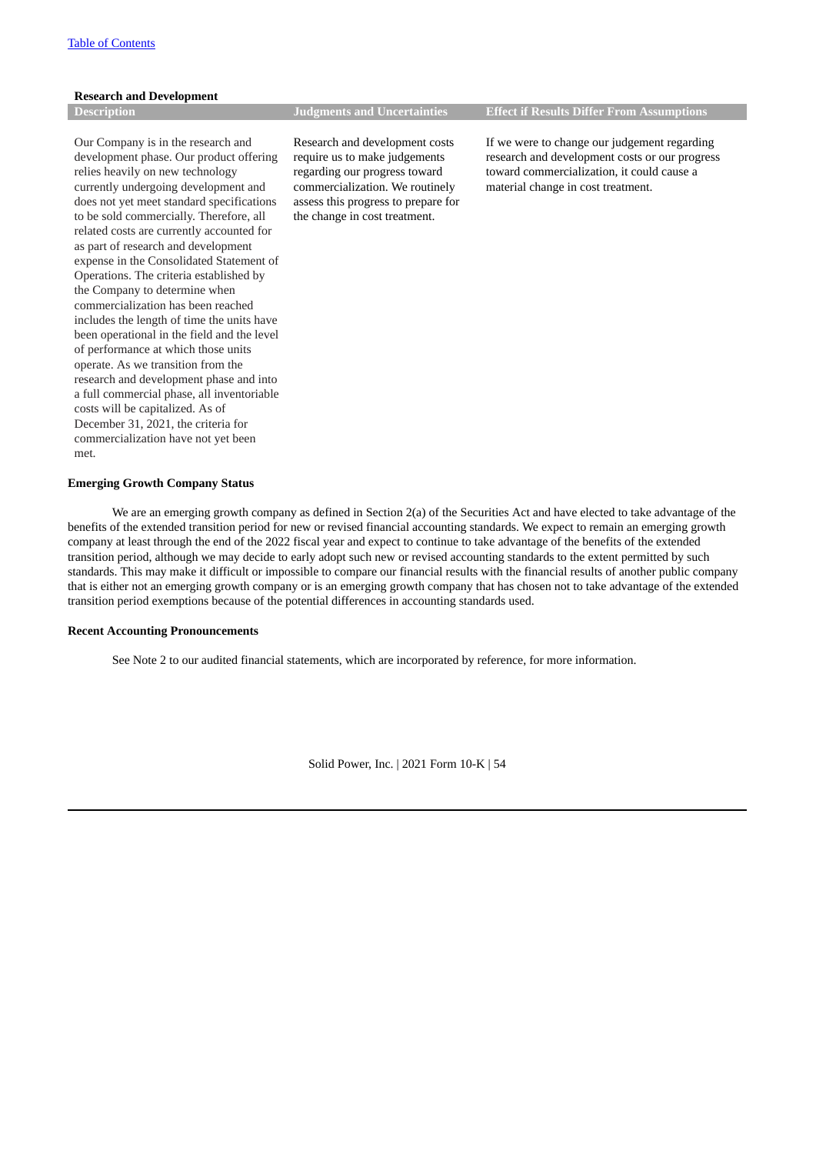# **Research and Development**

Our Company is in the research and development phase. Our product offering relies heavily on new technology currently undergoing development and does not yet meet standard specifications to be sold commercially. Therefore, all related costs are currently accounted for as part of research and development expense in the Consolidated Statement of Operations. The criteria established by the Company to determine when commercialization has been reached includes the length of time the units have been operational in the field and the level of performance at which those units operate. As we transition from the research and development phase and into a full commercial phase, all inventoriable costs will be capitalized. As of December 31, 2021, the criteria for commercialization have not yet been met.

Research and development costs require us to make judgements regarding our progress toward commercialization. We routinely assess this progress to prepare for the change in cost treatment.

**Description Judgments and Uncertainties Effect if Results Differ From Assumptions**

If we were to change our judgement regarding research and development costs or our progress toward commercialization, it could cause a material change in cost treatment.

#### **Emerging Growth Company Status**

We are an emerging growth company as defined in Section 2(a) of the Securities Act and have elected to take advantage of the benefits of the extended transition period for new or revised financial accounting standards. We expect to remain an emerging growth company at least through the end of the 2022 fiscal year and expect to continue to take advantage of the benefits of the extended transition period, although we may decide to early adopt such new or revised accounting standards to the extent permitted by such standards. This may make it difficult or impossible to compare our financial results with the financial results of another public company that is either not an emerging growth company or is an emerging growth company that has chosen not to take advantage of the extended transition period exemptions because of the potential differences in accounting standards used.

# **Recent Accounting Pronouncements**

See Note 2 to our audited financial statements, which are incorporated by reference, for more information.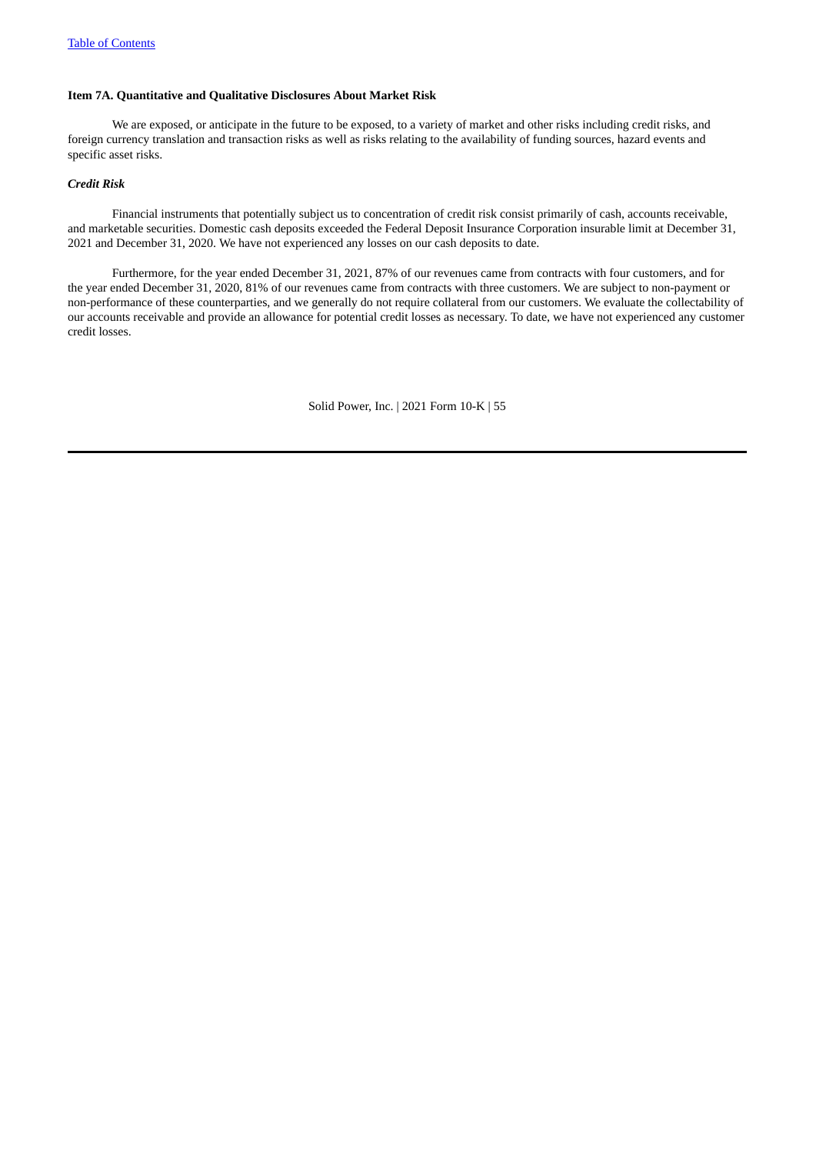# **Item 7A. Quantitative and Qualitative Disclosures About Market Risk**

We are exposed, or anticipate in the future to be exposed, to a variety of market and other risks including credit risks, and foreign currency translation and transaction risks as well as risks relating to the availability of funding sources, hazard events and specific asset risks.

## *Credit Risk*

Financial instruments that potentially subject us to concentration of credit risk consist primarily of cash, accounts receivable, and marketable securities. Domestic cash deposits exceeded the Federal Deposit Insurance Corporation insurable limit at December 31, 2021 and December 31, 2020. We have not experienced any losses on our cash deposits to date.

Furthermore, for the year ended December 31, 2021, 87% of our revenues came from contracts with four customers, and for the year ended December 31, 2020, 81% of our revenues came from contracts with three customers. We are subject to non-payment or non-performance of these counterparties, and we generally do not require collateral from our customers. We evaluate the collectability of our accounts receivable and provide an allowance for potential credit losses as necessary. To date, we have not experienced any customer credit losses.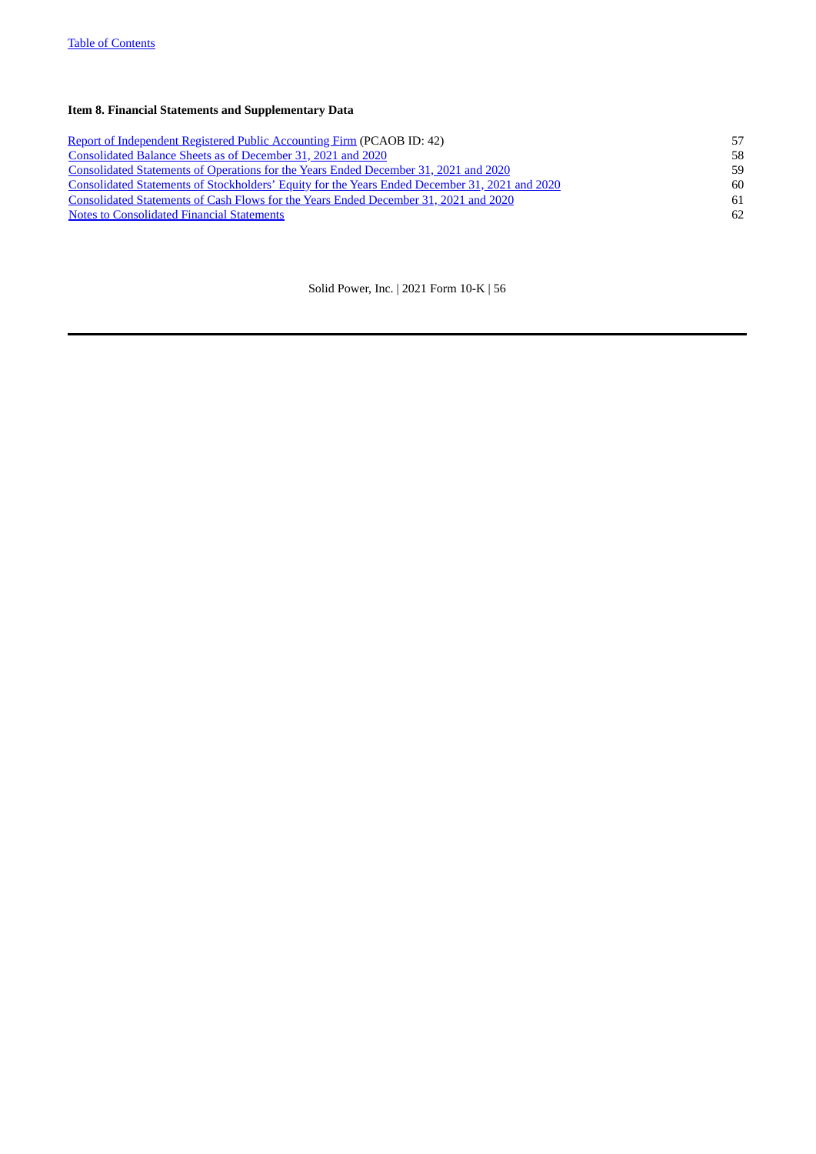# **Item 8. Financial Statements and Supplementary Data**

| 57 |
|----|
| 58 |
| 59 |
| 60 |
| 61 |
| 62 |
|    |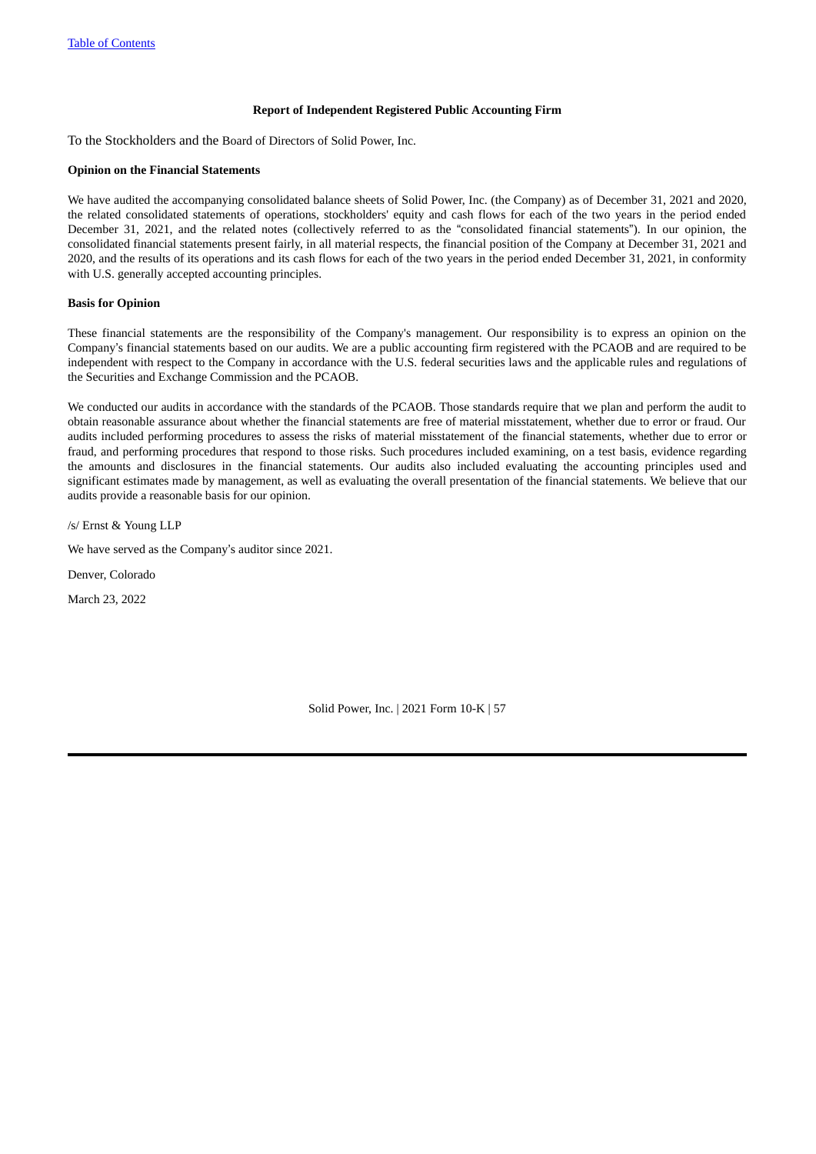# **Report of Independent Registered Public Accounting Firm**

<span id="page-56-0"></span>To the Stockholders and the Board of Directors of Solid Power, Inc.

# **Opinion on the Financial Statements**

We have audited the accompanying consolidated balance sheets of Solid Power, Inc. (the Company) as of December 31, 2021 and 2020, the related consolidated statements of operations, stockholders' equity and cash flows for each of the two years in the period ended December 31, 2021, and the related notes (collectively referred to as the "consolidated financial statements"). In our opinion, the consolidated financial statements present fairly, in all material respects, the financial position of the Company at December 31, 2021 and 2020, and the results of its operations and its cash flows for each of the two years in the period ended December 31, 2021, in conformity with U.S. generally accepted accounting principles.

# **Basis for Opinion**

These financial statements are the responsibility of the Company's management. Our responsibility is to express an opinion on the Company's financial statements based on our audits. We are a public accounting firm registered with the PCAOB and are required to be independent with respect to the Company in accordance with the U.S. federal securities laws and the applicable rules and regulations of the Securities and Exchange Commission and the PCAOB.

We conducted our audits in accordance with the standards of the PCAOB. Those standards require that we plan and perform the audit to obtain reasonable assurance about whether the financial statements are free of material misstatement, whether due to error or fraud. Our audits included performing procedures to assess the risks of material misstatement of the financial statements, whether due to error or fraud, and performing procedures that respond to those risks. Such procedures included examining, on a test basis, evidence regarding the amounts and disclosures in the financial statements. Our audits also included evaluating the accounting principles used and significant estimates made by management, as well as evaluating the overall presentation of the financial statements. We believe that our audits provide a reasonable basis for our opinion.

/s/ Ernst & Young LLP

We have served as the Company's auditor since 2021.

Denver, Colorado

March 23, 2022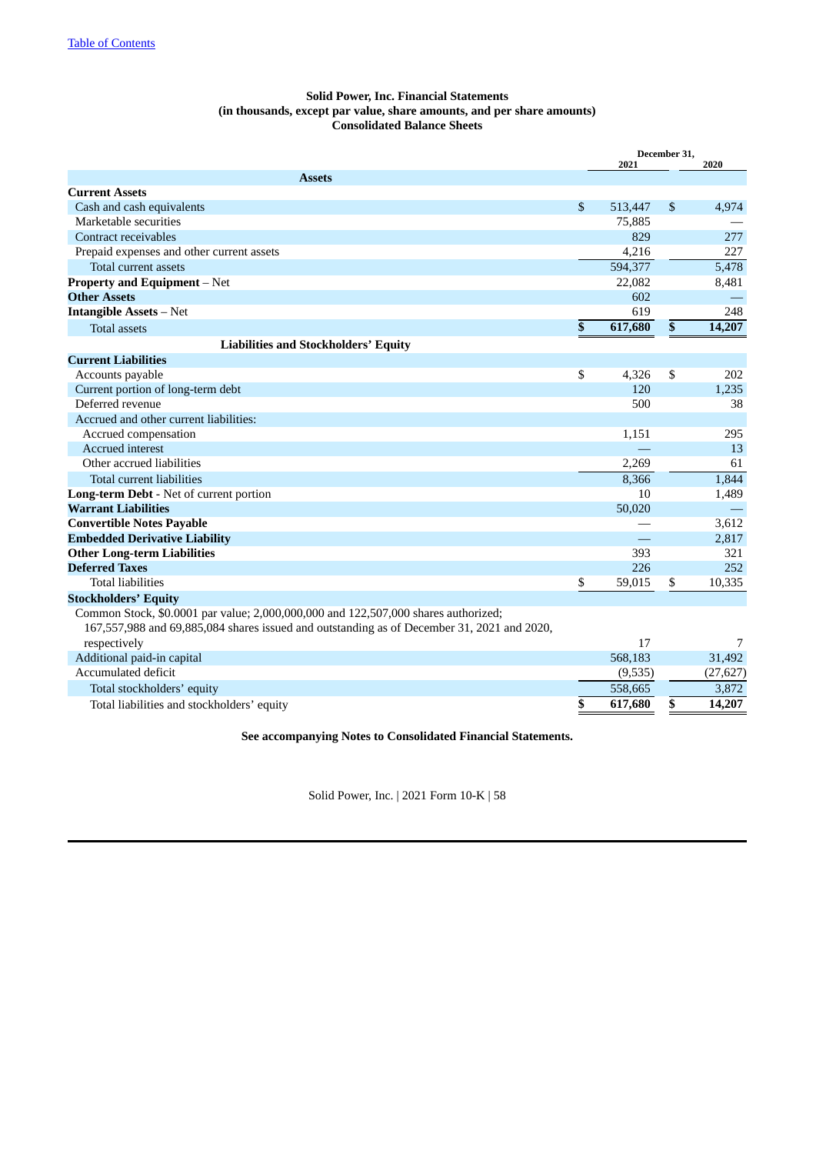# **Solid Power, Inc. Financial Statements (in thousands, except par value, share amounts, and per share amounts) Consolidated Balance Sheets**

<span id="page-57-0"></span>

|                                                                                            | December 31, |         |    | 2020      |  |  |
|--------------------------------------------------------------------------------------------|--------------|---------|----|-----------|--|--|
| <b>Assets</b>                                                                              |              | 2021    |    |           |  |  |
| <b>Current Assets</b>                                                                      |              |         |    |           |  |  |
| Cash and cash equivalents                                                                  | \$           | 513,447 | \$ | 4.974     |  |  |
| Marketable securities                                                                      |              | 75,885  |    |           |  |  |
| Contract receivables                                                                       |              | 829     |    | 277       |  |  |
| Prepaid expenses and other current assets                                                  |              | 4,216   |    | 227       |  |  |
| Total current assets                                                                       |              | 594,377 |    | 5,478     |  |  |
| <b>Property and Equipment – Net</b>                                                        |              | 22,082  |    | 8,481     |  |  |
| <b>Other Assets</b>                                                                        |              | 602     |    |           |  |  |
| <b>Intangible Assets - Net</b>                                                             |              | 619     |    | 248       |  |  |
| <b>Total assets</b>                                                                        | \$           | 617,680 | \$ | 14,207    |  |  |
| <b>Liabilities and Stockholders' Equity</b>                                                |              |         |    |           |  |  |
| <b>Current Liabilities</b>                                                                 |              |         |    |           |  |  |
| Accounts payable                                                                           | \$           | 4,326   | \$ | 202       |  |  |
| Current portion of long-term debt                                                          |              | 120     |    | 1,235     |  |  |
| Deferred revenue                                                                           |              | 500     |    | 38        |  |  |
| Accrued and other current liabilities:                                                     |              |         |    |           |  |  |
| Accrued compensation                                                                       |              | 1,151   |    | 295       |  |  |
| <b>Accrued</b> interest                                                                    |              |         |    | 13        |  |  |
| Other accrued liabilities                                                                  |              | 2,269   |    | 61        |  |  |
| Total current liabilities                                                                  |              | 8,366   |    | 1.844     |  |  |
| Long-term Debt - Net of current portion                                                    |              | 10      |    | 1,489     |  |  |
| <b>Warrant Liabilities</b>                                                                 |              | 50,020  |    |           |  |  |
| <b>Convertible Notes Payable</b>                                                           |              |         |    | 3,612     |  |  |
| <b>Embedded Derivative Liability</b>                                                       |              |         |    | 2,817     |  |  |
| <b>Other Long-term Liabilities</b>                                                         |              | 393     |    | 321       |  |  |
| <b>Deferred Taxes</b>                                                                      |              | 226     |    | 252       |  |  |
| <b>Total liabilities</b>                                                                   | \$           | 59,015  | \$ | 10,335    |  |  |
| <b>Stockholders' Equity</b>                                                                |              |         |    |           |  |  |
| Common Stock, \$0.0001 par value; 2,000,000,000 and 122,507,000 shares authorized;         |              |         |    |           |  |  |
| 167,557,988 and 69,885,084 shares issued and outstanding as of December 31, 2021 and 2020, |              |         |    |           |  |  |
| respectively                                                                               |              | 17      |    | 7         |  |  |
| Additional paid-in capital                                                                 |              | 568,183 |    | 31,492    |  |  |
| Accumulated deficit                                                                        |              | (9,535) |    | (27, 627) |  |  |
| Total stockholders' equity                                                                 |              | 558,665 |    | 3,872     |  |  |
| Total liabilities and stockholders' equity                                                 | \$           | 617,680 | \$ | 14,207    |  |  |

**See accompanying Notes to Consolidated Financial Statements.**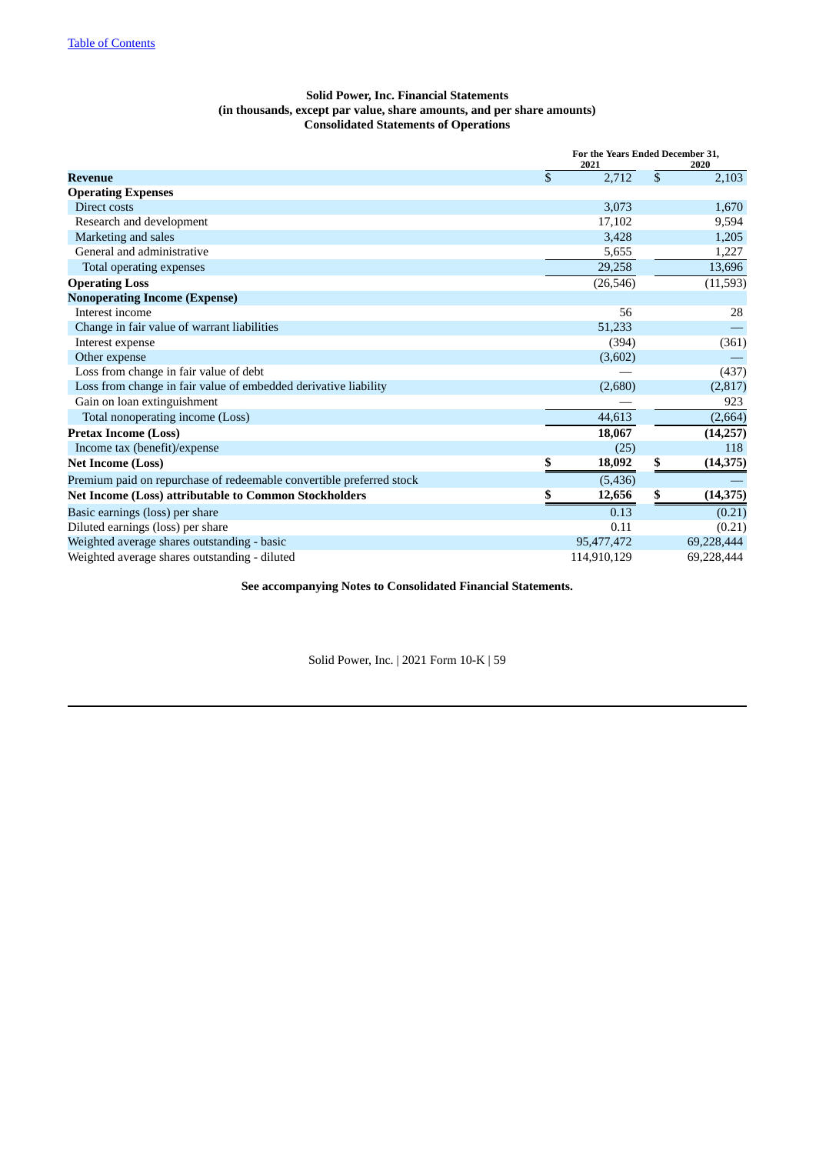# **Solid Power, Inc. Financial Statements (in thousands, except par value, share amounts, and per share amounts) Consolidated Statements of Operations**

<span id="page-58-0"></span>

|                                                                      |    | For the Years Ended December 31,<br>2021 | 2020            |  |
|----------------------------------------------------------------------|----|------------------------------------------|-----------------|--|
| $\mathfrak{L}$<br><b>Revenue</b>                                     |    | 2,712                                    | \$<br>2,103     |  |
| <b>Operating Expenses</b>                                            |    |                                          |                 |  |
| Direct costs                                                         |    | 3,073                                    | 1,670           |  |
| Research and development                                             |    | 17,102                                   | 9,594           |  |
| Marketing and sales                                                  |    | 3,428                                    | 1,205           |  |
| General and administrative                                           |    | 5,655                                    | 1,227           |  |
| Total operating expenses                                             |    | 29,258                                   | 13,696          |  |
| <b>Operating Loss</b>                                                |    | (26, 546)                                | (11, 593)       |  |
| <b>Nonoperating Income (Expense)</b>                                 |    |                                          |                 |  |
| Interest income                                                      |    | 56                                       | 28              |  |
| Change in fair value of warrant liabilities                          |    | 51,233                                   |                 |  |
| Interest expense                                                     |    | (394)                                    | (361)           |  |
| Other expense                                                        |    | (3,602)                                  |                 |  |
| Loss from change in fair value of debt                               |    |                                          | (437)           |  |
| Loss from change in fair value of embedded derivative liability      |    | (2,680)                                  | (2,817)         |  |
| Gain on loan extinguishment                                          |    |                                          | 923             |  |
| Total nonoperating income (Loss)                                     |    | 44,613                                   | (2,664)         |  |
| <b>Pretax Income (Loss)</b>                                          |    | 18,067                                   | (14, 257)       |  |
| Income tax (benefit)/expense                                         |    | (25)                                     | 118             |  |
| <b>Net Income (Loss)</b>                                             | \$ | 18,092                                   | \$<br>(14, 375) |  |
| Premium paid on repurchase of redeemable convertible preferred stock |    | (5, 436)                                 |                 |  |
| Net Income (Loss) attributable to Common Stockholders                | \$ | 12,656                                   | \$<br>(14, 375) |  |
| Basic earnings (loss) per share                                      |    | 0.13                                     | (0.21)          |  |
| Diluted earnings (loss) per share                                    |    | 0.11                                     | (0.21)          |  |
| Weighted average shares outstanding - basic                          |    | 95,477,472                               | 69,228,444      |  |
| Weighted average shares outstanding - diluted                        |    | 114,910,129                              | 69,228,444      |  |

**See accompanying Notes to Consolidated Financial Statements.**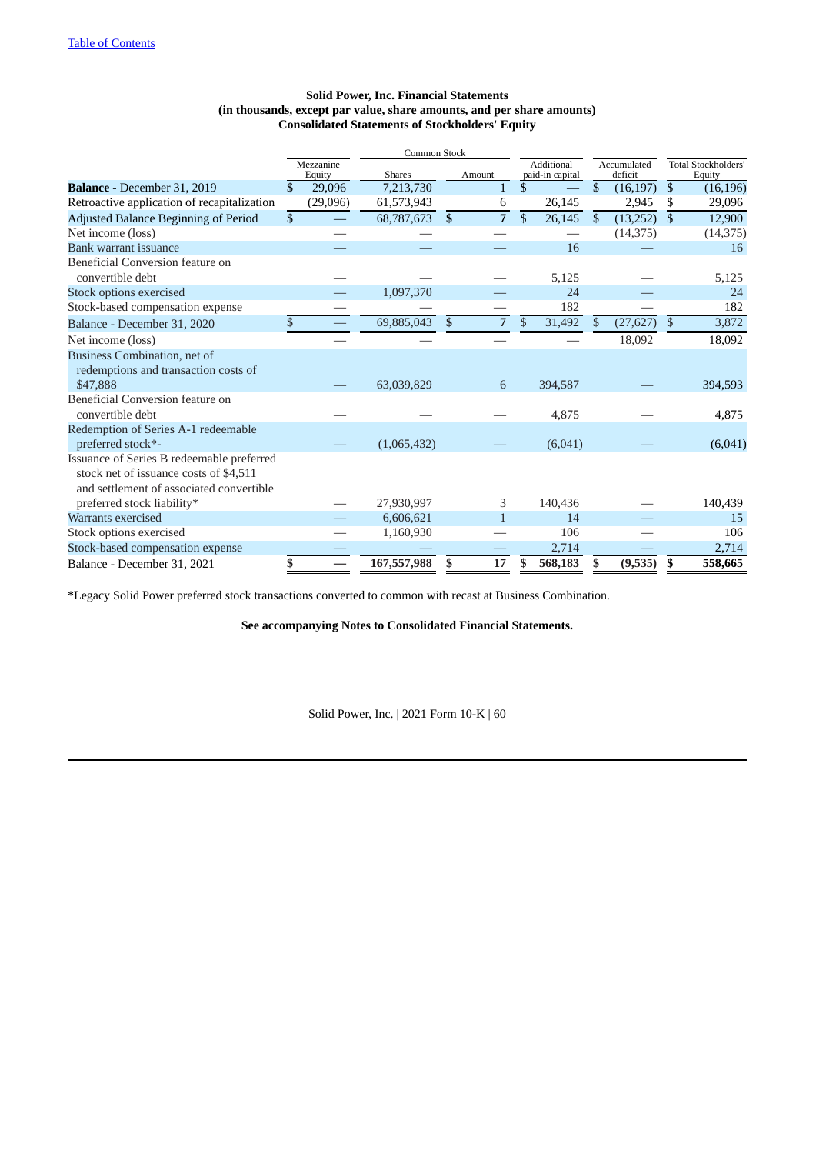# **Solid Power, Inc. Financial Statements (in thousands, except par value, share amounts, and per share amounts) Consolidated Statements of Stockholders' Equity**

<span id="page-59-0"></span>

|                                                                                                                                                               |                 |                     | Common Stock |                       |              |                               |                        |                                      |
|---------------------------------------------------------------------------------------------------------------------------------------------------------------|-----------------|---------------------|--------------|-----------------------|--------------|-------------------------------|------------------------|--------------------------------------|
|                                                                                                                                                               |                 | Mezzanine<br>Equity | Shares       | Amount                |              | Additional<br>paid-in capital | Accumulated<br>deficit | <b>Total Stockholders'</b><br>Equity |
| Balance - December 31, 2019                                                                                                                                   | $\mathbb{S}$    | 29,096              | 7,213,730    | $\mathbf{1}$          | \$           |                               | \$<br>(16, 197)        | \$<br>(16, 196)                      |
| Retroactive application of recapitalization                                                                                                                   |                 | (29,096)            | 61,573,943   | 6                     |              | 26,145                        | 2,945                  | \$<br>29,096                         |
| Adjusted Balance Beginning of Period                                                                                                                          | $\overline{\$}$ |                     | 68,787,673   | \$<br>$\overline{7}$  | $\sqrt{2}$   | 26,145                        | \$<br>(13,252)         | \$<br>12,900                         |
| Net income (loss)                                                                                                                                             |                 |                     |              |                       |              |                               | (14, 375)              | (14, 375)                            |
| Bank warrant issuance                                                                                                                                         |                 |                     |              |                       |              | 16                            |                        | 16                                   |
| Beneficial Conversion feature on<br>convertible debt                                                                                                          |                 |                     |              |                       |              | 5,125                         |                        | 5,125                                |
| Stock options exercised                                                                                                                                       |                 |                     | 1,097,370    |                       |              | 24                            |                        | 24                                   |
| Stock-based compensation expense                                                                                                                              |                 |                     |              |                       |              | 182                           |                        | 182                                  |
| Balance - December 31, 2020                                                                                                                                   | \$              |                     | 69,885,043   | \$<br>$7\overline{ }$ | $\mathbb{S}$ | 31,492                        | \$<br>(27, 627)        | \$<br>3,872                          |
| Net income (loss)                                                                                                                                             |                 |                     |              |                       |              |                               | 18,092                 | 18,092                               |
| Business Combination, net of<br>redemptions and transaction costs of<br>\$47,888                                                                              |                 |                     | 63,039,829   | 6                     |              | 394,587                       |                        | 394,593                              |
| Beneficial Conversion feature on<br>convertible debt                                                                                                          |                 |                     |              |                       |              | 4,875                         |                        | 4,875                                |
| Redemption of Series A-1 redeemable<br>preferred stock*-                                                                                                      |                 |                     | (1,065,432)  |                       |              | (6,041)                       |                        | (6,041)                              |
| Issuance of Series B redeemable preferred<br>stock net of issuance costs of \$4,511<br>and settlement of associated convertible<br>preferred stock liability* |                 |                     | 27,930,997   | 3                     |              | 140,436                       |                        | 140,439                              |
| Warrants exercised                                                                                                                                            |                 |                     | 6,606,621    | $\mathbf 1$           |              | 14                            |                        | 15                                   |
| Stock options exercised                                                                                                                                       |                 |                     | 1,160,930    |                       |              | 106                           |                        | 106                                  |
| Stock-based compensation expense                                                                                                                              |                 |                     |              |                       |              | 2,714                         |                        | 2,714                                |
| Balance - December 31, 2021                                                                                                                                   | \$              |                     | 167,557,988  | \$<br>17              | \$           | 568,183                       | \$<br>(9,535)          | \$<br>558,665                        |

\*Legacy Solid Power preferred stock transactions converted to common with recast at Business Combination.

**See accompanying Notes to Consolidated Financial Statements.**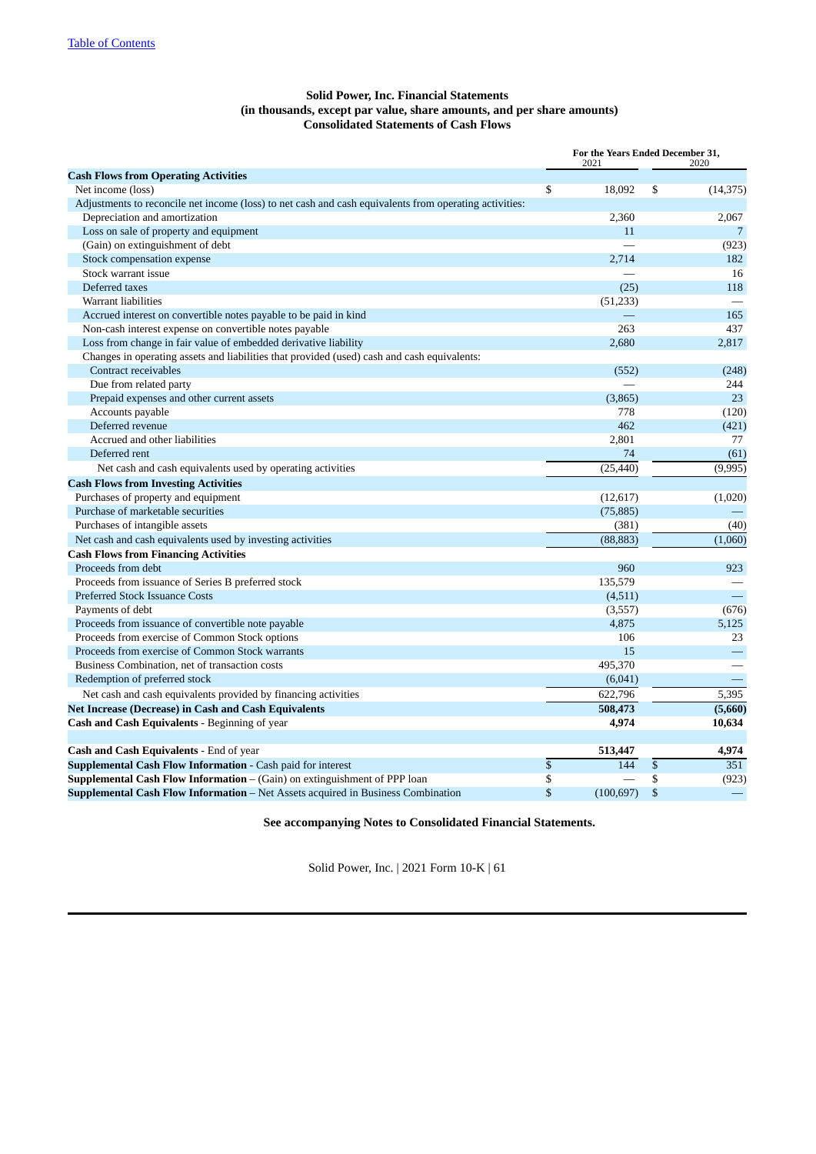# **Solid Power, Inc. Financial Statements (in thousands, except par value, share amounts, and per share amounts) Consolidated Statements of Cash Flows**

<span id="page-60-0"></span>

|                                                                                                        |    | For the Years Ended December 31,<br>2020 |    |                          |
|--------------------------------------------------------------------------------------------------------|----|------------------------------------------|----|--------------------------|
| <b>Cash Flows from Operating Activities</b>                                                            |    | 2021                                     |    |                          |
| Net income (loss)                                                                                      | \$ | 18,092                                   | \$ | (14, 375)                |
| Adjustments to reconcile net income (loss) to net cash and cash equivalents from operating activities: |    |                                          |    |                          |
| Depreciation and amortization                                                                          |    | 2,360                                    |    | 2,067                    |
| Loss on sale of property and equipment                                                                 |    | 11                                       |    | $7\overline{ }$          |
| (Gain) on extinguishment of debt                                                                       |    |                                          |    | (923)                    |
| Stock compensation expense                                                                             |    | 2,714                                    |    | 182                      |
| Stock warrant issue                                                                                    |    |                                          |    | 16                       |
| Deferred taxes                                                                                         |    | (25)                                     |    | 118                      |
| Warrant liabilities                                                                                    |    | (51, 233)                                |    |                          |
| Accrued interest on convertible notes payable to be paid in kind                                       |    |                                          |    | 165                      |
| Non-cash interest expense on convertible notes payable                                                 |    | 263                                      |    | 437                      |
| Loss from change in fair value of embedded derivative liability                                        |    | 2,680                                    |    | 2,817                    |
| Changes in operating assets and liabilities that provided (used) cash and cash equivalents:            |    |                                          |    |                          |
| Contract receivables                                                                                   |    | (552)                                    |    | (248)                    |
| Due from related party                                                                                 |    |                                          |    | 244                      |
| Prepaid expenses and other current assets                                                              |    | (3,865)                                  |    | 23                       |
| Accounts payable                                                                                       |    | 778                                      |    | (120)                    |
| Deferred revenue                                                                                       |    | 462                                      |    | (421)                    |
| Accrued and other liabilities                                                                          |    | 2,801                                    |    | 77                       |
| Deferred rent                                                                                          |    | 74                                       |    | (61)                     |
| Net cash and cash equivalents used by operating activities                                             |    | (25, 440)                                |    | (9,995)                  |
| <b>Cash Flows from Investing Activities</b>                                                            |    |                                          |    |                          |
| Purchases of property and equipment                                                                    |    | (12,617)                                 |    | (1,020)                  |
| Purchase of marketable securities                                                                      |    | (75, 885)                                |    |                          |
| Purchases of intangible assets                                                                         |    | (381)                                    |    | (40)                     |
| Net cash and cash equivalents used by investing activities                                             |    | (88, 883)                                |    | (1,060)                  |
| <b>Cash Flows from Financing Activities</b>                                                            |    |                                          |    |                          |
| Proceeds from debt                                                                                     |    | 960                                      |    | 923                      |
| Proceeds from issuance of Series B preferred stock                                                     |    | 135,579                                  |    |                          |
| <b>Preferred Stock Issuance Costs</b>                                                                  |    | (4,511)                                  |    | $\overline{\phantom{m}}$ |
| Payments of debt                                                                                       |    | (3,557)                                  |    | (676)                    |
| Proceeds from issuance of convertible note payable                                                     |    | 4,875                                    |    | 5,125                    |
| Proceeds from exercise of Common Stock options                                                         |    | 106                                      |    | 23                       |
| Proceeds from exercise of Common Stock warrants                                                        |    | 15                                       |    |                          |
| Business Combination, net of transaction costs                                                         |    | 495,370                                  |    |                          |
| Redemption of preferred stock                                                                          |    | (6,041)                                  |    |                          |
| Net cash and cash equivalents provided by financing activities                                         |    | 622,796                                  |    | 5,395                    |
| Net Increase (Decrease) in Cash and Cash Equivalents                                                   |    | 508,473                                  |    | (5,660)                  |
| <b>Cash and Cash Equivalents - Beginning of year</b>                                                   |    | 4,974                                    |    | 10,634                   |
| Cash and Cash Equivalents - End of year                                                                |    | 513,447                                  |    | 4,974                    |
| Supplemental Cash Flow Information - Cash paid for interest                                            | \$ | 144                                      | \$ | 351                      |
| <b>Supplemental Cash Flow Information</b> $-$ (Gain) on extinguishment of PPP loan                     | \$ |                                          | \$ | (923)                    |
| <b>Supplemental Cash Flow Information - Net Assets acquired in Business Combination</b>                | \$ | (100, 697)                               | \$ |                          |

**See accompanying Notes to Consolidated Financial Statements.**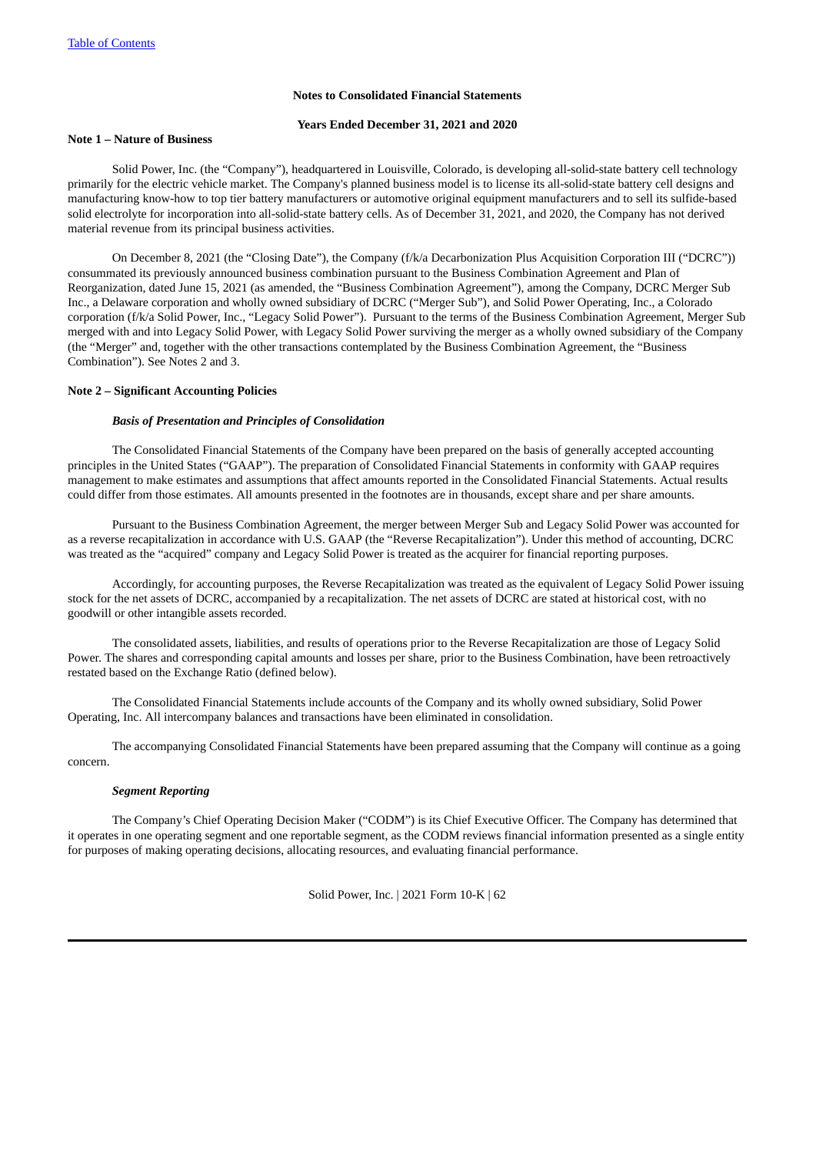# **Notes to Consolidated Financial Statements**

# **Years Ended December 31, 2021 and 2020**

# <span id="page-61-0"></span>**Note 1 – Nature of Business**

Solid Power, Inc. (the "Company"), headquartered in Louisville, Colorado, is developing all-solid-state battery cell technology primarily for the electric vehicle market. The Company's planned business model is to license its all-solid-state battery cell designs and manufacturing know-how to top tier battery manufacturers or automotive original equipment manufacturers and to sell its sulfide-based solid electrolyte for incorporation into all-solid-state battery cells. As of December 31, 2021, and 2020, the Company has not derived material revenue from its principal business activities.

On December 8, 2021 (the "Closing Date"), the Company (f/k/a Decarbonization Plus Acquisition Corporation III ("DCRC")) consummated its previously announced business combination pursuant to the Business Combination Agreement and Plan of Reorganization, dated June 15, 2021 (as amended, the "Business Combination Agreement"), among the Company, DCRC Merger Sub Inc., a Delaware corporation and wholly owned subsidiary of DCRC ("Merger Sub"), and Solid Power Operating, Inc., a Colorado corporation (f/k/a Solid Power, Inc., "Legacy Solid Power"). Pursuant to the terms of the Business Combination Agreement, Merger Sub merged with and into Legacy Solid Power, with Legacy Solid Power surviving the merger as a wholly owned subsidiary of the Company (the "Merger" and, together with the other transactions contemplated by the Business Combination Agreement, the "Business Combination"). See Notes 2 and 3.

#### **Note 2 – Significant Accounting Policies**

#### *Basis of Presentation and Principles of Consolidation*

The Consolidated Financial Statements of the Company have been prepared on the basis of generally accepted accounting principles in the United States ("GAAP"). The preparation of Consolidated Financial Statements in conformity with GAAP requires management to make estimates and assumptions that affect amounts reported in the Consolidated Financial Statements. Actual results could differ from those estimates. All amounts presented in the footnotes are in thousands, except share and per share amounts.

Pursuant to the Business Combination Agreement, the merger between Merger Sub and Legacy Solid Power was accounted for as a reverse recapitalization in accordance with U.S. GAAP (the "Reverse Recapitalization"). Under this method of accounting, DCRC was treated as the "acquired" company and Legacy Solid Power is treated as the acquirer for financial reporting purposes.

Accordingly, for accounting purposes, the Reverse Recapitalization was treated as the equivalent of Legacy Solid Power issuing stock for the net assets of DCRC, accompanied by a recapitalization. The net assets of DCRC are stated at historical cost, with no goodwill or other intangible assets recorded.

The consolidated assets, liabilities, and results of operations prior to the Reverse Recapitalization are those of Legacy Solid Power. The shares and corresponding capital amounts and losses per share, prior to the Business Combination, have been retroactively restated based on the Exchange Ratio (defined below).

The Consolidated Financial Statements include accounts of the Company and its wholly owned subsidiary, Solid Power Operating, Inc. All intercompany balances and transactions have been eliminated in consolidation.

The accompanying Consolidated Financial Statements have been prepared assuming that the Company will continue as a going concern.

#### *Segment Reporting*

The Company's Chief Operating Decision Maker ("CODM") is its Chief Executive Officer. The Company has determined that it operates in one operating segment and one reportable segment, as the CODM reviews financial information presented as a single entity for purposes of making operating decisions, allocating resources, and evaluating financial performance.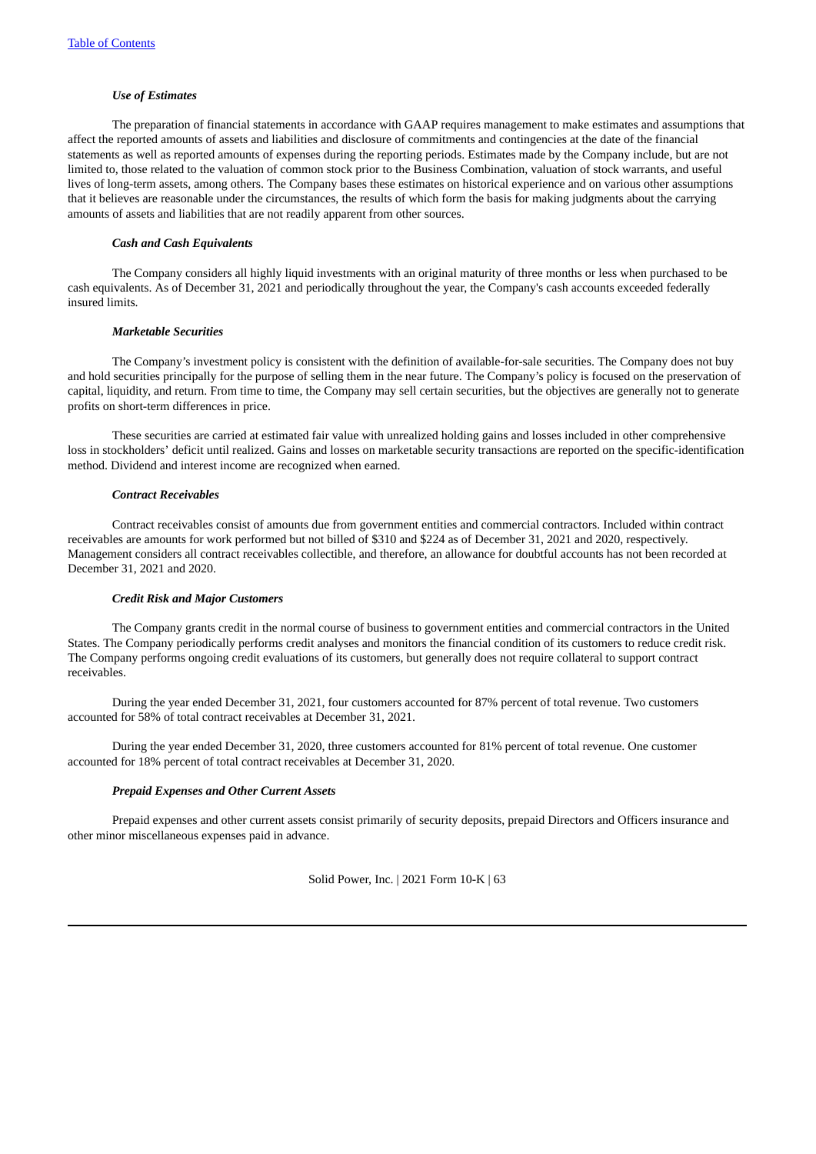#### *Use of Estimates*

The preparation of financial statements in accordance with GAAP requires management to make estimates and assumptions that affect the reported amounts of assets and liabilities and disclosure of commitments and contingencies at the date of the financial statements as well as reported amounts of expenses during the reporting periods. Estimates made by the Company include, but are not limited to, those related to the valuation of common stock prior to the Business Combination, valuation of stock warrants, and useful lives of long-term assets, among others. The Company bases these estimates on historical experience and on various other assumptions that it believes are reasonable under the circumstances, the results of which form the basis for making judgments about the carrying amounts of assets and liabilities that are not readily apparent from other sources.

#### *Cash and Cash Equivalents*

The Company considers all highly liquid investments with an original maturity of three months or less when purchased to be cash equivalents. As of December 31, 2021 and periodically throughout the year, the Company's cash accounts exceeded federally insured limits.

## *Marketable Securities*

The Company's investment policy is consistent with the definition of available-for-sale securities. The Company does not buy and hold securities principally for the purpose of selling them in the near future. The Company's policy is focused on the preservation of capital, liquidity, and return. From time to time, the Company may sell certain securities, but the objectives are generally not to generate profits on short-term differences in price.

These securities are carried at estimated fair value with unrealized holding gains and losses included in other comprehensive loss in stockholders' deficit until realized. Gains and losses on marketable security transactions are reported on the specific-identification method. Dividend and interest income are recognized when earned.

#### *Contract Receivables*

Contract receivables consist of amounts due from government entities and commercial contractors. Included within contract receivables are amounts for work performed but not billed of \$310 and \$224 as of December 31, 2021 and 2020, respectively. Management considers all contract receivables collectible, and therefore, an allowance for doubtful accounts has not been recorded at December 31, 2021 and 2020.

# *Credit Risk and Major Customers*

The Company grants credit in the normal course of business to government entities and commercial contractors in the United States. The Company periodically performs credit analyses and monitors the financial condition of its customers to reduce credit risk. The Company performs ongoing credit evaluations of its customers, but generally does not require collateral to support contract receivables.

During the year ended December 31, 2021, four customers accounted for 87% percent of total revenue. Two customers accounted for 58% of total contract receivables at December 31, 2021.

During the year ended December 31, 2020, three customers accounted for 81% percent of total revenue. One customer accounted for 18% percent of total contract receivables at December 31, 2020.

#### *Prepaid Expenses and Other Current Assets*

Prepaid expenses and other current assets consist primarily of security deposits, prepaid Directors and Officers insurance and other minor miscellaneous expenses paid in advance.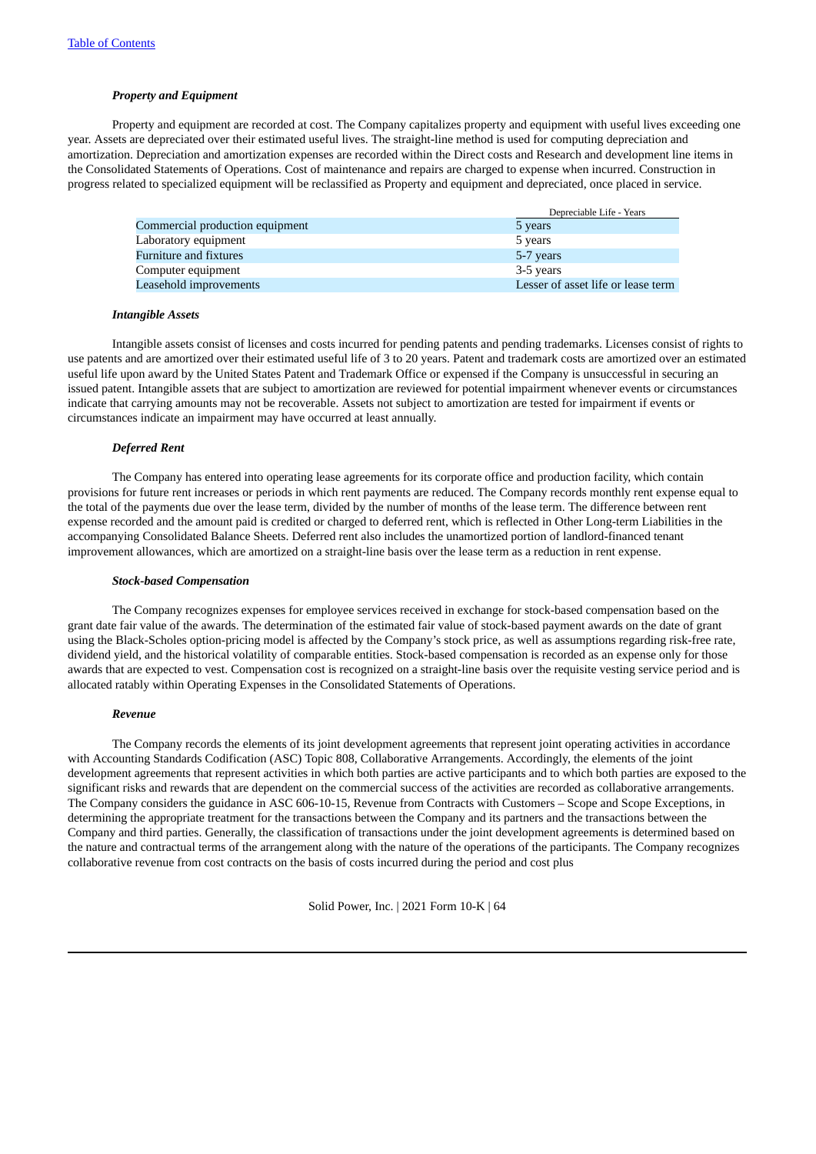## *Property and Equipment*

Property and equipment are recorded at cost. The Company capitalizes property and equipment with useful lives exceeding one year. Assets are depreciated over their estimated useful lives. The straight-line method is used for computing depreciation and amortization. Depreciation and amortization expenses are recorded within the Direct costs and Research and development line items in the Consolidated Statements of Operations. Cost of maintenance and repairs are charged to expense when incurred. Construction in progress related to specialized equipment will be reclassified as Property and equipment and depreciated, once placed in service.

|                                 | Depreciable Life - Years           |
|---------------------------------|------------------------------------|
| Commercial production equipment | 5 years                            |
| Laboratory equipment            | 5 years                            |
| Furniture and fixtures          | 5-7 years                          |
| Computer equipment              | 3-5 years                          |
| Leasehold improvements          | Lesser of asset life or lease term |
|                                 |                                    |

#### *Intangible Assets*

Intangible assets consist of licenses and costs incurred for pending patents and pending trademarks. Licenses consist of rights to use patents and are amortized over their estimated useful life of 3 to 20 years. Patent and trademark costs are amortized over an estimated useful life upon award by the United States Patent and Trademark Office or expensed if the Company is unsuccessful in securing an issued patent. Intangible assets that are subject to amortization are reviewed for potential impairment whenever events or circumstances indicate that carrying amounts may not be recoverable. Assets not subject to amortization are tested for impairment if events or circumstances indicate an impairment may have occurred at least annually.

#### *Deferred Rent*

The Company has entered into operating lease agreements for its corporate office and production facility, which contain provisions for future rent increases or periods in which rent payments are reduced. The Company records monthly rent expense equal to the total of the payments due over the lease term, divided by the number of months of the lease term. The difference between rent expense recorded and the amount paid is credited or charged to deferred rent, which is reflected in Other Long-term Liabilities in the accompanying Consolidated Balance Sheets. Deferred rent also includes the unamortized portion of landlord-financed tenant improvement allowances, which are amortized on a straight-line basis over the lease term as a reduction in rent expense.

## *Stock-based Compensation*

The Company recognizes expenses for employee services received in exchange for stock-based compensation based on the grant date fair value of the awards. The determination of the estimated fair value of stock-based payment awards on the date of grant using the Black-Scholes option-pricing model is affected by the Company's stock price, as well as assumptions regarding risk-free rate, dividend yield, and the historical volatility of comparable entities. Stock-based compensation is recorded as an expense only for those awards that are expected to vest. Compensation cost is recognized on a straight-line basis over the requisite vesting service period and is allocated ratably within Operating Expenses in the Consolidated Statements of Operations.

#### *Revenue*

The Company records the elements of its joint development agreements that represent joint operating activities in accordance with Accounting Standards Codification (ASC) Topic 808, Collaborative Arrangements. Accordingly, the elements of the joint development agreements that represent activities in which both parties are active participants and to which both parties are exposed to the significant risks and rewards that are dependent on the commercial success of the activities are recorded as collaborative arrangements. The Company considers the guidance in ASC 606-10-15, Revenue from Contracts with Customers – Scope and Scope Exceptions, in determining the appropriate treatment for the transactions between the Company and its partners and the transactions between the Company and third parties. Generally, the classification of transactions under the joint development agreements is determined based on the nature and contractual terms of the arrangement along with the nature of the operations of the participants. The Company recognizes collaborative revenue from cost contracts on the basis of costs incurred during the period and cost plus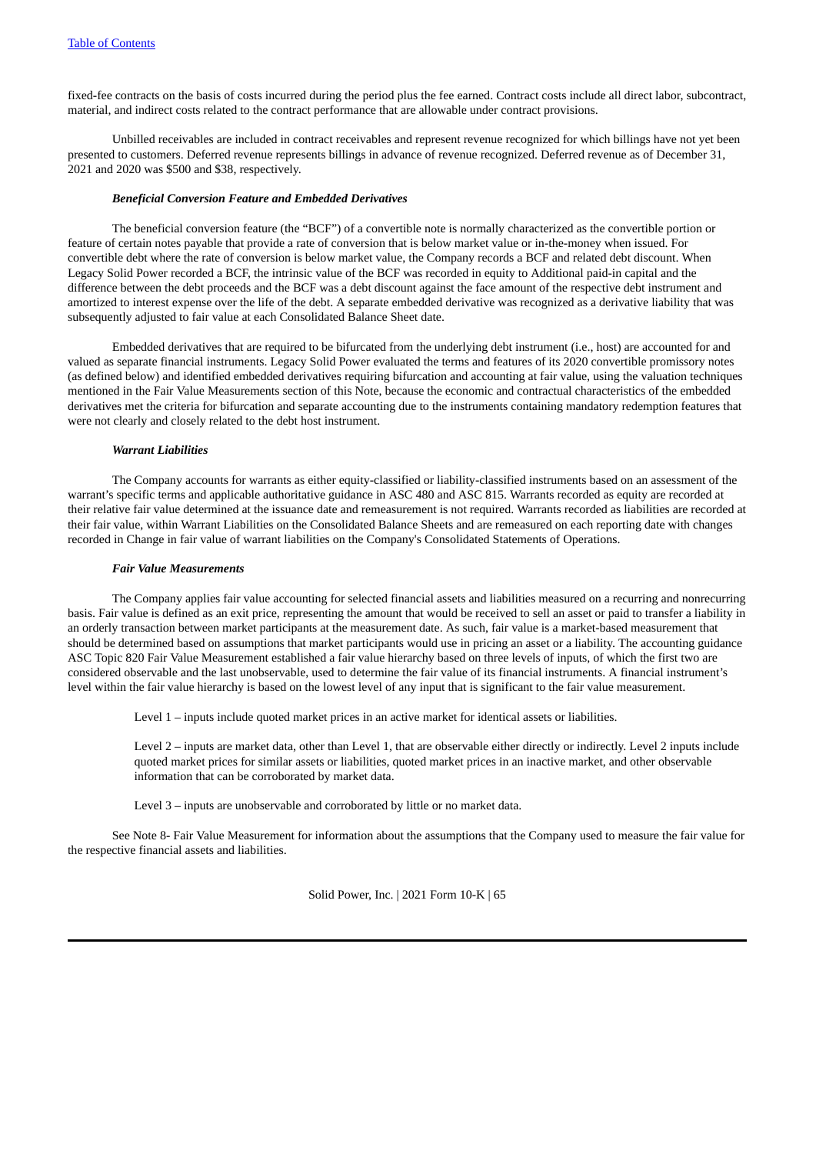fixed-fee contracts on the basis of costs incurred during the period plus the fee earned. Contract costs include all direct labor, subcontract, material, and indirect costs related to the contract performance that are allowable under contract provisions.

Unbilled receivables are included in contract receivables and represent revenue recognized for which billings have not yet been presented to customers. Deferred revenue represents billings in advance of revenue recognized. Deferred revenue as of December 31, 2021 and 2020 was \$500 and \$38, respectively.

#### *Beneficial Conversion Feature and Embedded Derivatives*

The beneficial conversion feature (the "BCF") of a convertible note is normally characterized as the convertible portion or feature of certain notes payable that provide a rate of conversion that is below market value or in-the-money when issued. For convertible debt where the rate of conversion is below market value, the Company records a BCF and related debt discount. When Legacy Solid Power recorded a BCF, the intrinsic value of the BCF was recorded in equity to Additional paid-in capital and the difference between the debt proceeds and the BCF was a debt discount against the face amount of the respective debt instrument and amortized to interest expense over the life of the debt. A separate embedded derivative was recognized as a derivative liability that was subsequently adjusted to fair value at each Consolidated Balance Sheet date.

Embedded derivatives that are required to be bifurcated from the underlying debt instrument (i.e., host) are accounted for and valued as separate financial instruments. Legacy Solid Power evaluated the terms and features of its 2020 convertible promissory notes (as defined below) and identified embedded derivatives requiring bifurcation and accounting at fair value, using the valuation techniques mentioned in the Fair Value Measurements section of this Note, because the economic and contractual characteristics of the embedded derivatives met the criteria for bifurcation and separate accounting due to the instruments containing mandatory redemption features that were not clearly and closely related to the debt host instrument.

## *Warrant Liabilities*

The Company accounts for warrants as either equity-classified or liability-classified instruments based on an assessment of the warrant's specific terms and applicable authoritative guidance in ASC 480 and ASC 815. Warrants recorded as equity are recorded at their relative fair value determined at the issuance date and remeasurement is not required. Warrants recorded as liabilities are recorded at their fair value, within Warrant Liabilities on the Consolidated Balance Sheets and are remeasured on each reporting date with changes recorded in Change in fair value of warrant liabilities on the Company's Consolidated Statements of Operations.

## *Fair Value Measurements*

The Company applies fair value accounting for selected financial assets and liabilities measured on a recurring and nonrecurring basis. Fair value is defined as an exit price, representing the amount that would be received to sell an asset or paid to transfer a liability in an orderly transaction between market participants at the measurement date. As such, fair value is a market-based measurement that should be determined based on assumptions that market participants would use in pricing an asset or a liability. The accounting guidance ASC Topic 820 Fair Value Measurement established a fair value hierarchy based on three levels of inputs, of which the first two are considered observable and the last unobservable, used to determine the fair value of its financial instruments. A financial instrument's level within the fair value hierarchy is based on the lowest level of any input that is significant to the fair value measurement.

Level 1 – inputs include quoted market prices in an active market for identical assets or liabilities.

Level 2 – inputs are market data, other than Level 1, that are observable either directly or indirectly. Level 2 inputs include quoted market prices for similar assets or liabilities, quoted market prices in an inactive market, and other observable information that can be corroborated by market data.

Level 3 – inputs are unobservable and corroborated by little or no market data.

See Note 8- Fair Value Measurement for information about the assumptions that the Company used to measure the fair value for the respective financial assets and liabilities.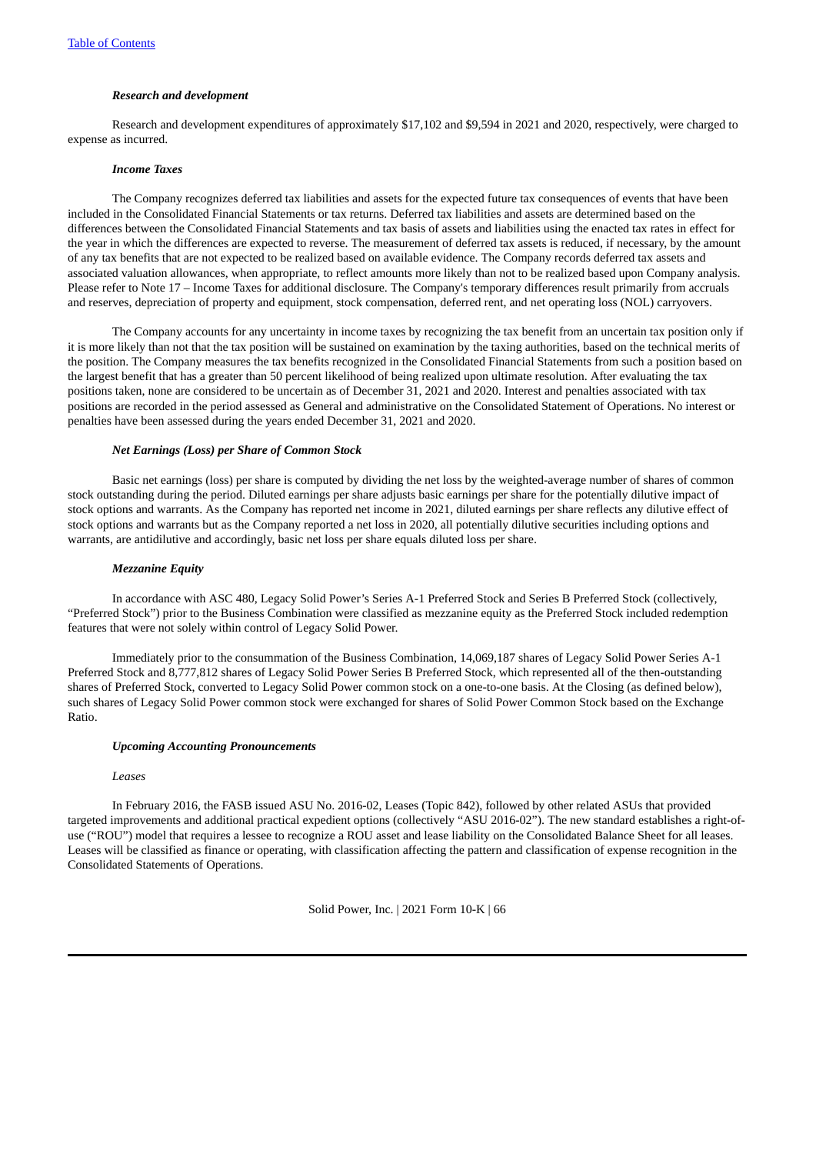# *Research and development*

Research and development expenditures of approximately \$17,102 and \$9,594 in 2021 and 2020, respectively, were charged to expense as incurred.

#### *Income Taxes*

The Company recognizes deferred tax liabilities and assets for the expected future tax consequences of events that have been included in the Consolidated Financial Statements or tax returns. Deferred tax liabilities and assets are determined based on the differences between the Consolidated Financial Statements and tax basis of assets and liabilities using the enacted tax rates in effect for the year in which the differences are expected to reverse. The measurement of deferred tax assets is reduced, if necessary, by the amount of any tax benefits that are not expected to be realized based on available evidence. The Company records deferred tax assets and associated valuation allowances, when appropriate, to reflect amounts more likely than not to be realized based upon Company analysis. Please refer to Note 17 – Income Taxes for additional disclosure. The Company's temporary differences result primarily from accruals and reserves, depreciation of property and equipment, stock compensation, deferred rent, and net operating loss (NOL) carryovers.

The Company accounts for any uncertainty in income taxes by recognizing the tax benefit from an uncertain tax position only if it is more likely than not that the tax position will be sustained on examination by the taxing authorities, based on the technical merits of the position. The Company measures the tax benefits recognized in the Consolidated Financial Statements from such a position based on the largest benefit that has a greater than 50 percent likelihood of being realized upon ultimate resolution. After evaluating the tax positions taken, none are considered to be uncertain as of December 31, 2021 and 2020. Interest and penalties associated with tax positions are recorded in the period assessed as General and administrative on the Consolidated Statement of Operations. No interest or penalties have been assessed during the years ended December 31, 2021 and 2020.

# *Net Earnings (Loss) per Share of Common Stock*

Basic net earnings (loss) per share is computed by dividing the net loss by the weighted-average number of shares of common stock outstanding during the period. Diluted earnings per share adjusts basic earnings per share for the potentially dilutive impact of stock options and warrants. As the Company has reported net income in 2021, diluted earnings per share reflects any dilutive effect of stock options and warrants but as the Company reported a net loss in 2020, all potentially dilutive securities including options and warrants, are antidilutive and accordingly, basic net loss per share equals diluted loss per share.

## *Mezzanine Equity*

In accordance with ASC 480, Legacy Solid Power's Series A-1 Preferred Stock and Series B Preferred Stock (collectively, "Preferred Stock") prior to the Business Combination were classified as mezzanine equity as the Preferred Stock included redemption features that were not solely within control of Legacy Solid Power.

Immediately prior to the consummation of the Business Combination, 14,069,187 shares of Legacy Solid Power Series A-1 Preferred Stock and 8,777,812 shares of Legacy Solid Power Series B Preferred Stock, which represented all of the then-outstanding shares of Preferred Stock, converted to Legacy Solid Power common stock on a one-to-one basis. At the Closing (as defined below), such shares of Legacy Solid Power common stock were exchanged for shares of Solid Power Common Stock based on the Exchange Ratio.

# *Upcoming Accounting Pronouncements*

#### *Leases*

In February 2016, the FASB issued ASU No. 2016-02, Leases (Topic 842), followed by other related ASUs that provided targeted improvements and additional practical expedient options (collectively "ASU 2016-02"). The new standard establishes a right-ofuse ("ROU") model that requires a lessee to recognize a ROU asset and lease liability on the Consolidated Balance Sheet for all leases. Leases will be classified as finance or operating, with classification affecting the pattern and classification of expense recognition in the Consolidated Statements of Operations.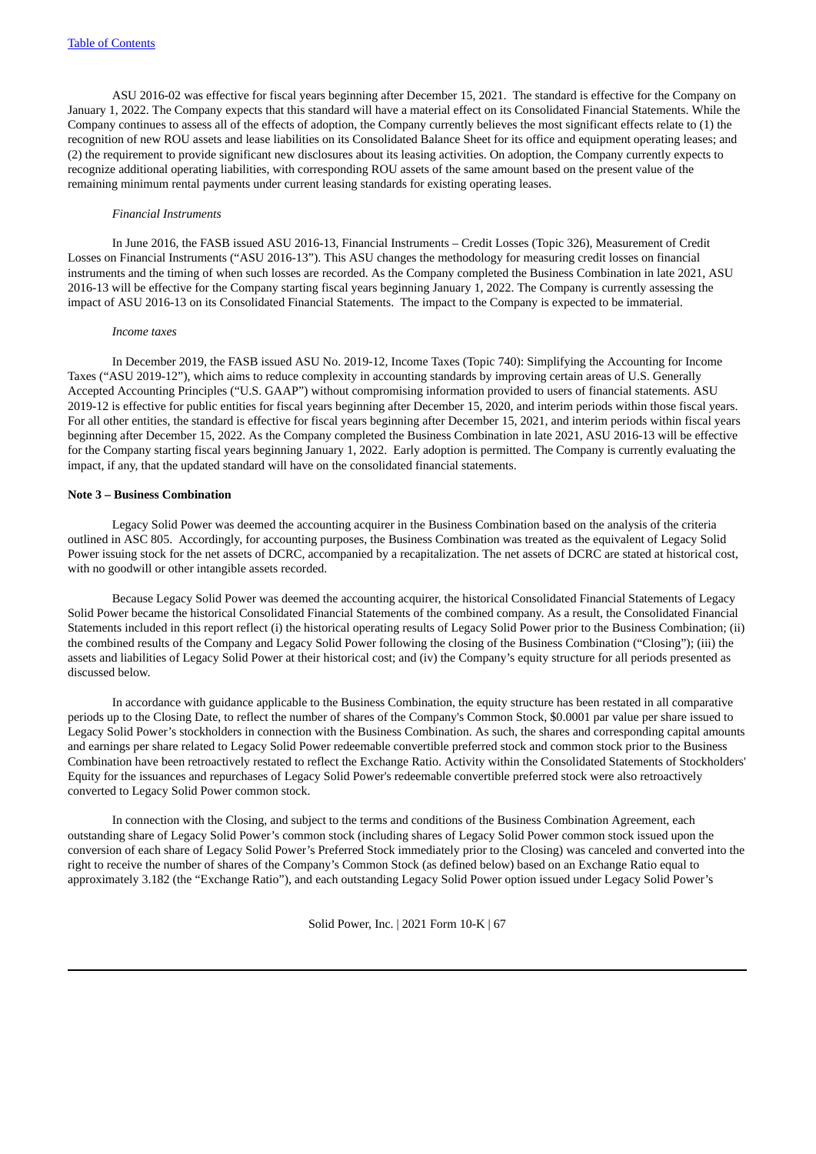ASU 2016-02 was effective for fiscal years beginning after December 15, 2021. The standard is effective for the Company on January 1, 2022. The Company expects that this standard will have a material effect on its Consolidated Financial Statements. While the Company continues to assess all of the effects of adoption, the Company currently believes the most significant effects relate to (1) the recognition of new ROU assets and lease liabilities on its Consolidated Balance Sheet for its office and equipment operating leases; and (2) the requirement to provide significant new disclosures about its leasing activities. On adoption, the Company currently expects to recognize additional operating liabilities, with corresponding ROU assets of the same amount based on the present value of the remaining minimum rental payments under current leasing standards for existing operating leases.

#### *Financial Instruments*

In June 2016, the FASB issued ASU 2016-13, Financial Instruments – Credit Losses (Topic 326), Measurement of Credit Losses on Financial Instruments ("ASU 2016-13"). This ASU changes the methodology for measuring credit losses on financial instruments and the timing of when such losses are recorded. As the Company completed the Business Combination in late 2021, ASU 2016-13 will be effective for the Company starting fiscal years beginning January 1, 2022. The Company is currently assessing the impact of ASU 2016-13 on its Consolidated Financial Statements. The impact to the Company is expected to be immaterial.

#### *Income taxes*

In December 2019, the FASB issued ASU No. 2019-12, Income Taxes (Topic 740): Simplifying the Accounting for Income Taxes ("ASU 2019-12"), which aims to reduce complexity in accounting standards by improving certain areas of U.S. Generally Accepted Accounting Principles ("U.S. GAAP") without compromising information provided to users of financial statements. ASU 2019-12 is effective for public entities for fiscal years beginning after December 15, 2020, and interim periods within those fiscal years. For all other entities, the standard is effective for fiscal years beginning after December 15, 2021, and interim periods within fiscal years beginning after December 15, 2022. As the Company completed the Business Combination in late 2021, ASU 2016-13 will be effective for the Company starting fiscal years beginning January 1, 2022. Early adoption is permitted. The Company is currently evaluating the impact, if any, that the updated standard will have on the consolidated financial statements.

#### **Note 3 – Business Combination**

Legacy Solid Power was deemed the accounting acquirer in the Business Combination based on the analysis of the criteria outlined in ASC 805. Accordingly, for accounting purposes, the Business Combination was treated as the equivalent of Legacy Solid Power issuing stock for the net assets of DCRC, accompanied by a recapitalization. The net assets of DCRC are stated at historical cost, with no goodwill or other intangible assets recorded.

Because Legacy Solid Power was deemed the accounting acquirer, the historical Consolidated Financial Statements of Legacy Solid Power became the historical Consolidated Financial Statements of the combined company. As a result, the Consolidated Financial Statements included in this report reflect (i) the historical operating results of Legacy Solid Power prior to the Business Combination; (ii) the combined results of the Company and Legacy Solid Power following the closing of the Business Combination ("Closing"); (iii) the assets and liabilities of Legacy Solid Power at their historical cost; and (iv) the Company's equity structure for all periods presented as discussed below.

In accordance with guidance applicable to the Business Combination, the equity structure has been restated in all comparative periods up to the Closing Date, to reflect the number of shares of the Company's Common Stock, \$0.0001 par value per share issued to Legacy Solid Power's stockholders in connection with the Business Combination. As such, the shares and corresponding capital amounts and earnings per share related to Legacy Solid Power redeemable convertible preferred stock and common stock prior to the Business Combination have been retroactively restated to reflect the Exchange Ratio. Activity within the Consolidated Statements of Stockholders' Equity for the issuances and repurchases of Legacy Solid Power's redeemable convertible preferred stock were also retroactively converted to Legacy Solid Power common stock.

In connection with the Closing, and subject to the terms and conditions of the Business Combination Agreement, each outstanding share of Legacy Solid Power's common stock (including shares of Legacy Solid Power common stock issued upon the conversion of each share of Legacy Solid Power's Preferred Stock immediately prior to the Closing) was canceled and converted into the right to receive the number of shares of the Company's Common Stock (as defined below) based on an Exchange Ratio equal to approximately 3.182 (the "Exchange Ratio"), and each outstanding Legacy Solid Power option issued under Legacy Solid Power's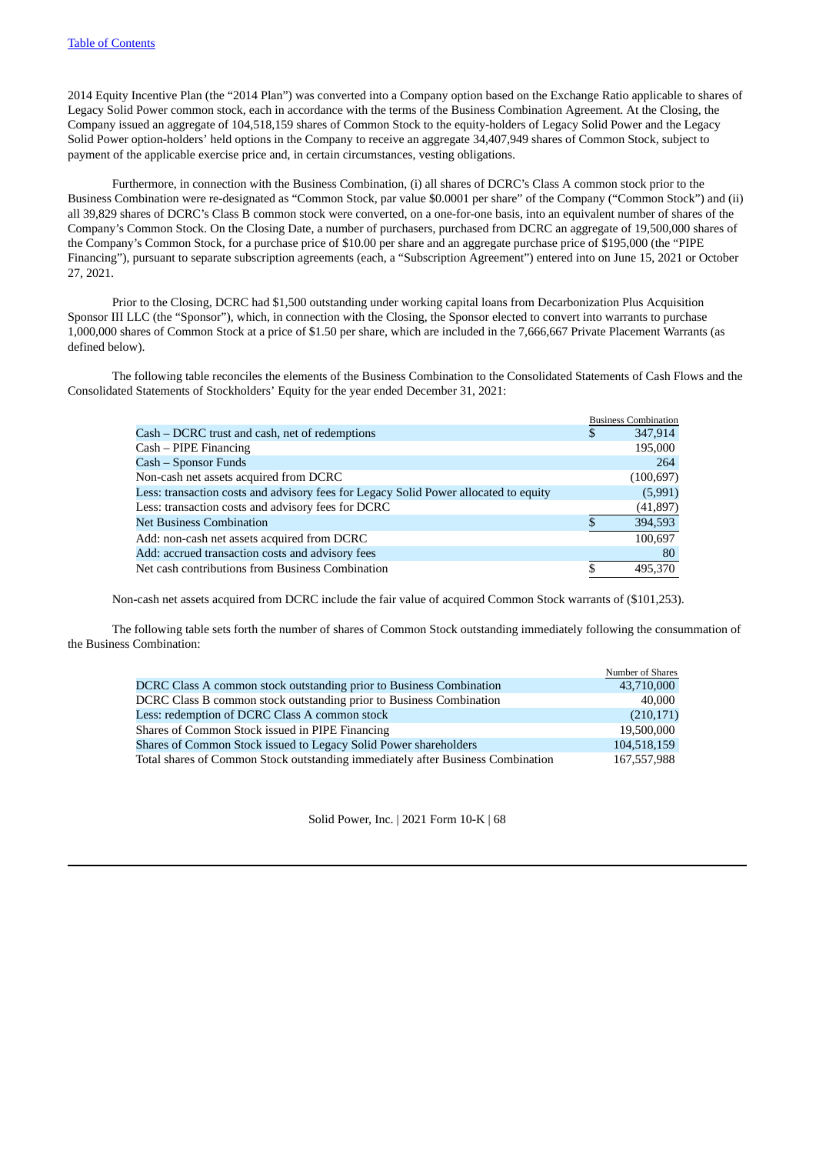2014 Equity Incentive Plan (the "2014 Plan") was converted into a Company option based on the Exchange Ratio applicable to shares of Legacy Solid Power common stock, each in accordance with the terms of the Business Combination Agreement. At the Closing, the Company issued an aggregate of 104,518,159 shares of Common Stock to the equity-holders of Legacy Solid Power and the Legacy Solid Power option-holders' held options in the Company to receive an aggregate 34,407,949 shares of Common Stock, subject to payment of the applicable exercise price and, in certain circumstances, vesting obligations.

Furthermore, in connection with the Business Combination, (i) all shares of DCRC's Class A common stock prior to the Business Combination were re-designated as "Common Stock, par value \$0.0001 per share" of the Company ("Common Stock") and (ii) all 39,829 shares of DCRC's Class B common stock were converted, on a one-for-one basis, into an equivalent number of shares of the Company's Common Stock. On the Closing Date, a number of purchasers, purchased from DCRC an aggregate of 19,500,000 shares of the Company's Common Stock, for a purchase price of \$10.00 per share and an aggregate purchase price of \$195,000 (the "PIPE Financing"), pursuant to separate subscription agreements (each, a "Subscription Agreement") entered into on June 15, 2021 or October 27, 2021.

Prior to the Closing, DCRC had \$1,500 outstanding under working capital loans from Decarbonization Plus Acquisition Sponsor III LLC (the "Sponsor"), which, in connection with the Closing, the Sponsor elected to convert into warrants to purchase 1,000,000 shares of Common Stock at a price of \$1.50 per share, which are included in the 7,666,667 Private Placement Warrants (as defined below).

The following table reconciles the elements of the Business Combination to the Consolidated Statements of Cash Flows and the Consolidated Statements of Stockholders' Equity for the year ended December 31, 2021:

|                                                                                      | <b>Business Combination</b> |
|--------------------------------------------------------------------------------------|-----------------------------|
| Cash – DCRC trust and cash, net of redemptions                                       | \$<br>347,914               |
| Cash - PIPE Financing                                                                | 195,000                     |
| Cash - Sponsor Funds                                                                 | 264                         |
| Non-cash net assets acquired from DCRC                                               | (100, 697)                  |
| Less: transaction costs and advisory fees for Legacy Solid Power allocated to equity | (5,991)                     |
| Less: transaction costs and advisory fees for DCRC                                   | (41,897)                    |
| <b>Net Business Combination</b>                                                      | 394,593                     |
| Add: non-cash net assets acquired from DCRC                                          | 100,697                     |
| Add: accrued transaction costs and advisory fees                                     | 80                          |
| Net cash contributions from Business Combination                                     | 495,370                     |
|                                                                                      |                             |

Non-cash net assets acquired from DCRC include the fair value of acquired Common Stock warrants of (\$101,253).

The following table sets forth the number of shares of Common Stock outstanding immediately following the consummation of the Business Combination:

|                                                                                 | Number of Shares |
|---------------------------------------------------------------------------------|------------------|
| DCRC Class A common stock outstanding prior to Business Combination             | 43,710,000       |
| DCRC Class B common stock outstanding prior to Business Combination             | 40,000           |
| Less: redemption of DCRC Class A common stock                                   | (210, 171)       |
| Shares of Common Stock issued in PIPE Financing                                 | 19,500,000       |
| Shares of Common Stock issued to Legacy Solid Power shareholders                | 104,518,159      |
| Total shares of Common Stock outstanding immediately after Business Combination | 167,557,988      |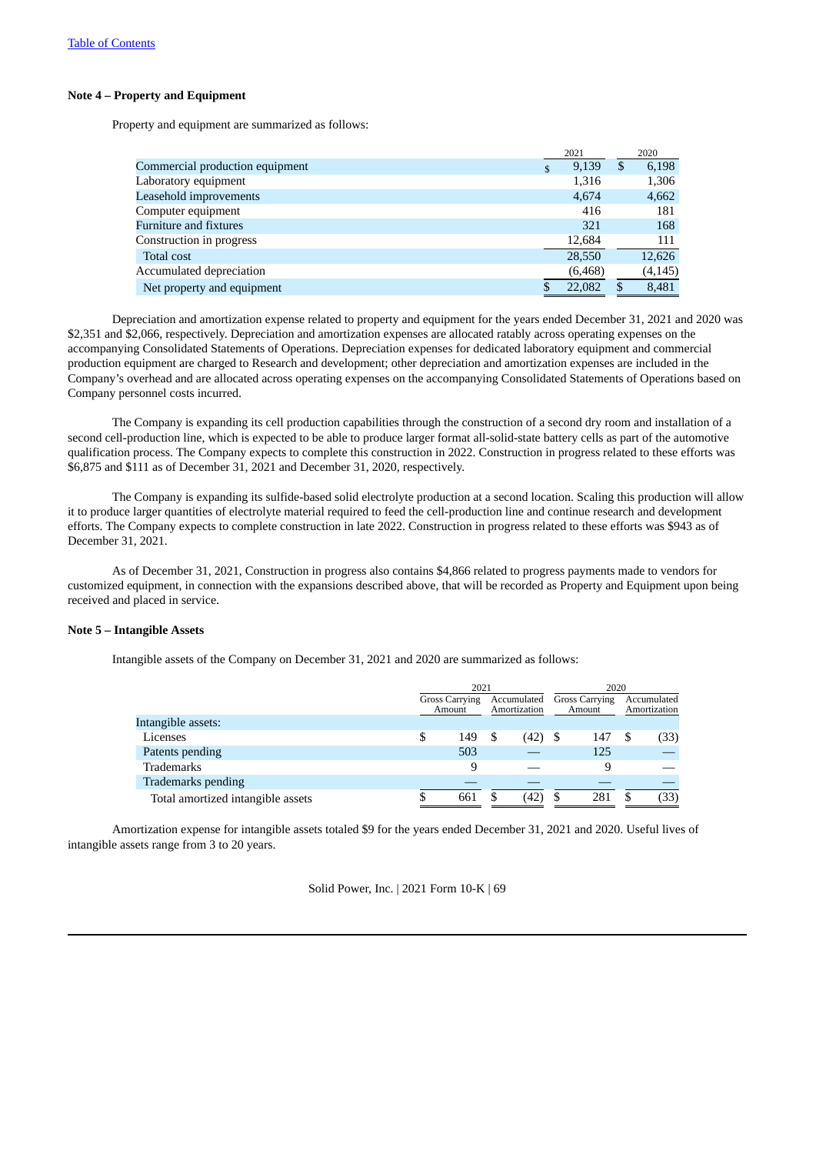# **Note 4 – Property and Equipment**

Property and equipment are summarized as follows:

|                                 |                | 2021     |  | 2020     |  |  |
|---------------------------------|----------------|----------|--|----------|--|--|
| Commercial production equipment | $\mathfrak{S}$ | 9,139    |  | 6,198    |  |  |
| Laboratory equipment            |                | 1,316    |  | 1,306    |  |  |
| Leasehold improvements          |                | 4,674    |  | 4,662    |  |  |
| Computer equipment              |                | 416      |  | 181      |  |  |
| <b>Furniture and fixtures</b>   |                | 321      |  | 168      |  |  |
| Construction in progress        |                | 12,684   |  | 111      |  |  |
| <b>Total cost</b>               |                | 28,550   |  | 12,626   |  |  |
| Accumulated depreciation        |                | (6, 468) |  | (4, 145) |  |  |
| Net property and equipment      |                | 22,082   |  | 8,481    |  |  |

Depreciation and amortization expense related to property and equipment for the years ended December 31, 2021 and 2020 was \$2,351 and \$2,066, respectively. Depreciation and amortization expenses are allocated ratably across operating expenses on the accompanying Consolidated Statements of Operations. Depreciation expenses for dedicated laboratory equipment and commercial production equipment are charged to Research and development; other depreciation and amortization expenses are included in the Company's overhead and are allocated across operating expenses on the accompanying Consolidated Statements of Operations based on Company personnel costs incurred.

The Company is expanding its cell production capabilities through the construction of a second dry room and installation of a second cell-production line, which is expected to be able to produce larger format all-solid-state battery cells as part of the automotive qualification process. The Company expects to complete this construction in 2022. Construction in progress related to these efforts was \$6,875 and \$111 as of December 31, 2021 and December 31, 2020, respectively.

The Company is expanding its sulfide-based solid electrolyte production at a second location. Scaling this production will allow it to produce larger quantities of electrolyte material required to feed the cell-production line and continue research and development efforts. The Company expects to complete construction in late 2022. Construction in progress related to these efforts was \$943 as of December 31, 2021.

As of December 31, 2021, Construction in progress also contains \$4,866 related to progress payments made to vendors for customized equipment, in connection with the expansions described above, that will be recorded as Property and Equipment upon being received and placed in service.

## **Note 5 – Intangible Assets**

Intangible assets of the Company on December 31, 2021 and 2020 are summarized as follows:

|                                   | 2021 |                          |  |                             | 2020 |                          |  |                             |
|-----------------------------------|------|--------------------------|--|-----------------------------|------|--------------------------|--|-----------------------------|
|                                   |      | Gross Carrying<br>Amount |  | Accumulated<br>Amortization |      | Gross Carrying<br>Amount |  | Accumulated<br>Amortization |
| Intangible assets:                |      |                          |  |                             |      |                          |  |                             |
| Licenses                          | S    | 149                      |  | (42)                        | - S  | 147                      |  | (33)                        |
| Patents pending                   |      | 503                      |  |                             |      | 125                      |  |                             |
| Trademarks                        |      | 9                        |  |                             |      | 9                        |  |                             |
| <b>Trademarks pending</b>         |      |                          |  |                             |      |                          |  |                             |
| Total amortized intangible assets |      | 661                      |  | (42                         | S    | 281                      |  | (33)                        |

Amortization expense for intangible assets totaled \$9 for the years ended December 31, 2021 and 2020. Useful lives of intangible assets range from 3 to 20 years.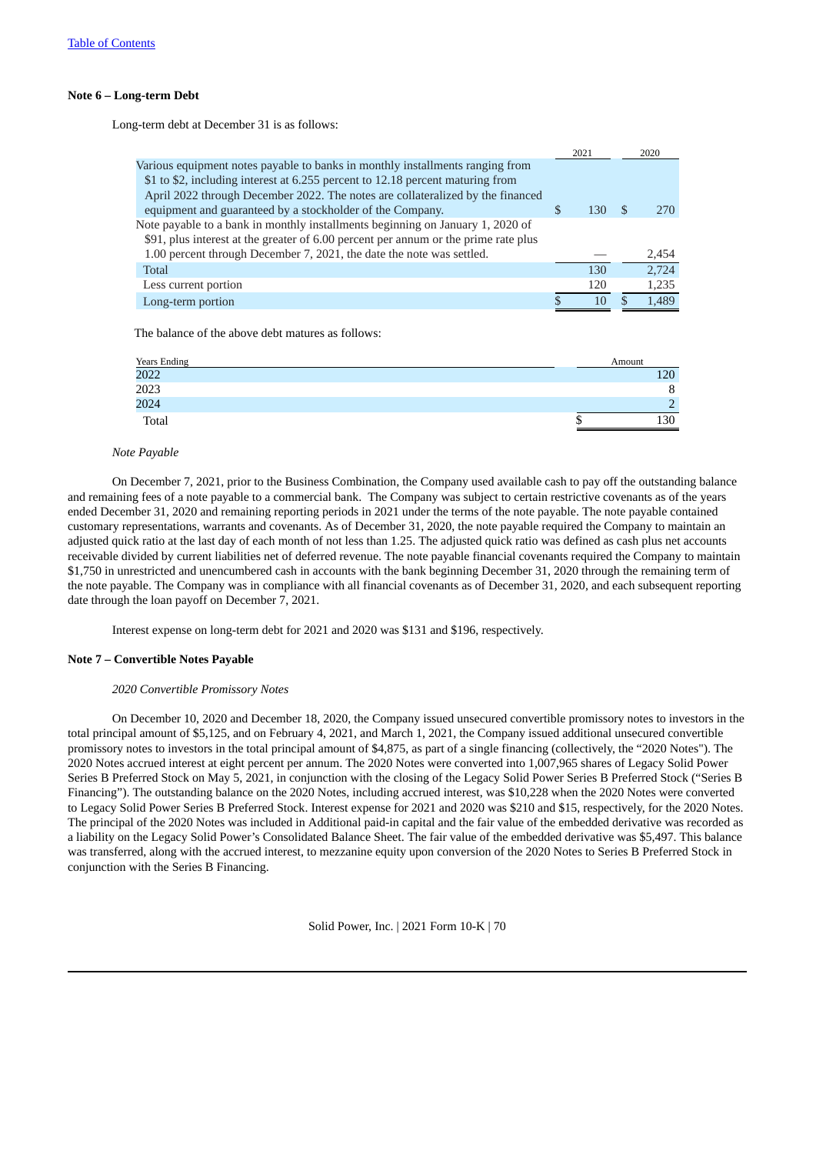# **Note 6 – Long-term Debt**

Long-term debt at December 31 is as follows:

|                                                                                     |   | 2021 | 2020  |
|-------------------------------------------------------------------------------------|---|------|-------|
| Various equipment notes payable to banks in monthly installments ranging from       |   |      |       |
| \$1 to \$2, including interest at 6.255 percent to 12.18 percent maturing from      |   |      |       |
| April 2022 through December 2022. The notes are collateralized by the financed      |   |      |       |
| equipment and guaranteed by a stockholder of the Company.                           | S | 130  | 270   |
| Note payable to a bank in monthly installments beginning on January 1, 2020 of      |   |      |       |
| \$91, plus interest at the greater of 6.00 percent per annum or the prime rate plus |   |      |       |
| 1.00 percent through December 7, 2021, the date the note was settled.               |   |      | 2,454 |
| Total                                                                               |   | 130  | 2,724 |
| Less current portion                                                                |   | 120  | 1,235 |
| Long-term portion                                                                   |   | 10   | 1,489 |
|                                                                                     |   |      |       |

The balance of the above debt matures as follows:

| <b>Years Ending</b> | Amount         |
|---------------------|----------------|
| 2022                | 120            |
| 2023                | 8              |
| 2024                | $\overline{ }$ |
| Total               | 130            |
|                     |                |

#### *Note Payable*

On December 7, 2021, prior to the Business Combination, the Company used available cash to pay off the outstanding balance and remaining fees of a note payable to a commercial bank. The Company was subject to certain restrictive covenants as of the years ended December 31, 2020 and remaining reporting periods in 2021 under the terms of the note payable. The note payable contained customary representations, warrants and covenants. As of December 31, 2020, the note payable required the Company to maintain an adjusted quick ratio at the last day of each month of not less than 1.25. The adjusted quick ratio was defined as cash plus net accounts receivable divided by current liabilities net of deferred revenue. The note payable financial covenants required the Company to maintain \$1,750 in unrestricted and unencumbered cash in accounts with the bank beginning December 31, 2020 through the remaining term of the note payable. The Company was in compliance with all financial covenants as of December 31, 2020, and each subsequent reporting date through the loan payoff on December 7, 2021.

Interest expense on long-term debt for 2021 and 2020 was \$131 and \$196, respectively.

## **Note 7 – Convertible Notes Payable**

# *2020 Convertible Promissory Notes*

On December 10, 2020 and December 18, 2020, the Company issued unsecured convertible promissory notes to investors in the total principal amount of \$5,125, and on February 4, 2021, and March 1, 2021, the Company issued additional unsecured convertible promissory notes to investors in the total principal amount of \$4,875, as part of a single financing (collectively, the "2020 Notes"). The 2020 Notes accrued interest at eight percent per annum. The 2020 Notes were converted into 1,007,965 shares of Legacy Solid Power Series B Preferred Stock on May 5, 2021, in conjunction with the closing of the Legacy Solid Power Series B Preferred Stock ("Series B Financing"). The outstanding balance on the 2020 Notes, including accrued interest, was \$10,228 when the 2020 Notes were converted to Legacy Solid Power Series B Preferred Stock. Interest expense for 2021 and 2020 was \$210 and \$15, respectively, for the 2020 Notes. The principal of the 2020 Notes was included in Additional paid-in capital and the fair value of the embedded derivative was recorded as a liability on the Legacy Solid Power's Consolidated Balance Sheet. The fair value of the embedded derivative was \$5,497. This balance was transferred, along with the accrued interest, to mezzanine equity upon conversion of the 2020 Notes to Series B Preferred Stock in conjunction with the Series B Financing.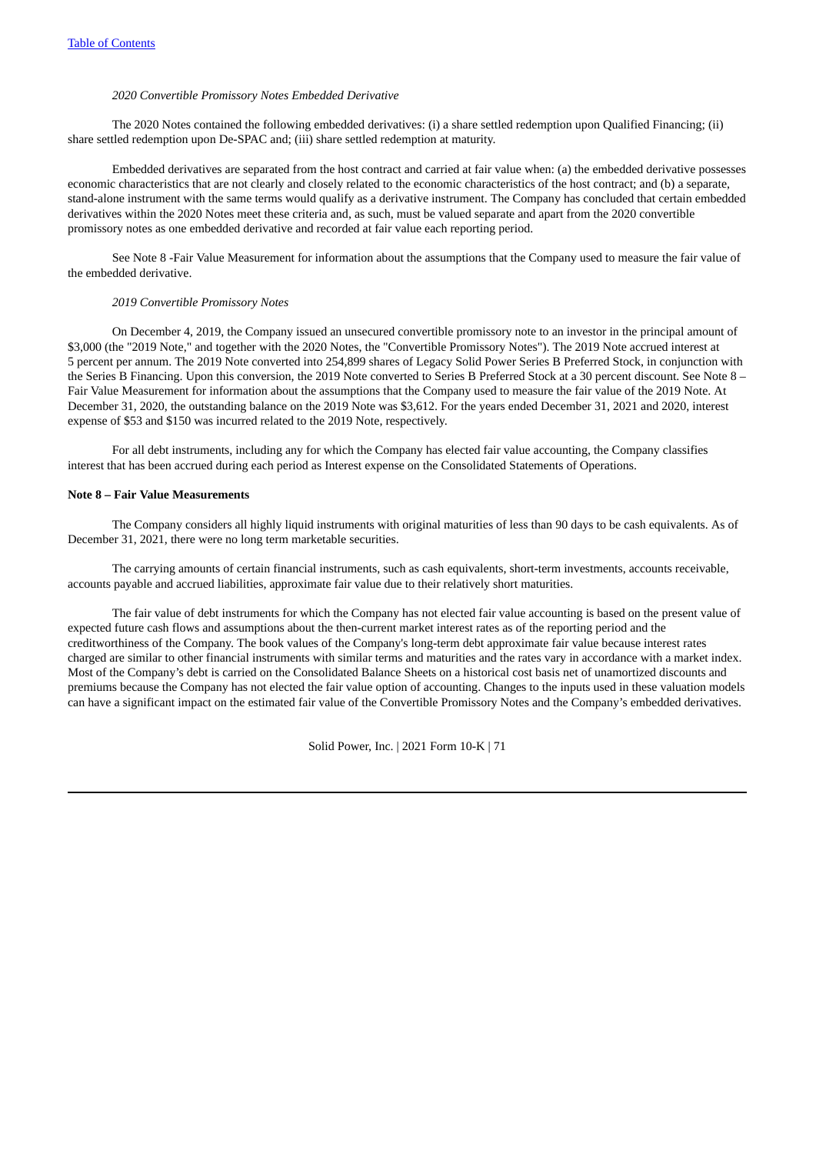# *2020 Convertible Promissory Notes Embedded Derivative*

The 2020 Notes contained the following embedded derivatives: (i) a share settled redemption upon Qualified Financing; (ii) share settled redemption upon De-SPAC and; (iii) share settled redemption at maturity.

Embedded derivatives are separated from the host contract and carried at fair value when: (a) the embedded derivative possesses economic characteristics that are not clearly and closely related to the economic characteristics of the host contract; and (b) a separate, stand-alone instrument with the same terms would qualify as a derivative instrument. The Company has concluded that certain embedded derivatives within the 2020 Notes meet these criteria and, as such, must be valued separate and apart from the 2020 convertible promissory notes as one embedded derivative and recorded at fair value each reporting period.

See Note 8 -Fair Value Measurement for information about the assumptions that the Company used to measure the fair value of the embedded derivative.

## *2019 Convertible Promissory Notes*

On December 4, 2019, the Company issued an unsecured convertible promissory note to an investor in the principal amount of \$3,000 (the "2019 Note," and together with the 2020 Notes, the "Convertible Promissory Notes"). The 2019 Note accrued interest at 5 percent per annum. The 2019 Note converted into 254,899 shares of Legacy Solid Power Series B Preferred Stock, in conjunction with the Series B Financing. Upon this conversion, the 2019 Note converted to Series B Preferred Stock at a 30 percent discount. See Note 8 – Fair Value Measurement for information about the assumptions that the Company used to measure the fair value of the 2019 Note. At December 31, 2020, the outstanding balance on the 2019 Note was \$3,612. For the years ended December 31, 2021 and 2020, interest expense of \$53 and \$150 was incurred related to the 2019 Note, respectively.

For all debt instruments, including any for which the Company has elected fair value accounting, the Company classifies interest that has been accrued during each period as Interest expense on the Consolidated Statements of Operations.

#### **Note 8 – Fair Value Measurements**

The Company considers all highly liquid instruments with original maturities of less than 90 days to be cash equivalents. As of December 31, 2021, there were no long term marketable securities.

The carrying amounts of certain financial instruments, such as cash equivalents, short-term investments, accounts receivable, accounts payable and accrued liabilities, approximate fair value due to their relatively short maturities.

The fair value of debt instruments for which the Company has not elected fair value accounting is based on the present value of expected future cash flows and assumptions about the then-current market interest rates as of the reporting period and the creditworthiness of the Company. The book values of the Company's long-term debt approximate fair value because interest rates charged are similar to other financial instruments with similar terms and maturities and the rates vary in accordance with a market index. Most of the Company's debt is carried on the Consolidated Balance Sheets on a historical cost basis net of unamortized discounts and premiums because the Company has not elected the fair value option of accounting. Changes to the inputs used in these valuation models can have a significant impact on the estimated fair value of the Convertible Promissory Notes and the Company's embedded derivatives.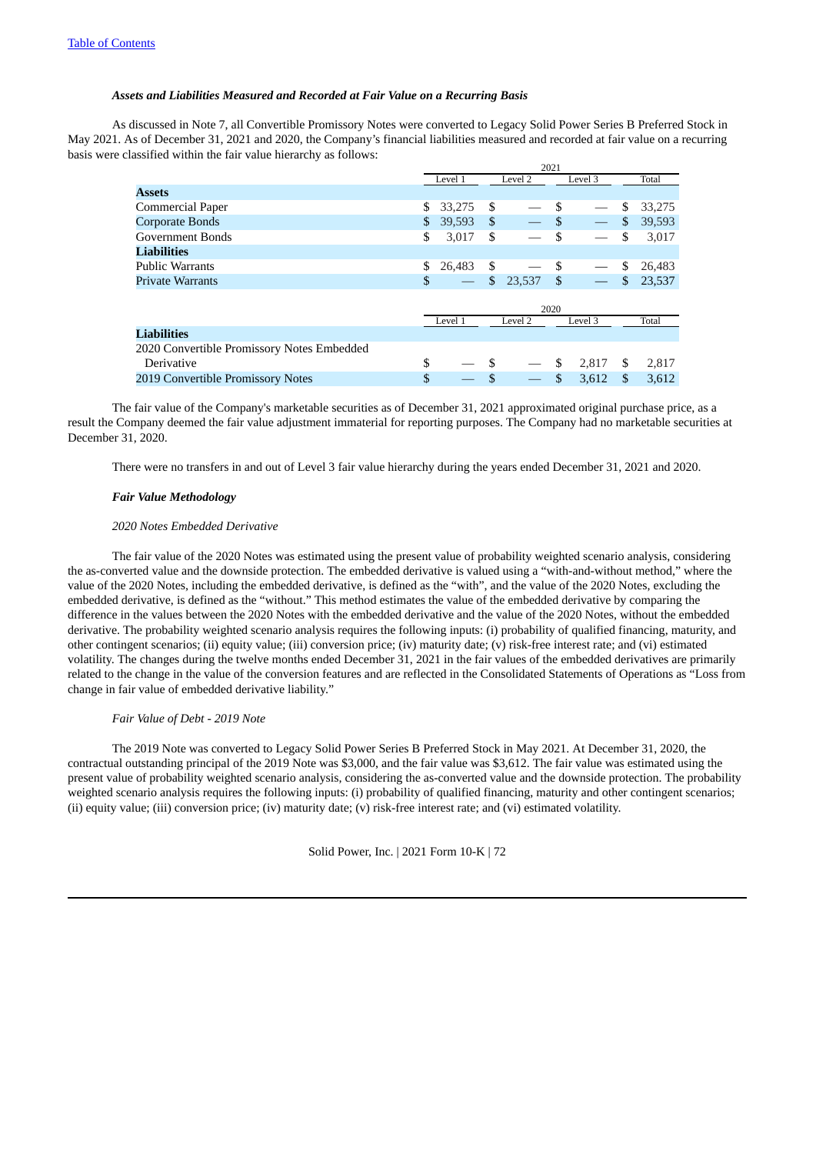## *Assets and Liabilities Measured and Recorded at Fair Value on a Recurring Basis*

As discussed in Note 7, all Convertible Promissory Notes were converted to Legacy Solid Power Series B Preferred Stock in May 2021. As of December 31, 2021 and 2020, the Company's financial liabilities measured and recorded at fair value on a recurring basis were classified within the fair value hierarchy as follows:

|                                            | 2021         |    |         |      |         |                |        |
|--------------------------------------------|--------------|----|---------|------|---------|----------------|--------|
|                                            | Level 1      |    | Level 2 |      | Level 3 |                | Total  |
| Assets                                     |              |    |         |      |         |                |        |
| <b>Commercial Paper</b>                    | \$<br>33,275 | \$ |         | \$   |         | S              | 33,275 |
| <b>Corporate Bonds</b>                     | 39,593       | \$ |         | \$   |         | \$             | 39,593 |
| <b>Government Bonds</b>                    | \$<br>3,017  | \$ |         | \$   |         | \$             | 3,017  |
| <b>Liabilities</b>                         |              |    |         |      |         |                |        |
| <b>Public Warrants</b>                     | \$<br>26,483 | \$ |         | S    |         | \$             | 26,483 |
| <b>Private Warrants</b>                    | \$           | \$ | 23,537  | \$   |         | $\mathfrak{S}$ | 23,537 |
|                                            |              |    |         |      |         |                |        |
|                                            |              |    |         | 2020 |         |                |        |
|                                            | Level 1      |    | Level 2 |      | Level 3 |                | Total  |
| Liabilities                                |              |    |         |      |         |                |        |
| 2020 Convertible Promissory Notes Embedded |              |    |         |      |         |                |        |
| Derivative                                 | \$           | S  |         | \$   | 2,817   | S              | 2,817  |
| 2019 Convertible Promissory Notes          | \$           | \$ |         | \$   | 3,612   | \$             | 3,612  |

The fair value of the Company's marketable securities as of December 31, 2021 approximated original purchase price, as a result the Company deemed the fair value adjustment immaterial for reporting purposes. The Company had no marketable securities at December 31, 2020.

There were no transfers in and out of Level 3 fair value hierarchy during the years ended December 31, 2021 and 2020.

# *Fair Value Methodology*

# *2020 Notes Embedded Derivative*

The fair value of the 2020 Notes was estimated using the present value of probability weighted scenario analysis, considering the as-converted value and the downside protection. The embedded derivative is valued using a "with-and-without method," where the value of the 2020 Notes, including the embedded derivative, is defined as the "with", and the value of the 2020 Notes, excluding the embedded derivative, is defined as the "without." This method estimates the value of the embedded derivative by comparing the difference in the values between the 2020 Notes with the embedded derivative and the value of the 2020 Notes, without the embedded derivative. The probability weighted scenario analysis requires the following inputs: (i) probability of qualified financing, maturity, and other contingent scenarios; (ii) equity value; (iii) conversion price; (iv) maturity date; (v) risk-free interest rate; and (vi) estimated volatility. The changes during the twelve months ended December 31, 2021 in the fair values of the embedded derivatives are primarily related to the change in the value of the conversion features and are reflected in the Consolidated Statements of Operations as "Loss from change in fair value of embedded derivative liability."

## *Fair Value of Debt - 2019 Note*

The 2019 Note was converted to Legacy Solid Power Series B Preferred Stock in May 2021. At December 31, 2020, the contractual outstanding principal of the 2019 Note was \$3,000, and the fair value was \$3,612. The fair value was estimated using the present value of probability weighted scenario analysis, considering the as-converted value and the downside protection. The probability weighted scenario analysis requires the following inputs: (i) probability of qualified financing, maturity and other contingent scenarios; (ii) equity value; (iii) conversion price; (iv) maturity date; (v) risk-free interest rate; and (vi) estimated volatility.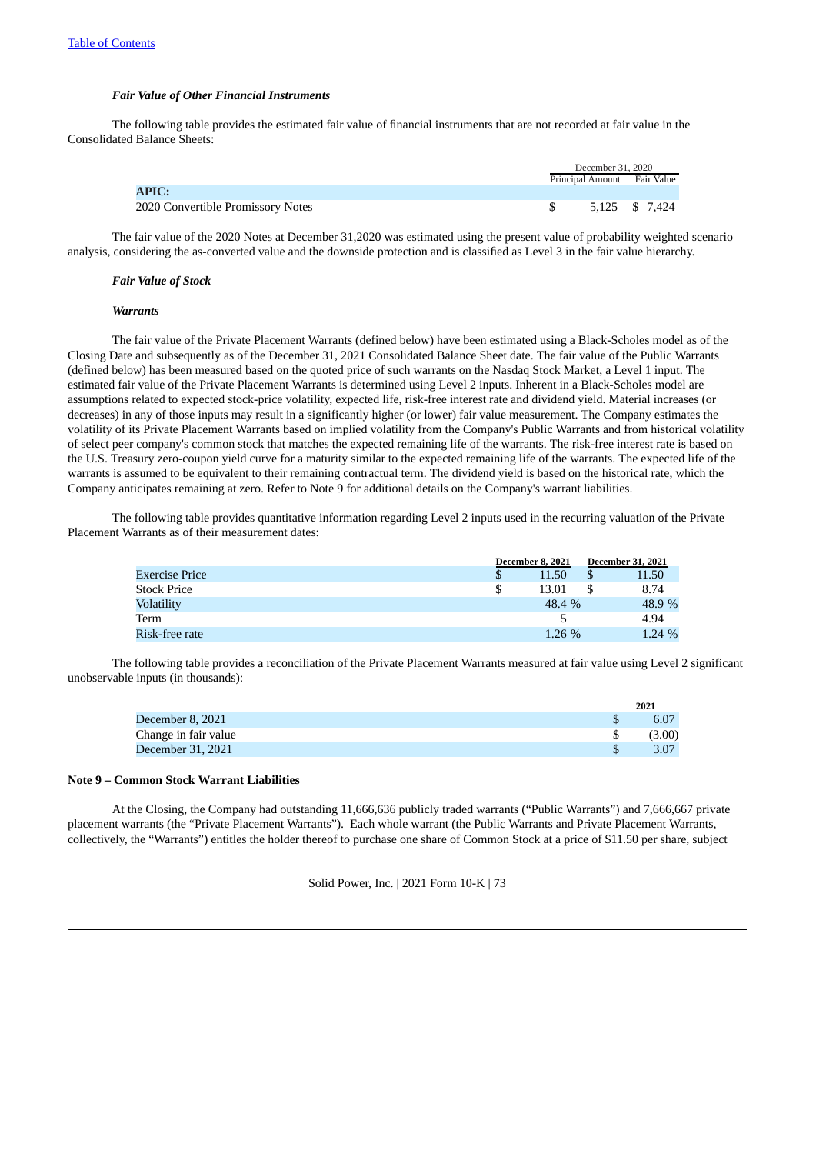### *Fair Value of Other Financial Instruments*

The following table provides the estimated fair value of financial instruments that are not recorded at fair value in the Consolidated Balance Sheets:

|                                   | December 31, 2020           |  |                |  |
|-----------------------------------|-----------------------------|--|----------------|--|
|                                   | Principal Amount Fair Value |  |                |  |
| <b>APIC:</b>                      |                             |  |                |  |
| 2020 Convertible Promissory Notes |                             |  | 5,125 \$ 7,424 |  |

The fair value of the 2020 Notes at December 31,2020 was estimated using the present value of probability weighted scenario analysis, considering the as-converted value and the downside protection and is classified as Level 3 in the fair value hierarchy.

#### *Fair Value of Stock*

#### *Warrants*

The fair value of the Private Placement Warrants (defined below) have been estimated using a Black-Scholes model as of the Closing Date and subsequently as of the December 31, 2021 Consolidated Balance Sheet date. The fair value of the Public Warrants (defined below) has been measured based on the quoted price of such warrants on the Nasdaq Stock Market, a Level 1 input. The estimated fair value of the Private Placement Warrants is determined using Level 2 inputs. Inherent in a Black-Scholes model are assumptions related to expected stock-price volatility, expected life, risk-free interest rate and dividend yield. Material increases (or decreases) in any of those inputs may result in a significantly higher (or lower) fair value measurement. The Company estimates the volatility of its Private Placement Warrants based on implied volatility from the Company's Public Warrants and from historical volatility of select peer company's common stock that matches the expected remaining life of the warrants. The risk-free interest rate is based on the U.S. Treasury zero-coupon yield curve for a maturity similar to the expected remaining life of the warrants. The expected life of the warrants is assumed to be equivalent to their remaining contractual term. The dividend yield is based on the historical rate, which the Company anticipates remaining at zero. Refer to Note 9 for additional details on the Company's warrant liabilities.

The following table provides quantitative information regarding Level 2 inputs used in the recurring valuation of the Private Placement Warrants as of their measurement dates:

|                    |    | December 8, 2021 |    | <b>December 31, 2021</b> |
|--------------------|----|------------------|----|--------------------------|
| Exercise Price     |    | 11.50            | \$ | 11.50                    |
| <b>Stock Price</b> | £. | 13.01            | S  | 8.74                     |
| Volatility         |    | 48.4 %           |    | 48.9 %                   |
| Term               |    | 5                |    | 4.94                     |
| Risk-free rate     |    | $1.26\%$         |    | 1.24%                    |

The following table provides a reconciliation of the Private Placement Warrants measured at fair value using Level 2 significant unobservable inputs (in thousands):

|                      | 2021   |
|----------------------|--------|
| December 8, 2021     | 6.07   |
| Change in fair value | (3.00) |
| December 31, 2021    | 3.07   |

#### **Note 9 – Common Stock Warrant Liabilities**

At the Closing, the Company had outstanding 11,666,636 publicly traded warrants ("Public Warrants") and 7,666,667 private placement warrants (the "Private Placement Warrants"). Each whole warrant (the Public Warrants and Private Placement Warrants, collectively, the "Warrants") entitles the holder thereof to purchase one share of Common Stock at a price of \$11.50 per share, subject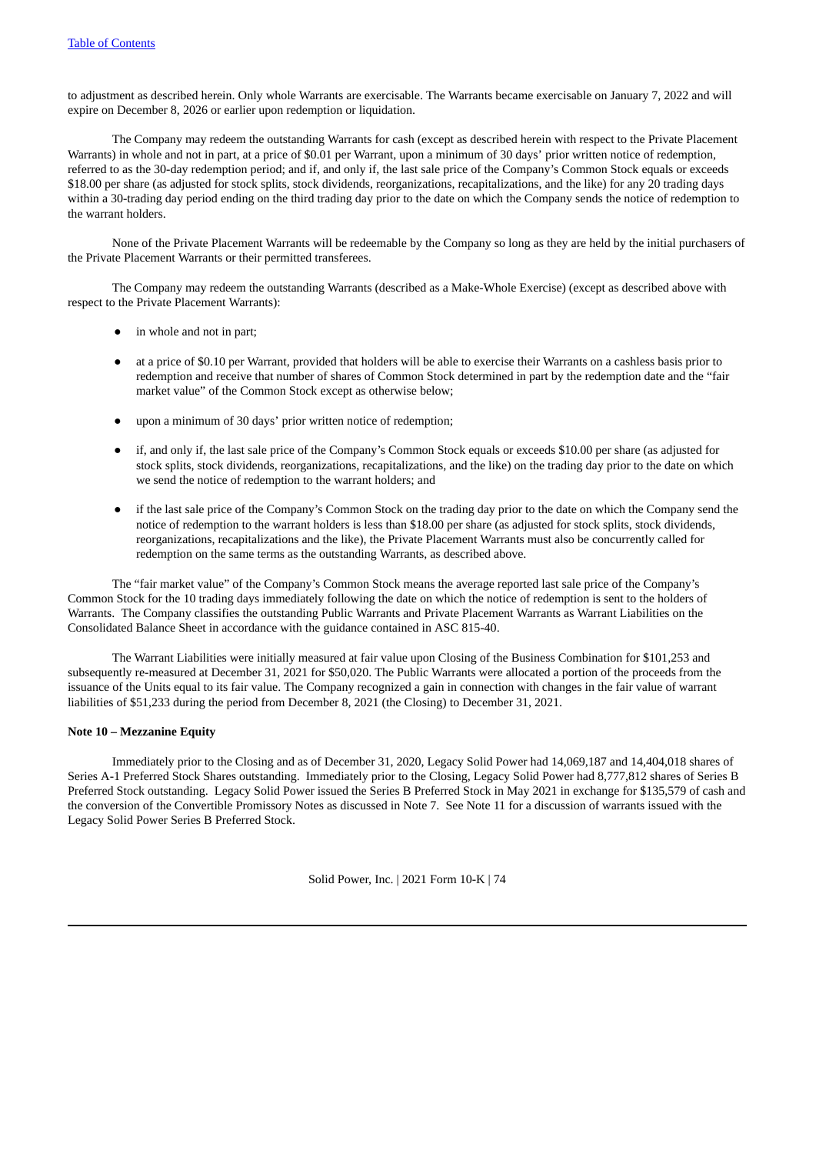to adjustment as described herein. Only whole Warrants are exercisable. The Warrants became exercisable on January 7, 2022 and will expire on December 8, 2026 or earlier upon redemption or liquidation.

The Company may redeem the outstanding Warrants for cash (except as described herein with respect to the Private Placement Warrants) in whole and not in part, at a price of \$0.01 per Warrant, upon a minimum of 30 days' prior written notice of redemption, referred to as the 30-day redemption period; and if, and only if, the last sale price of the Company's Common Stock equals or exceeds \$18.00 per share (as adjusted for stock splits, stock dividends, reorganizations, recapitalizations, and the like) for any 20 trading days within a 30-trading day period ending on the third trading day prior to the date on which the Company sends the notice of redemption to the warrant holders.

None of the Private Placement Warrants will be redeemable by the Company so long as they are held by the initial purchasers of the Private Placement Warrants or their permitted transferees.

The Company may redeem the outstanding Warrants (described as a Make-Whole Exercise) (except as described above with respect to the Private Placement Warrants):

- in whole and not in part;
- at a price of \$0.10 per Warrant, provided that holders will be able to exercise their Warrants on a cashless basis prior to redemption and receive that number of shares of Common Stock determined in part by the redemption date and the "fair market value" of the Common Stock except as otherwise below;
- upon a minimum of 30 days' prior written notice of redemption;
- if, and only if, the last sale price of the Company's Common Stock equals or exceeds \$10.00 per share (as adjusted for stock splits, stock dividends, reorganizations, recapitalizations, and the like) on the trading day prior to the date on which we send the notice of redemption to the warrant holders; and
- if the last sale price of the Company's Common Stock on the trading day prior to the date on which the Company send the notice of redemption to the warrant holders is less than \$18.00 per share (as adjusted for stock splits, stock dividends, reorganizations, recapitalizations and the like), the Private Placement Warrants must also be concurrently called for redemption on the same terms as the outstanding Warrants, as described above.

The "fair market value" of the Company's Common Stock means the average reported last sale price of the Company's Common Stock for the 10 trading days immediately following the date on which the notice of redemption is sent to the holders of Warrants. The Company classifies the outstanding Public Warrants and Private Placement Warrants as Warrant Liabilities on the Consolidated Balance Sheet in accordance with the guidance contained in ASC 815-40.

The Warrant Liabilities were initially measured at fair value upon Closing of the Business Combination for \$101,253 and subsequently re-measured at December 31, 2021 for \$50,020. The Public Warrants were allocated a portion of the proceeds from the issuance of the Units equal to its fair value. The Company recognized a gain in connection with changes in the fair value of warrant liabilities of \$51,233 during the period from December 8, 2021 (the Closing) to December 31, 2021.

#### **Note 10 – Mezzanine Equity**

Immediately prior to the Closing and as of December 31, 2020, Legacy Solid Power had 14,069,187 and 14,404,018 shares of Series A-1 Preferred Stock Shares outstanding. Immediately prior to the Closing, Legacy Solid Power had 8,777,812 shares of Series B Preferred Stock outstanding. Legacy Solid Power issued the Series B Preferred Stock in May 2021 in exchange for \$135,579 of cash and the conversion of the Convertible Promissory Notes as discussed in Note 7. See Note 11 for a discussion of warrants issued with the Legacy Solid Power Series B Preferred Stock.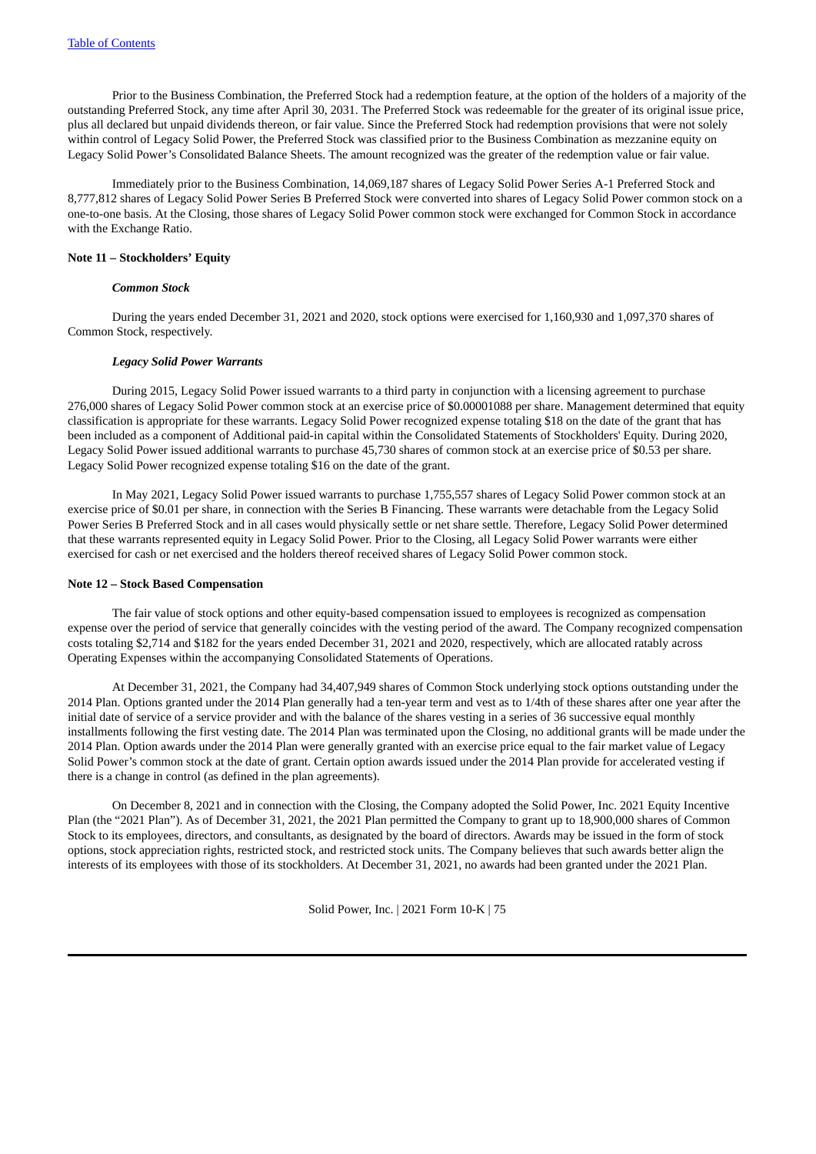Prior to the Business Combination, the Preferred Stock had a redemption feature, at the option of the holders of a majority of the outstanding Preferred Stock, any time after April 30, 2031. The Preferred Stock was redeemable for the greater of its original issue price, plus all declared but unpaid dividends thereon, or fair value. Since the Preferred Stock had redemption provisions that were not solely within control of Legacy Solid Power, the Preferred Stock was classified prior to the Business Combination as mezzanine equity on Legacy Solid Power's Consolidated Balance Sheets. The amount recognized was the greater of the redemption value or fair value.

Immediately prior to the Business Combination, 14,069,187 shares of Legacy Solid Power Series A-1 Preferred Stock and 8,777,812 shares of Legacy Solid Power Series B Preferred Stock were converted into shares of Legacy Solid Power common stock on a one-to-one basis. At the Closing, those shares of Legacy Solid Power common stock were exchanged for Common Stock in accordance with the Exchange Ratio.

### **Note 11 – Stockholders' Equity**

#### *Common Stock*

During the years ended December 31, 2021 and 2020, stock options were exercised for 1,160,930 and 1,097,370 shares of Common Stock, respectively.

#### *Legacy Solid Power Warrants*

During 2015, Legacy Solid Power issued warrants to a third party in conjunction with a licensing agreement to purchase 276,000 shares of Legacy Solid Power common stock at an exercise price of \$0.00001088 per share. Management determined that equity classification is appropriate for these warrants. Legacy Solid Power recognized expense totaling \$18 on the date of the grant that has been included as a component of Additional paid-in capital within the Consolidated Statements of Stockholders' Equity. During 2020, Legacy Solid Power issued additional warrants to purchase 45,730 shares of common stock at an exercise price of \$0.53 per share. Legacy Solid Power recognized expense totaling \$16 on the date of the grant.

In May 2021, Legacy Solid Power issued warrants to purchase 1,755,557 shares of Legacy Solid Power common stock at an exercise price of \$0.01 per share, in connection with the Series B Financing. These warrants were detachable from the Legacy Solid Power Series B Preferred Stock and in all cases would physically settle or net share settle. Therefore, Legacy Solid Power determined that these warrants represented equity in Legacy Solid Power. Prior to the Closing, all Legacy Solid Power warrants were either exercised for cash or net exercised and the holders thereof received shares of Legacy Solid Power common stock.

#### **Note 12 – Stock Based Compensation**

The fair value of stock options and other equity-based compensation issued to employees is recognized as compensation expense over the period of service that generally coincides with the vesting period of the award. The Company recognized compensation costs totaling \$2,714 and \$182 for the years ended December 31, 2021 and 2020, respectively, which are allocated ratably across Operating Expenses within the accompanying Consolidated Statements of Operations.

At December 31, 2021, the Company had 34,407,949 shares of Common Stock underlying stock options outstanding under the 2014 Plan. Options granted under the 2014 Plan generally had a ten-year term and vest as to 1/4th of these shares after one year after the initial date of service of a service provider and with the balance of the shares vesting in a series of 36 successive equal monthly installments following the first vesting date. The 2014 Plan was terminated upon the Closing, no additional grants will be made under the 2014 Plan. Option awards under the 2014 Plan were generally granted with an exercise price equal to the fair market value of Legacy Solid Power's common stock at the date of grant. Certain option awards issued under the 2014 Plan provide for accelerated vesting if there is a change in control (as defined in the plan agreements).

On December 8, 2021 and in connection with the Closing, the Company adopted the Solid Power, Inc. 2021 Equity Incentive Plan (the "2021 Plan"). As of December 31, 2021, the 2021 Plan permitted the Company to grant up to 18,900,000 shares of Common Stock to its employees, directors, and consultants, as designated by the board of directors. Awards may be issued in the form of stock options, stock appreciation rights, restricted stock, and restricted stock units. The Company believes that such awards better align the interests of its employees with those of its stockholders. At December 31, 2021, no awards had been granted under the 2021 Plan.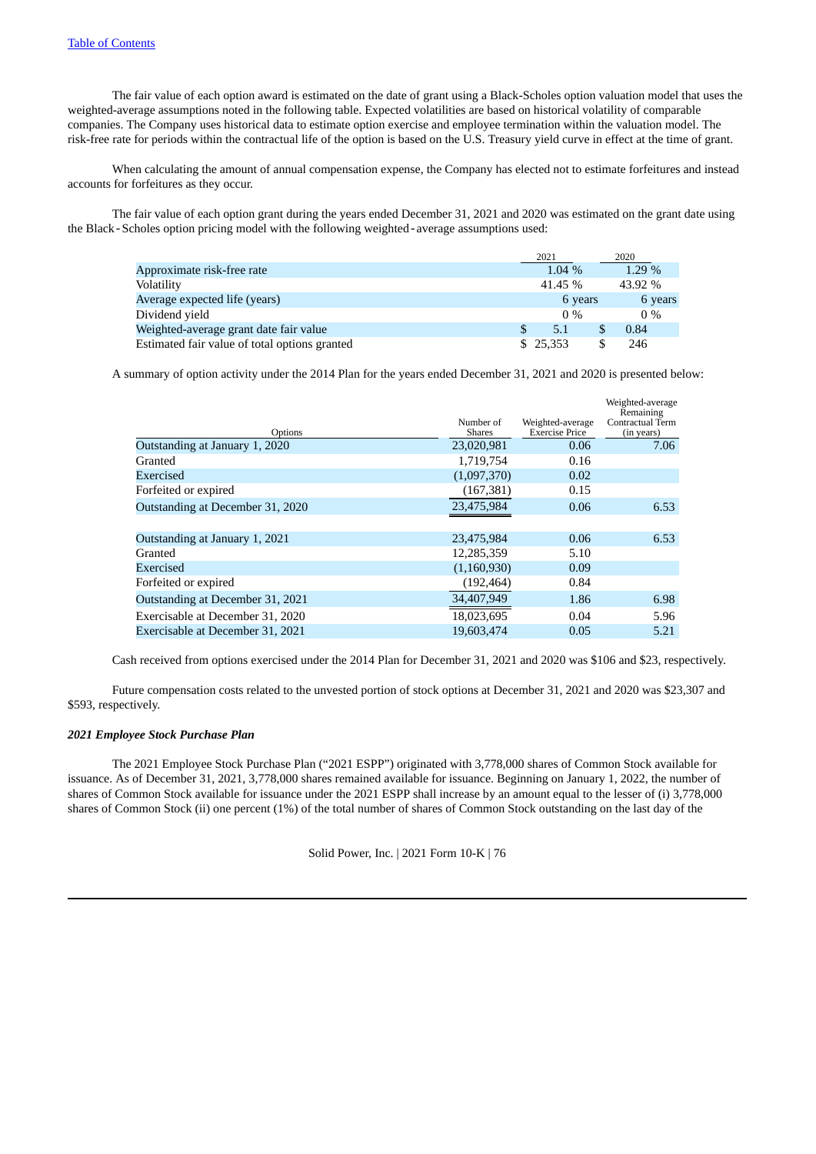The fair value of each option award is estimated on the date of grant using a Black-Scholes option valuation model that uses the weighted-average assumptions noted in the following table. Expected volatilities are based on historical volatility of comparable companies. The Company uses historical data to estimate option exercise and employee termination within the valuation model. The risk-free rate for periods within the contractual life of the option is based on the U.S. Treasury yield curve in effect at the time of grant.

When calculating the amount of annual compensation expense, the Company has elected not to estimate forfeitures and instead accounts for forfeitures as they occur.

The fair value of each option grant during the years ended December 31, 2021 and 2020 was estimated on the grant date using the Black-Scholes option pricing model with the following weighted-average assumptions used:

|                                               | 2021     |     | 2020    |
|-----------------------------------------------|----------|-----|---------|
| Approximate risk-free rate                    | 1.04%    |     | 1.29%   |
| Volatility                                    | 41.45 %  |     | 43.92 % |
| Average expected life (years)                 | 6 years  |     | 6 years |
| Dividend vield                                | $0\%$    |     | $0\%$   |
| Weighted-average grant date fair value        | 5.1      |     | 0.84    |
| Estimated fair value of total options granted | \$25,353 | \$. | 246     |

A summary of option activity under the 2014 Plan for the years ended December 31, 2021 and 2020 is presented below:

|                                  |                     |                                           | Weighted-average<br>Remaining  |
|----------------------------------|---------------------|-------------------------------------------|--------------------------------|
| Options                          | Number of<br>Shares | Weighted-average<br><b>Exercise Price</b> | Contractual Term<br>(in years) |
| Outstanding at January 1, 2020   | 23,020,981          | 0.06                                      | 7.06                           |
| Granted                          | 1,719,754           | 0.16                                      |                                |
| Exercised                        | (1,097,370)         | 0.02                                      |                                |
| Forfeited or expired             | (167, 381)          | 0.15                                      |                                |
| Outstanding at December 31, 2020 | 23,475,984          | 0.06                                      | 6.53                           |
| Outstanding at January 1, 2021   | 23,475,984          | 0.06                                      | 6.53                           |
| Granted                          | 12,285,359          | 5.10                                      |                                |
| Exercised                        | (1,160,930)         | 0.09                                      |                                |
| Forfeited or expired             | (192, 464)          | 0.84                                      |                                |
| Outstanding at December 31, 2021 | 34,407,949          | 1.86                                      | 6.98                           |
| Exercisable at December 31, 2020 | 18,023,695          | 0.04                                      | 5.96                           |
| Exercisable at December 31, 2021 | 19,603,474          | 0.05                                      | 5.21                           |
|                                  |                     |                                           |                                |

Cash received from options exercised under the 2014 Plan for December 31, 2021 and 2020 was \$106 and \$23, respectively.

Future compensation costs related to the unvested portion of stock options at December 31, 2021 and 2020 was \$23,307 and \$593, respectively.

### *2021 Employee Stock Purchase Plan*

The 2021 Employee Stock Purchase Plan ("2021 ESPP") originated with 3,778,000 shares of Common Stock available for issuance. As of December 31, 2021, 3,778,000 shares remained available for issuance. Beginning on January 1, 2022, the number of shares of Common Stock available for issuance under the 2021 ESPP shall increase by an amount equal to the lesser of (i) 3,778,000 shares of Common Stock (ii) one percent (1%) of the total number of shares of Common Stock outstanding on the last day of the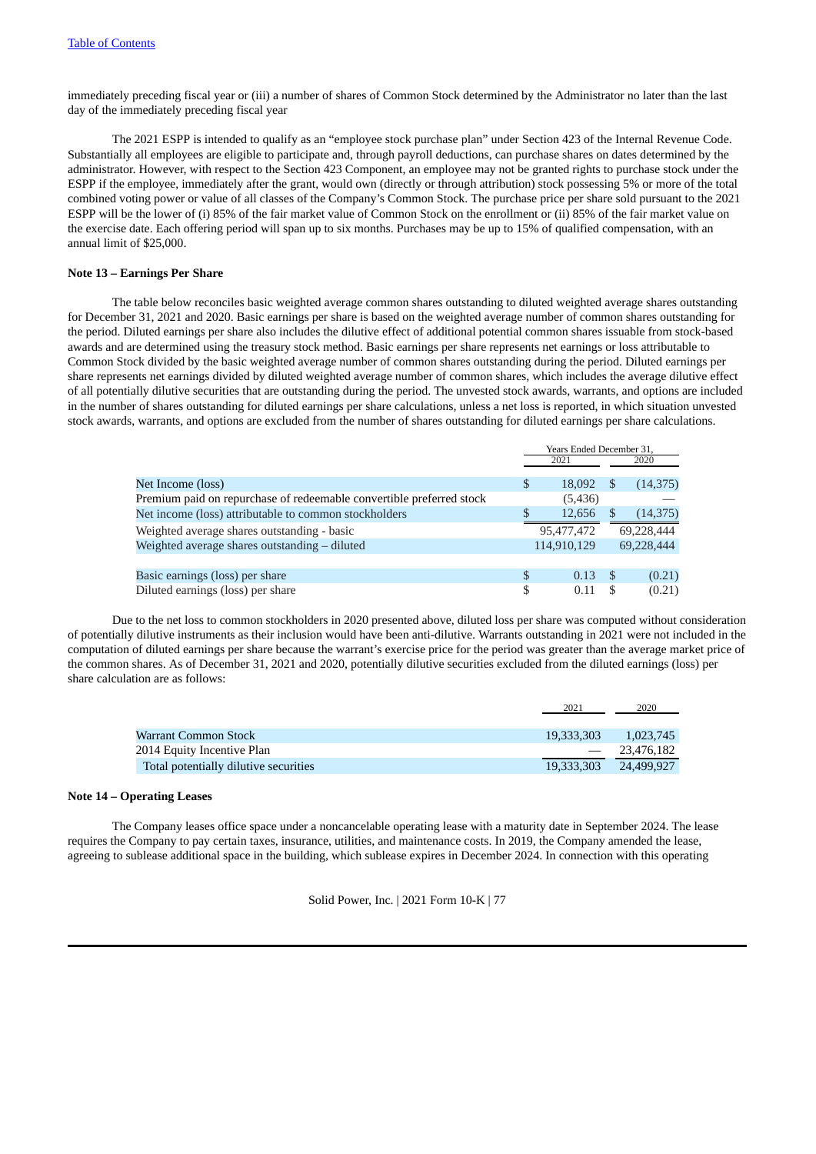immediately preceding fiscal year or (iii) a number of shares of Common Stock determined by the Administrator no later than the last day of the immediately preceding fiscal year

The 2021 ESPP is intended to qualify as an "employee stock purchase plan" under Section 423 of the Internal Revenue Code. Substantially all employees are eligible to participate and, through payroll deductions, can purchase shares on dates determined by the administrator. However, with respect to the Section 423 Component, an employee may not be granted rights to purchase stock under the ESPP if the employee, immediately after the grant, would own (directly or through attribution) stock possessing 5% or more of the total combined voting power or value of all classes of the Company's Common Stock. The purchase price per share sold pursuant to the 2021 ESPP will be the lower of (i) 85% of the fair market value of Common Stock on the enrollment or (ii) 85% of the fair market value on the exercise date. Each offering period will span up to six months. Purchases may be up to 15% of qualified compensation, with an annual limit of \$25,000.

#### **Note 13 – Earnings Per Share**

The table below reconciles basic weighted average common shares outstanding to diluted weighted average shares outstanding for December 31, 2021 and 2020. Basic earnings per share is based on the weighted average number of common shares outstanding for the period. Diluted earnings per share also includes the dilutive effect of additional potential common shares issuable from stock-based awards and are determined using the treasury stock method. Basic earnings per share represents net earnings or loss attributable to Common Stock divided by the basic weighted average number of common shares outstanding during the period. Diluted earnings per share represents net earnings divided by diluted weighted average number of common shares, which includes the average dilutive effect of all potentially dilutive securities that are outstanding during the period. The unvested stock awards, warrants, and options are included in the number of shares outstanding for diluted earnings per share calculations, unless a net loss is reported, in which situation unvested stock awards, warrants, and options are excluded from the number of shares outstanding for diluted earnings per share calculations.

|                                                                      | Years Ended December 31, |          |            |            |  |
|----------------------------------------------------------------------|--------------------------|----------|------------|------------|--|
|                                                                      | 2021                     |          |            | 2020       |  |
|                                                                      |                          |          |            |            |  |
| Net Income (loss)                                                    | S                        | 18,092   |            | (14, 375)  |  |
| Premium paid on repurchase of redeemable convertible preferred stock |                          | (5, 436) |            |            |  |
| Net income (loss) attributable to common stockholders                | 12,656                   |          |            | (14, 375)  |  |
| Weighted average shares outstanding - basic                          | 95,477,472               |          |            | 69,228,444 |  |
| Weighted average shares outstanding - diluted                        | 114,910,129              |          | 69,228,444 |            |  |
|                                                                      |                          |          |            |            |  |
| Basic earnings (loss) per share                                      | \$.                      | 0.13     | - S        | (0.21)     |  |
| Diluted earnings (loss) per share                                    |                          | 0.11     |            | (0.21)     |  |

Due to the net loss to common stockholders in 2020 presented above, diluted loss per share was computed without consideration of potentially dilutive instruments as their inclusion would have been anti-dilutive. Warrants outstanding in 2021 were not included in the computation of diluted earnings per share because the warrant's exercise price for the period was greater than the average market price of the common shares. As of December 31, 2021 and 2020, potentially dilutive securities excluded from the diluted earnings (loss) per share calculation are as follows:

|                                       | 2021                     | 2020       |
|---------------------------------------|--------------------------|------------|
|                                       |                          |            |
| Warrant Common Stock                  | 19.333.303               | 1.023.745  |
| 2014 Equity Incentive Plan            | $\overline{\phantom{0}}$ | 23.476.182 |
| Total potentially dilutive securities | 19.333.303               | 24.499.927 |

### **Note 14 – Operating Leases**

The Company leases office space under a noncancelable operating lease with a maturity date in September 2024. The lease requires the Company to pay certain taxes, insurance, utilities, and maintenance costs. In 2019, the Company amended the lease, agreeing to sublease additional space in the building, which sublease expires in December 2024. In connection with this operating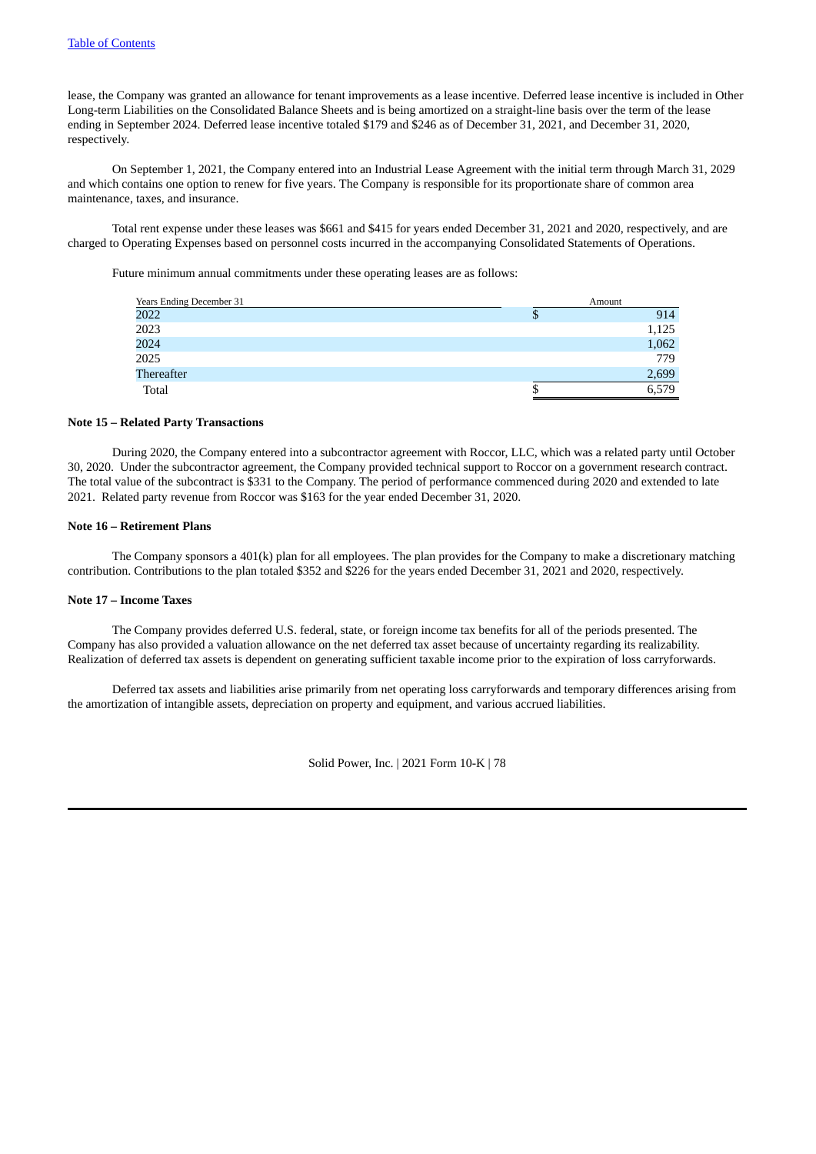lease, the Company was granted an allowance for tenant improvements as a lease incentive. Deferred lease incentive is included in Other Long-term Liabilities on the Consolidated Balance Sheets and is being amortized on a straight-line basis over the term of the lease ending in September 2024. Deferred lease incentive totaled \$179 and \$246 as of December 31, 2021, and December 31, 2020, respectively.

On September 1, 2021, the Company entered into an Industrial Lease Agreement with the initial term through March 31, 2029 and which contains one option to renew for five years. The Company is responsible for its proportionate share of common area maintenance, taxes, and insurance.

Total rent expense under these leases was \$661 and \$415 for years ended December 31, 2021 and 2020, respectively, and are charged to Operating Expenses based on personnel costs incurred in the accompanying Consolidated Statements of Operations.

Future minimum annual commitments under these operating leases are as follows:

| Years Ending December 31 | Amount |       |  |
|--------------------------|--------|-------|--|
| 2022                     | ٠D     | 914   |  |
| 2023                     |        | 1,125 |  |
| 2024                     |        | 1,062 |  |
| 2025                     |        | 779   |  |
| <b>Thereafter</b>        |        | 2,699 |  |
| Total                    |        | 6,579 |  |

### **Note 15 – Related Party Transactions**

During 2020, the Company entered into a subcontractor agreement with Roccor, LLC, which was a related party until October 30, 2020. Under the subcontractor agreement, the Company provided technical support to Roccor on a government research contract. The total value of the subcontract is \$331 to the Company. The period of performance commenced during 2020 and extended to late 2021. Related party revenue from Roccor was \$163 for the year ended December 31, 2020.

### **Note 16 – Retirement Plans**

The Company sponsors a 401(k) plan for all employees. The plan provides for the Company to make a discretionary matching contribution. Contributions to the plan totaled \$352 and \$226 for the years ended December 31, 2021 and 2020, respectively.

### **Note 17 – Income Taxes**

The Company provides deferred U.S. federal, state, or foreign income tax benefits for all of the periods presented. The Company has also provided a valuation allowance on the net deferred tax asset because of uncertainty regarding its realizability. Realization of deferred tax assets is dependent on generating sufficient taxable income prior to the expiration of loss carryforwards.

Deferred tax assets and liabilities arise primarily from net operating loss carryforwards and temporary differences arising from the amortization of intangible assets, depreciation on property and equipment, and various accrued liabilities.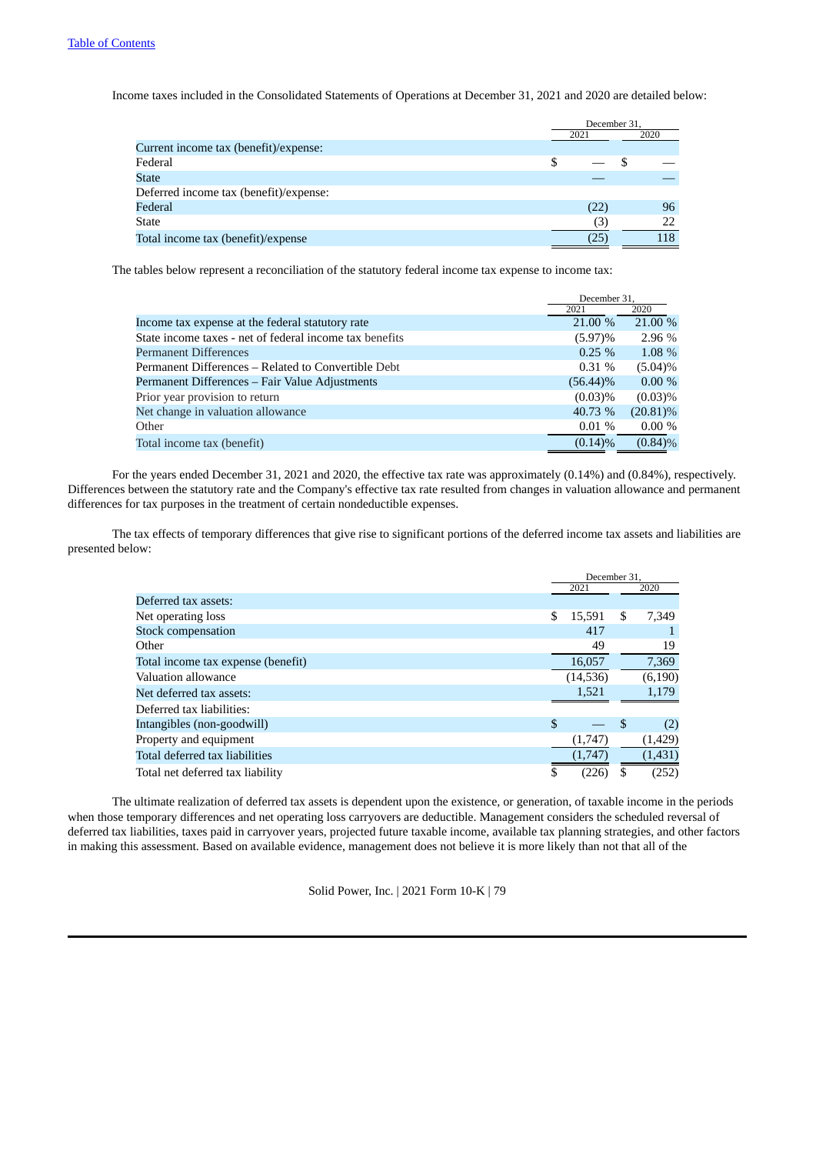Income taxes included in the Consolidated Statements of Operations at December 31, 2021 and 2020 are detailed below:

|                                        | December 31. |      |  |      |
|----------------------------------------|--------------|------|--|------|
|                                        | 2021         |      |  | 2020 |
| Current income tax (benefit)/expense:  |              |      |  |      |
| Federal                                |              |      |  |      |
| State                                  |              |      |  |      |
| Deferred income tax (benefit)/expense: |              |      |  |      |
| Federal                                |              | (22) |  | 96   |
| <b>State</b>                           |              | (3)  |  | 22   |
| Total income tax (benefit)/expense     |              | 25)  |  | 118  |

The tables below represent a reconciliation of the statutory federal income tax expense to income tax:

|                                                         | December 31. |             |
|---------------------------------------------------------|--------------|-------------|
|                                                         | 2021         | 2020        |
| Income tax expense at the federal statutory rate        | 21.00 %      | 21.00 %     |
| State income taxes - net of federal income tax benefits | $(5.97)\%$   | 2.96%       |
| <b>Permanent Differences</b>                            | 0.25%        | 1.08 %      |
| Permanent Differences – Related to Convertible Debt     | $0.31\%$     | $(5.04)\%$  |
| Permanent Differences - Fair Value Adjustments          | (56.44)%     | $0.00 \%$   |
| Prior year provision to return                          | $(0.03)\%$   | $(0.03)\%$  |
| Net change in valuation allowance                       | 40.73 %      | $(20.81)\%$ |
| Other                                                   | 0.01%        | $0.00 \%$   |
| Total income tax (benefit)                              | (0.14)%      | $(0.84)\%$  |

For the years ended December 31, 2021 and 2020, the effective tax rate was approximately (0.14%) and (0.84%), respectively. Differences between the statutory rate and the Company's effective tax rate resulted from changes in valuation allowance and permanent differences for tax purposes in the treatment of certain nondeductible expenses.

The tax effects of temporary differences that give rise to significant portions of the deferred income tax assets and liabilities are presented below:

|                                    | December 31. |           |     |          |
|------------------------------------|--------------|-----------|-----|----------|
|                                    |              | 2021      |     | 2020     |
| Deferred tax assets:               |              |           |     |          |
| Net operating loss                 | \$           | 15.591    | £.  | 7,349    |
| <b>Stock compensation</b>          |              | 417       |     |          |
| Other                              |              | 49        |     | 19       |
| Total income tax expense (benefit) |              | 16,057    |     | 7,369    |
| Valuation allowance                |              | (14, 536) |     | (6,190)  |
| Net deferred tax assets:           |              | 1.521     |     | 1,179    |
| Deferred tax liabilities:          |              |           |     |          |
| Intangibles (non-goodwill)         | \$           |           | \$. | (2)      |
| Property and equipment             |              | (1,747)   |     | (1,429)  |
| Total deferred tax liabilities     |              | (1,747)   |     | (1, 431) |
| Total net deferred tax liability   |              | (226)     |     | (252)    |

The ultimate realization of deferred tax assets is dependent upon the existence, or generation, of taxable income in the periods when those temporary differences and net operating loss carryovers are deductible. Management considers the scheduled reversal of deferred tax liabilities, taxes paid in carryover years, projected future taxable income, available tax planning strategies, and other factors in making this assessment. Based on available evidence, management does not believe it is more likely than not that all of the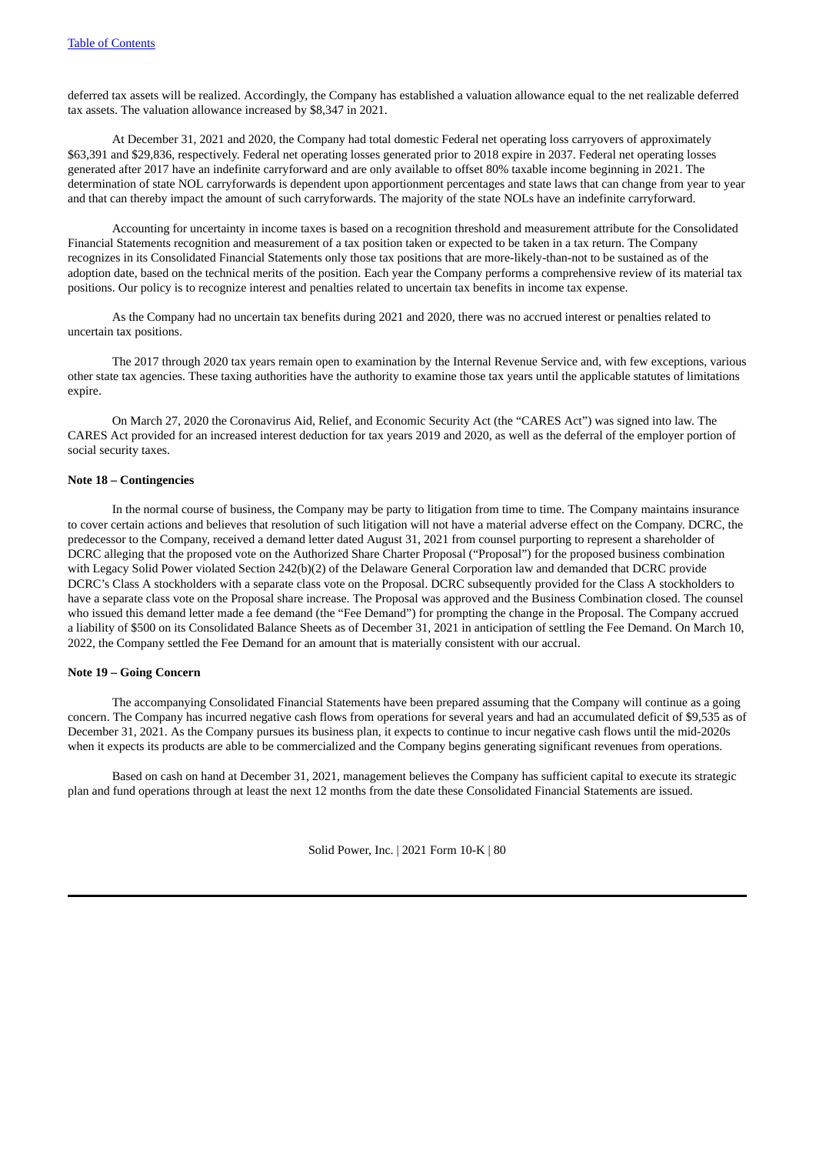deferred tax assets will be realized. Accordingly, the Company has established a valuation allowance equal to the net realizable deferred tax assets. The valuation allowance increased by \$8,347 in 2021.

At December 31, 2021 and 2020, the Company had total domestic Federal net operating loss carryovers of approximately \$63,391 and \$29,836, respectively. Federal net operating losses generated prior to 2018 expire in 2037. Federal net operating losses generated after 2017 have an indefinite carryforward and are only available to offset 80% taxable income beginning in 2021. The determination of state NOL carryforwards is dependent upon apportionment percentages and state laws that can change from year to year and that can thereby impact the amount of such carryforwards. The majority of the state NOLs have an indefinite carryforward.

Accounting for uncertainty in income taxes is based on a recognition threshold and measurement attribute for the Consolidated Financial Statements recognition and measurement of a tax position taken or expected to be taken in a tax return. The Company recognizes in its Consolidated Financial Statements only those tax positions that are more-likely-than-not to be sustained as of the adoption date, based on the technical merits of the position. Each year the Company performs a comprehensive review of its material tax positions. Our policy is to recognize interest and penalties related to uncertain tax benefits in income tax expense.

As the Company had no uncertain tax benefits during 2021 and 2020, there was no accrued interest or penalties related to uncertain tax positions.

The 2017 through 2020 tax years remain open to examination by the Internal Revenue Service and, with few exceptions, various other state tax agencies. These taxing authorities have the authority to examine those tax years until the applicable statutes of limitations expire.

On March 27, 2020 the Coronavirus Aid, Relief, and Economic Security Act (the "CARES Act") was signed into law. The CARES Act provided for an increased interest deduction for tax years 2019 and 2020, as well as the deferral of the employer portion of social security taxes.

#### **Note 18 – Contingencies**

In the normal course of business, the Company may be party to litigation from time to time. The Company maintains insurance to cover certain actions and believes that resolution of such litigation will not have a material adverse effect on the Company. DCRC, the predecessor to the Company, received a demand letter dated August 31, 2021 from counsel purporting to represent a shareholder of DCRC alleging that the proposed vote on the Authorized Share Charter Proposal ("Proposal") for the proposed business combination with Legacy Solid Power violated Section 242(b)(2) of the Delaware General Corporation law and demanded that DCRC provide DCRC's Class A stockholders with a separate class vote on the Proposal. DCRC subsequently provided for the Class A stockholders to have a separate class vote on the Proposal share increase. The Proposal was approved and the Business Combination closed. The counsel who issued this demand letter made a fee demand (the "Fee Demand") for prompting the change in the Proposal. The Company accrued a liability of \$500 on its Consolidated Balance Sheets as of December 31, 2021 in anticipation of settling the Fee Demand. On March 10, 2022, the Company settled the Fee Demand for an amount that is materially consistent with our accrual.

#### **Note 19 – Going Concern**

The accompanying Consolidated Financial Statements have been prepared assuming that the Company will continue as a going concern. The Company has incurred negative cash flows from operations for several years and had an accumulated deficit of \$9,535 as of December 31, 2021. As the Company pursues its business plan, it expects to continue to incur negative cash flows until the mid-2020s when it expects its products are able to be commercialized and the Company begins generating significant revenues from operations.

Based on cash on hand at December 31, 2021, management believes the Company has sufficient capital to execute its strategic plan and fund operations through at least the next 12 months from the date these Consolidated Financial Statements are issued.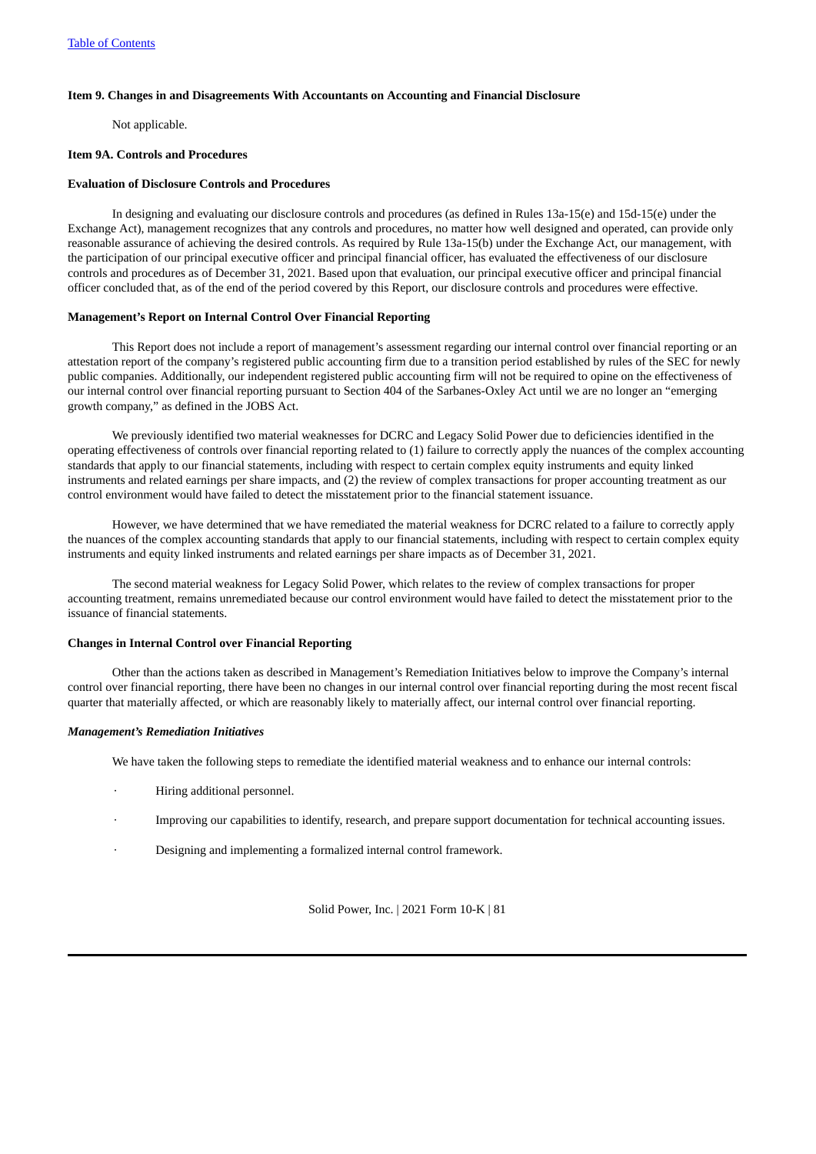### **Item 9. Changes in and Disagreements With Accountants on Accounting and Financial Disclosure**

Not applicable.

### **Item 9A. Controls and Procedures**

#### **Evaluation of Disclosure Controls and Procedures**

In designing and evaluating our disclosure controls and procedures (as defined in Rules 13a-15(e) and 15d-15(e) under the Exchange Act), management recognizes that any controls and procedures, no matter how well designed and operated, can provide only reasonable assurance of achieving the desired controls. As required by Rule 13a-15(b) under the Exchange Act, our management, with the participation of our principal executive officer and principal financial officer, has evaluated the effectiveness of our disclosure controls and procedures as of December 31, 2021. Based upon that evaluation, our principal executive officer and principal financial officer concluded that, as of the end of the period covered by this Report, our disclosure controls and procedures were effective.

#### **Management's Report on Internal Control Over Financial Reporting**

This Report does not include a report of management's assessment regarding our internal control over financial reporting or an attestation report of the company's registered public accounting firm due to a transition period established by rules of the SEC for newly public companies. Additionally, our independent registered public accounting firm will not be required to opine on the effectiveness of our internal control over financial reporting pursuant to Section 404 of the Sarbanes-Oxley Act until we are no longer an "emerging growth company," as defined in the JOBS Act.

We previously identified two material weaknesses for DCRC and Legacy Solid Power due to deficiencies identified in the operating effectiveness of controls over financial reporting related to (1) failure to correctly apply the nuances of the complex accounting standards that apply to our financial statements, including with respect to certain complex equity instruments and equity linked instruments and related earnings per share impacts, and (2) the review of complex transactions for proper accounting treatment as our control environment would have failed to detect the misstatement prior to the financial statement issuance.

However, we have determined that we have remediated the material weakness for DCRC related to a failure to correctly apply the nuances of the complex accounting standards that apply to our financial statements, including with respect to certain complex equity instruments and equity linked instruments and related earnings per share impacts as of December 31, 2021.

The second material weakness for Legacy Solid Power, which relates to the review of complex transactions for proper accounting treatment, remains unremediated because our control environment would have failed to detect the misstatement prior to the issuance of financial statements.

### **Changes in Internal Control over Financial Reporting**

Other than the actions taken as described in Management's Remediation Initiatives below to improve the Company's internal control over financial reporting, there have been no changes in our internal control over financial reporting during the most recent fiscal quarter that materially affected, or which are reasonably likely to materially affect, our internal control over financial reporting.

#### *Management's Remediation Initiatives*

We have taken the following steps to remediate the identified material weakness and to enhance our internal controls:

- Hiring additional personnel.
- · Improving our capabilities to identify, research, and prepare support documentation for technical accounting issues.
- · Designing and implementing a formalized internal control framework.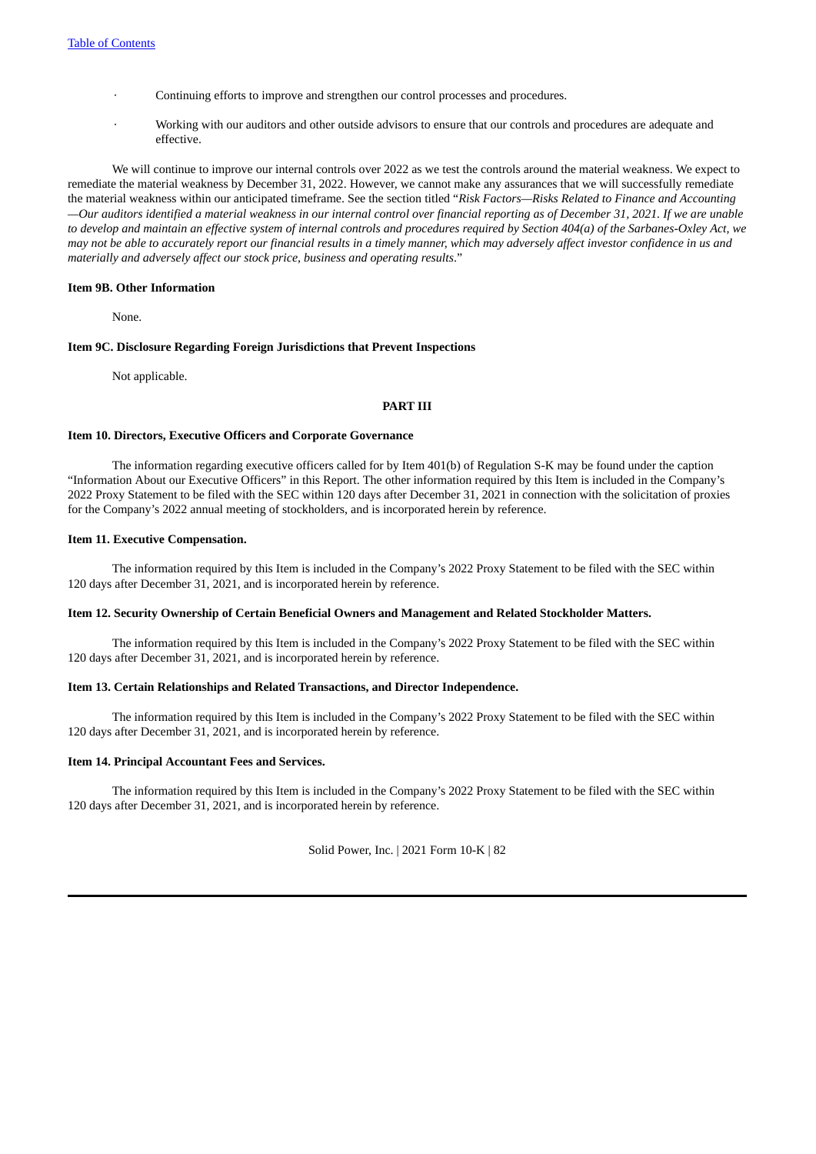- Continuing efforts to improve and strengthen our control processes and procedures.
- · Working with our auditors and other outside advisors to ensure that our controls and procedures are adequate and effective.

We will continue to improve our internal controls over 2022 as we test the controls around the material weakness. We expect to remediate the material weakness by December 31, 2022. However, we cannot make any assurances that we will successfully remediate the material weakness within our anticipated timeframe. See the section titled "*Risk Factors—Risks Related to Finance and Accounting* -Our auditors identified a material weakness in our internal control over financial reporting as of December 31, 2021. If we are unable to develop and maintain an effective system of internal controls and procedures required by Section 404(a) of the Sarbanes-Oxley Act, we may not be able to accurately report our financial results in a timely manner, which may adversely affect investor confidence in us and *materially and adversely affect our stock price, business and operating results*."

#### **Item 9B. Other Information**

None.

#### **Item 9C. Disclosure Regarding Foreign Jurisdictions that Prevent Inspections**

Not applicable.

#### **PART III**

### **Item 10. Directors, Executive Officers and Corporate Governance**

The information regarding executive officers called for by Item 401(b) of Regulation S-K may be found under the caption "Information About our Executive Officers" in this Report. The other information required by this Item is included in the Company's 2022 Proxy Statement to be filed with the SEC within 120 days after December 31, 2021 in connection with the solicitation of proxies for the Company's 2022 annual meeting of stockholders, and is incorporated herein by reference.

#### **Item 11. Executive Compensation.**

The information required by this Item is included in the Company's 2022 Proxy Statement to be filed with the SEC within 120 days after December 31, 2021, and is incorporated herein by reference.

#### **Item 12. Security Ownership of Certain Beneficial Owners and Management and Related Stockholder Matters.**

The information required by this Item is included in the Company's 2022 Proxy Statement to be filed with the SEC within 120 days after December 31, 2021, and is incorporated herein by reference.

#### **Item 13. Certain Relationships and Related Transactions, and Director Independence.**

The information required by this Item is included in the Company's 2022 Proxy Statement to be filed with the SEC within 120 days after December 31, 2021, and is incorporated herein by reference.

### **Item 14. Principal Accountant Fees and Services.**

The information required by this Item is included in the Company's 2022 Proxy Statement to be filed with the SEC within 120 days after December 31, 2021, and is incorporated herein by reference.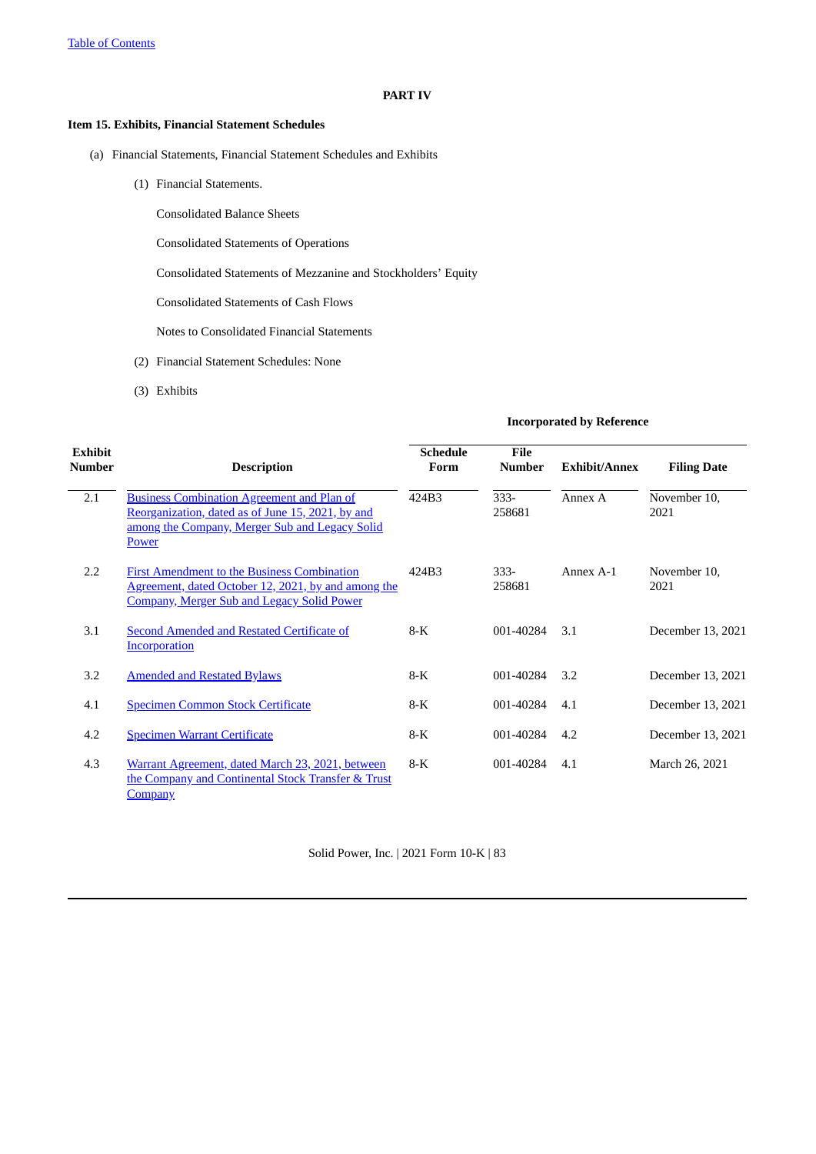### **PART IV**

## **Item 15. Exhibits, Financial Statement Schedules**

- (a) Financial Statements, Financial Statement Schedules and Exhibits
	- (1) Financial Statements.

Consolidated Balance Sheets

Consolidated Statements of Operations

Consolidated Statements of Mezzanine and Stockholders' Equity

Consolidated Statements of Cash Flows

Notes to Consolidated Financial Statements

- (2) Financial Statement Schedules: None
- (3) Exhibits

## **Incorporated by Reference**

| <b>Exhibit</b><br><b>Number</b> | <b>Description</b>                                                                                                                                                | <b>Schedule</b><br>Form | File<br><b>Number</b> | <b>Exhibit/Annex</b> | <b>Filing Date</b>   |
|---------------------------------|-------------------------------------------------------------------------------------------------------------------------------------------------------------------|-------------------------|-----------------------|----------------------|----------------------|
| 2.1                             | <b>Business Combination Agreement and Plan of</b><br>Reorganization, dated as of June 15, 2021, by and<br>among the Company, Merger Sub and Legacy Solid<br>Power | 424B3                   | 333-<br>258681        | Annex A              | November 10,<br>2021 |
| 2.2                             | <b>First Amendment to the Business Combination</b><br>Agreement, dated October 12, 2021, by and among the<br><b>Company, Merger Sub and Legacy Solid Power</b>    | 424B3                   | 333-<br>258681        | Annex A-1            | November 10,<br>2021 |
| 3.1                             | Second Amended and Restated Certificate of<br><b>Incorporation</b>                                                                                                | $8-K$                   | 001-40284             | 3.1                  | December 13, 2021    |
| 3.2                             | <b>Amended and Restated Bylaws</b>                                                                                                                                | $8-K$                   | 001-40284             | 3.2                  | December 13, 2021    |
| 4.1                             | <b>Specimen Common Stock Certificate</b>                                                                                                                          | $8-K$                   | 001-40284             | 4.1                  | December 13, 2021    |
| 4.2                             | <b>Specimen Warrant Certificate</b>                                                                                                                               | $8-K$                   | 001-40284             | 4.2                  | December 13, 2021    |
| 4.3                             | Warrant Agreement, dated March 23, 2021, between<br>the Company and Continental Stock Transfer & Trust<br><b>Company</b>                                          | $8-K$                   | 001-40284             | 4.1                  | March 26, 2021       |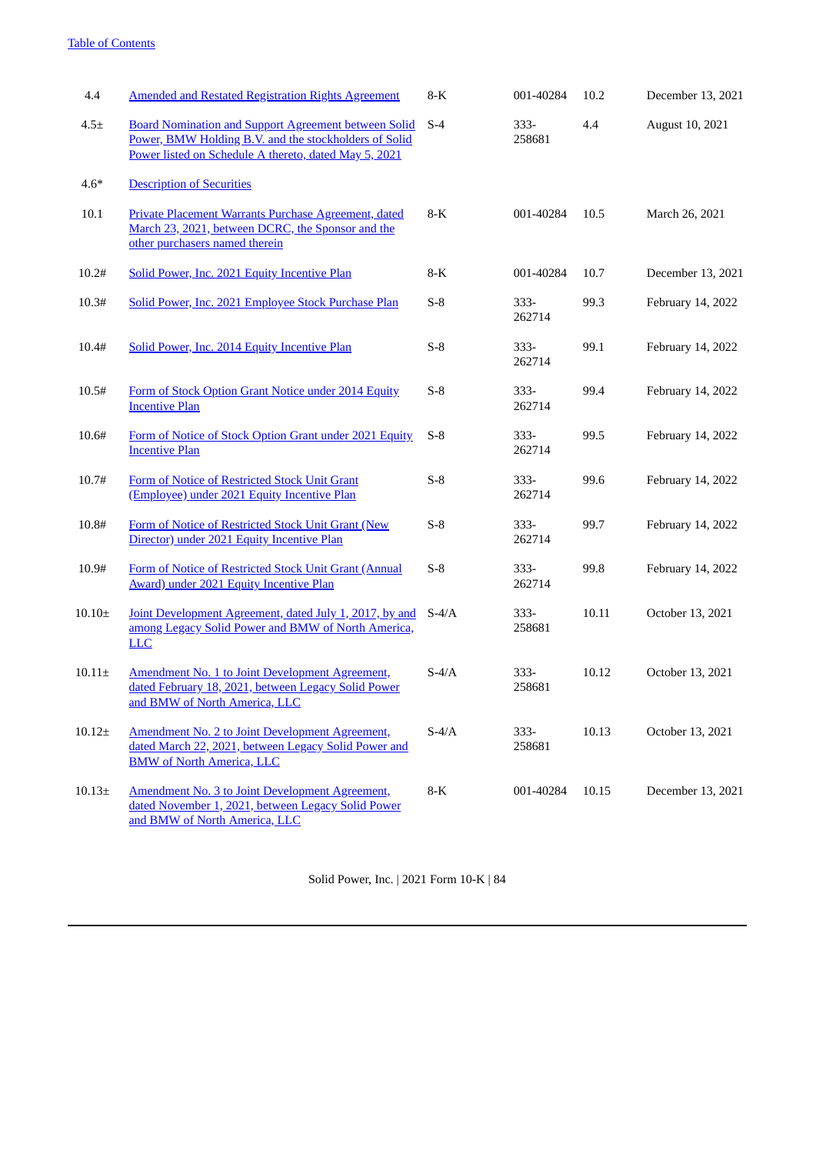# Table of [Contents](#page-1-0)

| 4.4                | <b>Amended and Restated Registration Rights Agreement</b>                                                                                                                     | $8-K$   | 001-40284      | 10.2  | December 13, 2021 |
|--------------------|-------------------------------------------------------------------------------------------------------------------------------------------------------------------------------|---------|----------------|-------|-------------------|
| 4.5 <sub>±</sub>   | <b>Board Nomination and Support Agreement between Solid</b><br>Power, BMW Holding B.V. and the stockholders of Solid<br>Power listed on Schedule A thereto, dated May 5, 2021 | $S-4$   | 333-<br>258681 | 4.4   | August 10, 2021   |
| $4.6*$             | <b>Description of Securities</b>                                                                                                                                              |         |                |       |                   |
| 10.1               | Private Placement Warrants Purchase Agreement, dated<br>March 23, 2021, between DCRC, the Sponsor and the<br>other purchasers named therein                                   | $8-K$   | 001-40284      | 10.5  | March 26, 2021    |
| 10.2#              | Solid Power, Inc. 2021 Equity Incentive Plan                                                                                                                                  | $8-K$   | 001-40284      | 10.7  | December 13, 2021 |
| 10.3#              | Solid Power, Inc. 2021 Employee Stock Purchase Plan                                                                                                                           | $S-8$   | 333-<br>262714 | 99.3  | February 14, 2022 |
| 10.4#              | Solid Power, Inc. 2014 Equity Incentive Plan                                                                                                                                  | $S-8$   | 333-<br>262714 | 99.1  | February 14, 2022 |
| 10.5#              | Form of Stock Option Grant Notice under 2014 Equity<br><b>Incentive Plan</b>                                                                                                  | $S-8$   | 333-<br>262714 | 99.4  | February 14, 2022 |
| 10.6#              | Form of Notice of Stock Option Grant under 2021 Equity<br><b>Incentive Plan</b>                                                                                               | $S-8$   | 333-<br>262714 | 99.5  | February 14, 2022 |
| 10.7#              | Form of Notice of Restricted Stock Unit Grant<br>(Employee) under 2021 Equity Incentive Plan                                                                                  | $S-8$   | 333-<br>262714 | 99.6  | February 14, 2022 |
| 10.8#              | Form of Notice of Restricted Stock Unit Grant (New<br>Director) under 2021 Equity Incentive Plan                                                                              | $S-8$   | 333-<br>262714 | 99.7  | February 14, 2022 |
| 10.9#              | Form of Notice of Restricted Stock Unit Grant (Annual<br><b>Award)</b> under 2021 Equity Incentive Plan                                                                       | $S-8$   | 333-<br>262714 | 99.8  | February 14, 2022 |
| $10.10\pm$         | Joint Development Agreement, dated July 1, 2017, by and<br>among Legacy Solid Power and BMW of North America,<br><b>LLC</b>                                                   | $S-4/A$ | 333-<br>258681 | 10.11 | October 13, 2021  |
| $10.11 \pm$        | Amendment No. 1 to Joint Development Agreement,<br>dated February 18, 2021, between Legacy Solid Power<br>and BMW of North America, LLC                                       | $S-4/A$ | 333-<br>258681 | 10.12 | October 13, 2021  |
| $10.12\pm$         | Amendment No. 2 to Joint Development Agreement,<br>dated March 22, 2021, between Legacy Solid Power and<br><b>BMW</b> of North America, LLC                                   | $S-4/A$ | 333-<br>258681 | 10.13 | October 13, 2021  |
| 10.13 <sub>±</sub> | Amendment No. 3 to Joint Development Agreement,<br>dated November 1, 2021, between Legacy Solid Power<br>and BMW of North America, LLC                                        | $8-K$   | 001-40284      | 10.15 | December 13, 2021 |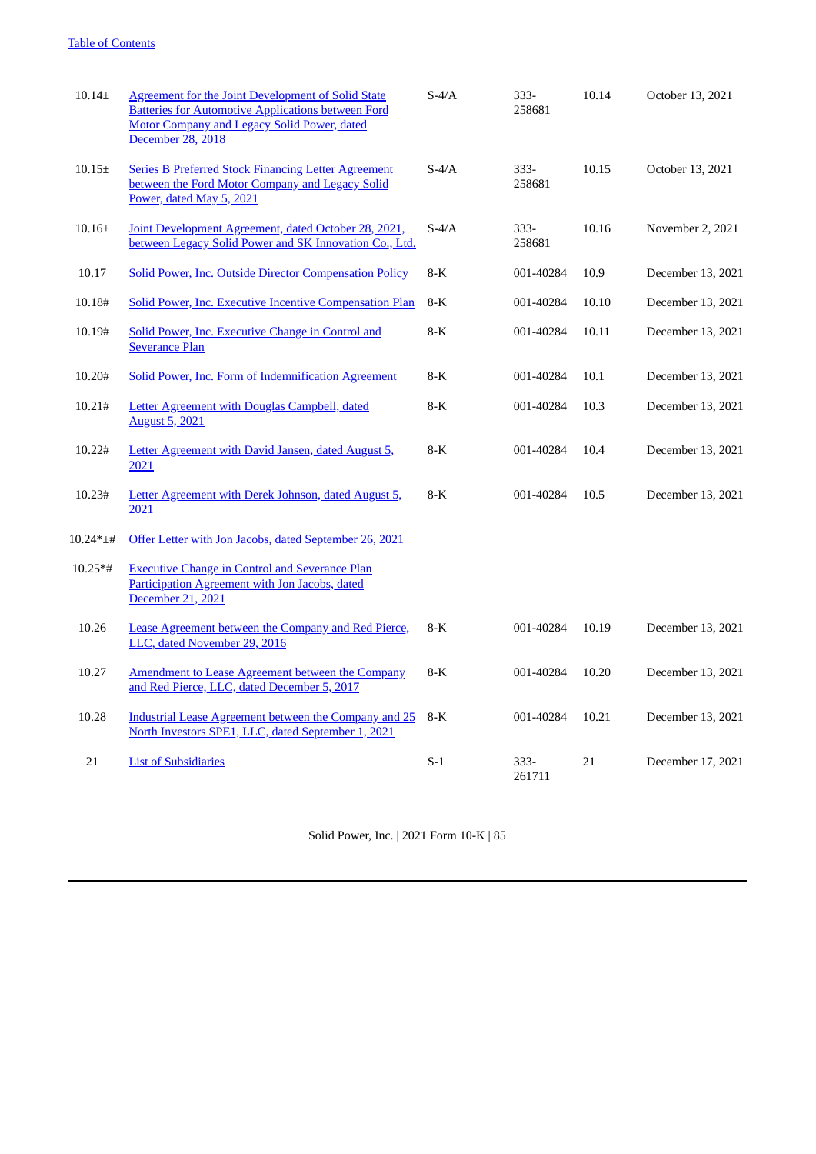# Table of [Contents](#page-1-0)

| 10.14 <sub>±</sub> | <b>Agreement for the Joint Development of Solid State</b><br><b>Batteries for Automotive Applications between Ford</b><br>Motor Company and Legacy Solid Power, dated<br>December 28, 2018 | $S-4/A$ | 333-<br>258681 | 10.14 | October 13, 2021  |
|--------------------|--------------------------------------------------------------------------------------------------------------------------------------------------------------------------------------------|---------|----------------|-------|-------------------|
| 10.15±             | <b>Series B Preferred Stock Financing Letter Agreement</b><br>between the Ford Motor Company and Legacy Solid<br>Power, dated May 5, 2021                                                  | $S-4/A$ | 333-<br>258681 | 10.15 | October 13, 2021  |
| $10.16\pm$         | Joint Development Agreement, dated October 28, 2021,<br>between Legacy Solid Power and SK Innovation Co., Ltd.                                                                             | $S-4/A$ | 333-<br>258681 | 10.16 | November 2, 2021  |
| 10.17              | <b>Solid Power, Inc. Outside Director Compensation Policy</b>                                                                                                                              | $8-K$   | 001-40284      | 10.9  | December 13, 2021 |
| 10.18#             | <b>Solid Power, Inc. Executive Incentive Compensation Plan</b>                                                                                                                             | $8-K$   | 001-40284      | 10.10 | December 13, 2021 |
| 10.19#             | Solid Power, Inc. Executive Change in Control and<br><b>Severance Plan</b>                                                                                                                 | $8-K$   | 001-40284      | 10.11 | December 13, 2021 |
| 10.20#             | Solid Power, Inc. Form of Indemnification Agreement                                                                                                                                        | $8-K$   | 001-40284      | 10.1  | December 13, 2021 |
| 10.21#             | <b>Letter Agreement with Douglas Campbell, dated</b><br><b>August 5, 2021</b>                                                                                                              | $8-K$   | 001-40284      | 10.3  | December 13, 2021 |
| 10.22#             | Letter Agreement with David Jansen, dated August 5,<br>2021                                                                                                                                | $8-K$   | 001-40284      | 10.4  | December 13, 2021 |
| 10.23#             | Letter Agreement with Derek Johnson, dated August 5,<br>2021                                                                                                                               | $8-K$   | 001-40284      | 10.5  | December 13, 2021 |
| 10.24*±#           | Offer Letter with Jon Jacobs, dated September 26, 2021                                                                                                                                     |         |                |       |                   |
| $10.25**$ #        | <b>Executive Change in Control and Severance Plan</b><br>Participation Agreement with Jon Jacobs, dated<br>December 21, 2021                                                               |         |                |       |                   |
| 10.26              | Lease Agreement between the Company and Red Pierce,<br>LLC, dated November 29, 2016                                                                                                        | $8-K$   | 001-40284      | 10.19 | December 13, 2021 |
| 10.27              | Amendment to Lease Agreement between the Company<br>and Red Pierce, LLC, dated December 5, 2017                                                                                            | $8-K$   | 001-40284      | 10.20 | December 13, 2021 |
| 10.28              | <b>Industrial Lease Agreement between the Company and 25</b><br>North Investors SPE1, LLC, dated September 1, 2021                                                                         | $8-K$   | 001-40284      | 10.21 | December 13, 2021 |
| 21                 | <b>List of Subsidiaries</b>                                                                                                                                                                | $S-1$   | 333-<br>261711 | 21    | December 17, 2021 |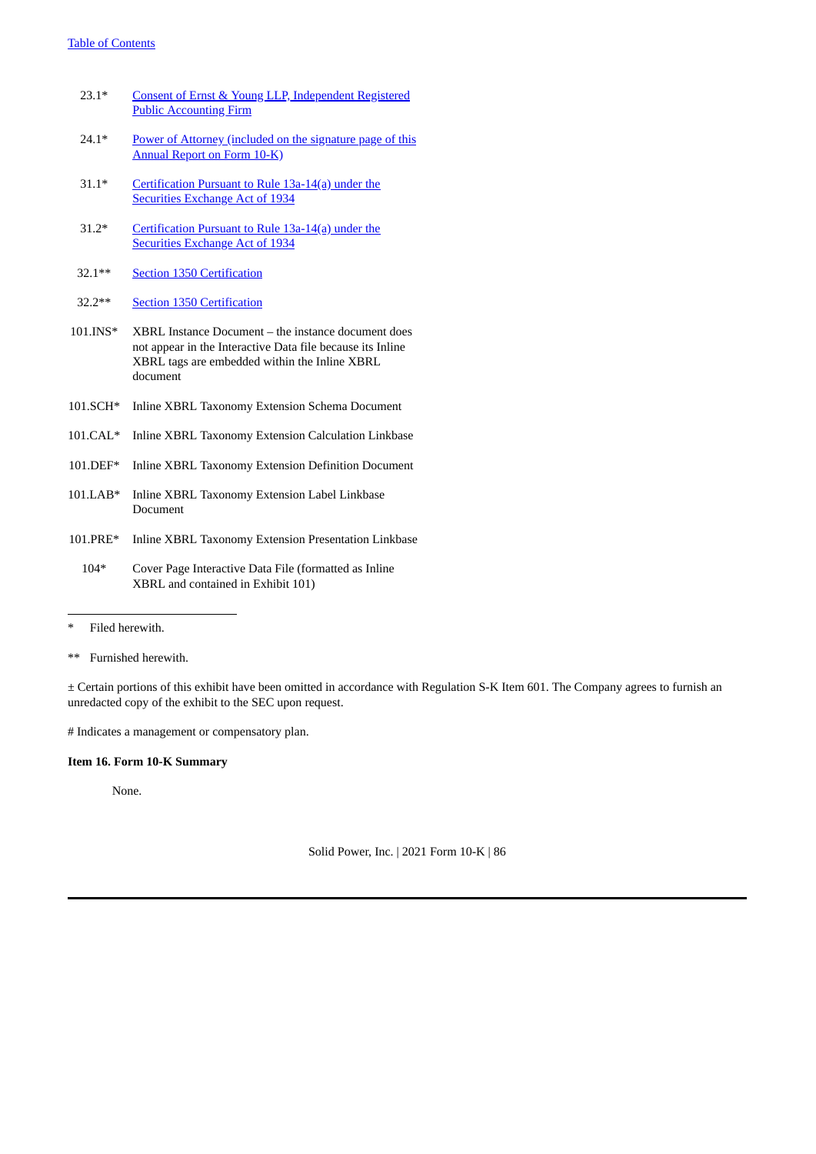### Table of [Contents](#page-1-0)

- 23.1\* Consent of Ernst & Young LLP, [Independent](#page-118-0) Registered Public Accounting Firm
- 24.1\* Power of Attorney [\(included](#page-87-0) on the signature page of this Annual Report on Form 10-K)
- 31.1\* [Certification](#page-119-0) Pursuant to Rule 13a-14(a) under the Securities Exchange Act of 1934
- 31.2\* [Certification](#page-120-0) Pursuant to Rule 13a-14(a) under the Securities Exchange Act of 1934
- 32.1\*\* Section 1350 [Certification](#page-121-0)
- 32.2\*\* Section 1350 [Certification](#page-122-0)
- 101.INS\* XBRL Instance Document the instance document does not appear in the Interactive Data file because its Inline XBRL tags are embedded within the Inline XBRL document
- 101.SCH\* Inline XBRL Taxonomy Extension Schema Document
- 101.CAL\* Inline XBRL Taxonomy Extension Calculation Linkbase
- 101.DEF\* Inline XBRL Taxonomy Extension Definition Document
- 101.LAB\* Inline XBRL Taxonomy Extension Label Linkbase Document
- 101.PRE\* Inline XBRL Taxonomy Extension Presentation Linkbase
	- 104\* Cover Page Interactive Data File (formatted as Inline XBRL and contained in Exhibit 101)

± Certain portions of this exhibit have been omitted in accordance with Regulation S-K Item 601. The Company agrees to furnish an unredacted copy of the exhibit to the SEC upon request.

# Indicates a management or compensatory plan.

## **Item 16. Form 10-K Summary**

None.

Filed herewith.

<sup>\*\*</sup> Furnished herewith.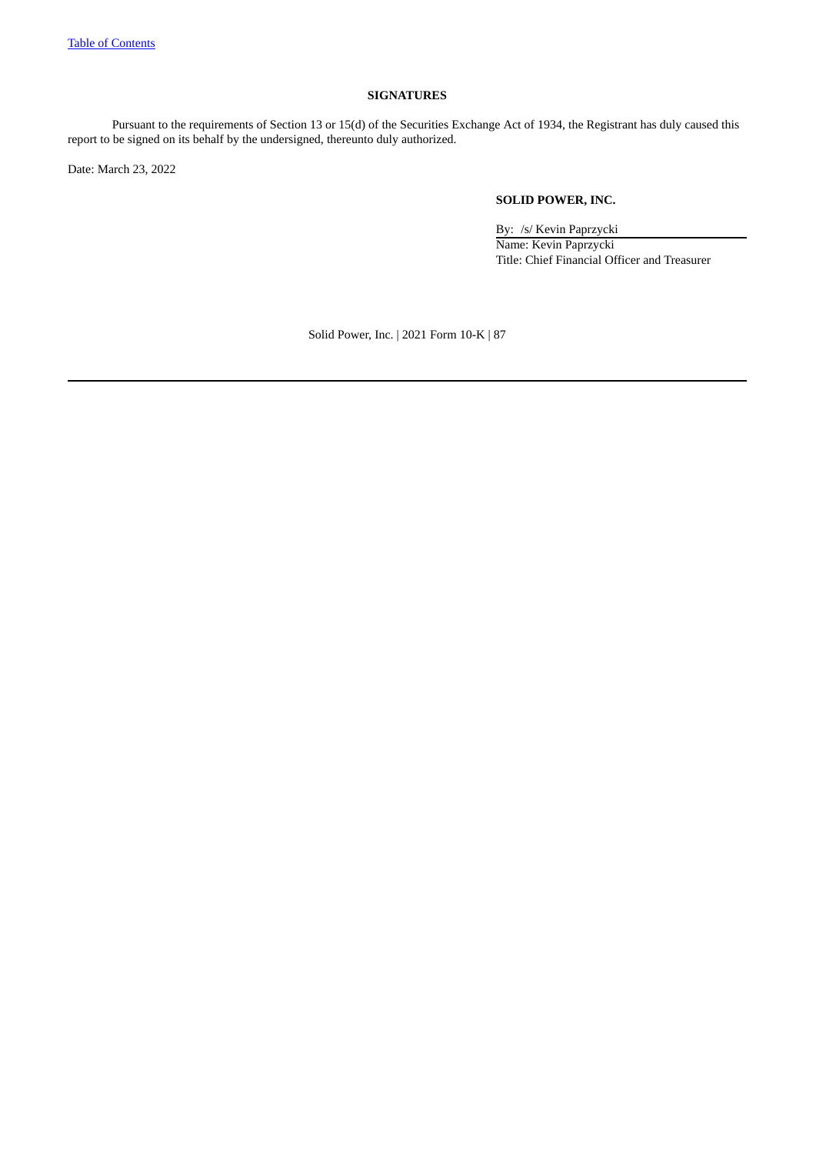### **SIGNATURES**

Pursuant to the requirements of Section 13 or 15(d) of the Securities Exchange Act of 1934, the Registrant has duly caused this report to be signed on its behalf by the undersigned, thereunto duly authorized.

Date: March 23, 2022

### **SOLID POWER, INC.**

By: /s/ Kevin Paprzycki Name: Kevin Paprzycki Title: Chief Financial Officer and Treasurer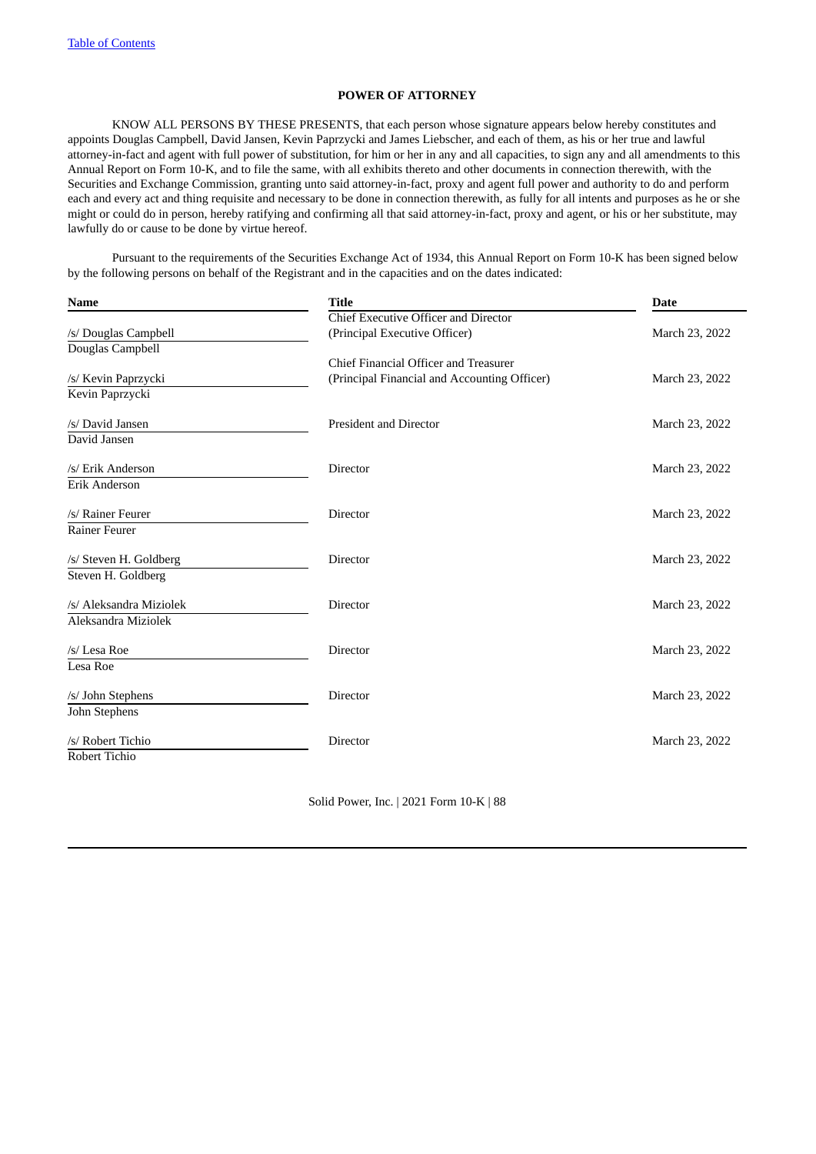### **POWER OF ATTORNEY**

<span id="page-87-0"></span>KNOW ALL PERSONS BY THESE PRESENTS, that each person whose signature appears below hereby constitutes and appoints Douglas Campbell, David Jansen, Kevin Paprzycki and James Liebscher, and each of them, as his or her true and lawful attorney-in-fact and agent with full power of substitution, for him or her in any and all capacities, to sign any and all amendments to this Annual Report on Form 10-K, and to file the same, with all exhibits thereto and other documents in connection therewith, with the Securities and Exchange Commission, granting unto said attorney-in-fact, proxy and agent full power and authority to do and perform each and every act and thing requisite and necessary to be done in connection therewith, as fully for all intents and purposes as he or she might or could do in person, hereby ratifying and confirming all that said attorney-in-fact, proxy and agent, or his or her substitute, may lawfully do or cause to be done by virtue hereof.

Pursuant to the requirements of the Securities Exchange Act of 1934, this Annual Report on Form 10-K has been signed below by the following persons on behalf of the Registrant and in the capacities and on the dates indicated:

| <b>Name</b>             | <b>Title</b>                                 | <b>Date</b>    |
|-------------------------|----------------------------------------------|----------------|
|                         | <b>Chief Executive Officer and Director</b>  |                |
| /s/ Douglas Campbell    | (Principal Executive Officer)                | March 23, 2022 |
| Douglas Campbell        |                                              |                |
|                         | Chief Financial Officer and Treasurer        |                |
| /s/ Kevin Paprzycki     | (Principal Financial and Accounting Officer) | March 23, 2022 |
| Kevin Paprzycki         |                                              |                |
| /s/ David Jansen        | <b>President and Director</b>                | March 23, 2022 |
| David Jansen            |                                              |                |
| /s/ Erik Anderson       | <b>Director</b>                              | March 23, 2022 |
| <b>Erik Anderson</b>    |                                              |                |
| /s/ Rainer Feurer       | Director                                     | March 23, 2022 |
| <b>Rainer Feurer</b>    |                                              |                |
| /s/ Steven H. Goldberg  | Director                                     | March 23, 2022 |
| Steven H. Goldberg      |                                              |                |
| /s/ Aleksandra Miziolek | Director                                     | March 23, 2022 |
| Aleksandra Miziolek     |                                              |                |
| /s/ Lesa Roe            | Director                                     | March 23, 2022 |
| Lesa Roe                |                                              |                |
| /s/ John Stephens       | Director                                     | March 23, 2022 |
| John Stephens           |                                              |                |
| /s/ Robert Tichio       | Director                                     | March 23, 2022 |
| Robert Tichio           |                                              |                |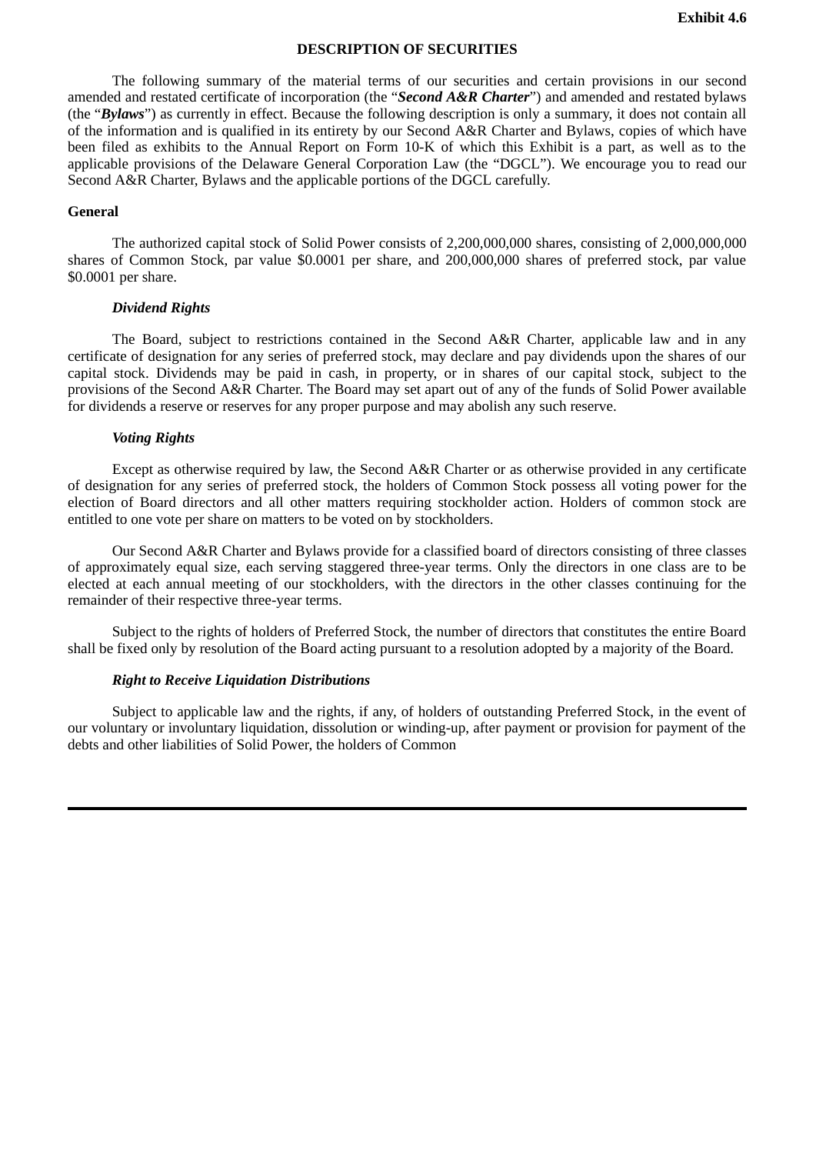## **DESCRIPTION OF SECURITIES**

<span id="page-88-0"></span>The following summary of the material terms of our securities and certain provisions in our second amended and restated certificate of incorporation (the "*Second A&R Charter*") and amended and restated bylaws (the "*Bylaws*") as currently in effect. Because the following description is only a summary, it does not contain all of the information and is qualified in its entirety by our Second A&R Charter and Bylaws, copies of which have been filed as exhibits to the Annual Report on Form 10-K of which this Exhibit is a part, as well as to the applicable provisions of the Delaware General Corporation Law (the "DGCL"). We encourage you to read our Second A&R Charter, Bylaws and the applicable portions of the DGCL carefully.

# **General**

The authorized capital stock of Solid Power consists of 2,200,000,000 shares, consisting of 2,000,000,000 shares of Common Stock, par value \$0.0001 per share, and 200,000,000 shares of preferred stock, par value \$0.0001 per share.

# *Dividend Rights*

The Board, subject to restrictions contained in the Second A&R Charter, applicable law and in any certificate of designation for any series of preferred stock, may declare and pay dividends upon the shares of our capital stock. Dividends may be paid in cash, in property, or in shares of our capital stock, subject to the provisions of the Second A&R Charter. The Board may set apart out of any of the funds of Solid Power available for dividends a reserve or reserves for any proper purpose and may abolish any such reserve.

# *Voting Rights*

Except as otherwise required by law, the Second A&R Charter or as otherwise provided in any certificate of designation for any series of preferred stock, the holders of Common Stock possess all voting power for the election of Board directors and all other matters requiring stockholder action. Holders of common stock are entitled to one vote per share on matters to be voted on by stockholders.

Our Second A&R Charter and Bylaws provide for a classified board of directors consisting of three classes of approximately equal size, each serving staggered three-year terms. Only the directors in one class are to be elected at each annual meeting of our stockholders, with the directors in the other classes continuing for the remainder of their respective three-year terms.

Subject to the rights of holders of Preferred Stock, the number of directors that constitutes the entire Board shall be fixed only by resolution of the Board acting pursuant to a resolution adopted by a majority of the Board.

## *Right to Receive Liquidation Distributions*

Subject to applicable law and the rights, if any, of holders of outstanding Preferred Stock, in the event of our voluntary or involuntary liquidation, dissolution or winding-up, after payment or provision for payment of the debts and other liabilities of Solid Power, the holders of Common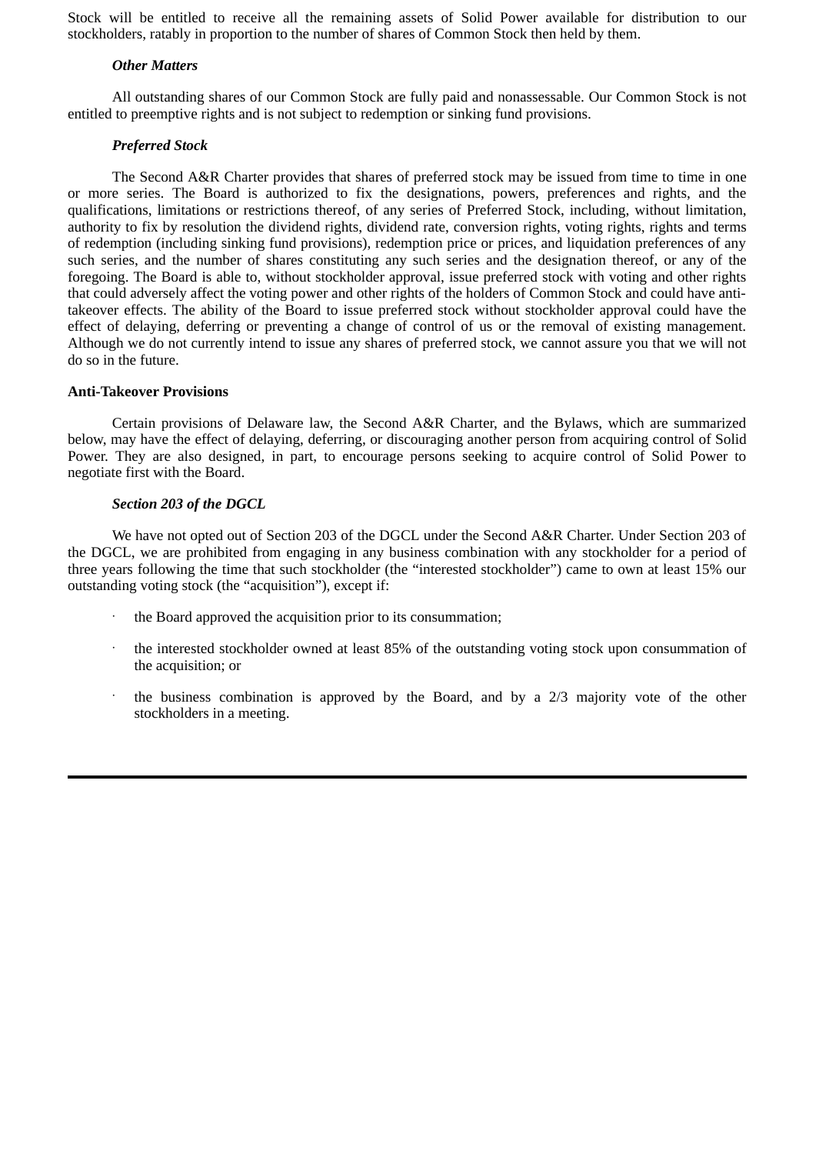Stock will be entitled to receive all the remaining assets of Solid Power available for distribution to our stockholders, ratably in proportion to the number of shares of Common Stock then held by them.

## *Other Matters*

All outstanding shares of our Common Stock are fully paid and nonassessable. Our Common Stock is not entitled to preemptive rights and is not subject to redemption or sinking fund provisions.

## *Preferred Stock*

The Second A&R Charter provides that shares of preferred stock may be issued from time to time in one or more series. The Board is authorized to fix the designations, powers, preferences and rights, and the qualifications, limitations or restrictions thereof, of any series of Preferred Stock, including, without limitation, authority to fix by resolution the dividend rights, dividend rate, conversion rights, voting rights, rights and terms of redemption (including sinking fund provisions), redemption price or prices, and liquidation preferences of any such series, and the number of shares constituting any such series and the designation thereof, or any of the foregoing. The Board is able to, without stockholder approval, issue preferred stock with voting and other rights that could adversely affect the voting power and other rights of the holders of Common Stock and could have antitakeover effects. The ability of the Board to issue preferred stock without stockholder approval could have the effect of delaying, deferring or preventing a change of control of us or the removal of existing management. Although we do not currently intend to issue any shares of preferred stock, we cannot assure you that we will not do so in the future.

### **Anti-Takeover Provisions**

Certain provisions of Delaware law, the Second A&R Charter, and the Bylaws, which are summarized below, may have the effect of delaying, deferring, or discouraging another person from acquiring control of Solid Power. They are also designed, in part, to encourage persons seeking to acquire control of Solid Power to negotiate first with the Board.

# *Section 203 of the DGCL*

We have not opted out of Section 203 of the DGCL under the Second A&R Charter. Under Section 203 of the DGCL, we are prohibited from engaging in any business combination with any stockholder for a period of three years following the time that such stockholder (the "interested stockholder") came to own at least 15% our outstanding voting stock (the "acquisition"), except if:

- the Board approved the acquisition prior to its consummation;
- · the interested stockholder owned at least 85% of the outstanding voting stock upon consummation of the acquisition; or
- · the business combination is approved by the Board, and by a 2/3 majority vote of the other stockholders in a meeting.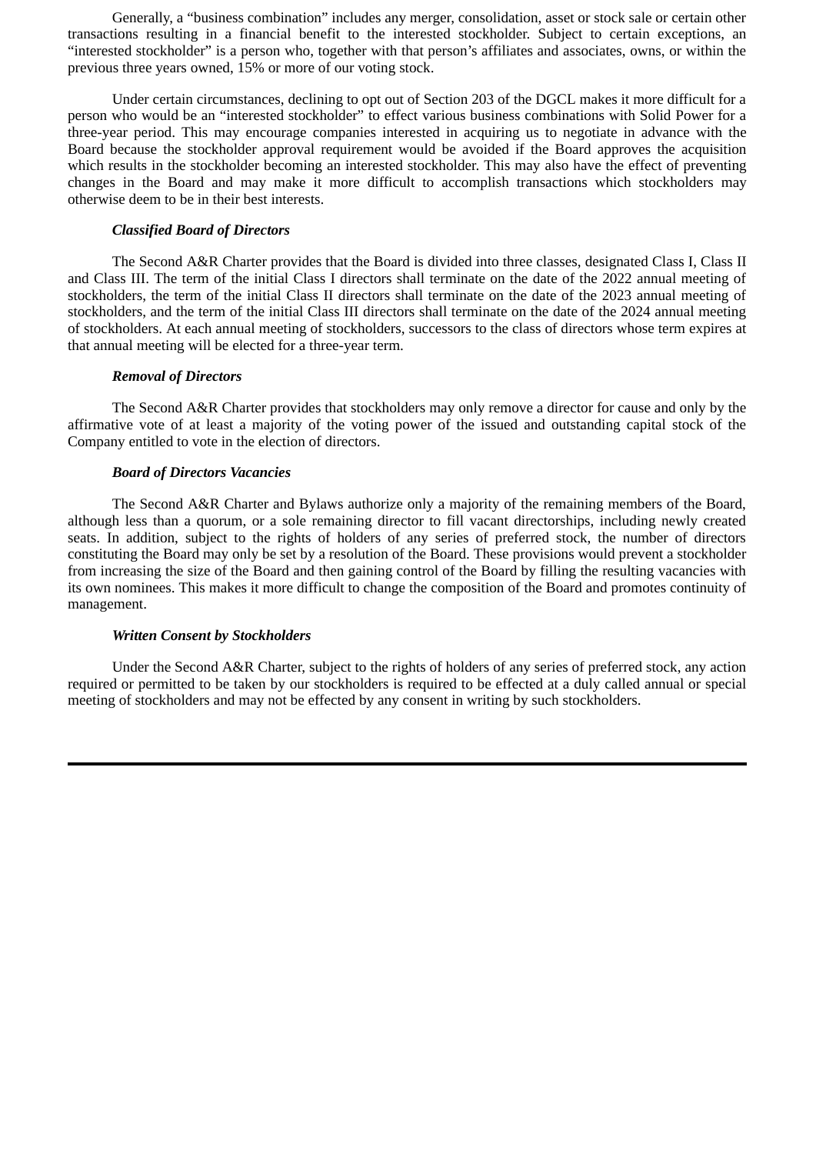Generally, a "business combination" includes any merger, consolidation, asset or stock sale or certain other transactions resulting in a financial benefit to the interested stockholder. Subject to certain exceptions, an "interested stockholder" is a person who, together with that person's affiliates and associates, owns, or within the previous three years owned, 15% or more of our voting stock.

Under certain circumstances, declining to opt out of Section 203 of the DGCL makes it more difficult for a person who would be an "interested stockholder" to effect various business combinations with Solid Power for a three-year period. This may encourage companies interested in acquiring us to negotiate in advance with the Board because the stockholder approval requirement would be avoided if the Board approves the acquisition which results in the stockholder becoming an interested stockholder. This may also have the effect of preventing changes in the Board and may make it more difficult to accomplish transactions which stockholders may otherwise deem to be in their best interests.

# *Classified Board of Directors*

The Second A&R Charter provides that the Board is divided into three classes, designated Class I, Class II and Class III. The term of the initial Class I directors shall terminate on the date of the 2022 annual meeting of stockholders, the term of the initial Class II directors shall terminate on the date of the 2023 annual meeting of stockholders, and the term of the initial Class III directors shall terminate on the date of the 2024 annual meeting of stockholders. At each annual meeting of stockholders, successors to the class of directors whose term expires at that annual meeting will be elected for a three-year term.

## *Removal of Directors*

The Second A&R Charter provides that stockholders may only remove a director for cause and only by the affirmative vote of at least a majority of the voting power of the issued and outstanding capital stock of the Company entitled to vote in the election of directors.

## *Board of Directors Vacancies*

The Second A&R Charter and Bylaws authorize only a majority of the remaining members of the Board, although less than a quorum, or a sole remaining director to fill vacant directorships, including newly created seats. In addition, subject to the rights of holders of any series of preferred stock, the number of directors constituting the Board may only be set by a resolution of the Board. These provisions would prevent a stockholder from increasing the size of the Board and then gaining control of the Board by filling the resulting vacancies with its own nominees. This makes it more difficult to change the composition of the Board and promotes continuity of management.

## *Written Consent by Stockholders*

Under the Second A&R Charter, subject to the rights of holders of any series of preferred stock, any action required or permitted to be taken by our stockholders is required to be effected at a duly called annual or special meeting of stockholders and may not be effected by any consent in writing by such stockholders.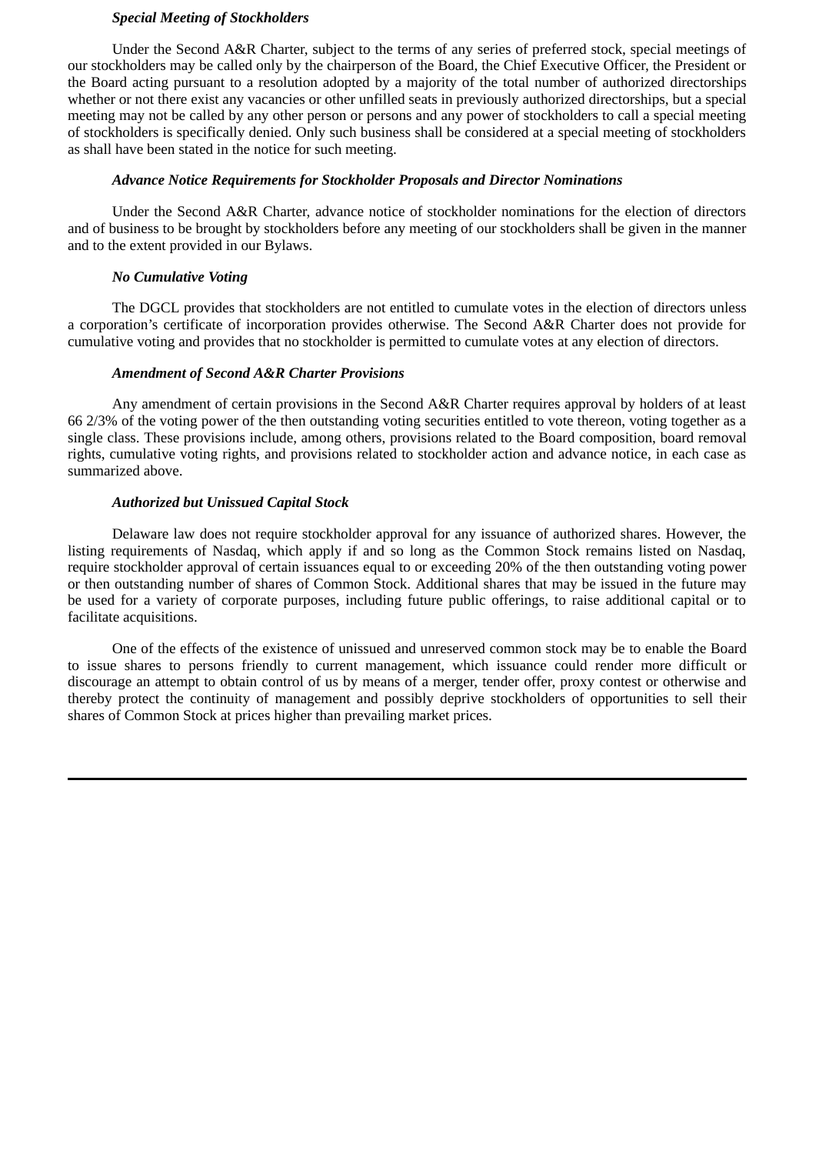# *Special Meeting of Stockholders*

Under the Second A&R Charter, subject to the terms of any series of preferred stock, special meetings of our stockholders may be called only by the chairperson of the Board, the Chief Executive Officer, the President or the Board acting pursuant to a resolution adopted by a majority of the total number of authorized directorships whether or not there exist any vacancies or other unfilled seats in previously authorized directorships, but a special meeting may not be called by any other person or persons and any power of stockholders to call a special meeting of stockholders is specifically denied. Only such business shall be considered at a special meeting of stockholders as shall have been stated in the notice for such meeting.

# *Advance Notice Requirements for Stockholder Proposals and Director Nominations*

Under the Second A&R Charter, advance notice of stockholder nominations for the election of directors and of business to be brought by stockholders before any meeting of our stockholders shall be given in the manner and to the extent provided in our Bylaws.

# *No Cumulative Voting*

The DGCL provides that stockholders are not entitled to cumulate votes in the election of directors unless a corporation's certificate of incorporation provides otherwise. The Second A&R Charter does not provide for cumulative voting and provides that no stockholder is permitted to cumulate votes at any election of directors.

# *Amendment of Second A&R Charter Provisions*

Any amendment of certain provisions in the Second A&R Charter requires approval by holders of at least 66 2/3% of the voting power of the then outstanding voting securities entitled to vote thereon, voting together as a single class. These provisions include, among others, provisions related to the Board composition, board removal rights, cumulative voting rights, and provisions related to stockholder action and advance notice, in each case as summarized above.

# *Authorized but Unissued Capital Stock*

Delaware law does not require stockholder approval for any issuance of authorized shares. However, the listing requirements of Nasdaq, which apply if and so long as the Common Stock remains listed on Nasdaq, require stockholder approval of certain issuances equal to or exceeding 20% of the then outstanding voting power or then outstanding number of shares of Common Stock. Additional shares that may be issued in the future may be used for a variety of corporate purposes, including future public offerings, to raise additional capital or to facilitate acquisitions.

One of the effects of the existence of unissued and unreserved common stock may be to enable the Board to issue shares to persons friendly to current management, which issuance could render more difficult or discourage an attempt to obtain control of us by means of a merger, tender offer, proxy contest or otherwise and thereby protect the continuity of management and possibly deprive stockholders of opportunities to sell their shares of Common Stock at prices higher than prevailing market prices.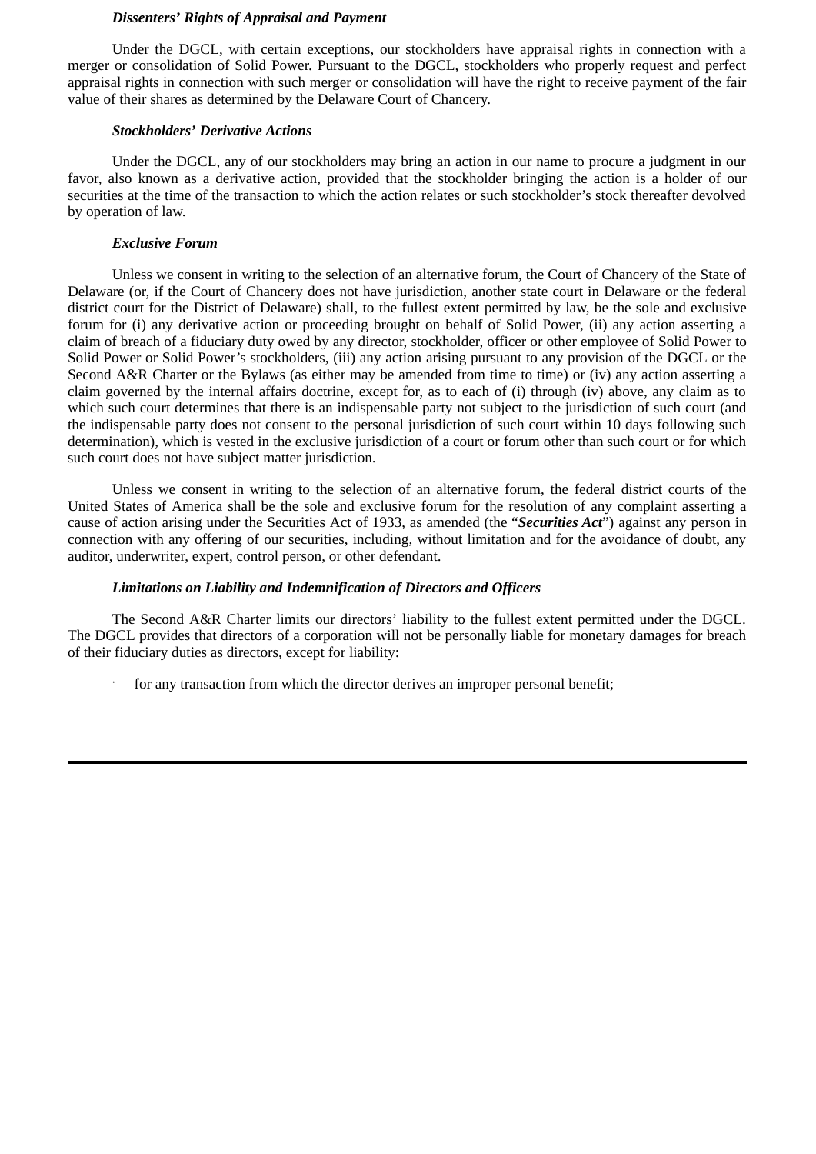# *Dissenters' Rights of Appraisal and Payment*

Under the DGCL, with certain exceptions, our stockholders have appraisal rights in connection with a merger or consolidation of Solid Power. Pursuant to the DGCL, stockholders who properly request and perfect appraisal rights in connection with such merger or consolidation will have the right to receive payment of the fair value of their shares as determined by the Delaware Court of Chancery.

# *Stockholders' Derivative Actions*

Under the DGCL, any of our stockholders may bring an action in our name to procure a judgment in our favor, also known as a derivative action, provided that the stockholder bringing the action is a holder of our securities at the time of the transaction to which the action relates or such stockholder's stock thereafter devolved by operation of law.

# *Exclusive Forum*

Unless we consent in writing to the selection of an alternative forum, the Court of Chancery of the State of Delaware (or, if the Court of Chancery does not have jurisdiction, another state court in Delaware or the federal district court for the District of Delaware) shall, to the fullest extent permitted by law, be the sole and exclusive forum for (i) any derivative action or proceeding brought on behalf of Solid Power, (ii) any action asserting a claim of breach of a fiduciary duty owed by any director, stockholder, officer or other employee of Solid Power to Solid Power or Solid Power's stockholders, (iii) any action arising pursuant to any provision of the DGCL or the Second A&R Charter or the Bylaws (as either may be amended from time to time) or (iv) any action asserting a claim governed by the internal affairs doctrine, except for, as to each of (i) through (iv) above, any claim as to which such court determines that there is an indispensable party not subject to the jurisdiction of such court (and the indispensable party does not consent to the personal jurisdiction of such court within 10 days following such determination), which is vested in the exclusive jurisdiction of a court or forum other than such court or for which such court does not have subject matter jurisdiction.

Unless we consent in writing to the selection of an alternative forum, the federal district courts of the United States of America shall be the sole and exclusive forum for the resolution of any complaint asserting a cause of action arising under the Securities Act of 1933, as amended (the "*Securities Act*") against any person in connection with any offering of our securities, including, without limitation and for the avoidance of doubt, any auditor, underwriter, expert, control person, or other defendant.

# *Limitations on Liability and Indemnification of Directors and Officers*

The Second A&R Charter limits our directors' liability to the fullest extent permitted under the DGCL. The DGCL provides that directors of a corporation will not be personally liable for monetary damages for breach of their fiduciary duties as directors, except for liability:

for any transaction from which the director derives an improper personal benefit;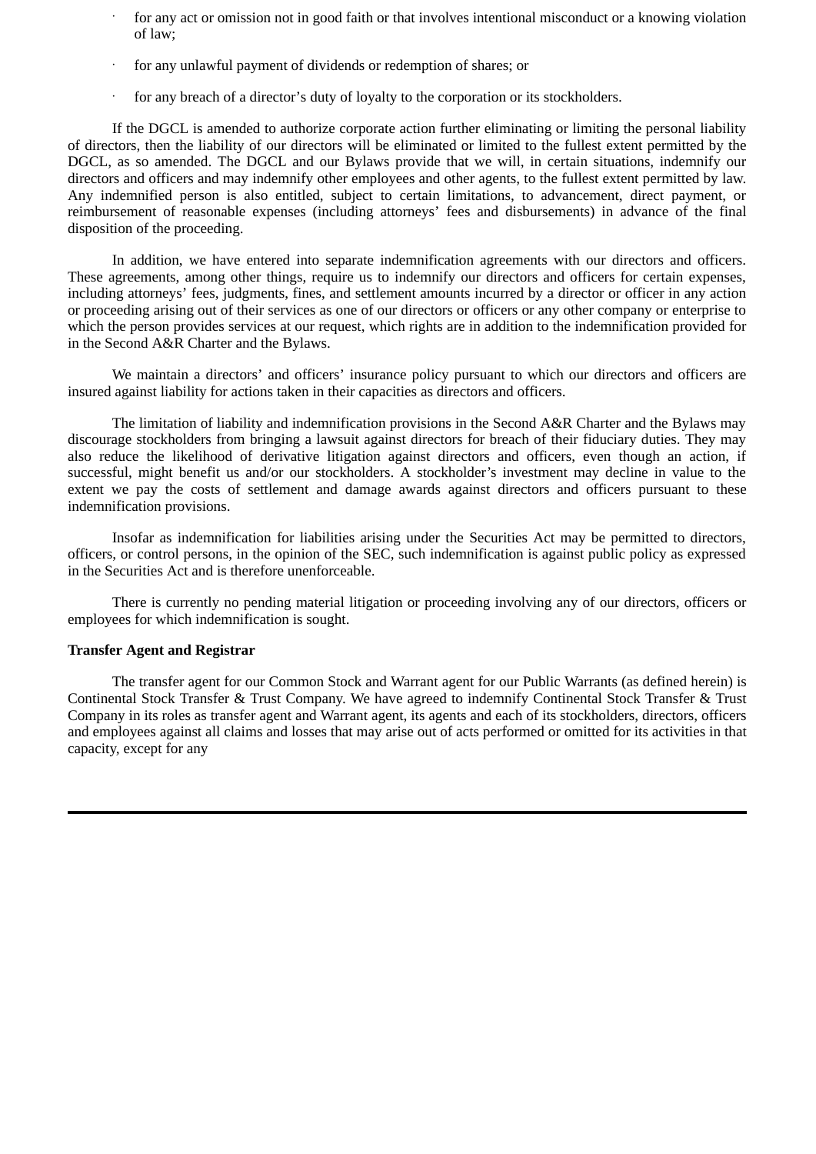- for any act or omission not in good faith or that involves intentional misconduct or a knowing violation of law;
- · for any unlawful payment of dividends or redemption of shares; or
- for any breach of a director's duty of loyalty to the corporation or its stockholders.

If the DGCL is amended to authorize corporate action further eliminating or limiting the personal liability of directors, then the liability of our directors will be eliminated or limited to the fullest extent permitted by the DGCL, as so amended. The DGCL and our Bylaws provide that we will, in certain situations, indemnify our directors and officers and may indemnify other employees and other agents, to the fullest extent permitted by law. Any indemnified person is also entitled, subject to certain limitations, to advancement, direct payment, or reimbursement of reasonable expenses (including attorneys' fees and disbursements) in advance of the final disposition of the proceeding.

In addition, we have entered into separate indemnification agreements with our directors and officers. These agreements, among other things, require us to indemnify our directors and officers for certain expenses, including attorneys' fees, judgments, fines, and settlement amounts incurred by a director or officer in any action or proceeding arising out of their services as one of our directors or officers or any other company or enterprise to which the person provides services at our request, which rights are in addition to the indemnification provided for in the Second A&R Charter and the Bylaws.

We maintain a directors' and officers' insurance policy pursuant to which our directors and officers are insured against liability for actions taken in their capacities as directors and officers.

The limitation of liability and indemnification provisions in the Second A&R Charter and the Bylaws may discourage stockholders from bringing a lawsuit against directors for breach of their fiduciary duties. They may also reduce the likelihood of derivative litigation against directors and officers, even though an action, if successful, might benefit us and/or our stockholders. A stockholder's investment may decline in value to the extent we pay the costs of settlement and damage awards against directors and officers pursuant to these indemnification provisions.

Insofar as indemnification for liabilities arising under the Securities Act may be permitted to directors, officers, or control persons, in the opinion of the SEC, such indemnification is against public policy as expressed in the Securities Act and is therefore unenforceable.

There is currently no pending material litigation or proceeding involving any of our directors, officers or employees for which indemnification is sought.

## **Transfer Agent and Registrar**

The transfer agent for our Common Stock and Warrant agent for our Public Warrants (as defined herein) is Continental Stock Transfer & Trust Company. We have agreed to indemnify Continental Stock Transfer & Trust Company in its roles as transfer agent and Warrant agent, its agents and each of its stockholders, directors, officers and employees against all claims and losses that may arise out of acts performed or omitted for its activities in that capacity, except for any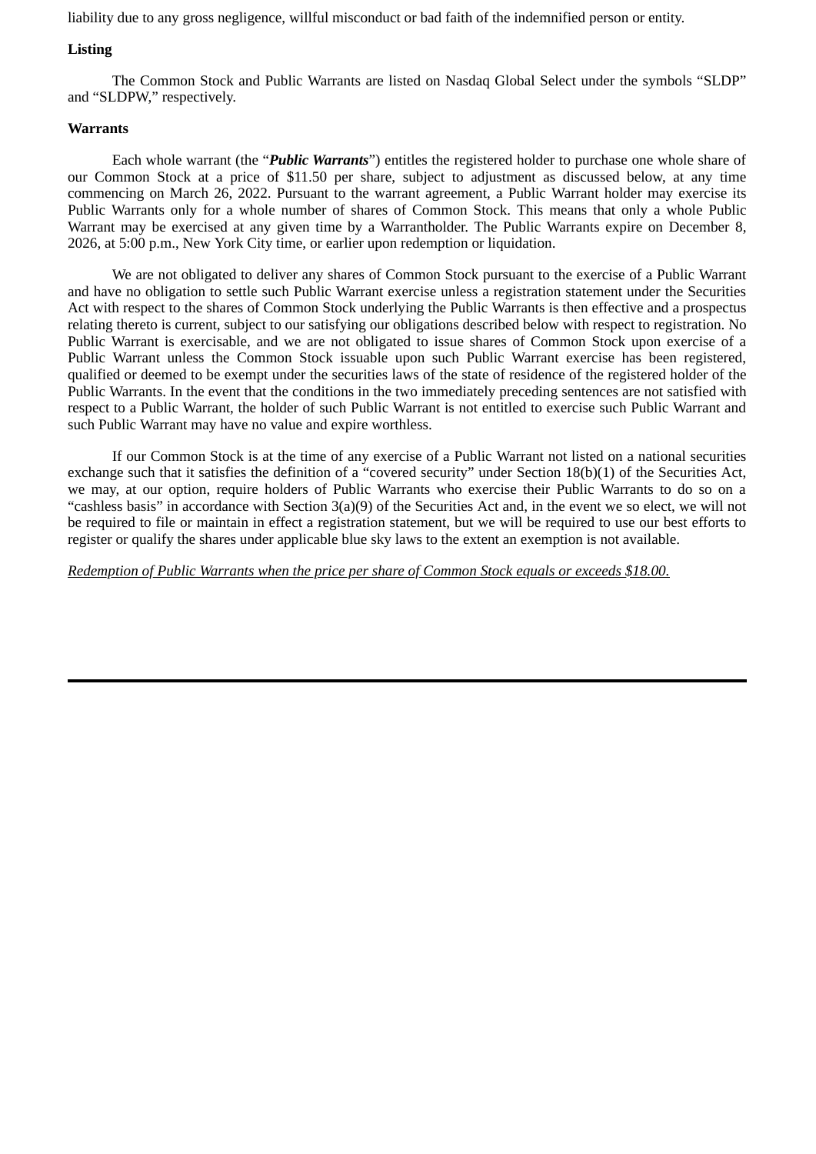liability due to any gross negligence, willful misconduct or bad faith of the indemnified person or entity.

# **Listing**

The Common Stock and Public Warrants are listed on Nasdaq Global Select under the symbols "SLDP" and "SLDPW," respectively.

# **Warrants**

Each whole warrant (the "*Public Warrants*") entitles the registered holder to purchase one whole share of our Common Stock at a price of \$11.50 per share, subject to adjustment as discussed below, at any time commencing on March 26, 2022. Pursuant to the warrant agreement, a Public Warrant holder may exercise its Public Warrants only for a whole number of shares of Common Stock. This means that only a whole Public Warrant may be exercised at any given time by a Warrantholder. The Public Warrants expire on December 8, 2026, at 5:00 p.m., New York City time, or earlier upon redemption or liquidation.

We are not obligated to deliver any shares of Common Stock pursuant to the exercise of a Public Warrant and have no obligation to settle such Public Warrant exercise unless a registration statement under the Securities Act with respect to the shares of Common Stock underlying the Public Warrants is then effective and a prospectus relating thereto is current, subject to our satisfying our obligations described below with respect to registration. No Public Warrant is exercisable, and we are not obligated to issue shares of Common Stock upon exercise of a Public Warrant unless the Common Stock issuable upon such Public Warrant exercise has been registered, qualified or deemed to be exempt under the securities laws of the state of residence of the registered holder of the Public Warrants. In the event that the conditions in the two immediately preceding sentences are not satisfied with respect to a Public Warrant, the holder of such Public Warrant is not entitled to exercise such Public Warrant and such Public Warrant may have no value and expire worthless.

If our Common Stock is at the time of any exercise of a Public Warrant not listed on a national securities exchange such that it satisfies the definition of a "covered security" under Section 18(b)(1) of the Securities Act, we may, at our option, require holders of Public Warrants who exercise their Public Warrants to do so on a "cashless basis" in accordance with Section 3(a)(9) of the Securities Act and, in the event we so elect, we will not be required to file or maintain in effect a registration statement, but we will be required to use our best efforts to register or qualify the shares under applicable blue sky laws to the extent an exemption is not available.

*Redemption of Public Warrants when the price per share of Common Stock equals or exceeds \$18.00.*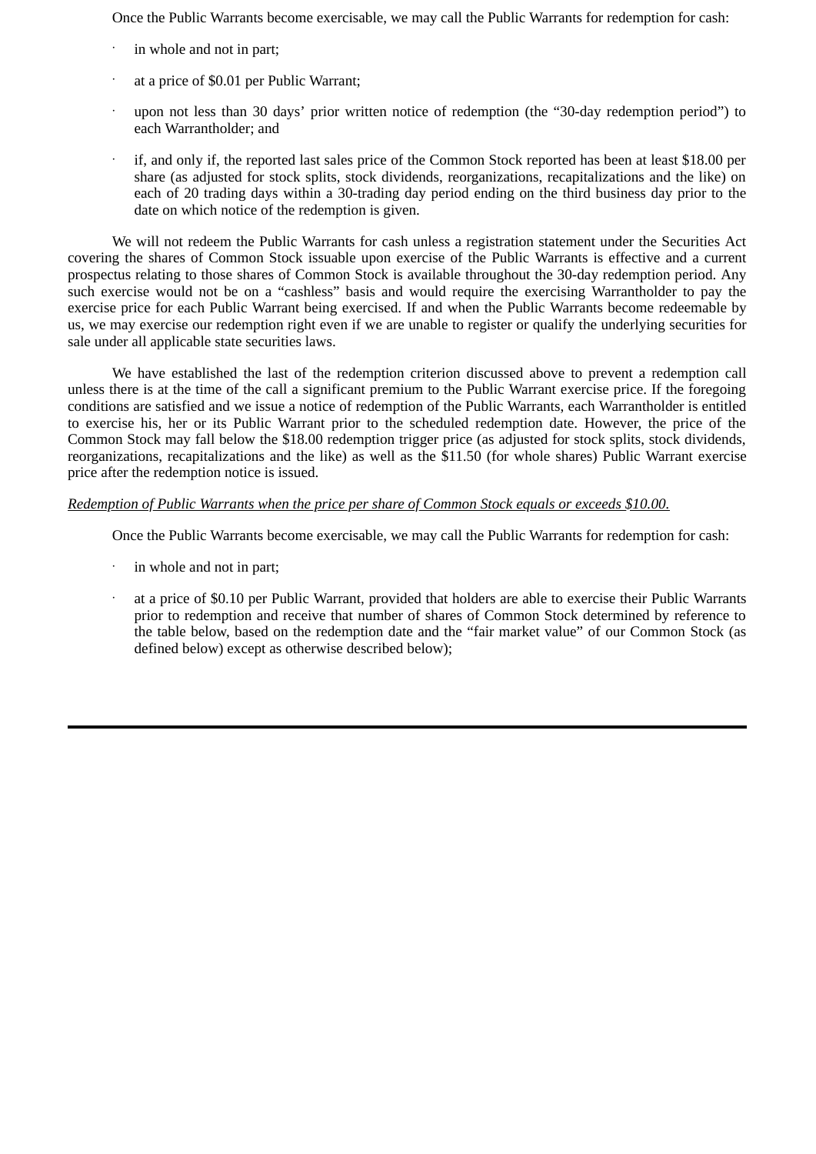Once the Public Warrants become exercisable, we may call the Public Warrants for redemption for cash:

- in whole and not in part;
- at a price of \$0.01 per Public Warrant;
- upon not less than 30 days' prior written notice of redemption (the "30-day redemption period") to each Warrantholder; and
- if, and only if, the reported last sales price of the Common Stock reported has been at least \$18.00 per share (as adjusted for stock splits, stock dividends, reorganizations, recapitalizations and the like) on each of 20 trading days within a 30-trading day period ending on the third business day prior to the date on which notice of the redemption is given.

We will not redeem the Public Warrants for cash unless a registration statement under the Securities Act covering the shares of Common Stock issuable upon exercise of the Public Warrants is effective and a current prospectus relating to those shares of Common Stock is available throughout the 30-day redemption period. Any such exercise would not be on a "cashless" basis and would require the exercising Warrantholder to pay the exercise price for each Public Warrant being exercised. If and when the Public Warrants become redeemable by us, we may exercise our redemption right even if we are unable to register or qualify the underlying securities for sale under all applicable state securities laws.

We have established the last of the redemption criterion discussed above to prevent a redemption call unless there is at the time of the call a significant premium to the Public Warrant exercise price. If the foregoing conditions are satisfied and we issue a notice of redemption of the Public Warrants, each Warrantholder is entitled to exercise his, her or its Public Warrant prior to the scheduled redemption date. However, the price of the Common Stock may fall below the \$18.00 redemption trigger price (as adjusted for stock splits, stock dividends, reorganizations, recapitalizations and the like) as well as the \$11.50 (for whole shares) Public Warrant exercise price after the redemption notice is issued.

# *Redemption of Public Warrants when the price per share of Common Stock equals or exceeds \$10.00.*

Once the Public Warrants become exercisable, we may call the Public Warrants for redemption for cash:

- in whole and not in part;
- at a price of \$0.10 per Public Warrant, provided that holders are able to exercise their Public Warrants prior to redemption and receive that number of shares of Common Stock determined by reference to the table below, based on the redemption date and the "fair market value" of our Common Stock (as defined below) except as otherwise described below);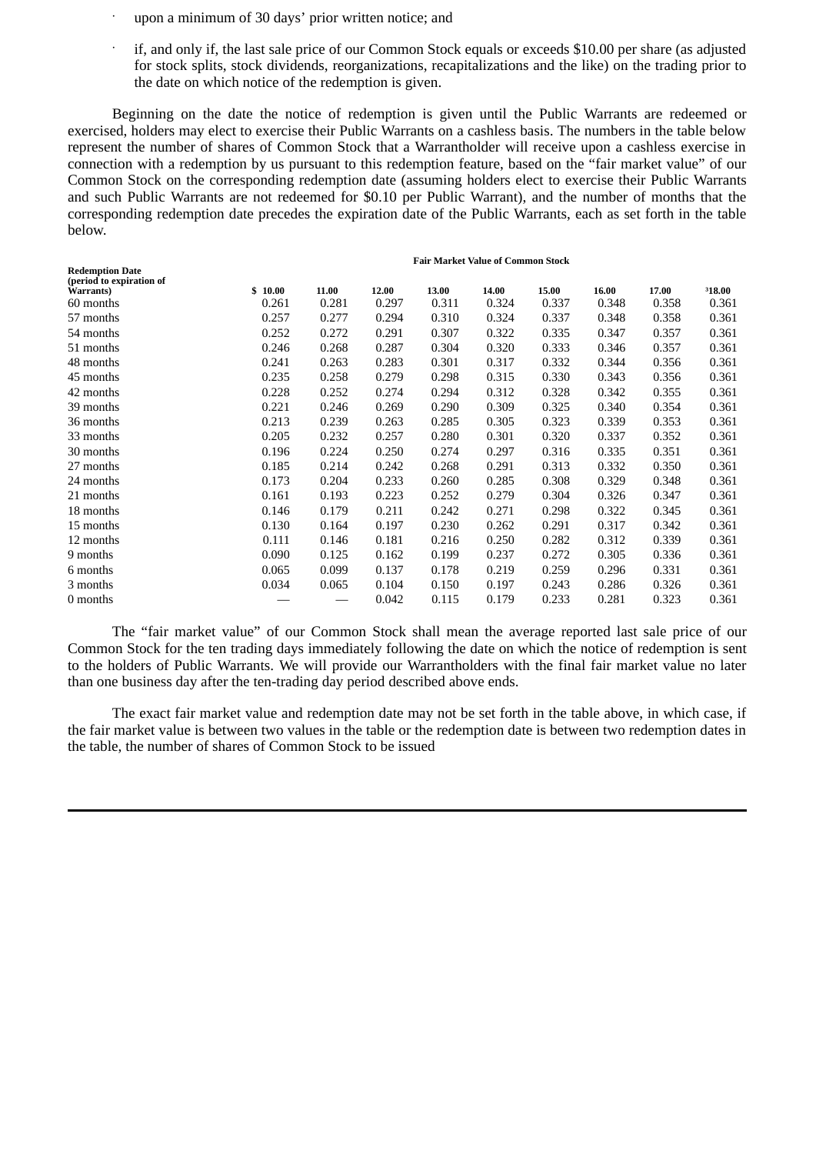- · upon a minimum of 30 days' prior written notice; and
- if, and only if, the last sale price of our Common Stock equals or exceeds \$10.00 per share (as adjusted for stock splits, stock dividends, reorganizations, recapitalizations and the like) on the trading prior to the date on which notice of the redemption is given.

Beginning on the date the notice of redemption is given until the Public Warrants are redeemed or exercised, holders may elect to exercise their Public Warrants on a cashless basis. The numbers in the table below represent the number of shares of Common Stock that a Warrantholder will receive upon a cashless exercise in connection with a redemption by us pursuant to this redemption feature, based on the "fair market value" of our Common Stock on the corresponding redemption date (assuming holders elect to exercise their Public Warrants and such Public Warrants are not redeemed for \$0.10 per Public Warrant), and the number of months that the corresponding redemption date precedes the expiration date of the Public Warrants, each as set forth in the table below.

|                                       |         |       |       |       | <b>Fair Market Value of Common Stock</b> |       |       |       |        |
|---------------------------------------|---------|-------|-------|-------|------------------------------------------|-------|-------|-------|--------|
| <b>Redemption Date</b>                |         |       |       |       |                                          |       |       |       |        |
| (period to expiration of<br>Warrants) | \$10.00 | 11.00 | 12.00 | 13.00 | 14.00                                    | 15.00 | 16.00 | 17.00 | 318.00 |
| 60 months                             | 0.261   | 0.281 | 0.297 | 0.311 | 0.324                                    | 0.337 | 0.348 | 0.358 | 0.361  |
| 57 months                             | 0.257   | 0.277 | 0.294 | 0.310 | 0.324                                    | 0.337 | 0.348 | 0.358 | 0.361  |
| 54 months                             | 0.252   | 0.272 | 0.291 | 0.307 | 0.322                                    | 0.335 | 0.347 | 0.357 | 0.361  |
| 51 months                             | 0.246   | 0.268 | 0.287 | 0.304 | 0.320                                    | 0.333 | 0.346 | 0.357 | 0.361  |
| 48 months                             | 0.241   | 0.263 | 0.283 | 0.301 | 0.317                                    | 0.332 | 0.344 | 0.356 | 0.361  |
| 45 months                             | 0.235   | 0.258 | 0.279 | 0.298 | 0.315                                    | 0.330 | 0.343 | 0.356 | 0.361  |
| 42 months                             | 0.228   | 0.252 | 0.274 | 0.294 | 0.312                                    | 0.328 | 0.342 | 0.355 | 0.361  |
| 39 months                             | 0.221   | 0.246 | 0.269 | 0.290 | 0.309                                    | 0.325 | 0.340 | 0.354 | 0.361  |
| 36 months                             | 0.213   | 0.239 | 0.263 | 0.285 | 0.305                                    | 0.323 | 0.339 | 0.353 | 0.361  |
| 33 months                             | 0.205   | 0.232 | 0.257 | 0.280 | 0.301                                    | 0.320 | 0.337 | 0.352 | 0.361  |
| 30 months                             | 0.196   | 0.224 | 0.250 | 0.274 | 0.297                                    | 0.316 | 0.335 | 0.351 | 0.361  |
| 27 months                             | 0.185   | 0.214 | 0.242 | 0.268 | 0.291                                    | 0.313 | 0.332 | 0.350 | 0.361  |
| 24 months                             | 0.173   | 0.204 | 0.233 | 0.260 | 0.285                                    | 0.308 | 0.329 | 0.348 | 0.361  |
| 21 months                             | 0.161   | 0.193 | 0.223 | 0.252 | 0.279                                    | 0.304 | 0.326 | 0.347 | 0.361  |
| 18 months                             | 0.146   | 0.179 | 0.211 | 0.242 | 0.271                                    | 0.298 | 0.322 | 0.345 | 0.361  |
| 15 months                             | 0.130   | 0.164 | 0.197 | 0.230 | 0.262                                    | 0.291 | 0.317 | 0.342 | 0.361  |
| 12 months                             | 0.111   | 0.146 | 0.181 | 0.216 | 0.250                                    | 0.282 | 0.312 | 0.339 | 0.361  |
| 9 months                              | 0.090   | 0.125 | 0.162 | 0.199 | 0.237                                    | 0.272 | 0.305 | 0.336 | 0.361  |
| 6 months                              | 0.065   | 0.099 | 0.137 | 0.178 | 0.219                                    | 0.259 | 0.296 | 0.331 | 0.361  |
| 3 months                              | 0.034   | 0.065 | 0.104 | 0.150 | 0.197                                    | 0.243 | 0.286 | 0.326 | 0.361  |
| 0 months                              |         |       | 0.042 | 0.115 | 0.179                                    | 0.233 | 0.281 | 0.323 | 0.361  |

The "fair market value" of our Common Stock shall mean the average reported last sale price of our Common Stock for the ten trading days immediately following the date on which the notice of redemption is sent to the holders of Public Warrants. We will provide our Warrantholders with the final fair market value no later than one business day after the ten-trading day period described above ends.

The exact fair market value and redemption date may not be set forth in the table above, in which case, if the fair market value is between two values in the table or the redemption date is between two redemption dates in the table, the number of shares of Common Stock to be issued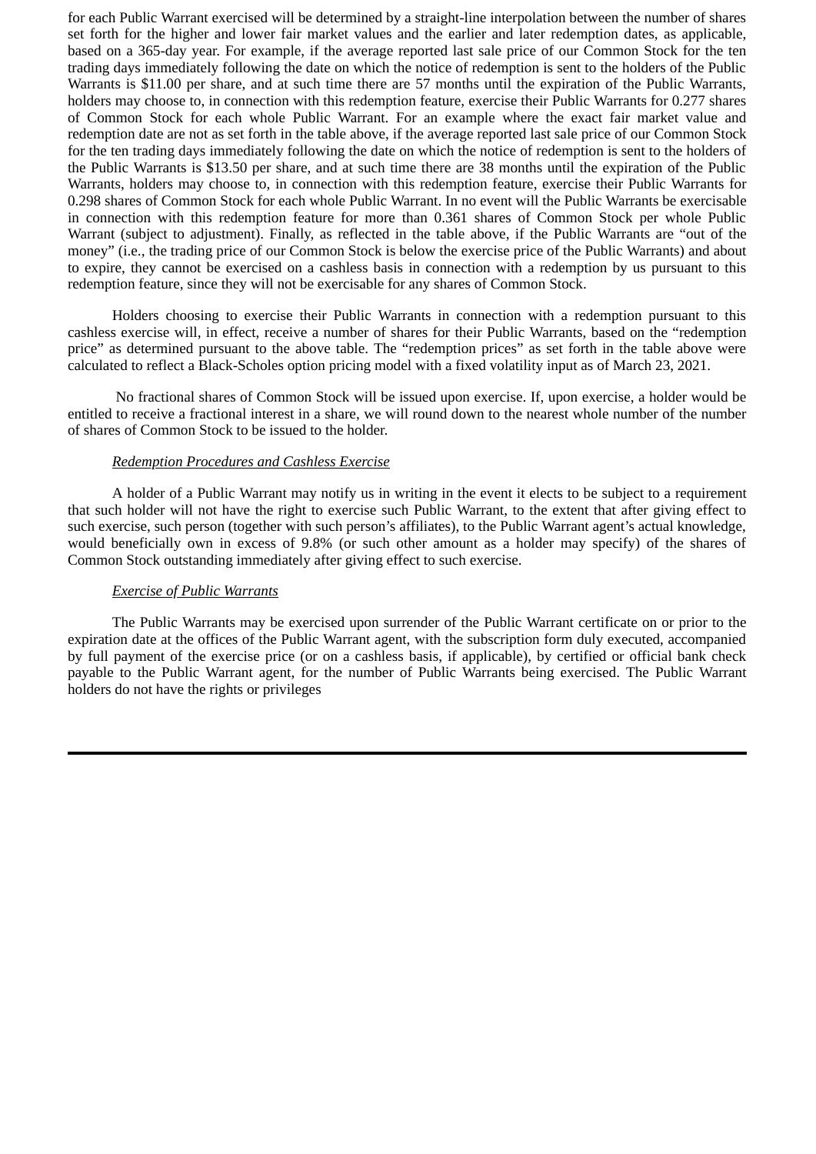for each Public Warrant exercised will be determined by a straight-line interpolation between the number of shares set forth for the higher and lower fair market values and the earlier and later redemption dates, as applicable, based on a 365-day year. For example, if the average reported last sale price of our Common Stock for the ten trading days immediately following the date on which the notice of redemption is sent to the holders of the Public Warrants is \$11.00 per share, and at such time there are 57 months until the expiration of the Public Warrants, holders may choose to, in connection with this redemption feature, exercise their Public Warrants for 0.277 shares of Common Stock for each whole Public Warrant. For an example where the exact fair market value and redemption date are not as set forth in the table above, if the average reported last sale price of our Common Stock for the ten trading days immediately following the date on which the notice of redemption is sent to the holders of the Public Warrants is \$13.50 per share, and at such time there are 38 months until the expiration of the Public Warrants, holders may choose to, in connection with this redemption feature, exercise their Public Warrants for 0.298 shares of Common Stock for each whole Public Warrant. In no event will the Public Warrants be exercisable in connection with this redemption feature for more than 0.361 shares of Common Stock per whole Public Warrant (subject to adjustment). Finally, as reflected in the table above, if the Public Warrants are "out of the money" (i.e., the trading price of our Common Stock is below the exercise price of the Public Warrants) and about to expire, they cannot be exercised on a cashless basis in connection with a redemption by us pursuant to this redemption feature, since they will not be exercisable for any shares of Common Stock.

Holders choosing to exercise their Public Warrants in connection with a redemption pursuant to this cashless exercise will, in effect, receive a number of shares for their Public Warrants, based on the "redemption price" as determined pursuant to the above table. The "redemption prices" as set forth in the table above were calculated to reflect a Black-Scholes option pricing model with a fixed volatility input as of March 23, 2021.

No fractional shares of Common Stock will be issued upon exercise. If, upon exercise, a holder would be entitled to receive a fractional interest in a share, we will round down to the nearest whole number of the number of shares of Common Stock to be issued to the holder.

# *Redemption Procedures and Cashless Exercise*

A holder of a Public Warrant may notify us in writing in the event it elects to be subject to a requirement that such holder will not have the right to exercise such Public Warrant, to the extent that after giving effect to such exercise, such person (together with such person's affiliates), to the Public Warrant agent's actual knowledge, would beneficially own in excess of 9.8% (or such other amount as a holder may specify) of the shares of Common Stock outstanding immediately after giving effect to such exercise.

## *Exercise of Public Warrants*

The Public Warrants may be exercised upon surrender of the Public Warrant certificate on or prior to the expiration date at the offices of the Public Warrant agent, with the subscription form duly executed, accompanied by full payment of the exercise price (or on a cashless basis, if applicable), by certified or official bank check payable to the Public Warrant agent, for the number of Public Warrants being exercised. The Public Warrant holders do not have the rights or privileges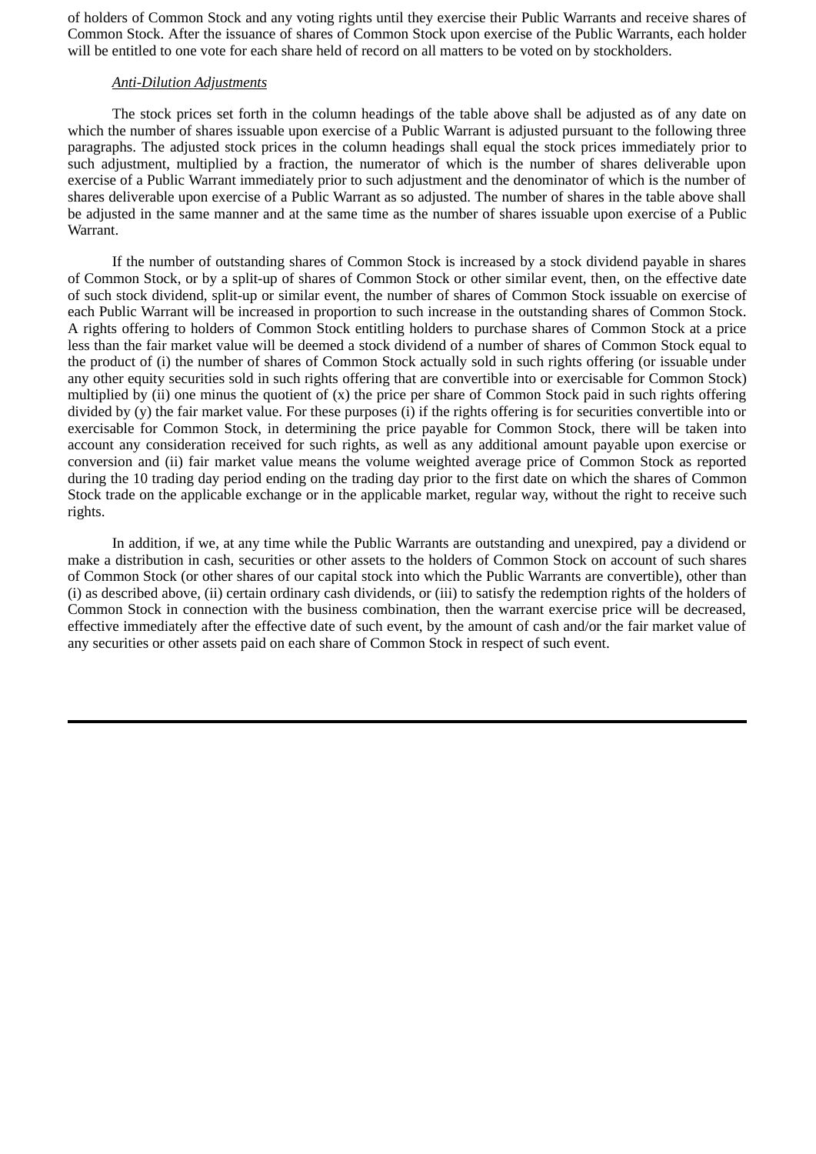of holders of Common Stock and any voting rights until they exercise their Public Warrants and receive shares of Common Stock. After the issuance of shares of Common Stock upon exercise of the Public Warrants, each holder will be entitled to one vote for each share held of record on all matters to be voted on by stockholders.

# *Anti-Dilution Adjustments*

The stock prices set forth in the column headings of the table above shall be adjusted as of any date on which the number of shares issuable upon exercise of a Public Warrant is adjusted pursuant to the following three paragraphs. The adjusted stock prices in the column headings shall equal the stock prices immediately prior to such adjustment, multiplied by a fraction, the numerator of which is the number of shares deliverable upon exercise of a Public Warrant immediately prior to such adjustment and the denominator of which is the number of shares deliverable upon exercise of a Public Warrant as so adjusted. The number of shares in the table above shall be adjusted in the same manner and at the same time as the number of shares issuable upon exercise of a Public Warrant.

If the number of outstanding shares of Common Stock is increased by a stock dividend payable in shares of Common Stock, or by a split-up of shares of Common Stock or other similar event, then, on the effective date of such stock dividend, split-up or similar event, the number of shares of Common Stock issuable on exercise of each Public Warrant will be increased in proportion to such increase in the outstanding shares of Common Stock. A rights offering to holders of Common Stock entitling holders to purchase shares of Common Stock at a price less than the fair market value will be deemed a stock dividend of a number of shares of Common Stock equal to the product of (i) the number of shares of Common Stock actually sold in such rights offering (or issuable under any other equity securities sold in such rights offering that are convertible into or exercisable for Common Stock) multiplied by (ii) one minus the quotient of  $(x)$  the price per share of Common Stock paid in such rights offering divided by (y) the fair market value. For these purposes (i) if the rights offering is for securities convertible into or exercisable for Common Stock, in determining the price payable for Common Stock, there will be taken into account any consideration received for such rights, as well as any additional amount payable upon exercise or conversion and (ii) fair market value means the volume weighted average price of Common Stock as reported during the 10 trading day period ending on the trading day prior to the first date on which the shares of Common Stock trade on the applicable exchange or in the applicable market, regular way, without the right to receive such rights.

In addition, if we, at any time while the Public Warrants are outstanding and unexpired, pay a dividend or make a distribution in cash, securities or other assets to the holders of Common Stock on account of such shares of Common Stock (or other shares of our capital stock into which the Public Warrants are convertible), other than (i) as described above, (ii) certain ordinary cash dividends, or (iii) to satisfy the redemption rights of the holders of Common Stock in connection with the business combination, then the warrant exercise price will be decreased, effective immediately after the effective date of such event, by the amount of cash and/or the fair market value of any securities or other assets paid on each share of Common Stock in respect of such event.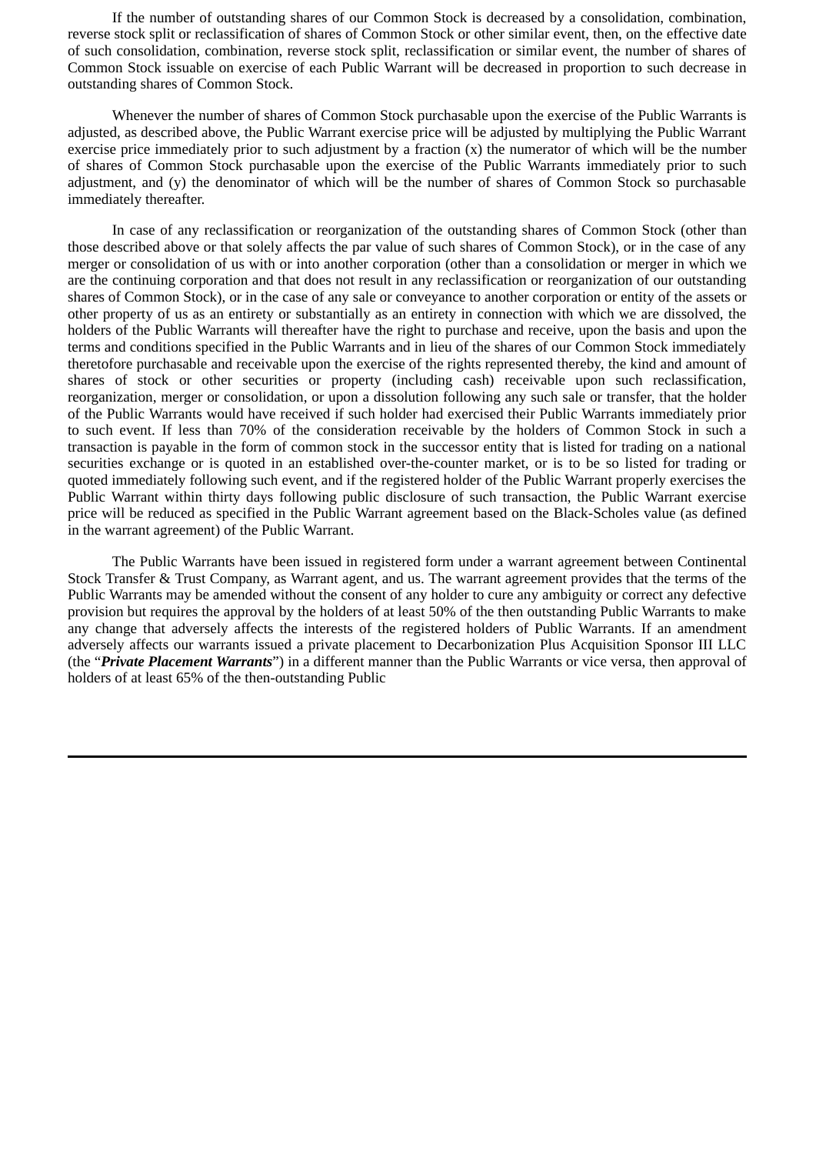If the number of outstanding shares of our Common Stock is decreased by a consolidation, combination, reverse stock split or reclassification of shares of Common Stock or other similar event, then, on the effective date of such consolidation, combination, reverse stock split, reclassification or similar event, the number of shares of Common Stock issuable on exercise of each Public Warrant will be decreased in proportion to such decrease in outstanding shares of Common Stock.

Whenever the number of shares of Common Stock purchasable upon the exercise of the Public Warrants is adjusted, as described above, the Public Warrant exercise price will be adjusted by multiplying the Public Warrant exercise price immediately prior to such adjustment by a fraction  $(x)$  the numerator of which will be the number of shares of Common Stock purchasable upon the exercise of the Public Warrants immediately prior to such adjustment, and (y) the denominator of which will be the number of shares of Common Stock so purchasable immediately thereafter.

In case of any reclassification or reorganization of the outstanding shares of Common Stock (other than those described above or that solely affects the par value of such shares of Common Stock), or in the case of any merger or consolidation of us with or into another corporation (other than a consolidation or merger in which we are the continuing corporation and that does not result in any reclassification or reorganization of our outstanding shares of Common Stock), or in the case of any sale or conveyance to another corporation or entity of the assets or other property of us as an entirety or substantially as an entirety in connection with which we are dissolved, the holders of the Public Warrants will thereafter have the right to purchase and receive, upon the basis and upon the terms and conditions specified in the Public Warrants and in lieu of the shares of our Common Stock immediately theretofore purchasable and receivable upon the exercise of the rights represented thereby, the kind and amount of shares of stock or other securities or property (including cash) receivable upon such reclassification, reorganization, merger or consolidation, or upon a dissolution following any such sale or transfer, that the holder of the Public Warrants would have received if such holder had exercised their Public Warrants immediately prior to such event. If less than 70% of the consideration receivable by the holders of Common Stock in such a transaction is payable in the form of common stock in the successor entity that is listed for trading on a national securities exchange or is quoted in an established over-the-counter market, or is to be so listed for trading or quoted immediately following such event, and if the registered holder of the Public Warrant properly exercises the Public Warrant within thirty days following public disclosure of such transaction, the Public Warrant exercise price will be reduced as specified in the Public Warrant agreement based on the Black-Scholes value (as defined in the warrant agreement) of the Public Warrant.

The Public Warrants have been issued in registered form under a warrant agreement between Continental Stock Transfer & Trust Company, as Warrant agent, and us. The warrant agreement provides that the terms of the Public Warrants may be amended without the consent of any holder to cure any ambiguity or correct any defective provision but requires the approval by the holders of at least 50% of the then outstanding Public Warrants to make any change that adversely affects the interests of the registered holders of Public Warrants. If an amendment adversely affects our warrants issued a private placement to Decarbonization Plus Acquisition Sponsor III LLC (the "*Private Placement Warrants*") in a different manner than the Public Warrants or vice versa, then approval of holders of at least 65% of the then-outstanding Public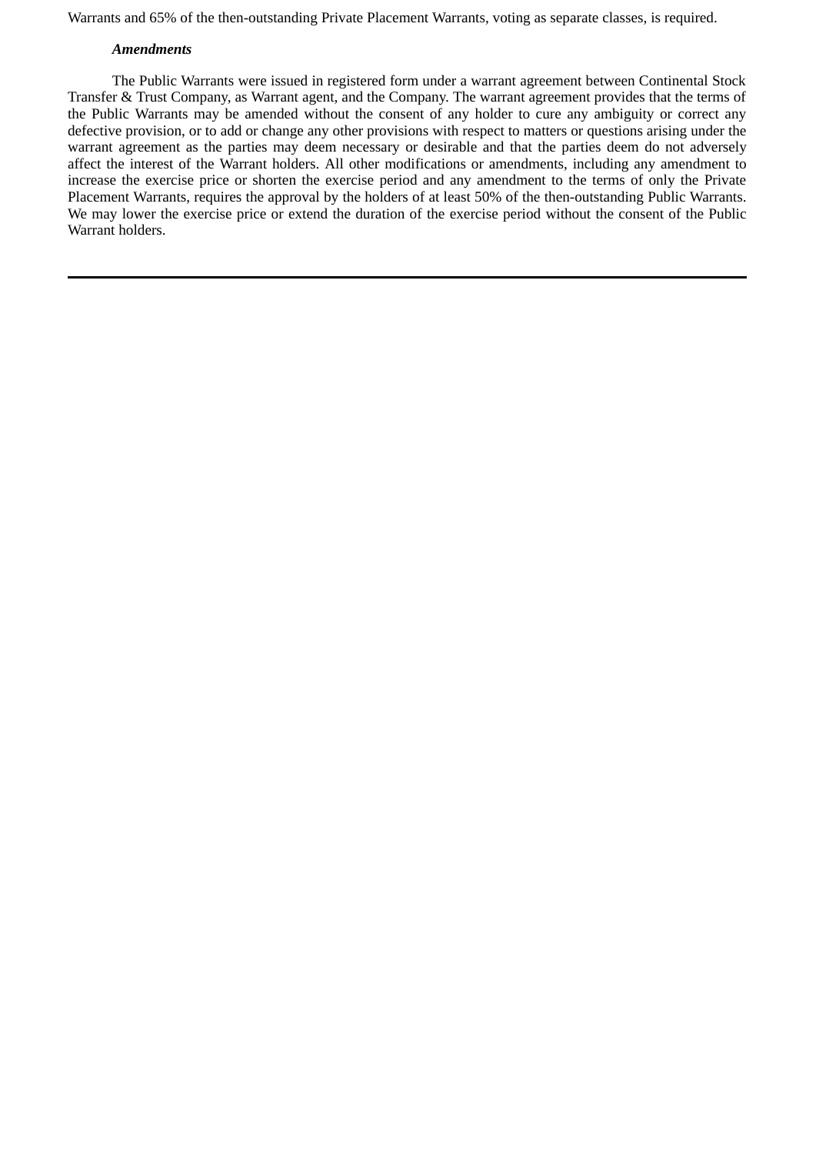Warrants and 65% of the then-outstanding Private Placement Warrants, voting as separate classes, is required.

# *Amendments*

The Public Warrants were issued in registered form under a warrant agreement between Continental Stock Transfer & Trust Company, as Warrant agent, and the Company. The warrant agreement provides that the terms of the Public Warrants may be amended without the consent of any holder to cure any ambiguity or correct any defective provision, or to add or change any other provisions with respect to matters or questions arising under the warrant agreement as the parties may deem necessary or desirable and that the parties deem do not adversely affect the interest of the Warrant holders. All other modifications or amendments, including any amendment to increase the exercise price or shorten the exercise period and any amendment to the terms of only the Private Placement Warrants, requires the approval by the holders of at least 50% of the then-outstanding Public Warrants. We may lower the exercise price or extend the duration of the exercise period without the consent of the Public Warrant holders.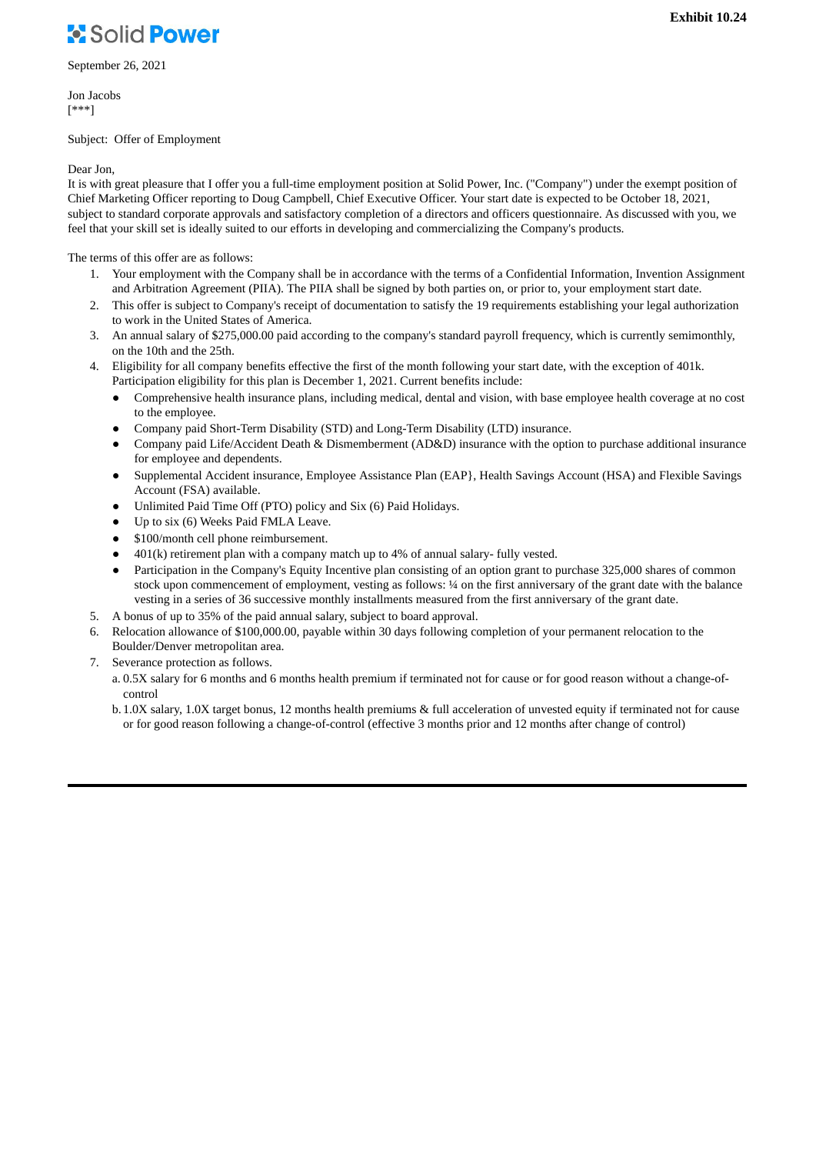<span id="page-101-0"></span>

**Exhibit 10.24**

September 26, 2021

Jon Jacobs [\*\*\*]

Subject: Offer of Employment

Dear Jon,

It is with great pleasure that I offer you a full-time employment position at Solid Power, Inc. ("Company") under the exempt position of Chief Marketing Officer reporting to Doug Campbell, Chief Executive Officer. Your start date is expected to be October 18, 2021, subject to standard corporate approvals and satisfactory completion of a directors and officers questionnaire. As discussed with you, we feel that your skill set is ideally suited to our efforts in developing and commercializing the Company's products.

The terms of this offer are as follows:

- 1. Your employment with the Company shall be in accordance with the terms of a Confidential Information, Invention Assignment and Arbitration Agreement (PIIA). The PIIA shall be signed by both parties on, or prior to, your employment start date.
- 2. This offer is subject to Company's receipt of documentation to satisfy the 19 requirements establishing your legal authorization to work in the United States of America.
- 3. An annual salary of \$275,000.00 paid according to the company's standard payroll frequency, which is currently semimonthly, on the 10th and the 25th.
- 4. Eligibility for all company benefits effective the first of the month following your start date, with the exception of 401k. Participation eligibility for this plan is December 1, 2021. Current benefits include:
	- Comprehensive health insurance plans, including medical, dental and vision, with base employee health coverage at no cost to the employee.
	- Company paid Short-Term Disability (STD) and Long-Term Disability (LTD) insurance.
	- Company paid Life/Accident Death & Dismemberment (AD&D) insurance with the option to purchase additional insurance for employee and dependents.
	- Supplemental Accident insurance, Employee Assistance Plan (EAP), Health Savings Account (HSA) and Flexible Savings Account (FSA) available.
	- Unlimited Paid Time Off (PTO) policy and Six (6) Paid Holidays.
	- Up to six (6) Weeks Paid FMLA Leave.
	- \$100/month cell phone reimbursement.
	- $401(k)$  retirement plan with a company match up to  $4%$  of annual salary- fully vested.
	- Participation in the Company's Equity Incentive plan consisting of an option grant to purchase 325,000 shares of common stock upon commencement of employment, vesting as follows: ¼ on the first anniversary of the grant date with the balance vesting in a series of 36 successive monthly installments measured from the first anniversary of the grant date.
- 5. A bonus of up to 35% of the paid annual salary, subject to board approval.
- 6. Relocation allowance of \$100,000.00, payable within 30 days following completion of your permanent relocation to the Boulder/Denver metropolitan area.
- 7. Severance protection as follows.
	- a. 0.5X salary for 6 months and 6 months health premium if terminated not for cause or for good reason without a change-ofcontrol
	- b. 1.0X salary, 1.0X target bonus, 12 months health premiums & full acceleration of unvested equity if terminated not for cause or for good reason following a change-of-control (effective 3 months prior and 12 months after change of control)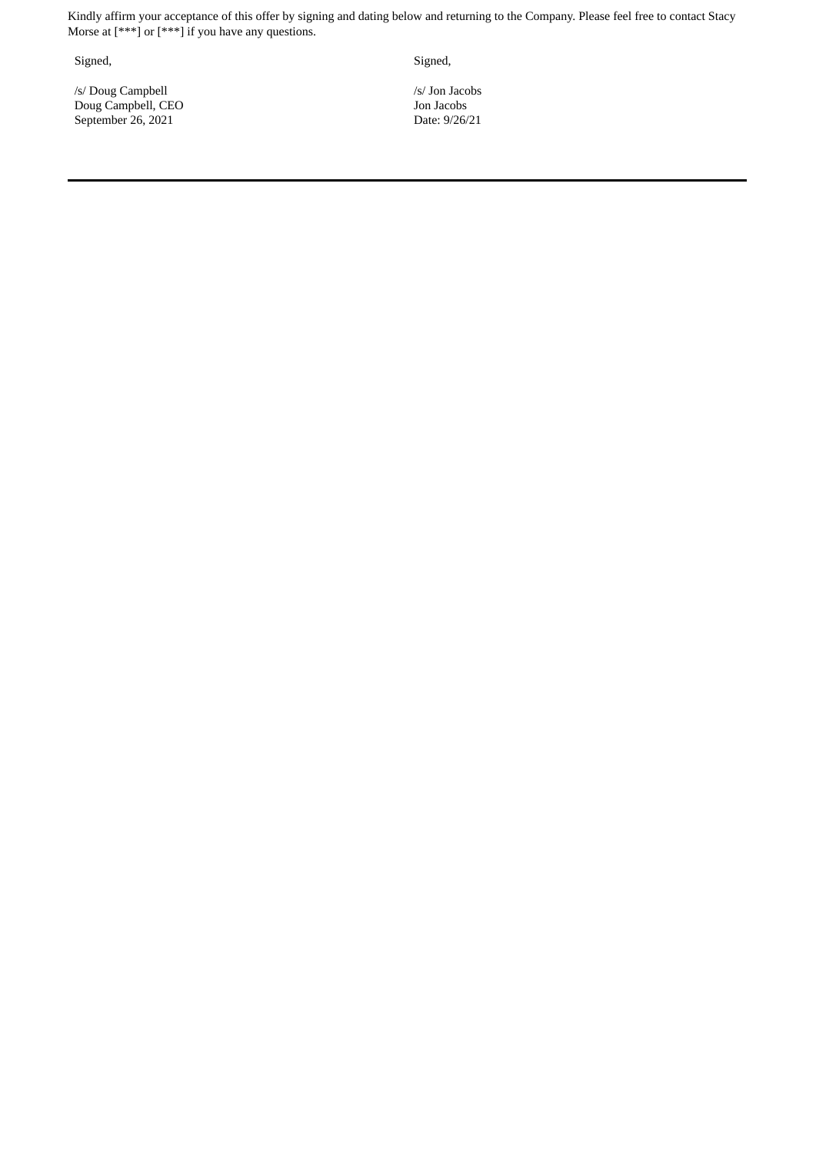Kindly affirm your acceptance of this offer by signing and dating below and returning to the Company. Please feel free to contact Stacy Morse at [\*\*\*] or [\*\*\*] if you have any questions.

Signed, Signed, Signed, Signed, Signed, Signed, Signed, Signed, Signed, Signed, Signed, Signed, Signed, Signed, Signed, Signed, Signed, Signed, Signed, Signed, Signed, Signed, Signed, Signed, Signed, Signed, Signed, Signed

/s/ Doug Campbell /s/ Jon Jacobs Doug Campbell, CEO **Server Contains a Container Container** Jon Jacobs September 26, 2021 **Date: 9/26/21**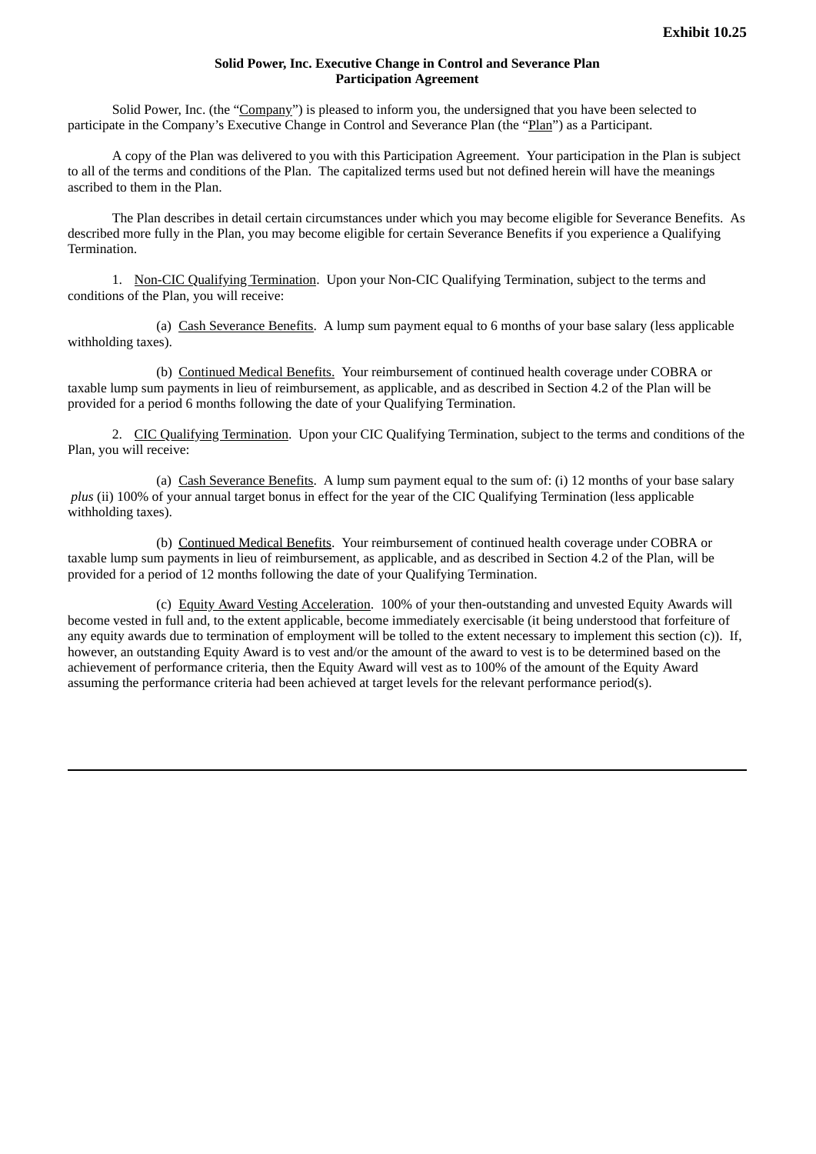## **Solid Power, Inc. Executive Change in Control and Severance Plan Participation Agreement**

<span id="page-103-0"></span>Solid Power, Inc. (the "Company") is pleased to inform you, the undersigned that you have been selected to participate in the Company's Executive Change in Control and Severance Plan (the "Plan") as a Participant.

A copy of the Plan was delivered to you with this Participation Agreement. Your participation in the Plan is subject to all of the terms and conditions of the Plan. The capitalized terms used but not defined herein will have the meanings ascribed to them in the Plan.

The Plan describes in detail certain circumstances under which you may become eligible for Severance Benefits. As described more fully in the Plan, you may become eligible for certain Severance Benefits if you experience a Qualifying Termination.

1. Non-CIC Qualifying Termination. Upon your Non-CIC Qualifying Termination, subject to the terms and conditions of the Plan, you will receive:

(a) Cash Severance Benefits. A lump sum payment equal to 6 months of your base salary (less applicable withholding taxes).

(b) Continued Medical Benefits. Your reimbursement of continued health coverage under COBRA or taxable lump sum payments in lieu of reimbursement, as applicable, and as described in Section 4.2 of the Plan will be provided for a period 6 months following the date of your Qualifying Termination.

2. CIC Qualifying Termination. Upon your CIC Qualifying Termination, subject to the terms and conditions of the Plan, you will receive:

(a) Cash Severance Benefits. A lump sum payment equal to the sum of: (i) 12 months of your base salary *plus* (ii) 100% of your annual target bonus in effect for the year of the CIC Qualifying Termination (less applicable withholding taxes).

(b) Continued Medical Benefits. Your reimbursement of continued health coverage under COBRA or taxable lump sum payments in lieu of reimbursement, as applicable, and as described in Section 4.2 of the Plan, will be provided for a period of 12 months following the date of your Qualifying Termination.

(c) Equity Award Vesting Acceleration. 100% of your then-outstanding and unvested Equity Awards will become vested in full and, to the extent applicable, become immediately exercisable (it being understood that forfeiture of any equity awards due to termination of employment will be tolled to the extent necessary to implement this section (c)). If, however, an outstanding Equity Award is to vest and/or the amount of the award to vest is to be determined based on the achievement of performance criteria, then the Equity Award will vest as to 100% of the amount of the Equity Award assuming the performance criteria had been achieved at target levels for the relevant performance period(s).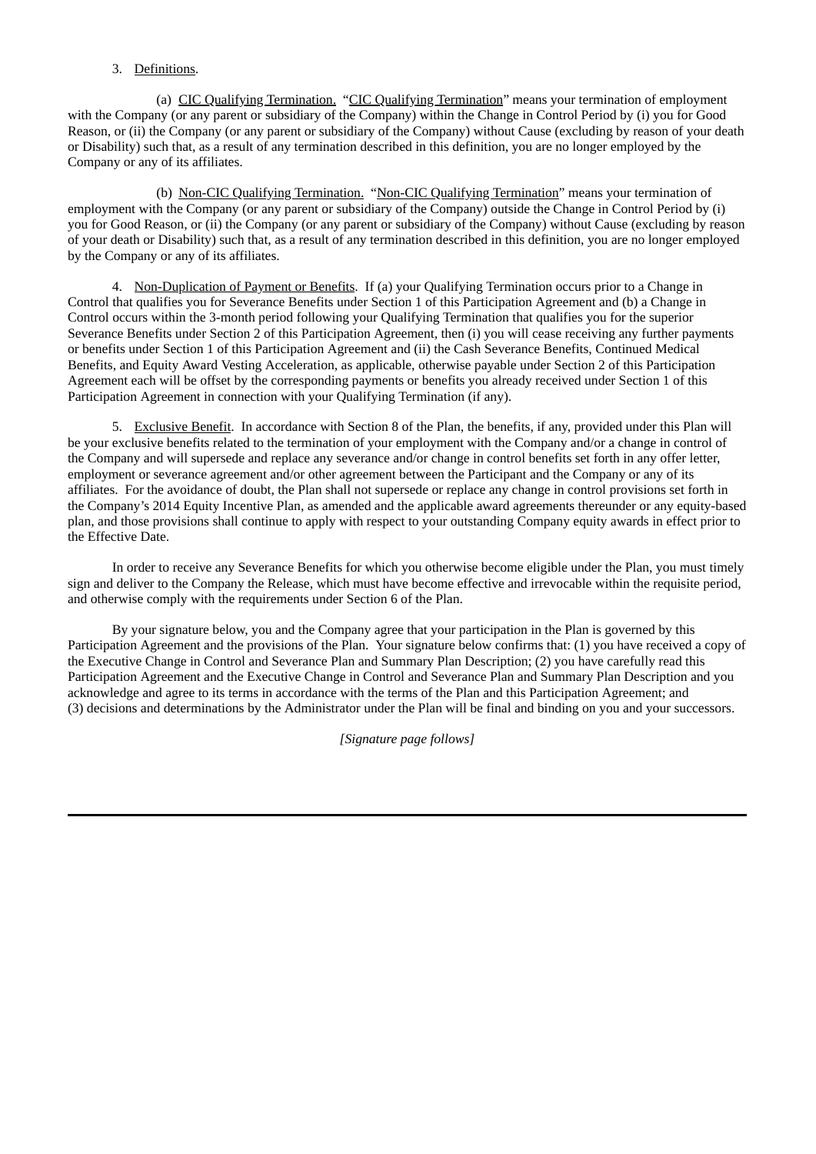# 3. Definitions.

(a) CIC Qualifying Termination. "CIC Qualifying Termination" means your termination of employment with the Company (or any parent or subsidiary of the Company) within the Change in Control Period by (i) you for Good Reason, or (ii) the Company (or any parent or subsidiary of the Company) without Cause (excluding by reason of your death or Disability) such that, as a result of any termination described in this definition, you are no longer employed by the Company or any of its affiliates.

(b) Non-CIC Qualifying Termination. "Non-CIC Qualifying Termination" means your termination of employment with the Company (or any parent or subsidiary of the Company) outside the Change in Control Period by (i) you for Good Reason, or (ii) the Company (or any parent or subsidiary of the Company) without Cause (excluding by reason of your death or Disability) such that, as a result of any termination described in this definition, you are no longer employed by the Company or any of its affiliates.

4. Non-Duplication of Payment or Benefits. If (a) your Qualifying Termination occurs prior to a Change in Control that qualifies you for Severance Benefits under Section 1 of this Participation Agreement and (b) a Change in Control occurs within the 3-month period following your Qualifying Termination that qualifies you for the superior Severance Benefits under Section 2 of this Participation Agreement, then (i) you will cease receiving any further payments or benefits under Section 1 of this Participation Agreement and (ii) the Cash Severance Benefits, Continued Medical Benefits, and Equity Award Vesting Acceleration, as applicable, otherwise payable under Section 2 of this Participation Agreement each will be offset by the corresponding payments or benefits you already received under Section 1 of this Participation Agreement in connection with your Qualifying Termination (if any).

5. Exclusive Benefit. In accordance with Section 8 of the Plan, the benefits, if any, provided under this Plan will be your exclusive benefits related to the termination of your employment with the Company and/or a change in control of the Company and will supersede and replace any severance and/or change in control benefits set forth in any offer letter, employment or severance agreement and/or other agreement between the Participant and the Company or any of its affiliates. For the avoidance of doubt, the Plan shall not supersede or replace any change in control provisions set forth in the Company's 2014 Equity Incentive Plan, as amended and the applicable award agreements thereunder or any equity-based plan, and those provisions shall continue to apply with respect to your outstanding Company equity awards in effect prior to the Effective Date.

In order to receive any Severance Benefits for which you otherwise become eligible under the Plan, you must timely sign and deliver to the Company the Release, which must have become effective and irrevocable within the requisite period, and otherwise comply with the requirements under Section 6 of the Plan.

By your signature below, you and the Company agree that your participation in the Plan is governed by this Participation Agreement and the provisions of the Plan. Your signature below confirms that: (1) you have received a copy of the Executive Change in Control and Severance Plan and Summary Plan Description; (2) you have carefully read this Participation Agreement and the Executive Change in Control and Severance Plan and Summary Plan Description and you acknowledge and agree to its terms in accordance with the terms of the Plan and this Participation Agreement; and (3) decisions and determinations by the Administrator under the Plan will be final and binding on you and your successors.

*[Signature page follows]*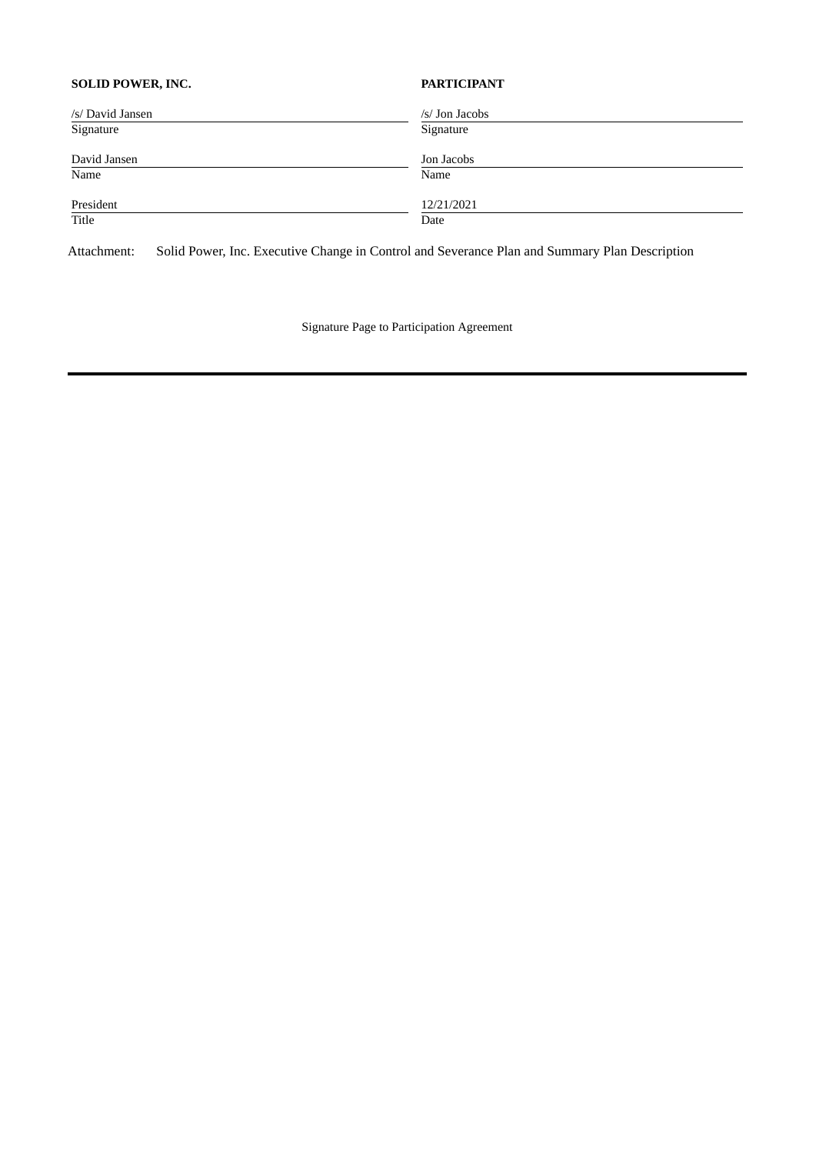| <b>SOLID POWER, INC.</b> | <b>PARTICIPANT</b> |  |
|--------------------------|--------------------|--|
| /s/ David Jansen         | /s/ Jon Jacobs     |  |
| Signature                | Signature          |  |
| David Jansen             | Jon Jacobs         |  |
| Name                     | Name               |  |
| President                | 12/21/2021         |  |
| Title                    | Date               |  |

Attachment: Solid Power, Inc. Executive Change in Control and Severance Plan and Summary Plan Description

Signature Page to Participation Agreement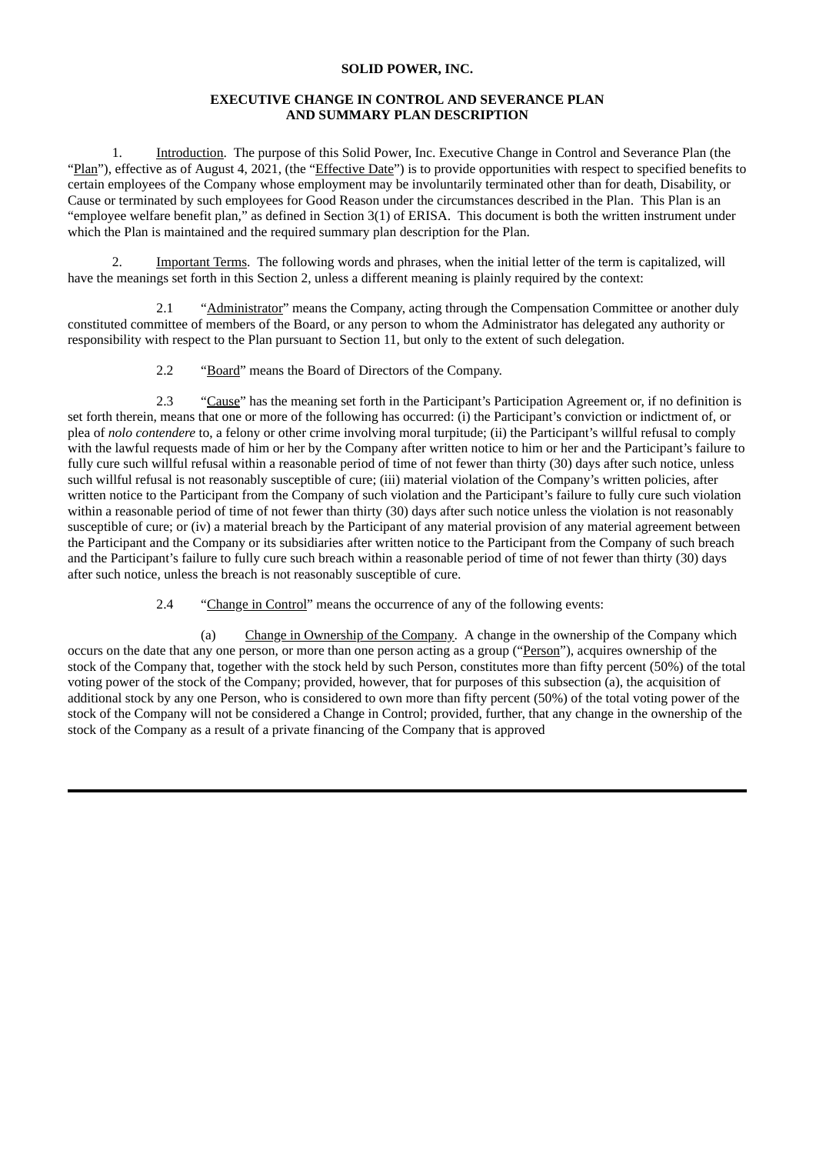## **SOLID POWER, INC.**

## **EXECUTIVE CHANGE IN CONTROL AND SEVERANCE PLAN AND SUMMARY PLAN DESCRIPTION**

1. Introduction. The purpose of this Solid Power, Inc. Executive Change in Control and Severance Plan (the "Plan"), effective as of August 4, 2021, (the "Effective Date") is to provide opportunities with respect to specified benefits to certain employees of the Company whose employment may be involuntarily terminated other than for death, Disability, or Cause or terminated by such employees for Good Reason under the circumstances described in the Plan. This Plan is an "employee welfare benefit plan," as defined in Section 3(1) of ERISA. This document is both the written instrument under which the Plan is maintained and the required summary plan description for the Plan.

2. Important Terms. The following words and phrases, when the initial letter of the term is capitalized, will have the meanings set forth in this Section 2, unless a different meaning is plainly required by the context:

2.1 "Administrator" means the Company, acting through the Compensation Committee or another duly constituted committee of members of the Board, or any person to whom the Administrator has delegated any authority or responsibility with respect to the Plan pursuant to Section 11, but only to the extent of such delegation.

2.2 "Board" means the Board of Directors of the Company.

2.3 "Cause" has the meaning set forth in the Participant's Participation Agreement or, if no definition is set forth therein, means that one or more of the following has occurred: (i) the Participant's conviction or indictment of, or plea of *nolo contendere* to, a felony or other crime involving moral turpitude; (ii) the Participant's willful refusal to comply with the lawful requests made of him or her by the Company after written notice to him or her and the Participant's failure to fully cure such willful refusal within a reasonable period of time of not fewer than thirty (30) days after such notice, unless such willful refusal is not reasonably susceptible of cure; (iii) material violation of the Company's written policies, after written notice to the Participant from the Company of such violation and the Participant's failure to fully cure such violation within a reasonable period of time of not fewer than thirty (30) days after such notice unless the violation is not reasonably susceptible of cure; or (iv) a material breach by the Participant of any material provision of any material agreement between the Participant and the Company or its subsidiaries after written notice to the Participant from the Company of such breach and the Participant's failure to fully cure such breach within a reasonable period of time of not fewer than thirty (30) days after such notice, unless the breach is not reasonably susceptible of cure.

2.4 "Change in Control" means the occurrence of any of the following events:

(a) Change in Ownership of the Company. A change in the ownership of the Company which occurs on the date that any one person, or more than one person acting as a group ("Person"), acquires ownership of the stock of the Company that, together with the stock held by such Person, constitutes more than fifty percent (50%) of the total voting power of the stock of the Company; provided, however, that for purposes of this subsection (a), the acquisition of additional stock by any one Person, who is considered to own more than fifty percent (50%) of the total voting power of the stock of the Company will not be considered a Change in Control; provided, further, that any change in the ownership of the stock of the Company as a result of a private financing of the Company that is approved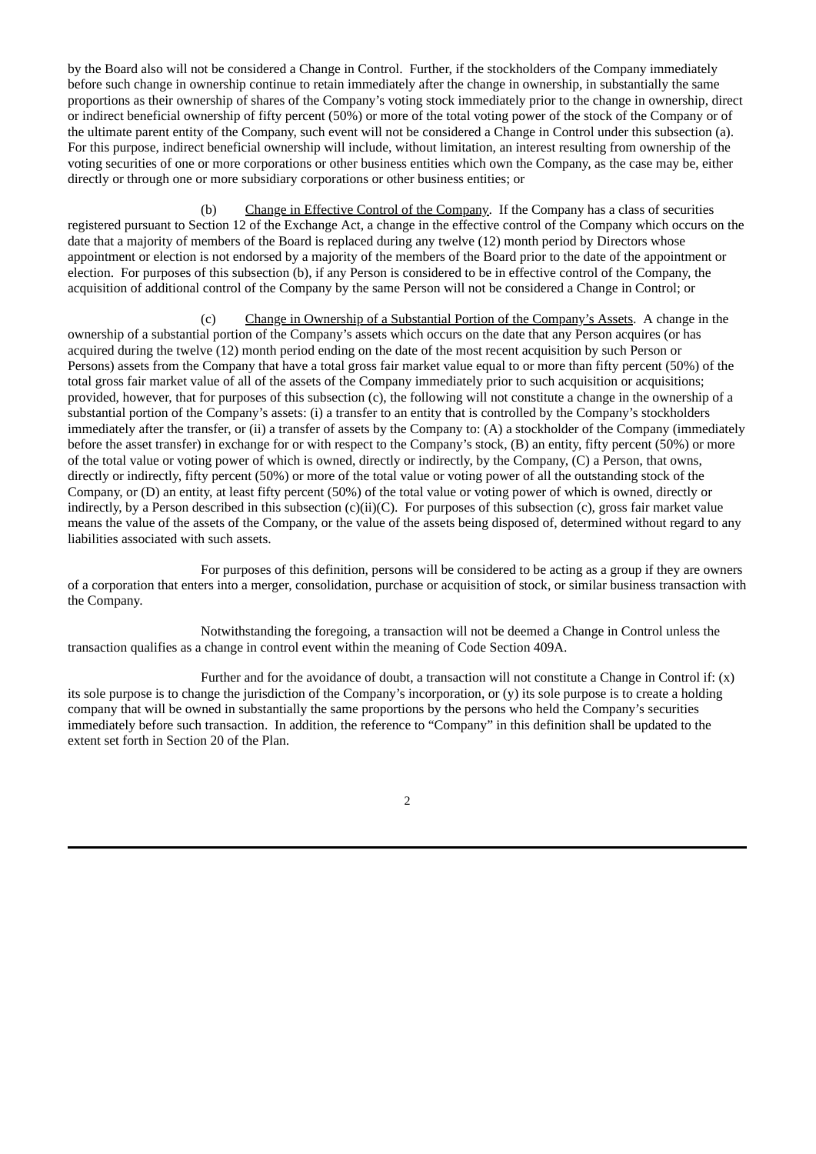by the Board also will not be considered a Change in Control. Further, if the stockholders of the Company immediately before such change in ownership continue to retain immediately after the change in ownership, in substantially the same proportions as their ownership of shares of the Company's voting stock immediately prior to the change in ownership, direct or indirect beneficial ownership of fifty percent (50%) or more of the total voting power of the stock of the Company or of the ultimate parent entity of the Company, such event will not be considered a Change in Control under this subsection (a). For this purpose, indirect beneficial ownership will include, without limitation, an interest resulting from ownership of the voting securities of one or more corporations or other business entities which own the Company, as the case may be, either directly or through one or more subsidiary corporations or other business entities; or

(b) Change in Effective Control of the Company. If the Company has a class of securities registered pursuant to Section 12 of the Exchange Act, a change in the effective control of the Company which occurs on the date that a majority of members of the Board is replaced during any twelve (12) month period by Directors whose appointment or election is not endorsed by a majority of the members of the Board prior to the date of the appointment or election. For purposes of this subsection (b), if any Person is considered to be in effective control of the Company, the acquisition of additional control of the Company by the same Person will not be considered a Change in Control; or

(c) Change in Ownership of a Substantial Portion of the Company's Assets. A change in the ownership of a substantial portion of the Company's assets which occurs on the date that any Person acquires (or has acquired during the twelve (12) month period ending on the date of the most recent acquisition by such Person or Persons) assets from the Company that have a total gross fair market value equal to or more than fifty percent (50%) of the total gross fair market value of all of the assets of the Company immediately prior to such acquisition or acquisitions; provided, however, that for purposes of this subsection (c), the following will not constitute a change in the ownership of a substantial portion of the Company's assets: (i) a transfer to an entity that is controlled by the Company's stockholders immediately after the transfer, or (ii) a transfer of assets by the Company to: (A) a stockholder of the Company (immediately before the asset transfer) in exchange for or with respect to the Company's stock, (B) an entity, fifty percent (50%) or more of the total value or voting power of which is owned, directly or indirectly, by the Company, (C) a Person, that owns, directly or indirectly, fifty percent (50%) or more of the total value or voting power of all the outstanding stock of the Company, or (D) an entity, at least fifty percent (50%) of the total value or voting power of which is owned, directly or indirectly, by a Person described in this subsection (c)(ii)(C). For purposes of this subsection (c), gross fair market value means the value of the assets of the Company, or the value of the assets being disposed of, determined without regard to any liabilities associated with such assets.

For purposes of this definition, persons will be considered to be acting as a group if they are owners of a corporation that enters into a merger, consolidation, purchase or acquisition of stock, or similar business transaction with the Company.

Notwithstanding the foregoing, a transaction will not be deemed a Change in Control unless the transaction qualifies as a change in control event within the meaning of Code Section 409A.

Further and for the avoidance of doubt, a transaction will not constitute a Change in Control if: (x) its sole purpose is to change the jurisdiction of the Company's incorporation, or (y) its sole purpose is to create a holding company that will be owned in substantially the same proportions by the persons who held the Company's securities immediately before such transaction. In addition, the reference to "Company" in this definition shall be updated to the extent set forth in Section 20 of the Plan.

2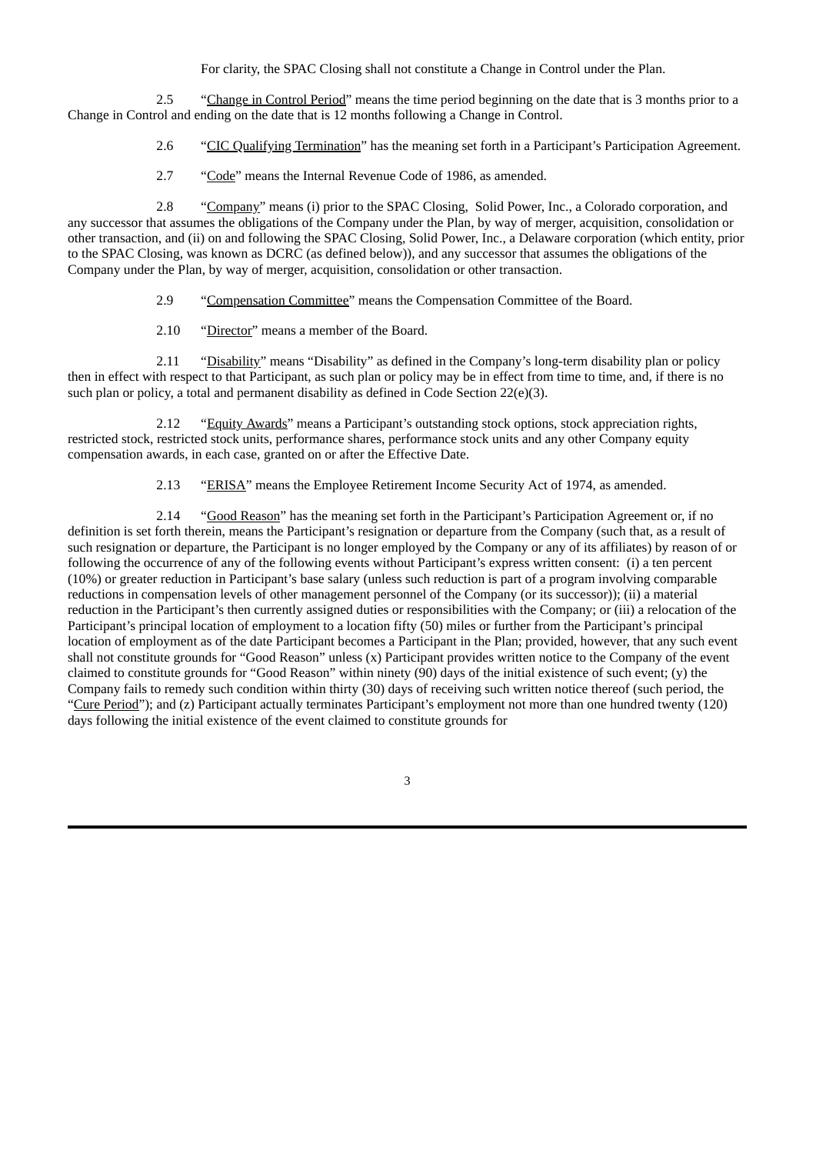For clarity, the SPAC Closing shall not constitute a Change in Control under the Plan.

2.5 "Change in Control Period" means the time period beginning on the date that is 3 months prior to a Change in Control and ending on the date that is 12 months following a Change in Control.

2.6 "CIC Qualifying Termination" has the meaning set forth in a Participant's Participation Agreement.

2.7 "Code" means the Internal Revenue Code of 1986, as amended.

2.8 "Company" means (i) prior to the SPAC Closing, Solid Power, Inc., a Colorado corporation, and any successor that assumes the obligations of the Company under the Plan, by way of merger, acquisition, consolidation or other transaction, and (ii) on and following the SPAC Closing, Solid Power, Inc., a Delaware corporation (which entity, prior to the SPAC Closing, was known as DCRC (as defined below)), and any successor that assumes the obligations of the Company under the Plan, by way of merger, acquisition, consolidation or other transaction.

- 2.9 "Compensation Committee" means the Compensation Committee of the Board.
- 2.10 "Director" means a member of the Board.

2.11 "Disability" means "Disability" as defined in the Company's long-term disability plan or policy then in effect with respect to that Participant, as such plan or policy may be in effect from time to time, and, if there is no such plan or policy, a total and permanent disability as defined in Code Section 22(e)(3).

2.12 "Equity Awards" means a Participant's outstanding stock options, stock appreciation rights, restricted stock, restricted stock units, performance shares, performance stock units and any other Company equity compensation awards, in each case, granted on or after the Effective Date.

2.13 "ERISA" means the Employee Retirement Income Security Act of 1974, as amended.

2.14 "Good Reason" has the meaning set forth in the Participant's Participation Agreement or, if no definition is set forth therein, means the Participant's resignation or departure from the Company (such that, as a result of such resignation or departure, the Participant is no longer employed by the Company or any of its affiliates) by reason of or following the occurrence of any of the following events without Participant's express written consent: (i) a ten percent (10%) or greater reduction in Participant's base salary (unless such reduction is part of a program involving comparable reductions in compensation levels of other management personnel of the Company (or its successor)); (ii) a material reduction in the Participant's then currently assigned duties or responsibilities with the Company; or (iii) a relocation of the Participant's principal location of employment to a location fifty (50) miles or further from the Participant's principal location of employment as of the date Participant becomes a Participant in the Plan; provided, however, that any such event shall not constitute grounds for "Good Reason" unless (x) Participant provides written notice to the Company of the event claimed to constitute grounds for "Good Reason" within ninety (90) days of the initial existence of such event; (y) the Company fails to remedy such condition within thirty (30) days of receiving such written notice thereof (such period, the "Cure Period"); and (z) Participant actually terminates Participant's employment not more than one hundred twenty (120) days following the initial existence of the event claimed to constitute grounds for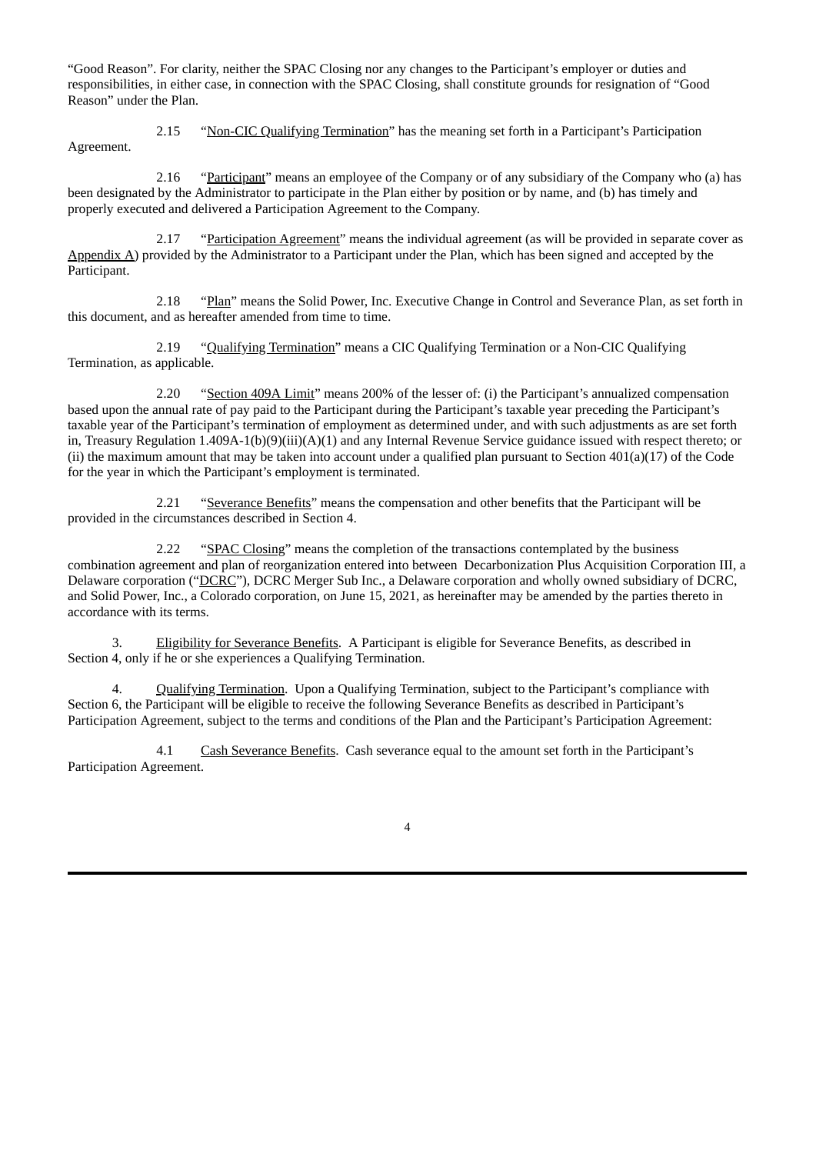"Good Reason". For clarity, neither the SPAC Closing nor any changes to the Participant's employer or duties and responsibilities, in either case, in connection with the SPAC Closing, shall constitute grounds for resignation of "Good Reason" under the Plan.

2.15 "Non-CIC Qualifying Termination" has the meaning set forth in a Participant's Participation Agreement.

2.16 "Participant" means an employee of the Company or of any subsidiary of the Company who (a) has been designated by the Administrator to participate in the Plan either by position or by name, and (b) has timely and properly executed and delivered a Participation Agreement to the Company.

2.17 "Participation Agreement" means the individual agreement (as will be provided in separate cover as Appendix A) provided by the Administrator to a Participant under the Plan, which has been signed and accepted by the Participant.

2.18 "Plan" means the Solid Power, Inc. Executive Change in Control and Severance Plan, as set forth in this document, and as hereafter amended from time to time.

2.19 "Qualifying Termination" means a CIC Qualifying Termination or a Non-CIC Qualifying Termination, as applicable.

2.20 "Section 409A Limit" means 200% of the lesser of: (i) the Participant's annualized compensation based upon the annual rate of pay paid to the Participant during the Participant's taxable year preceding the Participant's taxable year of the Participant's termination of employment as determined under, and with such adjustments as are set forth in, Treasury Regulation 1.409A-1(b)(9)(iii)(A)(1) and any Internal Revenue Service guidance issued with respect thereto; or (ii) the maximum amount that may be taken into account under a qualified plan pursuant to Section  $401(a)(17)$  of the Code for the year in which the Participant's employment is terminated.

2.21 "Severance Benefits" means the compensation and other benefits that the Participant will be provided in the circumstances described in Section 4.

2.22 "SPAC Closing" means the completion of the transactions contemplated by the business combination agreement and plan of reorganization entered into between Decarbonization Plus Acquisition Corporation III, a Delaware corporation ("DCRC"), DCRC Merger Sub Inc., a Delaware corporation and wholly owned subsidiary of DCRC, and Solid Power, Inc., a Colorado corporation, on June 15, 2021, as hereinafter may be amended by the parties thereto in accordance with its terms.

3. Eligibility for Severance Benefits. A Participant is eligible for Severance Benefits, as described in Section 4, only if he or she experiences a Qualifying Termination.

4. Qualifying Termination. Upon a Qualifying Termination, subject to the Participant's compliance with Section 6, the Participant will be eligible to receive the following Severance Benefits as described in Participant's Participation Agreement, subject to the terms and conditions of the Plan and the Participant's Participation Agreement:

4.1 Cash Severance Benefits. Cash severance equal to the amount set forth in the Participant's Participation Agreement.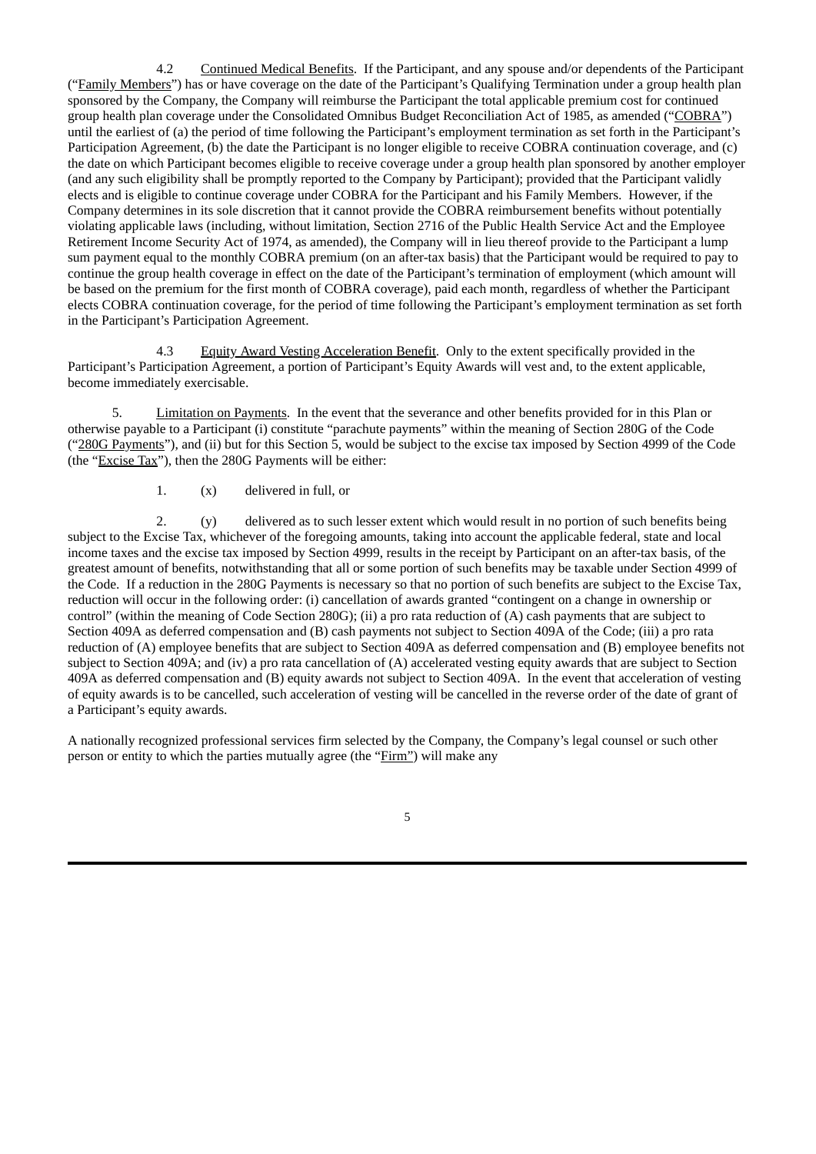4.2 Continued Medical Benefits. If the Participant, and any spouse and/or dependents of the Participant ("Family Members") has or have coverage on the date of the Participant's Qualifying Termination under a group health plan sponsored by the Company, the Company will reimburse the Participant the total applicable premium cost for continued group health plan coverage under the Consolidated Omnibus Budget Reconciliation Act of 1985, as amended ("COBRA") until the earliest of (a) the period of time following the Participant's employment termination as set forth in the Participant's Participation Agreement, (b) the date the Participant is no longer eligible to receive COBRA continuation coverage, and (c) the date on which Participant becomes eligible to receive coverage under a group health plan sponsored by another employer (and any such eligibility shall be promptly reported to the Company by Participant); provided that the Participant validly elects and is eligible to continue coverage under COBRA for the Participant and his Family Members. However, if the Company determines in its sole discretion that it cannot provide the COBRA reimbursement benefits without potentially violating applicable laws (including, without limitation, Section 2716 of the Public Health Service Act and the Employee Retirement Income Security Act of 1974, as amended), the Company will in lieu thereof provide to the Participant a lump sum payment equal to the monthly COBRA premium (on an after-tax basis) that the Participant would be required to pay to continue the group health coverage in effect on the date of the Participant's termination of employment (which amount will be based on the premium for the first month of COBRA coverage), paid each month, regardless of whether the Participant elects COBRA continuation coverage, for the period of time following the Participant's employment termination as set forth in the Participant's Participation Agreement.

4.3 Equity Award Vesting Acceleration Benefit. Only to the extent specifically provided in the Participant's Participation Agreement, a portion of Participant's Equity Awards will vest and, to the extent applicable, become immediately exercisable.

5. Limitation on Payments. In the event that the severance and other benefits provided for in this Plan or otherwise payable to a Participant (i) constitute "parachute payments" within the meaning of Section 280G of the Code ("280G Payments"), and (ii) but for this Section 5, would be subject to the excise tax imposed by Section 4999 of the Code (the "Excise Tax"), then the 280G Payments will be either:

1. (x) delivered in full, or

2. (y) delivered as to such lesser extent which would result in no portion of such benefits being subject to the Excise Tax, whichever of the foregoing amounts, taking into account the applicable federal, state and local income taxes and the excise tax imposed by Section 4999, results in the receipt by Participant on an after-tax basis, of the greatest amount of benefits, notwithstanding that all or some portion of such benefits may be taxable under Section 4999 of the Code. If a reduction in the 280G Payments is necessary so that no portion of such benefits are subject to the Excise Tax, reduction will occur in the following order: (i) cancellation of awards granted "contingent on a change in ownership or control" (within the meaning of Code Section 280G); (ii) a pro rata reduction of (A) cash payments that are subject to Section 409A as deferred compensation and (B) cash payments not subject to Section 409A of the Code; (iii) a pro rata reduction of (A) employee benefits that are subject to Section 409A as deferred compensation and (B) employee benefits not subject to Section 409A; and (iv) a pro rata cancellation of (A) accelerated vesting equity awards that are subject to Section 409A as deferred compensation and (B) equity awards not subject to Section 409A. In the event that acceleration of vesting of equity awards is to be cancelled, such acceleration of vesting will be cancelled in the reverse order of the date of grant of a Participant's equity awards.

A nationally recognized professional services firm selected by the Company, the Company's legal counsel or such other person or entity to which the parties mutually agree (the "Firm") will make any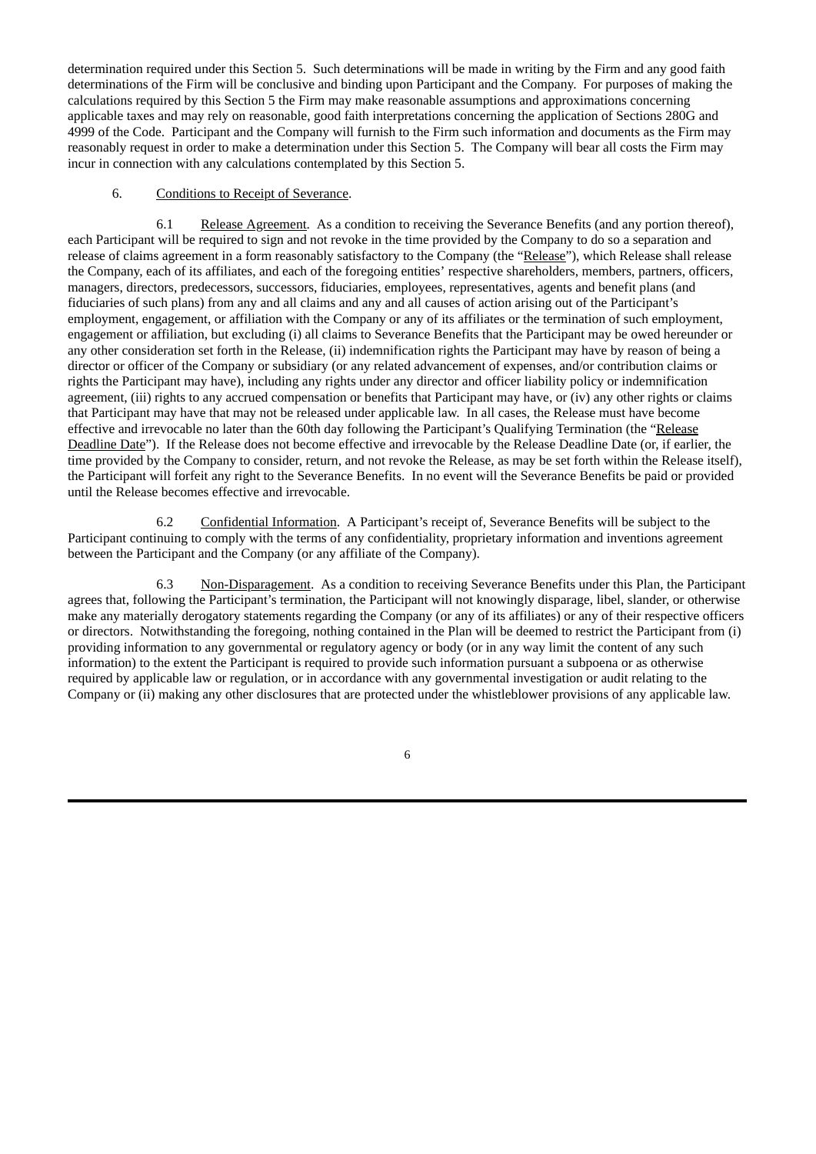determination required under this Section 5. Such determinations will be made in writing by the Firm and any good faith determinations of the Firm will be conclusive and binding upon Participant and the Company. For purposes of making the calculations required by this Section 5 the Firm may make reasonable assumptions and approximations concerning applicable taxes and may rely on reasonable, good faith interpretations concerning the application of Sections 280G and 4999 of the Code. Participant and the Company will furnish to the Firm such information and documents as the Firm may reasonably request in order to make a determination under this Section 5. The Company will bear all costs the Firm may incur in connection with any calculations contemplated by this Section 5.

### 6. Conditions to Receipt of Severance.

6.1 Release Agreement. As a condition to receiving the Severance Benefits (and any portion thereof), each Participant will be required to sign and not revoke in the time provided by the Company to do so a separation and release of claims agreement in a form reasonably satisfactory to the Company (the "Release"), which Release shall release the Company, each of its affiliates, and each of the foregoing entities' respective shareholders, members, partners, officers, managers, directors, predecessors, successors, fiduciaries, employees, representatives, agents and benefit plans (and fiduciaries of such plans) from any and all claims and any and all causes of action arising out of the Participant's employment, engagement, or affiliation with the Company or any of its affiliates or the termination of such employment, engagement or affiliation, but excluding (i) all claims to Severance Benefits that the Participant may be owed hereunder or any other consideration set forth in the Release, (ii) indemnification rights the Participant may have by reason of being a director or officer of the Company or subsidiary (or any related advancement of expenses, and/or contribution claims or rights the Participant may have), including any rights under any director and officer liability policy or indemnification agreement, (iii) rights to any accrued compensation or benefits that Participant may have, or (iv) any other rights or claims that Participant may have that may not be released under applicable law. In all cases, the Release must have become effective and irrevocable no later than the 60th day following the Participant's Qualifying Termination (the "Release Deadline Date"). If the Release does not become effective and irrevocable by the Release Deadline Date (or, if earlier, the time provided by the Company to consider, return, and not revoke the Release, as may be set forth within the Release itself), the Participant will forfeit any right to the Severance Benefits. In no event will the Severance Benefits be paid or provided until the Release becomes effective and irrevocable.

6.2 Confidential Information. A Participant's receipt of, Severance Benefits will be subject to the Participant continuing to comply with the terms of any confidentiality, proprietary information and inventions agreement between the Participant and the Company (or any affiliate of the Company).

6.3 Non-Disparagement. As a condition to receiving Severance Benefits under this Plan, the Participant agrees that, following the Participant's termination, the Participant will not knowingly disparage, libel, slander, or otherwise make any materially derogatory statements regarding the Company (or any of its affiliates) or any of their respective officers or directors. Notwithstanding the foregoing, nothing contained in the Plan will be deemed to restrict the Participant from (i) providing information to any governmental or regulatory agency or body (or in any way limit the content of any such information) to the extent the Participant is required to provide such information pursuant a subpoena or as otherwise required by applicable law or regulation, or in accordance with any governmental investigation or audit relating to the Company or (ii) making any other disclosures that are protected under the whistleblower provisions of any applicable law.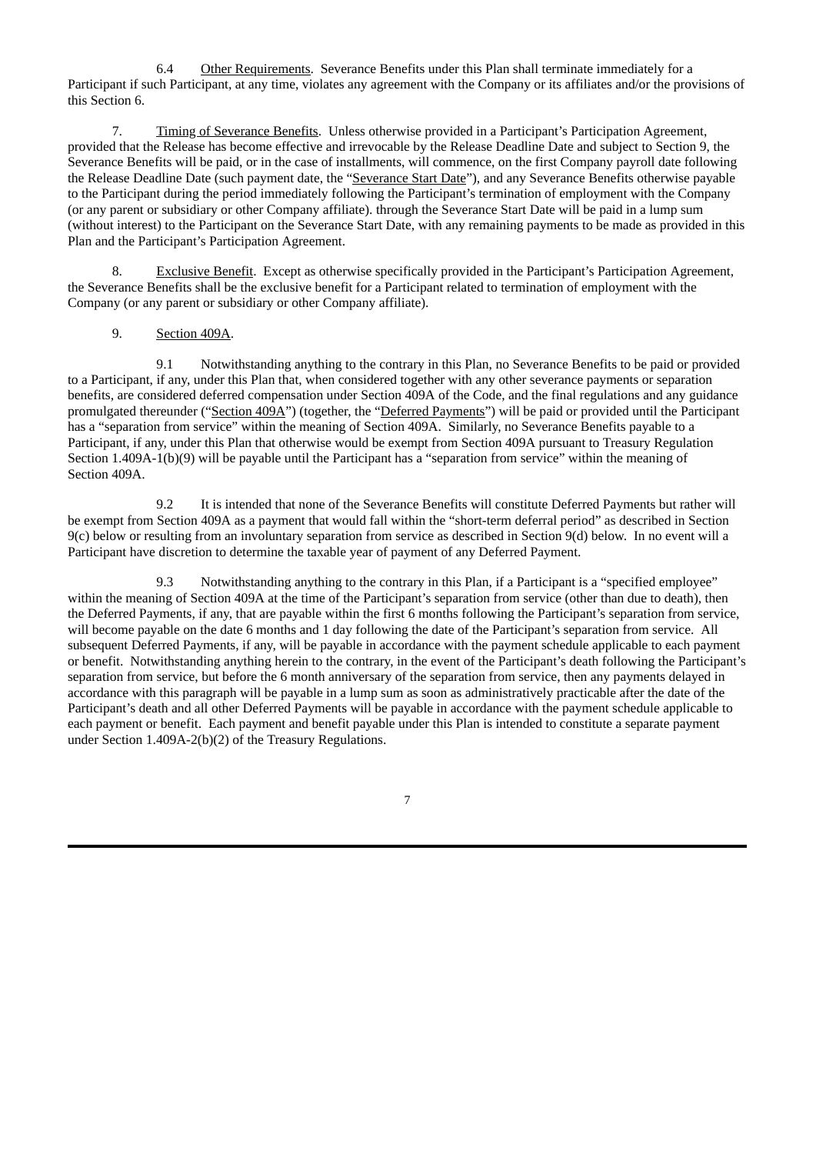6.4 Other Requirements. Severance Benefits under this Plan shall terminate immediately for a Participant if such Participant, at any time, violates any agreement with the Company or its affiliates and/or the provisions of this Section 6.

7. Timing of Severance Benefits. Unless otherwise provided in a Participant's Participation Agreement, provided that the Release has become effective and irrevocable by the Release Deadline Date and subject to Section 9, the Severance Benefits will be paid, or in the case of installments, will commence, on the first Company payroll date following the Release Deadline Date (such payment date, the "Severance Start Date"), and any Severance Benefits otherwise payable to the Participant during the period immediately following the Participant's termination of employment with the Company (or any parent or subsidiary or other Company affiliate). through the Severance Start Date will be paid in a lump sum (without interest) to the Participant on the Severance Start Date, with any remaining payments to be made as provided in this Plan and the Participant's Participation Agreement.

8. Exclusive Benefit. Except as otherwise specifically provided in the Participant's Participation Agreement, the Severance Benefits shall be the exclusive benefit for a Participant related to termination of employment with the Company (or any parent or subsidiary or other Company affiliate).

# 9. Section 409A.

9.1 Notwithstanding anything to the contrary in this Plan, no Severance Benefits to be paid or provided to a Participant, if any, under this Plan that, when considered together with any other severance payments or separation benefits, are considered deferred compensation under Section 409A of the Code, and the final regulations and any guidance promulgated thereunder ("Section 409A") (together, the "Deferred Payments") will be paid or provided until the Participant has a "separation from service" within the meaning of Section 409A. Similarly, no Severance Benefits payable to a Participant, if any, under this Plan that otherwise would be exempt from Section 409A pursuant to Treasury Regulation Section 1.409A-1(b)(9) will be payable until the Participant has a "separation from service" within the meaning of Section 409A.

9.2 It is intended that none of the Severance Benefits will constitute Deferred Payments but rather will be exempt from Section 409A as a payment that would fall within the "short-term deferral period" as described in Section 9(c) below or resulting from an involuntary separation from service as described in Section 9(d) below. In no event will a Participant have discretion to determine the taxable year of payment of any Deferred Payment.

9.3 Notwithstanding anything to the contrary in this Plan, if a Participant is a "specified employee" within the meaning of Section 409A at the time of the Participant's separation from service (other than due to death), then the Deferred Payments, if any, that are payable within the first 6 months following the Participant's separation from service, will become payable on the date 6 months and 1 day following the date of the Participant's separation from service. All subsequent Deferred Payments, if any, will be payable in accordance with the payment schedule applicable to each payment or benefit. Notwithstanding anything herein to the contrary, in the event of the Participant's death following the Participant's separation from service, but before the 6 month anniversary of the separation from service, then any payments delayed in accordance with this paragraph will be payable in a lump sum as soon as administratively practicable after the date of the Participant's death and all other Deferred Payments will be payable in accordance with the payment schedule applicable to each payment or benefit. Each payment and benefit payable under this Plan is intended to constitute a separate payment under Section 1.409A-2(b)(2) of the Treasury Regulations.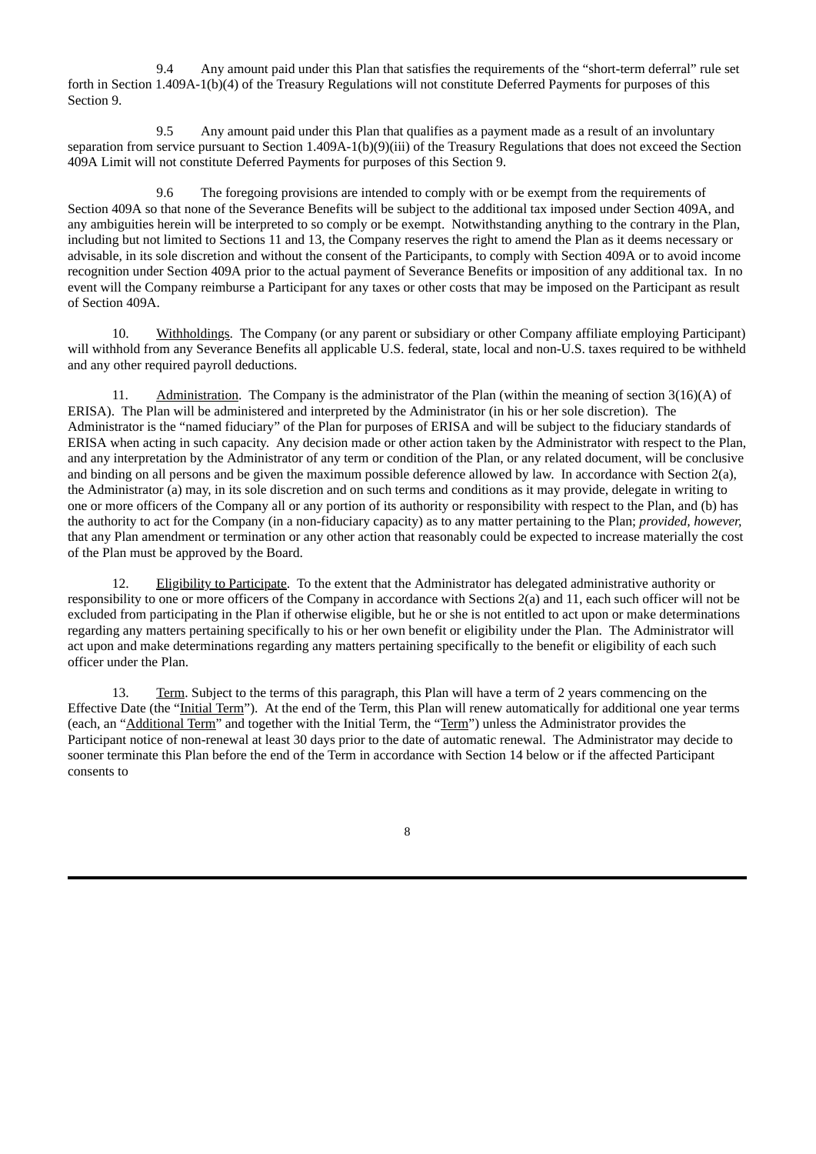9.4 Any amount paid under this Plan that satisfies the requirements of the "short-term deferral" rule set forth in Section 1.409A-1(b)(4) of the Treasury Regulations will not constitute Deferred Payments for purposes of this Section 9.

9.5 Any amount paid under this Plan that qualifies as a payment made as a result of an involuntary separation from service pursuant to Section 1.409A-1(b)(9)(iii) of the Treasury Regulations that does not exceed the Section 409A Limit will not constitute Deferred Payments for purposes of this Section 9.

9.6 The foregoing provisions are intended to comply with or be exempt from the requirements of Section 409A so that none of the Severance Benefits will be subject to the additional tax imposed under Section 409A, and any ambiguities herein will be interpreted to so comply or be exempt. Notwithstanding anything to the contrary in the Plan, including but not limited to Sections 11 and 13, the Company reserves the right to amend the Plan as it deems necessary or advisable, in its sole discretion and without the consent of the Participants, to comply with Section 409A or to avoid income recognition under Section 409A prior to the actual payment of Severance Benefits or imposition of any additional tax. In no event will the Company reimburse a Participant for any taxes or other costs that may be imposed on the Participant as result of Section 409A.

10. Withholdings. The Company (or any parent or subsidiary or other Company affiliate employing Participant) will withhold from any Severance Benefits all applicable U.S. federal, state, local and non-U.S. taxes required to be withheld and any other required payroll deductions.

11. Administration. The Company is the administrator of the Plan (within the meaning of section 3(16)(A) of ERISA). The Plan will be administered and interpreted by the Administrator (in his or her sole discretion). The Administrator is the "named fiduciary" of the Plan for purposes of ERISA and will be subject to the fiduciary standards of ERISA when acting in such capacity. Any decision made or other action taken by the Administrator with respect to the Plan, and any interpretation by the Administrator of any term or condition of the Plan, or any related document, will be conclusive and binding on all persons and be given the maximum possible deference allowed by law. In accordance with Section 2(a), the Administrator (a) may, in its sole discretion and on such terms and conditions as it may provide, delegate in writing to one or more officers of the Company all or any portion of its authority or responsibility with respect to the Plan, and (b) has the authority to act for the Company (in a non-fiduciary capacity) as to any matter pertaining to the Plan; *provided, however,* that any Plan amendment or termination or any other action that reasonably could be expected to increase materially the cost of the Plan must be approved by the Board.

12. Eligibility to Participate. To the extent that the Administrator has delegated administrative authority or responsibility to one or more officers of the Company in accordance with Sections 2(a) and 11, each such officer will not be excluded from participating in the Plan if otherwise eligible, but he or she is not entitled to act upon or make determinations regarding any matters pertaining specifically to his or her own benefit or eligibility under the Plan. The Administrator will act upon and make determinations regarding any matters pertaining specifically to the benefit or eligibility of each such officer under the Plan.

13. Term. Subject to the terms of this paragraph, this Plan will have a term of 2 years commencing on the Effective Date (the "Initial Term"). At the end of the Term, this Plan will renew automatically for additional one year terms (each, an "Additional Term" and together with the Initial Term, the "Term") unless the Administrator provides the Participant notice of non-renewal at least 30 days prior to the date of automatic renewal. The Administrator may decide to sooner terminate this Plan before the end of the Term in accordance with Section 14 below or if the affected Participant consents to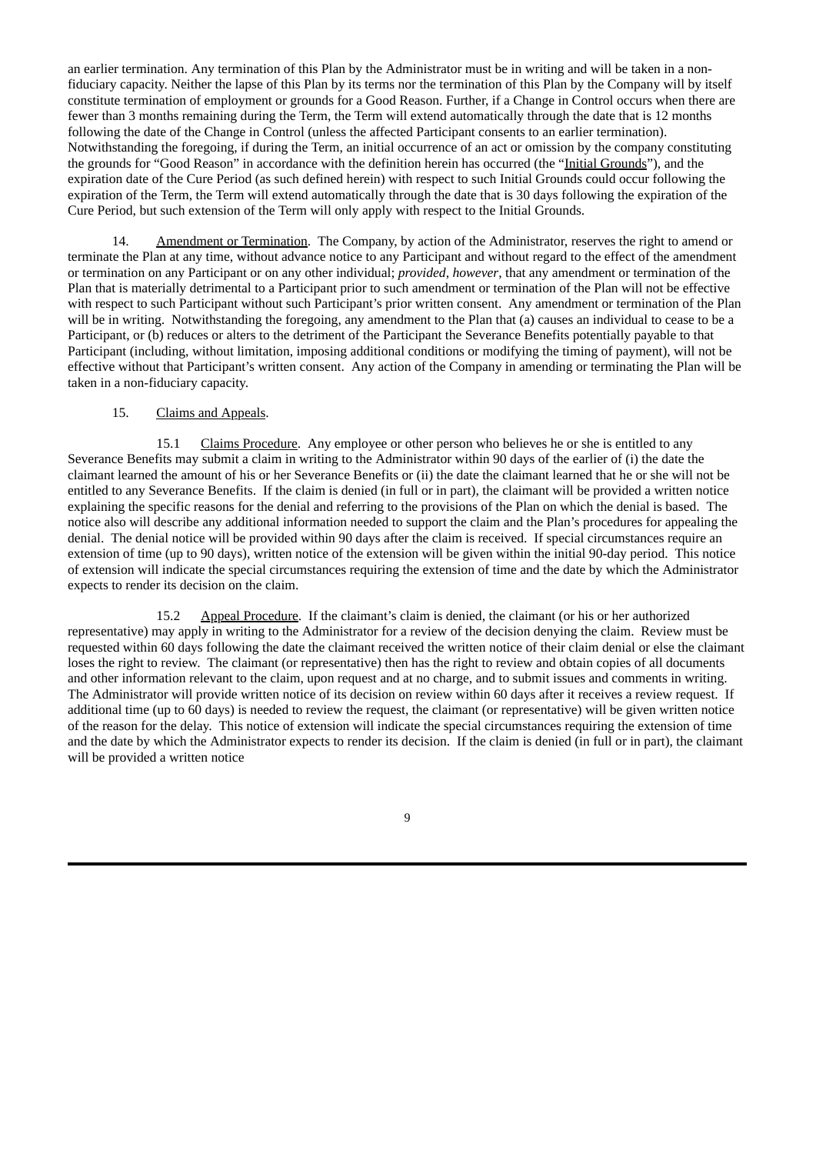an earlier termination. Any termination of this Plan by the Administrator must be in writing and will be taken in a nonfiduciary capacity. Neither the lapse of this Plan by its terms nor the termination of this Plan by the Company will by itself constitute termination of employment or grounds for a Good Reason. Further, if a Change in Control occurs when there are fewer than 3 months remaining during the Term, the Term will extend automatically through the date that is 12 months following the date of the Change in Control (unless the affected Participant consents to an earlier termination). Notwithstanding the foregoing, if during the Term, an initial occurrence of an act or omission by the company constituting the grounds for "Good Reason" in accordance with the definition herein has occurred (the "Initial Grounds"), and the expiration date of the Cure Period (as such defined herein) with respect to such Initial Grounds could occur following the expiration of the Term, the Term will extend automatically through the date that is 30 days following the expiration of the Cure Period, but such extension of the Term will only apply with respect to the Initial Grounds.

14. Amendment or Termination. The Company, by action of the Administrator, reserves the right to amend or terminate the Plan at any time, without advance notice to any Participant and without regard to the effect of the amendment or termination on any Participant or on any other individual; *provided, however*, that any amendment or termination of the Plan that is materially detrimental to a Participant prior to such amendment or termination of the Plan will not be effective with respect to such Participant without such Participant's prior written consent. Any amendment or termination of the Plan will be in writing. Notwithstanding the foregoing, any amendment to the Plan that (a) causes an individual to cease to be a Participant, or (b) reduces or alters to the detriment of the Participant the Severance Benefits potentially payable to that Participant (including, without limitation, imposing additional conditions or modifying the timing of payment), will not be effective without that Participant's written consent. Any action of the Company in amending or terminating the Plan will be taken in a non-fiduciary capacity.

# 15. Claims and Appeals.

15.1 Claims Procedure. Any employee or other person who believes he or she is entitled to any Severance Benefits may submit a claim in writing to the Administrator within 90 days of the earlier of (i) the date the claimant learned the amount of his or her Severance Benefits or (ii) the date the claimant learned that he or she will not be entitled to any Severance Benefits. If the claim is denied (in full or in part), the claimant will be provided a written notice explaining the specific reasons for the denial and referring to the provisions of the Plan on which the denial is based. The notice also will describe any additional information needed to support the claim and the Plan's procedures for appealing the denial. The denial notice will be provided within 90 days after the claim is received. If special circumstances require an extension of time (up to 90 days), written notice of the extension will be given within the initial 90-day period. This notice of extension will indicate the special circumstances requiring the extension of time and the date by which the Administrator expects to render its decision on the claim.

15.2 Appeal Procedure. If the claimant's claim is denied, the claimant (or his or her authorized representative) may apply in writing to the Administrator for a review of the decision denying the claim. Review must be requested within 60 days following the date the claimant received the written notice of their claim denial or else the claimant loses the right to review. The claimant (or representative) then has the right to review and obtain copies of all documents and other information relevant to the claim, upon request and at no charge, and to submit issues and comments in writing. The Administrator will provide written notice of its decision on review within 60 days after it receives a review request. If additional time (up to 60 days) is needed to review the request, the claimant (or representative) will be given written notice of the reason for the delay. This notice of extension will indicate the special circumstances requiring the extension of time and the date by which the Administrator expects to render its decision. If the claim is denied (in full or in part), the claimant will be provided a written notice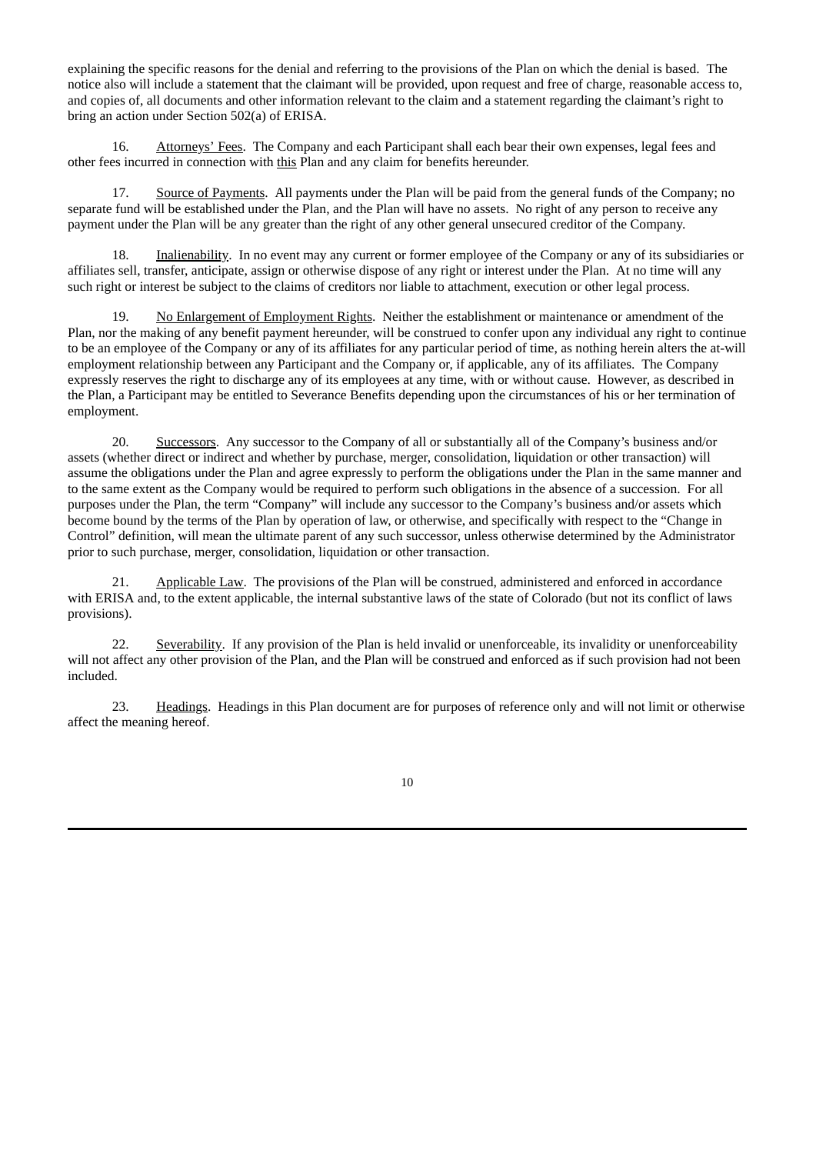explaining the specific reasons for the denial and referring to the provisions of the Plan on which the denial is based. The notice also will include a statement that the claimant will be provided, upon request and free of charge, reasonable access to, and copies of, all documents and other information relevant to the claim and a statement regarding the claimant's right to bring an action under Section 502(a) of ERISA.

16. Attorneys' Fees. The Company and each Participant shall each bear their own expenses, legal fees and other fees incurred in connection with this Plan and any claim for benefits hereunder.

17. Source of Payments. All payments under the Plan will be paid from the general funds of the Company; no separate fund will be established under the Plan, and the Plan will have no assets. No right of any person to receive any payment under the Plan will be any greater than the right of any other general unsecured creditor of the Company.

18. Inalienability. In no event may any current or former employee of the Company or any of its subsidiaries or affiliates sell, transfer, anticipate, assign or otherwise dispose of any right or interest under the Plan. At no time will any such right or interest be subject to the claims of creditors nor liable to attachment, execution or other legal process.

19. No Enlargement of Employment Rights. Neither the establishment or maintenance or amendment of the Plan, nor the making of any benefit payment hereunder, will be construed to confer upon any individual any right to continue to be an employee of the Company or any of its affiliates for any particular period of time, as nothing herein alters the at-will employment relationship between any Participant and the Company or, if applicable, any of its affiliates. The Company expressly reserves the right to discharge any of its employees at any time, with or without cause. However, as described in the Plan, a Participant may be entitled to Severance Benefits depending upon the circumstances of his or her termination of employment.

20. Successors. Any successor to the Company of all or substantially all of the Company's business and/or assets (whether direct or indirect and whether by purchase, merger, consolidation, liquidation or other transaction) will assume the obligations under the Plan and agree expressly to perform the obligations under the Plan in the same manner and to the same extent as the Company would be required to perform such obligations in the absence of a succession. For all purposes under the Plan, the term "Company" will include any successor to the Company's business and/or assets which become bound by the terms of the Plan by operation of law, or otherwise, and specifically with respect to the "Change in Control" definition, will mean the ultimate parent of any such successor, unless otherwise determined by the Administrator prior to such purchase, merger, consolidation, liquidation or other transaction.

21. Applicable Law. The provisions of the Plan will be construed, administered and enforced in accordance with ERISA and, to the extent applicable, the internal substantive laws of the state of Colorado (but not its conflict of laws provisions).

22. Severability. If any provision of the Plan is held invalid or unenforceable, its invalidity or unenforceability will not affect any other provision of the Plan, and the Plan will be construed and enforced as if such provision had not been included.

23. Headings. Headings in this Plan document are for purposes of reference only and will not limit or otherwise affect the meaning hereof.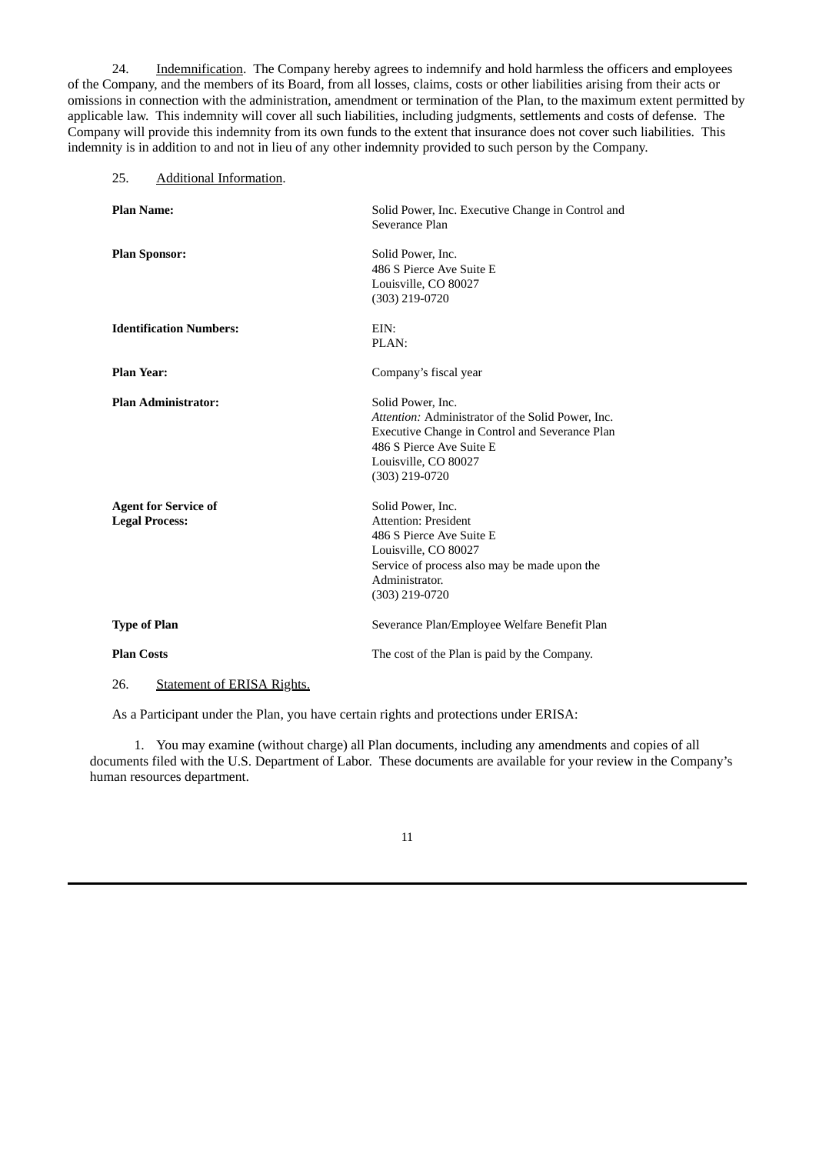24. Indemnification. The Company hereby agrees to indemnify and hold harmless the officers and employees of the Company, and the members of its Board, from all losses, claims, costs or other liabilities arising from their acts or omissions in connection with the administration, amendment or termination of the Plan, to the maximum extent permitted by applicable law. This indemnity will cover all such liabilities, including judgments, settlements and costs of defense. The Company will provide this indemnity from its own funds to the extent that insurance does not cover such liabilities. This indemnity is in addition to and not in lieu of any other indemnity provided to such person by the Company.

25. Additional Information.

| <b>Plan Name:</b>                                    | Solid Power, Inc. Executive Change in Control and<br>Severance Plan                                                                                                                            |
|------------------------------------------------------|------------------------------------------------------------------------------------------------------------------------------------------------------------------------------------------------|
| <b>Plan Sponsor:</b>                                 | Solid Power, Inc.<br>486 S Pierce Ave Suite E<br>Louisville, CO 80027<br>$(303)$ 219-0720                                                                                                      |
| <b>Identification Numbers:</b>                       | EIN:<br>PLAN:                                                                                                                                                                                  |
| <b>Plan Year:</b>                                    | Company's fiscal year                                                                                                                                                                          |
| <b>Plan Administrator:</b>                           | Solid Power, Inc.<br>Attention: Administrator of the Solid Power, Inc.<br>Executive Change in Control and Severance Plan<br>486 S Pierce Ave Suite E<br>Louisville, CO 80027<br>(303) 219-0720 |
| <b>Agent for Service of</b><br><b>Legal Process:</b> | Solid Power, Inc.<br>Attention: President<br>486 S Pierce Ave Suite E<br>Louisville, CO 80027<br>Service of process also may be made upon the<br>Administrator.<br>(303) 219-0720              |
| <b>Type of Plan</b>                                  | Severance Plan/Employee Welfare Benefit Plan                                                                                                                                                   |
| <b>Plan Costs</b>                                    | The cost of the Plan is paid by the Company.                                                                                                                                                   |
| 26.<br><b>Statement of ERISA Rights.</b>             |                                                                                                                                                                                                |

As a Participant under the Plan, you have certain rights and protections under ERISA:

1. You may examine (without charge) all Plan documents, including any amendments and copies of all documents filed with the U.S. Department of Labor. These documents are available for your review in the Company's human resources department.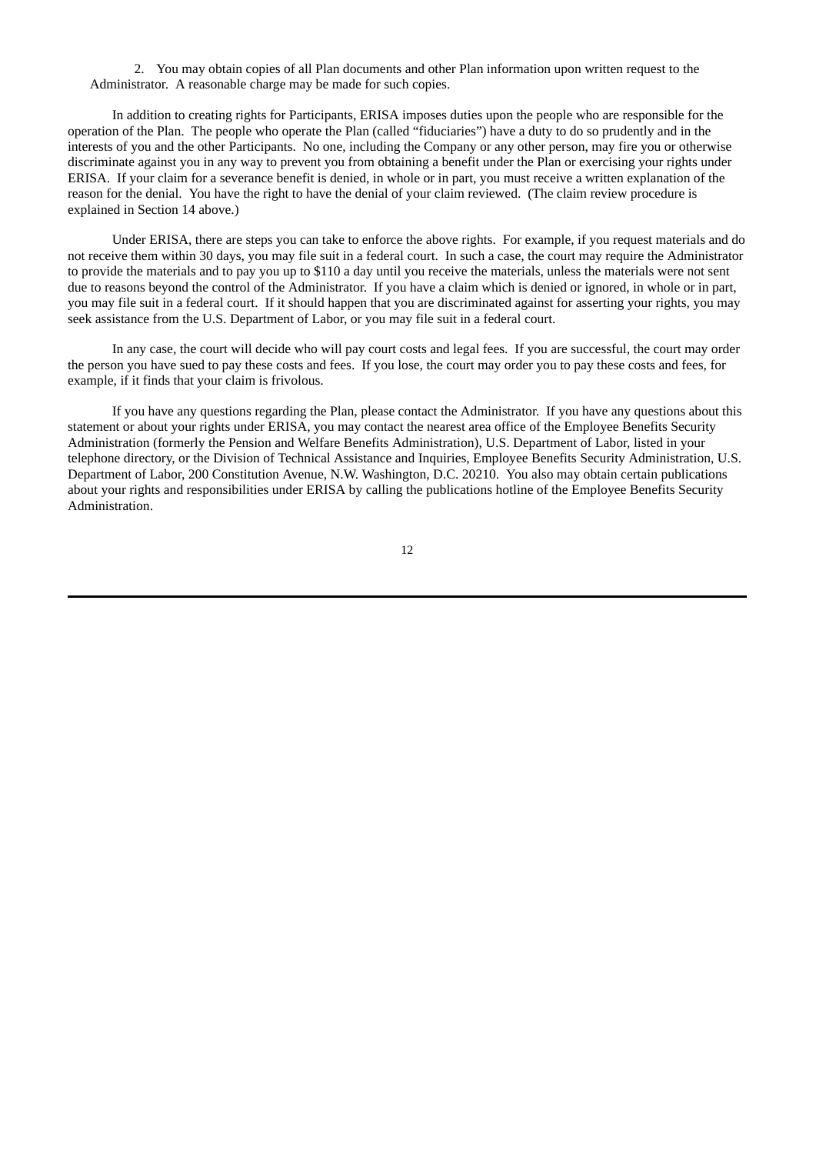2. You may obtain copies of all Plan documents and other Plan information upon written request to the Administrator. A reasonable charge may be made for such copies.

In addition to creating rights for Participants, ERISA imposes duties upon the people who are responsible for the operation of the Plan. The people who operate the Plan (called "fiduciaries") have a duty to do so prudently and in the interests of you and the other Participants. No one, including the Company or any other person, may fire you or otherwise discriminate against you in any way to prevent you from obtaining a benefit under the Plan or exercising your rights under ERISA. If your claim for a severance benefit is denied, in whole or in part, you must receive a written explanation of the reason for the denial. You have the right to have the denial of your claim reviewed. (The claim review procedure is explained in Section 14 above.)

Under ERISA, there are steps you can take to enforce the above rights. For example, if you request materials and do not receive them within 30 days, you may file suit in a federal court. In such a case, the court may require the Administrator to provide the materials and to pay you up to \$110 a day until you receive the materials, unless the materials were not sent due to reasons beyond the control of the Administrator. If you have a claim which is denied or ignored, in whole or in part, you may file suit in a federal court. If it should happen that you are discriminated against for asserting your rights, you may seek assistance from the U.S. Department of Labor, or you may file suit in a federal court.

In any case, the court will decide who will pay court costs and legal fees. If you are successful, the court may order the person you have sued to pay these costs and fees. If you lose, the court may order you to pay these costs and fees, for example, if it finds that your claim is frivolous.

If you have any questions regarding the Plan, please contact the Administrator. If you have any questions about this statement or about your rights under ERISA, you may contact the nearest area office of the Employee Benefits Security Administration (formerly the Pension and Welfare Benefits Administration), U.S. Department of Labor, listed in your telephone directory, or the Division of Technical Assistance and Inquiries, Employee Benefits Security Administration, U.S. Department of Labor, 200 Constitution Avenue, N.W. Washington, D.C. 20210. You also may obtain certain publications about your rights and responsibilities under ERISA by calling the publications hotline of the Employee Benefits Security Administration.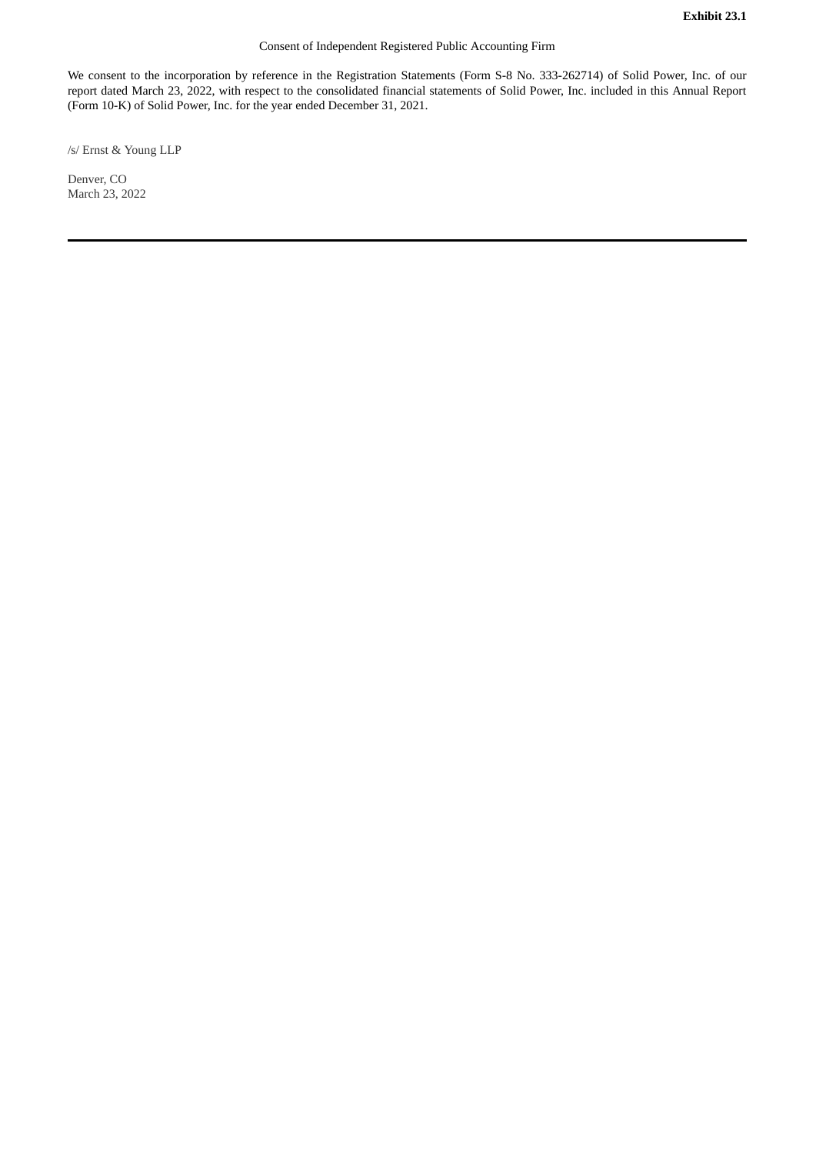#### Consent of Independent Registered Public Accounting Firm

We consent to the incorporation by reference in the Registration Statements (Form S-8 No. 333-262714) of Solid Power, Inc. of our report dated March 23, 2022, with respect to the consolidated financial statements of Solid Power, Inc. included in this Annual Report (Form 10-K) of Solid Power, Inc. for the year ended December 31, 2021.

/s/ Ernst & Young LLP

Denver, CO March 23, 2022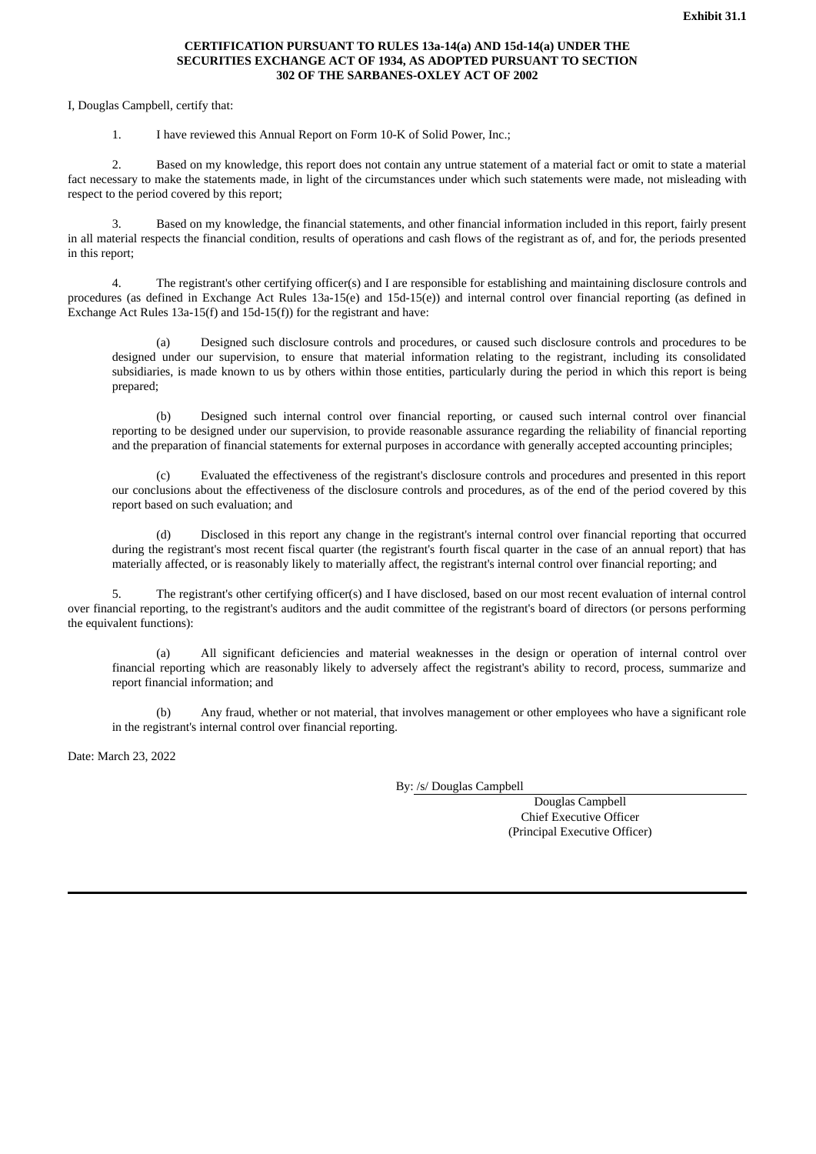#### **CERTIFICATION PURSUANT TO RULES 13a-14(a) AND 15d-14(a) UNDER THE SECURITIES EXCHANGE ACT OF 1934, AS ADOPTED PURSUANT TO SECTION 302 OF THE SARBANES-OXLEY ACT OF 2002**

I, Douglas Campbell, certify that:

1. I have reviewed this Annual Report on Form 10-K of Solid Power, Inc.;

2. Based on my knowledge, this report does not contain any untrue statement of a material fact or omit to state a material fact necessary to make the statements made, in light of the circumstances under which such statements were made, not misleading with respect to the period covered by this report;

3. Based on my knowledge, the financial statements, and other financial information included in this report, fairly present in all material respects the financial condition, results of operations and cash flows of the registrant as of, and for, the periods presented in this report;

4. The registrant's other certifying officer(s) and I are responsible for establishing and maintaining disclosure controls and procedures (as defined in Exchange Act Rules 13a-15(e) and 15d-15(e)) and internal control over financial reporting (as defined in Exchange Act Rules 13a-15(f) and 15d-15(f)) for the registrant and have:

(a) Designed such disclosure controls and procedures, or caused such disclosure controls and procedures to be designed under our supervision, to ensure that material information relating to the registrant, including its consolidated subsidiaries, is made known to us by others within those entities, particularly during the period in which this report is being prepared;

(b) Designed such internal control over financial reporting, or caused such internal control over financial reporting to be designed under our supervision, to provide reasonable assurance regarding the reliability of financial reporting and the preparation of financial statements for external purposes in accordance with generally accepted accounting principles;

(c) Evaluated the effectiveness of the registrant's disclosure controls and procedures and presented in this report our conclusions about the effectiveness of the disclosure controls and procedures, as of the end of the period covered by this report based on such evaluation; and

(d) Disclosed in this report any change in the registrant's internal control over financial reporting that occurred during the registrant's most recent fiscal quarter (the registrant's fourth fiscal quarter in the case of an annual report) that has materially affected, or is reasonably likely to materially affect, the registrant's internal control over financial reporting; and

5. The registrant's other certifying officer(s) and I have disclosed, based on our most recent evaluation of internal control over financial reporting, to the registrant's auditors and the audit committee of the registrant's board of directors (or persons performing the equivalent functions):

(a) All significant deficiencies and material weaknesses in the design or operation of internal control over financial reporting which are reasonably likely to adversely affect the registrant's ability to record, process, summarize and report financial information; and

(b) Any fraud, whether or not material, that involves management or other employees who have a significant role in the registrant's internal control over financial reporting.

Date: March 23, 2022

By: /s/ Douglas Campbell

Douglas Campbell Chief Executive Officer (Principal Executive Officer)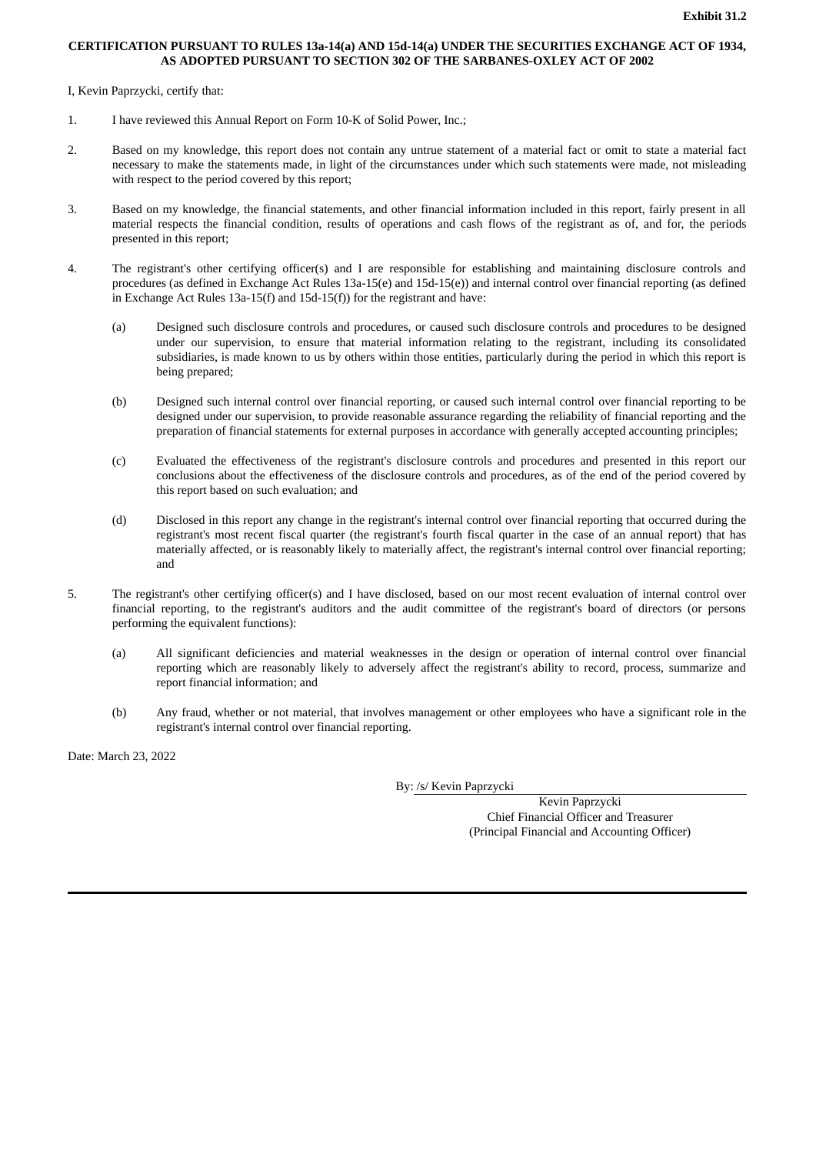#### **CERTIFICATION PURSUANT TO RULES 13a-14(a) AND 15d-14(a) UNDER THE SECURITIES EXCHANGE ACT OF 1934, AS ADOPTED PURSUANT TO SECTION 302 OF THE SARBANES-OXLEY ACT OF 2002**

I, Kevin Paprzycki, certify that:

- 1. I have reviewed this Annual Report on Form 10-K of Solid Power, Inc.;
- 2. Based on my knowledge, this report does not contain any untrue statement of a material fact or omit to state a material fact necessary to make the statements made, in light of the circumstances under which such statements were made, not misleading with respect to the period covered by this report;
- 3. Based on my knowledge, the financial statements, and other financial information included in this report, fairly present in all material respects the financial condition, results of operations and cash flows of the registrant as of, and for, the periods presented in this report;
- 4. The registrant's other certifying officer(s) and I are responsible for establishing and maintaining disclosure controls and procedures (as defined in Exchange Act Rules 13a-15(e) and 15d-15(e)) and internal control over financial reporting (as defined in Exchange Act Rules 13a-15(f) and 15d-15(f)) for the registrant and have:
	- (a) Designed such disclosure controls and procedures, or caused such disclosure controls and procedures to be designed under our supervision, to ensure that material information relating to the registrant, including its consolidated subsidiaries, is made known to us by others within those entities, particularly during the period in which this report is being prepared;
	- (b) Designed such internal control over financial reporting, or caused such internal control over financial reporting to be designed under our supervision, to provide reasonable assurance regarding the reliability of financial reporting and the preparation of financial statements for external purposes in accordance with generally accepted accounting principles;
	- (c) Evaluated the effectiveness of the registrant's disclosure controls and procedures and presented in this report our conclusions about the effectiveness of the disclosure controls and procedures, as of the end of the period covered by this report based on such evaluation; and
	- (d) Disclosed in this report any change in the registrant's internal control over financial reporting that occurred during the registrant's most recent fiscal quarter (the registrant's fourth fiscal quarter in the case of an annual report) that has materially affected, or is reasonably likely to materially affect, the registrant's internal control over financial reporting; and
- 5. The registrant's other certifying officer(s) and I have disclosed, based on our most recent evaluation of internal control over financial reporting, to the registrant's auditors and the audit committee of the registrant's board of directors (or persons performing the equivalent functions):
	- (a) All significant deficiencies and material weaknesses in the design or operation of internal control over financial reporting which are reasonably likely to adversely affect the registrant's ability to record, process, summarize and report financial information; and
	- (b) Any fraud, whether or not material, that involves management or other employees who have a significant role in the registrant's internal control over financial reporting.

Date: March 23, 2022

By: /s/ Kevin Paprzycki

Kevin Paprzycki Chief Financial Officer and Treasurer (Principal Financial and Accounting Officer)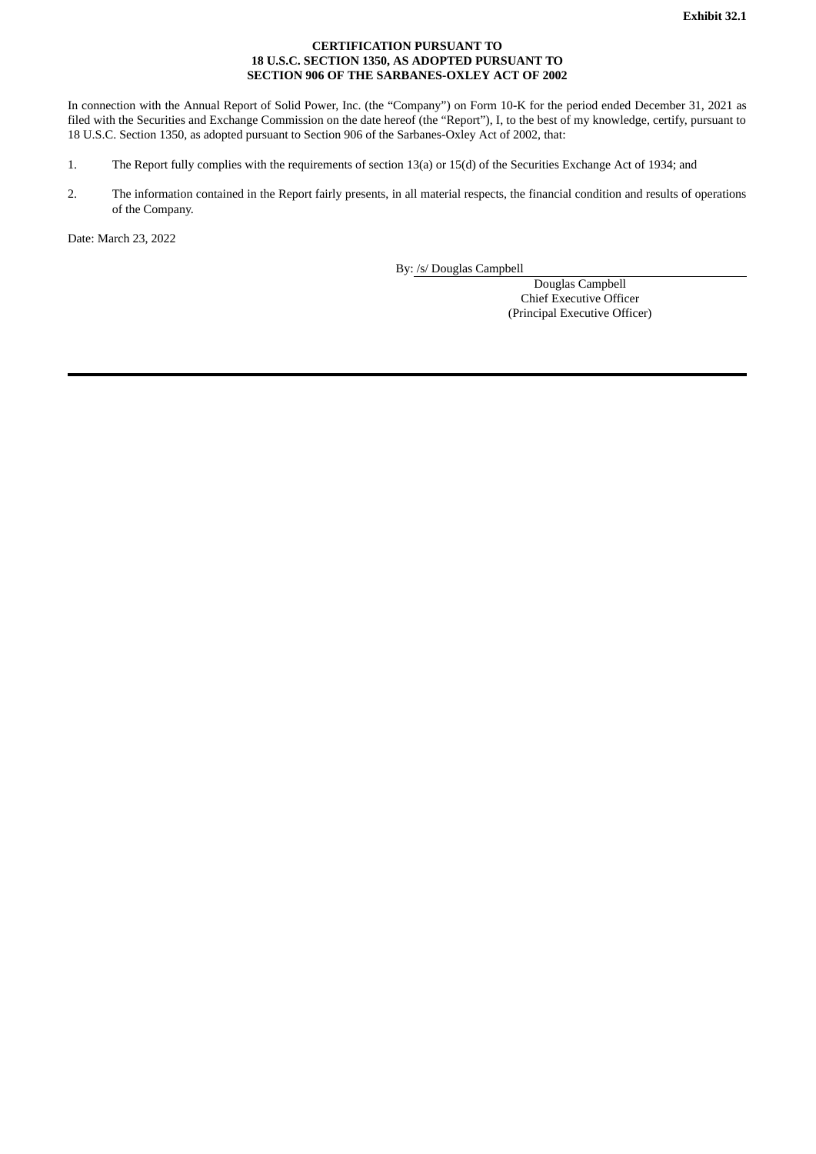### **CERTIFICATION PURSUANT TO 18 U.S.C. SECTION 1350, AS ADOPTED PURSUANT TO SECTION 906 OF THE SARBANES-OXLEY ACT OF 2002**

In connection with the Annual Report of Solid Power, Inc. (the "Company") on Form 10-K for the period ended December 31, 2021 as filed with the Securities and Exchange Commission on the date hereof (the "Report"), I, to the best of my knowledge, certify, pursuant to 18 U.S.C. Section 1350, as adopted pursuant to Section 906 of the Sarbanes-Oxley Act of 2002, that:

- 1. The Report fully complies with the requirements of section 13(a) or 15(d) of the Securities Exchange Act of 1934; and
- 2. The information contained in the Report fairly presents, in all material respects, the financial condition and results of operations of the Company.

Date: March 23, 2022

By: /s/ Douglas Campbell

Douglas Campbell Chief Executive Officer (Principal Executive Officer)